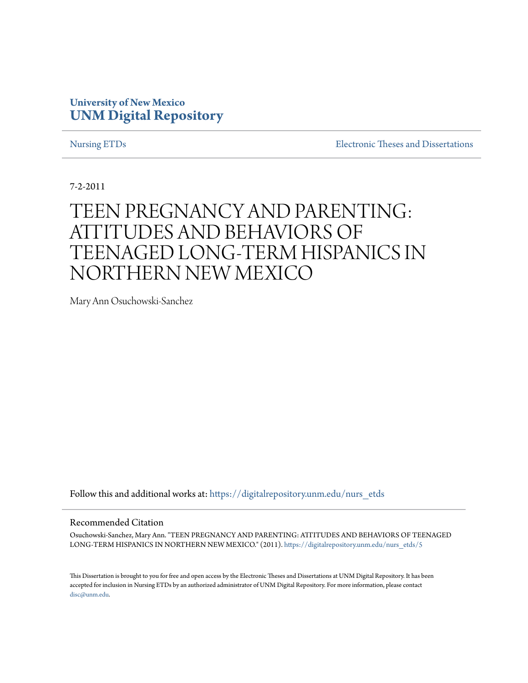## **University of New Mexico [UNM Digital Repository](https://digitalrepository.unm.edu?utm_source=digitalrepository.unm.edu%2Fnurs_etds%2F5&utm_medium=PDF&utm_campaign=PDFCoverPages)**

[Nursing ETDs](https://digitalrepository.unm.edu/nurs_etds?utm_source=digitalrepository.unm.edu%2Fnurs_etds%2F5&utm_medium=PDF&utm_campaign=PDFCoverPages) [Electronic Theses and Dissertations](https://digitalrepository.unm.edu/etds?utm_source=digitalrepository.unm.edu%2Fnurs_etds%2F5&utm_medium=PDF&utm_campaign=PDFCoverPages)

7-2-2011

# TEEN PREGNANCY AND PARENTING: ATTITUDES AND BEHAVIORS OF TEENAGED LONG-TERM HISPANICS IN NORTHERN NEW MEXICO

Mary Ann Osuchowski-Sanchez

Follow this and additional works at: [https://digitalrepository.unm.edu/nurs\\_etds](https://digitalrepository.unm.edu/nurs_etds?utm_source=digitalrepository.unm.edu%2Fnurs_etds%2F5&utm_medium=PDF&utm_campaign=PDFCoverPages)

### Recommended Citation

Osuchowski-Sanchez, Mary Ann. "TEEN PREGNANCY AND PARENTING: ATTITUDES AND BEHAVIORS OF TEENAGED LONG-TERM HISPANICS IN NORTHERN NEW MEXICO." (2011). [https://digitalrepository.unm.edu/nurs\\_etds/5](https://digitalrepository.unm.edu/nurs_etds/5?utm_source=digitalrepository.unm.edu%2Fnurs_etds%2F5&utm_medium=PDF&utm_campaign=PDFCoverPages)

This Dissertation is brought to you for free and open access by the Electronic Theses and Dissertations at UNM Digital Repository. It has been accepted for inclusion in Nursing ETDs by an authorized administrator of UNM Digital Repository. For more information, please contact [disc@unm.edu](mailto:disc@unm.edu).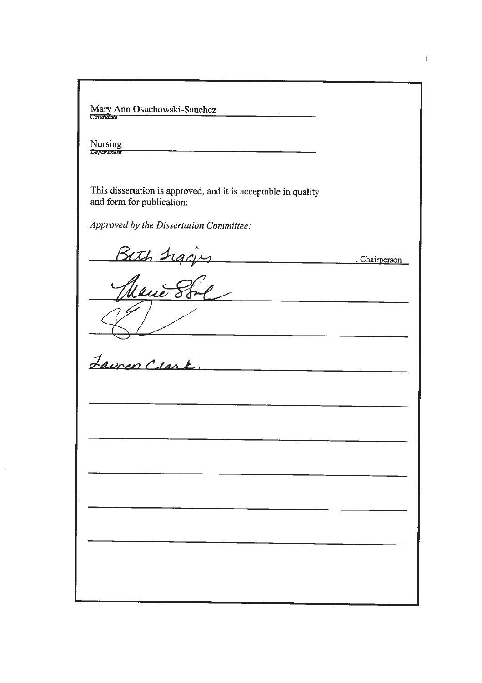Mary Ann Osuchowski-Sanchez Nursing<br>Department This dissertation is approved, and it is acceptable in quality and form for publication: Approved by the Dissertation Committee: Beth Siging Chairperson <u> 1980 - Andrea Stein, Amerikaansk politik fan de Amerikaansk kommunister (</u> <u>Lauren Clark</u> 

 $\mathbf{i}$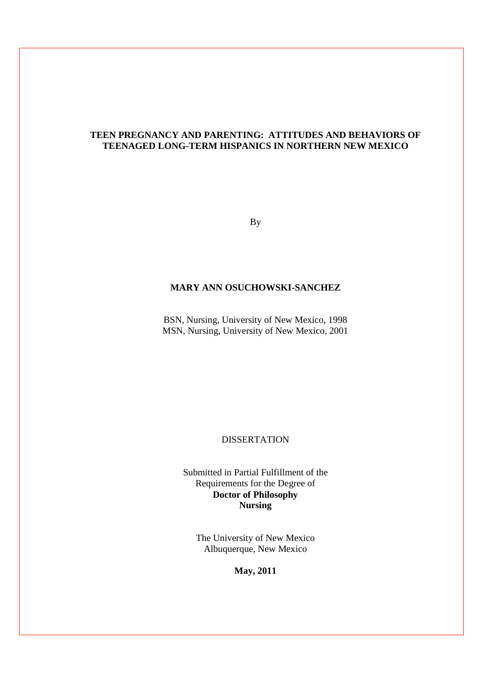### **TEEN PREGNANCY AND PARENTING: ATTITUDES AND BEHAVIORS OF TEENAGED LONG-TERM HISPANICS IN NORTHERN NEW MEXICO**

By

### **MARY ANN OSUCHOWSKI-SANCHEZ**

BSN, Nursing, University of New Mexico, 1998 MSN, Nursing, University of New Mexico, 2001

### DISSERTATION

Submitted in Partial Fulfillment of the Requirements for the Degree of **Doctor of Philosophy Nursing** 

The University of New Mexico Albuquerque, New Mexico

**May, 2011**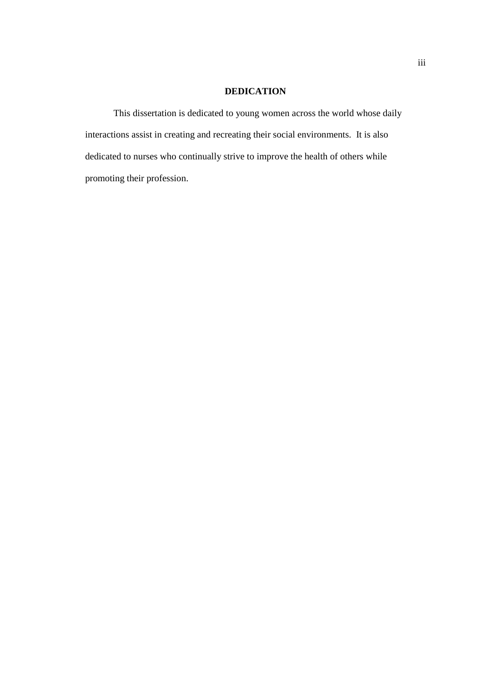### **DEDICATION**

This dissertation is dedicated to young women across the world whose daily interactions assist in creating and recreating their social environments. It is also dedicated to nurses who continually strive to improve the health of others while promoting their profession.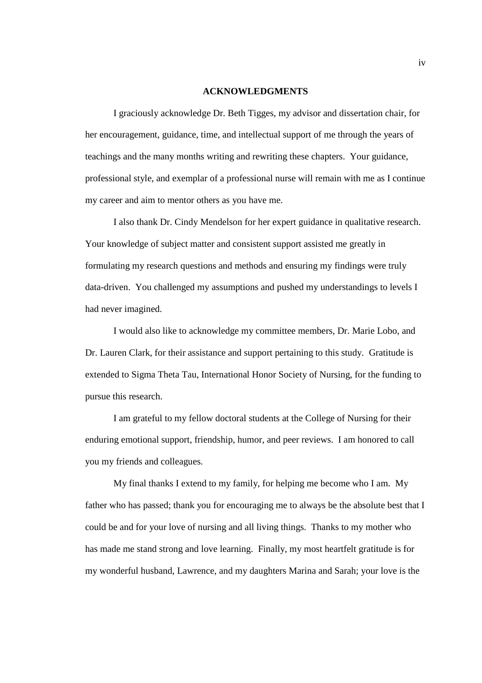### **ACKNOWLEDGMENTS**

I graciously acknowledge Dr. Beth Tigges, my advisor and dissertation chair, for her encouragement, guidance, time, and intellectual support of me through the years of teachings and the many months writing and rewriting these chapters. Your guidance, professional style, and exemplar of a professional nurse will remain with me as I continue my career and aim to mentor others as you have me.

I also thank Dr. Cindy Mendelson for her expert guidance in qualitative research. Your knowledge of subject matter and consistent support assisted me greatly in formulating my research questions and methods and ensuring my findings were truly data-driven. You challenged my assumptions and pushed my understandings to levels I had never imagined.

I would also like to acknowledge my committee members, Dr. Marie Lobo, and Dr. Lauren Clark, for their assistance and support pertaining to this study. Gratitude is extended to Sigma Theta Tau, International Honor Society of Nursing, for the funding to pursue this research.

I am grateful to my fellow doctoral students at the College of Nursing for their enduring emotional support, friendship, humor, and peer reviews. I am honored to call you my friends and colleagues.

My final thanks I extend to my family, for helping me become who I am. My father who has passed; thank you for encouraging me to always be the absolute best that I could be and for your love of nursing and all living things. Thanks to my mother who has made me stand strong and love learning. Finally, my most heartfelt gratitude is for my wonderful husband, Lawrence, and my daughters Marina and Sarah; your love is the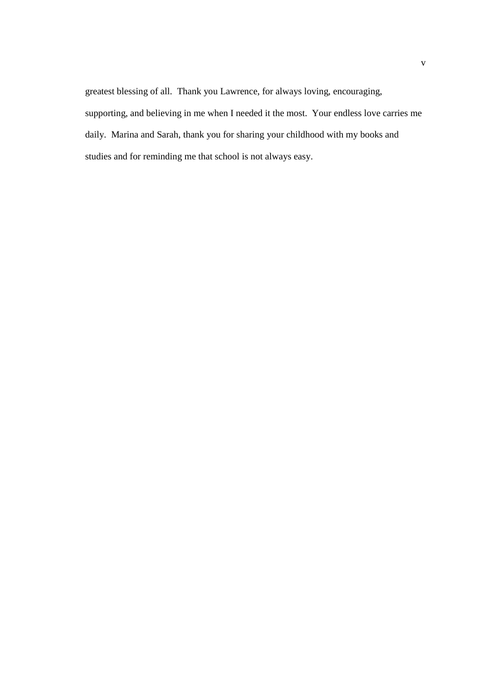greatest blessing of all. Thank you Lawrence, for always loving, encouraging, supporting, and believing in me when I needed it the most. Your endless love carries me daily. Marina and Sarah, thank you for sharing your childhood with my books and studies and for reminding me that school is not always easy.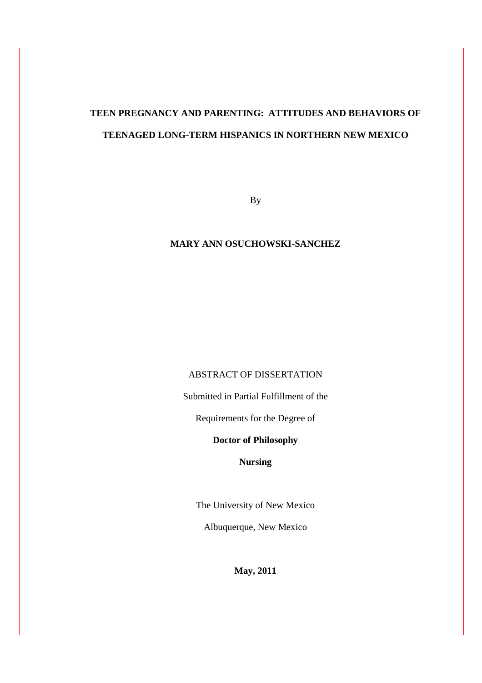# **TEEN PREGNANCY AND PARENTING: ATTITUDES AND BEHAVIORS OF TEENAGED LONG-TERM HISPANICS IN NORTHERN NEW MEXICO**

By

### **MARY ANN OSUCHOWSKI-SANCHEZ**

### ABSTRACT OF DISSERTATION

Submitted in Partial Fulfillment of the

Requirements for the Degree of

### **Doctor of Philosophy**

**Nursing** 

The University of New Mexico

Albuquerque, New Mexico

**May, 2011**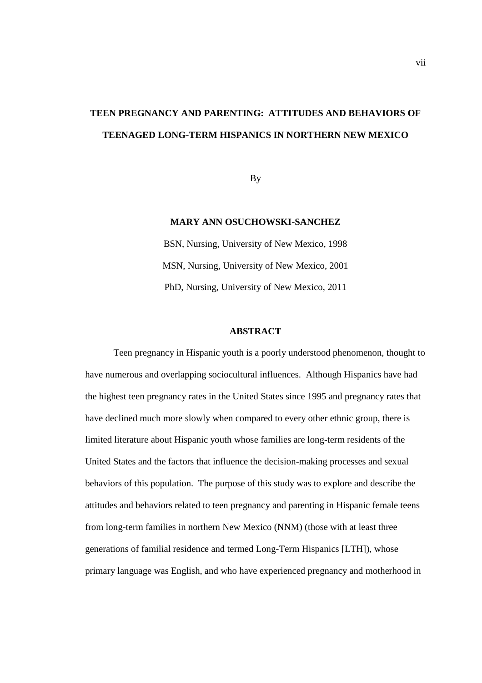# **TEEN PREGNANCY AND PARENTING: ATTITUDES AND BEHAVIORS OF TEENAGED LONG-TERM HISPANICS IN NORTHERN NEW MEXICO**

By

### **MARY ANN OSUCHOWSKI-SANCHEZ**

BSN, Nursing, University of New Mexico, 1998 MSN, Nursing, University of New Mexico, 2001 PhD, Nursing, University of New Mexico, 2011

### **ABSTRACT**

Teen pregnancy in Hispanic youth is a poorly understood phenomenon, thought to have numerous and overlapping sociocultural influences. Although Hispanics have had the highest teen pregnancy rates in the United States since 1995 and pregnancy rates that have declined much more slowly when compared to every other ethnic group, there is limited literature about Hispanic youth whose families are long-term residents of the United States and the factors that influence the decision-making processes and sexual behaviors of this population. The purpose of this study was to explore and describe the attitudes and behaviors related to teen pregnancy and parenting in Hispanic female teens from long-term families in northern New Mexico (NNM) (those with at least three generations of familial residence and termed Long-Term Hispanics [LTH]), whose primary language was English, and who have experienced pregnancy and motherhood in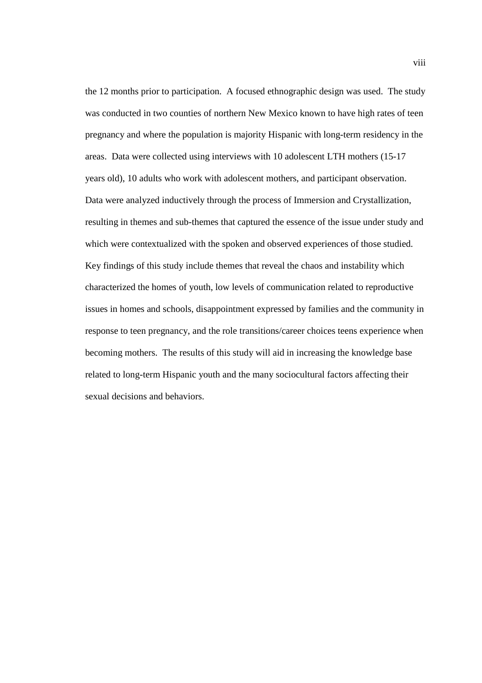the 12 months prior to participation. A focused ethnographic design was used. The study was conducted in two counties of northern New Mexico known to have high rates of teen pregnancy and where the population is majority Hispanic with long-term residency in the areas. Data were collected using interviews with 10 adolescent LTH mothers (15-17 years old), 10 adults who work with adolescent mothers, and participant observation. Data were analyzed inductively through the process of Immersion and Crystallization, resulting in themes and sub-themes that captured the essence of the issue under study and which were contextualized with the spoken and observed experiences of those studied. Key findings of this study include themes that reveal the chaos and instability which characterized the homes of youth, low levels of communication related to reproductive issues in homes and schools, disappointment expressed by families and the community in response to teen pregnancy, and the role transitions/career choices teens experience when becoming mothers. The results of this study will aid in increasing the knowledge base related to long-term Hispanic youth and the many sociocultural factors affecting their sexual decisions and behaviors.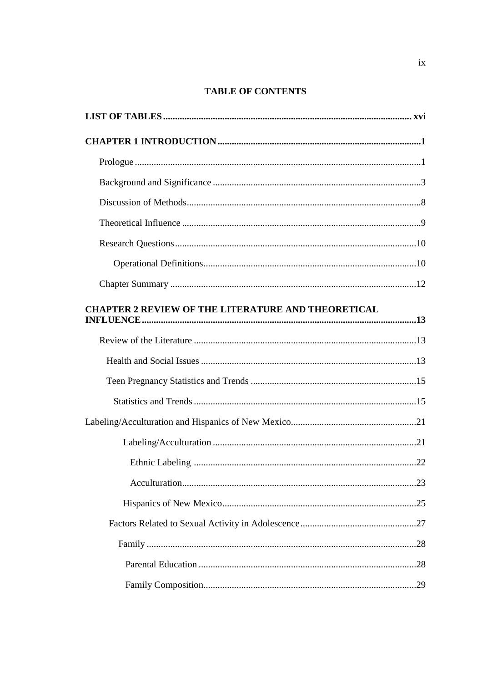## **TABLE OF CONTENTS**

| <b>CHAPTER 2 REVIEW OF THE LITERATURE AND THEORETICAL</b> |
|-----------------------------------------------------------|
|                                                           |
|                                                           |
|                                                           |
|                                                           |
|                                                           |
|                                                           |
|                                                           |
|                                                           |
|                                                           |
|                                                           |
|                                                           |
|                                                           |
|                                                           |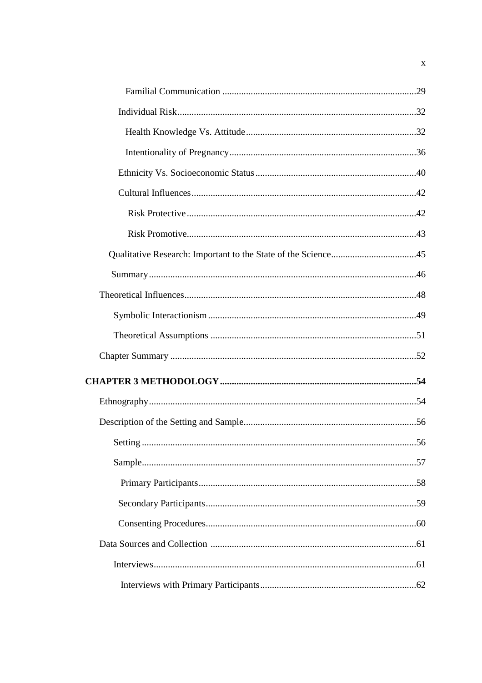$\mathbf X$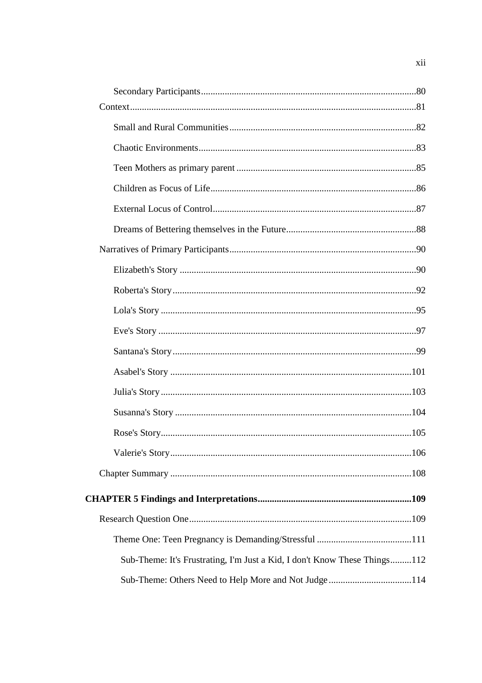| Sub-Theme: It's Frustrating, I'm Just a Kid, I don't Know These Things112 |  |
|---------------------------------------------------------------------------|--|
| Sub-Theme: Others Need to Help More and Not Judge114                      |  |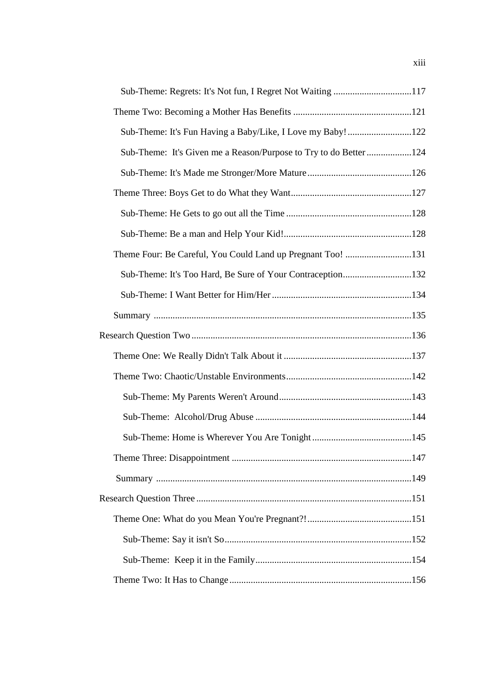| Sub-Theme: It's Given me a Reason/Purpose to Try to do Better 124 |  |
|-------------------------------------------------------------------|--|
|                                                                   |  |
|                                                                   |  |
|                                                                   |  |
|                                                                   |  |
| Theme Four: Be Careful, You Could Land up Pregnant Too! 131       |  |
| Sub-Theme: It's Too Hard, Be Sure of Your Contraception132        |  |
|                                                                   |  |
|                                                                   |  |
|                                                                   |  |
|                                                                   |  |
|                                                                   |  |
|                                                                   |  |
|                                                                   |  |
|                                                                   |  |
|                                                                   |  |
|                                                                   |  |
|                                                                   |  |
|                                                                   |  |
|                                                                   |  |
|                                                                   |  |
|                                                                   |  |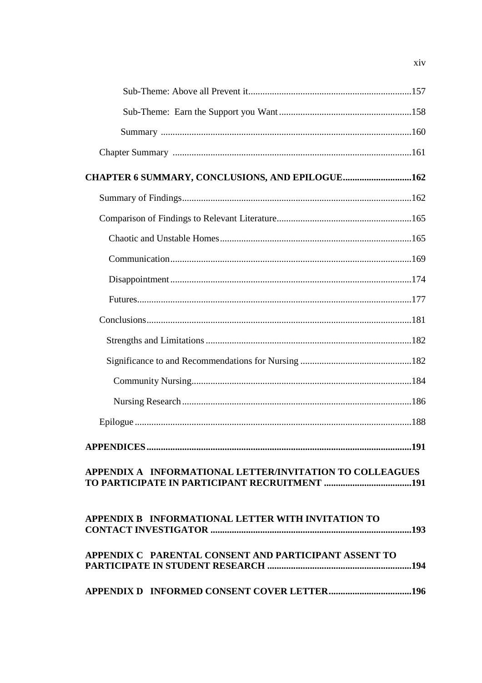| CHAPTER 6 SUMMARY, CONCLUSIONS, AND EPILOGUE162          |      |
|----------------------------------------------------------|------|
|                                                          |      |
|                                                          |      |
|                                                          |      |
|                                                          |      |
|                                                          |      |
|                                                          |      |
|                                                          |      |
|                                                          |      |
|                                                          |      |
|                                                          |      |
|                                                          |      |
|                                                          |      |
| <b>APPENDICES.</b>                                       | .191 |
| APPENDIX A INFORMATIONAL LETTER/INVITATION TO COLLEAGUES |      |
| APPENDIX B INFORMATIONAL LETTER WITH INVITATION TO       |      |
| APPENDIX C PARENTAL CONSENT AND PARTICIPANT ASSENT TO    |      |
|                                                          |      |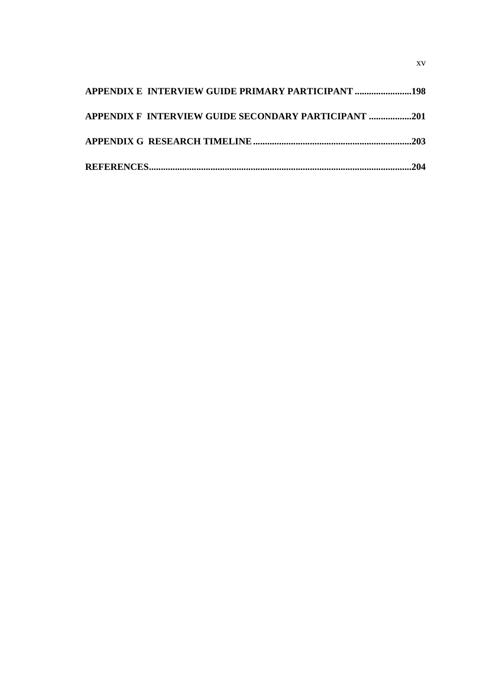| APPENDIX F INTERVIEW GUIDE SECONDARY PARTICIPANT 201 |  |
|------------------------------------------------------|--|
|                                                      |  |
|                                                      |  |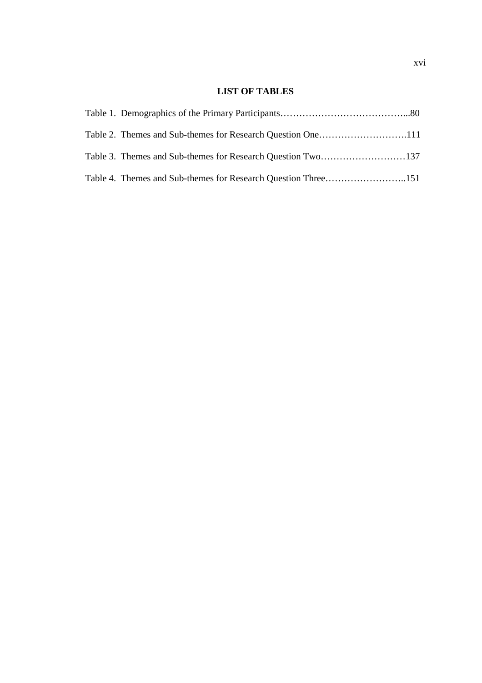### **LIST OF TABLES**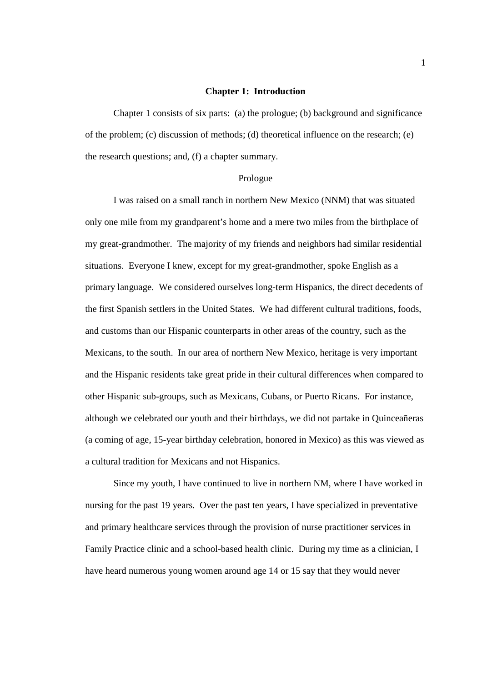### **Chapter 1: Introduction**

 Chapter 1 consists of six parts: (a) the prologue; (b) background and significance of the problem; (c) discussion of methods; (d) theoretical influence on the research; (e) the research questions; and, (f) a chapter summary.

#### Prologue

 I was raised on a small ranch in northern New Mexico (NNM) that was situated only one mile from my grandparent's home and a mere two miles from the birthplace of my great-grandmother. The majority of my friends and neighbors had similar residential situations. Everyone I knew, except for my great-grandmother, spoke English as a primary language. We considered ourselves long-term Hispanics, the direct decedents of the first Spanish settlers in the United States. We had different cultural traditions, foods, and customs than our Hispanic counterparts in other areas of the country, such as the Mexicans, to the south. In our area of northern New Mexico, heritage is very important and the Hispanic residents take great pride in their cultural differences when compared to other Hispanic sub-groups, such as Mexicans, Cubans, or Puerto Ricans. For instance, although we celebrated our youth and their birthdays, we did not partake in Quinceañeras (a coming of age, 15-year birthday celebration, honored in Mexico) as this was viewed as a cultural tradition for Mexicans and not Hispanics.

Since my youth, I have continued to live in northern NM, where I have worked in nursing for the past 19 years. Over the past ten years, I have specialized in preventative and primary healthcare services through the provision of nurse practitioner services in Family Practice clinic and a school-based health clinic. During my time as a clinician, I have heard numerous young women around age 14 or 15 say that they would never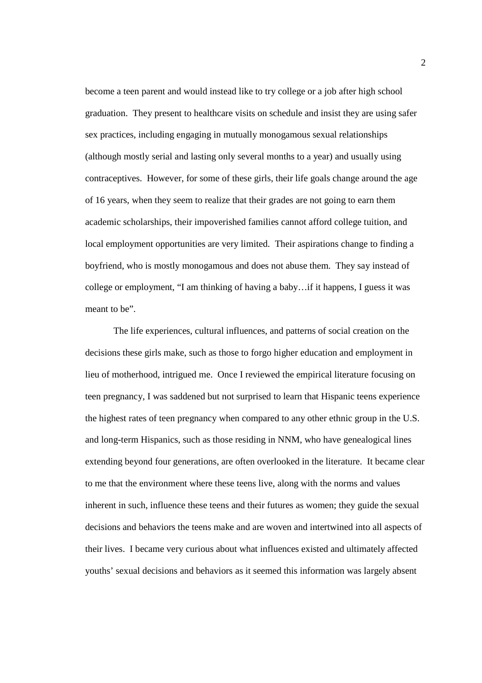become a teen parent and would instead like to try college or a job after high school graduation. They present to healthcare visits on schedule and insist they are using safer sex practices, including engaging in mutually monogamous sexual relationships (although mostly serial and lasting only several months to a year) and usually using contraceptives. However, for some of these girls, their life goals change around the age of 16 years, when they seem to realize that their grades are not going to earn them academic scholarships, their impoverished families cannot afford college tuition, and local employment opportunities are very limited. Their aspirations change to finding a boyfriend, who is mostly monogamous and does not abuse them. They say instead of college or employment, "I am thinking of having a baby…if it happens, I guess it was meant to be".

 The life experiences, cultural influences, and patterns of social creation on the decisions these girls make, such as those to forgo higher education and employment in lieu of motherhood, intrigued me. Once I reviewed the empirical literature focusing on teen pregnancy, I was saddened but not surprised to learn that Hispanic teens experience the highest rates of teen pregnancy when compared to any other ethnic group in the U.S. and long-term Hispanics, such as those residing in NNM, who have genealogical lines extending beyond four generations, are often overlooked in the literature. It became clear to me that the environment where these teens live, along with the norms and values inherent in such, influence these teens and their futures as women; they guide the sexual decisions and behaviors the teens make and are woven and intertwined into all aspects of their lives. I became very curious about what influences existed and ultimately affected youths' sexual decisions and behaviors as it seemed this information was largely absent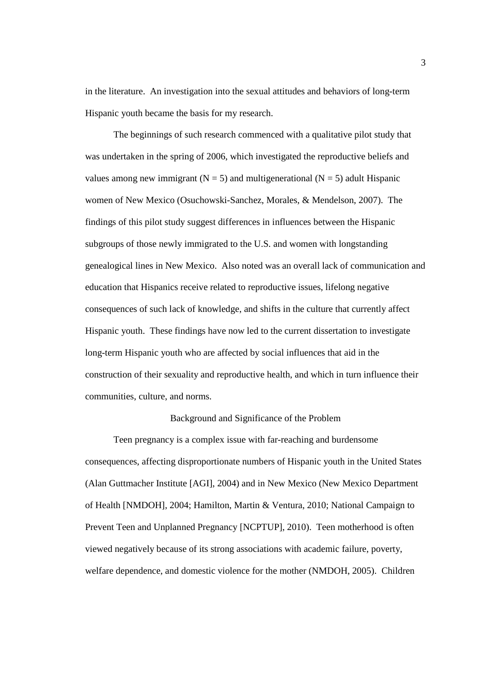in the literature. An investigation into the sexual attitudes and behaviors of long-term Hispanic youth became the basis for my research.

The beginnings of such research commenced with a qualitative pilot study that was undertaken in the spring of 2006, which investigated the reproductive beliefs and values among new immigrant  $(N = 5)$  and multigenerational  $(N = 5)$  adult Hispanic women of New Mexico (Osuchowski-Sanchez, Morales, & Mendelson, 2007). The findings of this pilot study suggest differences in influences between the Hispanic subgroups of those newly immigrated to the U.S. and women with longstanding genealogical lines in New Mexico. Also noted was an overall lack of communication and education that Hispanics receive related to reproductive issues, lifelong negative consequences of such lack of knowledge, and shifts in the culture that currently affect Hispanic youth. These findings have now led to the current dissertation to investigate long-term Hispanic youth who are affected by social influences that aid in the construction of their sexuality and reproductive health, and which in turn influence their communities, culture, and norms.

### Background and Significance of the Problem

 Teen pregnancy is a complex issue with far-reaching and burdensome consequences, affecting disproportionate numbers of Hispanic youth in the United States (Alan Guttmacher Institute [AGI], 2004) and in New Mexico (New Mexico Department of Health [NMDOH], 2004; Hamilton, Martin & Ventura, 2010; National Campaign to Prevent Teen and Unplanned Pregnancy [NCPTUP], 2010). Teen motherhood is often viewed negatively because of its strong associations with academic failure, poverty, welfare dependence, and domestic violence for the mother (NMDOH, 2005). Children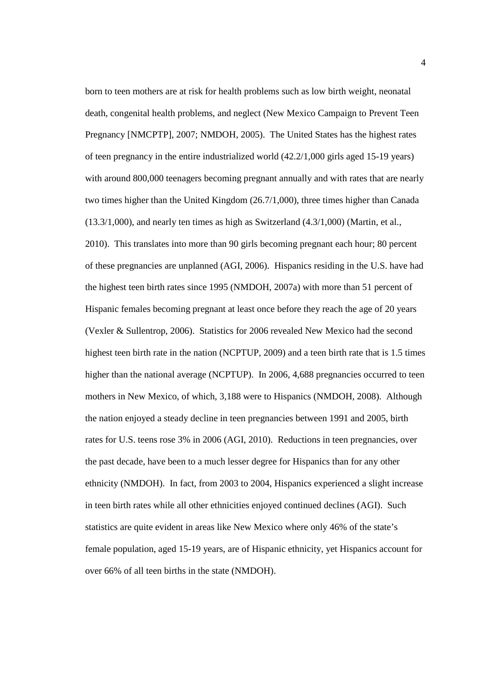born to teen mothers are at risk for health problems such as low birth weight, neonatal death, congenital health problems, and neglect (New Mexico Campaign to Prevent Teen Pregnancy [NMCPTP], 2007; NMDOH, 2005). The United States has the highest rates of teen pregnancy in the entire industrialized world (42.2/1,000 girls aged 15-19 years) with around 800,000 teenagers becoming pregnant annually and with rates that are nearly two times higher than the United Kingdom (26.7/1,000), three times higher than Canada (13.3/1,000), and nearly ten times as high as Switzerland (4.3/1,000) (Martin, et al., 2010). This translates into more than 90 girls becoming pregnant each hour; 80 percent of these pregnancies are unplanned (AGI, 2006). Hispanics residing in the U.S. have had the highest teen birth rates since 1995 (NMDOH, 2007a) with more than 51 percent of Hispanic females becoming pregnant at least once before they reach the age of 20 years (Vexler & Sullentrop, 2006). Statistics for 2006 revealed New Mexico had the second highest teen birth rate in the nation (NCPTUP, 2009) and a teen birth rate that is 1.5 times higher than the national average (NCPTUP). In 2006, 4,688 pregnancies occurred to teen mothers in New Mexico, of which, 3,188 were to Hispanics (NMDOH, 2008). Although the nation enjoyed a steady decline in teen pregnancies between 1991 and 2005, birth rates for U.S. teens rose 3% in 2006 (AGI, 2010). Reductions in teen pregnancies, over the past decade, have been to a much lesser degree for Hispanics than for any other ethnicity (NMDOH). In fact, from 2003 to 2004, Hispanics experienced a slight increase in teen birth rates while all other ethnicities enjoyed continued declines (AGI). Such statistics are quite evident in areas like New Mexico where only 46% of the state's female population, aged 15-19 years, are of Hispanic ethnicity, yet Hispanics account for over 66% of all teen births in the state (NMDOH).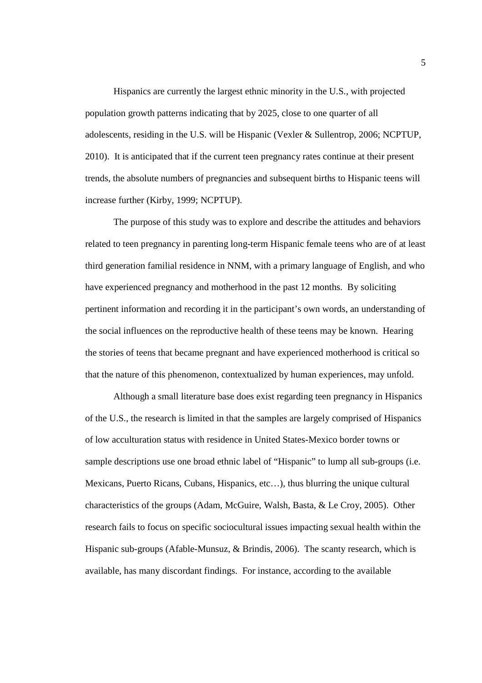Hispanics are currently the largest ethnic minority in the U.S., with projected population growth patterns indicating that by 2025, close to one quarter of all adolescents, residing in the U.S. will be Hispanic (Vexler & Sullentrop, 2006; NCPTUP, 2010). It is anticipated that if the current teen pregnancy rates continue at their present trends, the absolute numbers of pregnancies and subsequent births to Hispanic teens will increase further (Kirby, 1999; NCPTUP).

The purpose of this study was to explore and describe the attitudes and behaviors related to teen pregnancy in parenting long-term Hispanic female teens who are of at least third generation familial residence in NNM, with a primary language of English, and who have experienced pregnancy and motherhood in the past 12 months. By soliciting pertinent information and recording it in the participant's own words, an understanding of the social influences on the reproductive health of these teens may be known. Hearing the stories of teens that became pregnant and have experienced motherhood is critical so that the nature of this phenomenon, contextualized by human experiences, may unfold.

Although a small literature base does exist regarding teen pregnancy in Hispanics of the U.S., the research is limited in that the samples are largely comprised of Hispanics of low acculturation status with residence in United States-Mexico border towns or sample descriptions use one broad ethnic label of "Hispanic" to lump all sub-groups (i.e. Mexicans, Puerto Ricans, Cubans, Hispanics, etc…), thus blurring the unique cultural characteristics of the groups (Adam, McGuire, Walsh, Basta, & Le Croy, 2005). Other research fails to focus on specific sociocultural issues impacting sexual health within the Hispanic sub-groups (Afable-Munsuz, & Brindis, 2006). The scanty research, which is available, has many discordant findings. For instance, according to the available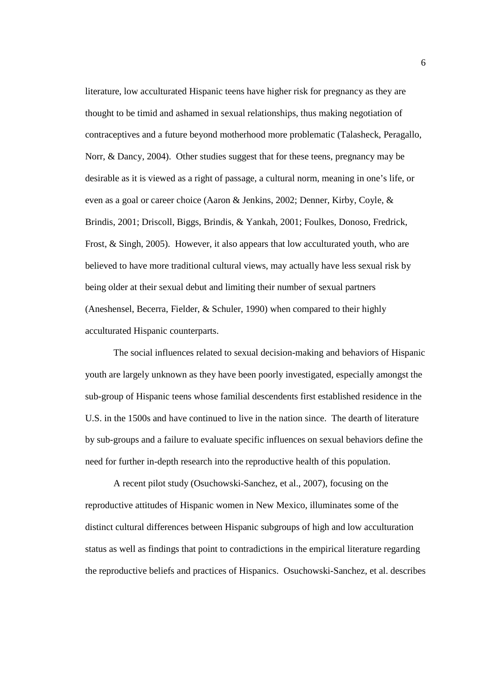literature, low acculturated Hispanic teens have higher risk for pregnancy as they are thought to be timid and ashamed in sexual relationships, thus making negotiation of contraceptives and a future beyond motherhood more problematic (Talasheck, Peragallo, Norr, & Dancy, 2004). Other studies suggest that for these teens, pregnancy may be desirable as it is viewed as a right of passage, a cultural norm, meaning in one's life, or even as a goal or career choice (Aaron & Jenkins, 2002; Denner, Kirby, Coyle, & Brindis, 2001; Driscoll, Biggs, Brindis, & Yankah, 2001; Foulkes, Donoso, Fredrick, Frost, & Singh, 2005). However, it also appears that low acculturated youth, who are believed to have more traditional cultural views, may actually have less sexual risk by being older at their sexual debut and limiting their number of sexual partners (Aneshensel, Becerra, Fielder, & Schuler, 1990) when compared to their highly acculturated Hispanic counterparts.

The social influences related to sexual decision-making and behaviors of Hispanic youth are largely unknown as they have been poorly investigated, especially amongst the sub-group of Hispanic teens whose familial descendents first established residence in the U.S. in the 1500s and have continued to live in the nation since. The dearth of literature by sub-groups and a failure to evaluate specific influences on sexual behaviors define the need for further in-depth research into the reproductive health of this population.

A recent pilot study (Osuchowski-Sanchez, et al., 2007), focusing on the reproductive attitudes of Hispanic women in New Mexico, illuminates some of the distinct cultural differences between Hispanic subgroups of high and low acculturation status as well as findings that point to contradictions in the empirical literature regarding the reproductive beliefs and practices of Hispanics. Osuchowski-Sanchez, et al. describes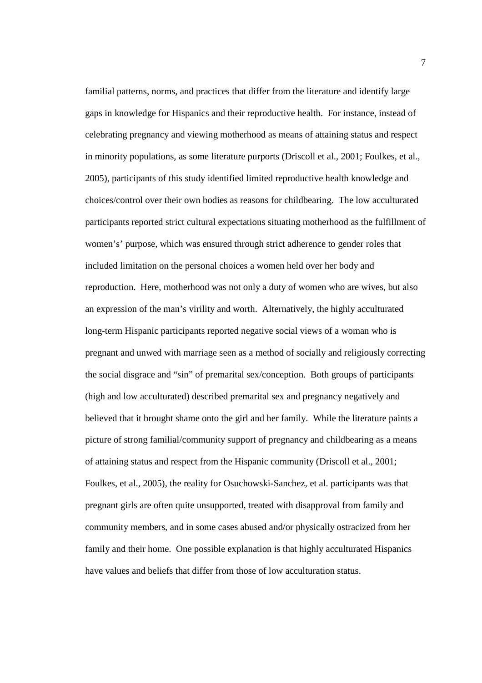familial patterns, norms, and practices that differ from the literature and identify large gaps in knowledge for Hispanics and their reproductive health. For instance, instead of celebrating pregnancy and viewing motherhood as means of attaining status and respect in minority populations, as some literature purports (Driscoll et al., 2001; Foulkes, et al., 2005), participants of this study identified limited reproductive health knowledge and choices/control over their own bodies as reasons for childbearing. The low acculturated participants reported strict cultural expectations situating motherhood as the fulfillment of women's' purpose, which was ensured through strict adherence to gender roles that included limitation on the personal choices a women held over her body and reproduction. Here, motherhood was not only a duty of women who are wives, but also an expression of the man's virility and worth. Alternatively, the highly acculturated long-term Hispanic participants reported negative social views of a woman who is pregnant and unwed with marriage seen as a method of socially and religiously correcting the social disgrace and "sin" of premarital sex/conception. Both groups of participants (high and low acculturated) described premarital sex and pregnancy negatively and believed that it brought shame onto the girl and her family. While the literature paints a picture of strong familial/community support of pregnancy and childbearing as a means of attaining status and respect from the Hispanic community (Driscoll et al., 2001; Foulkes, et al., 2005), the reality for Osuchowski-Sanchez, et al. participants was that pregnant girls are often quite unsupported, treated with disapproval from family and community members, and in some cases abused and/or physically ostracized from her family and their home. One possible explanation is that highly acculturated Hispanics have values and beliefs that differ from those of low acculturation status.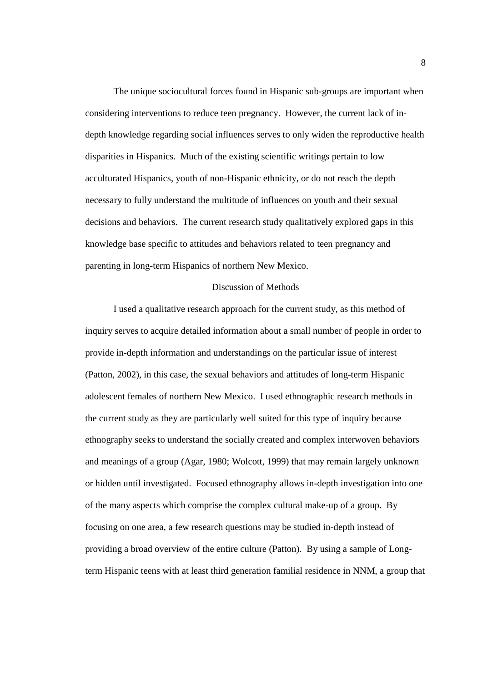The unique sociocultural forces found in Hispanic sub-groups are important when considering interventions to reduce teen pregnancy. However, the current lack of indepth knowledge regarding social influences serves to only widen the reproductive health disparities in Hispanics. Much of the existing scientific writings pertain to low acculturated Hispanics, youth of non-Hispanic ethnicity, or do not reach the depth necessary to fully understand the multitude of influences on youth and their sexual decisions and behaviors. The current research study qualitatively explored gaps in this knowledge base specific to attitudes and behaviors related to teen pregnancy and parenting in long-term Hispanics of northern New Mexico.

### Discussion of Methods

I used a qualitative research approach for the current study, as this method of inquiry serves to acquire detailed information about a small number of people in order to provide in-depth information and understandings on the particular issue of interest (Patton, 2002), in this case, the sexual behaviors and attitudes of long-term Hispanic adolescent females of northern New Mexico. I used ethnographic research methods in the current study as they are particularly well suited for this type of inquiry because ethnography seeks to understand the socially created and complex interwoven behaviors and meanings of a group (Agar, 1980; Wolcott, 1999) that may remain largely unknown or hidden until investigated. Focused ethnography allows in-depth investigation into one of the many aspects which comprise the complex cultural make-up of a group. By focusing on one area, a few research questions may be studied in-depth instead of providing a broad overview of the entire culture (Patton). By using a sample of Longterm Hispanic teens with at least third generation familial residence in NNM, a group that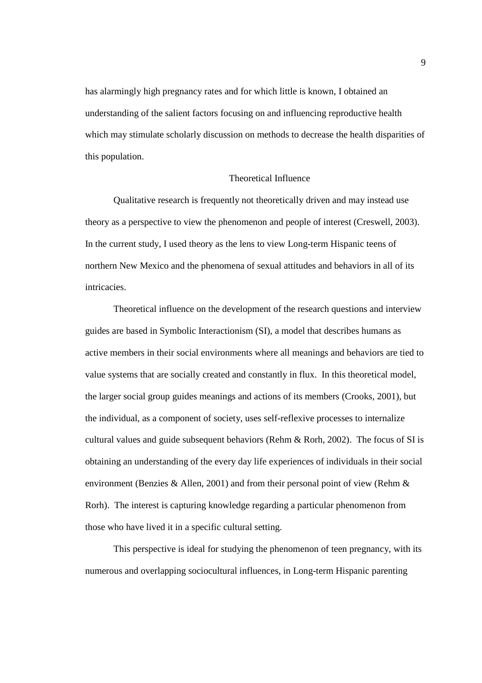has alarmingly high pregnancy rates and for which little is known, I obtained an understanding of the salient factors focusing on and influencing reproductive health which may stimulate scholarly discussion on methods to decrease the health disparities of this population.

### Theoretical Influence

Qualitative research is frequently not theoretically driven and may instead use theory as a perspective to view the phenomenon and people of interest (Creswell, 2003). In the current study, I used theory as the lens to view Long-term Hispanic teens of northern New Mexico and the phenomena of sexual attitudes and behaviors in all of its intricacies.

Theoretical influence on the development of the research questions and interview guides are based in Symbolic Interactionism (SI), a model that describes humans as active members in their social environments where all meanings and behaviors are tied to value systems that are socially created and constantly in flux. In this theoretical model, the larger social group guides meanings and actions of its members (Crooks, 2001), but the individual, as a component of society, uses self-reflexive processes to internalize cultural values and guide subsequent behaviors (Rehm & Rorh, 2002). The focus of SI is obtaining an understanding of the every day life experiences of individuals in their social environment (Benzies & Allen, 2001) and from their personal point of view (Rehm & Rorh). The interest is capturing knowledge regarding a particular phenomenon from those who have lived it in a specific cultural setting.

This perspective is ideal for studying the phenomenon of teen pregnancy, with its numerous and overlapping sociocultural influences, in Long-term Hispanic parenting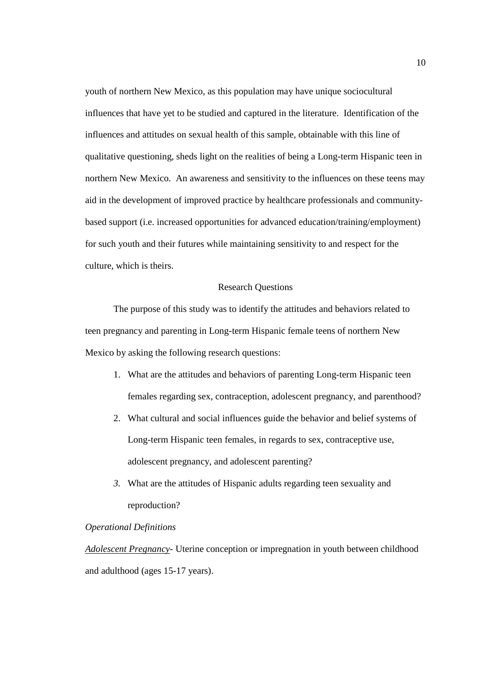youth of northern New Mexico, as this population may have unique sociocultural influences that have yet to be studied and captured in the literature. Identification of the influences and attitudes on sexual health of this sample, obtainable with this line of qualitative questioning, sheds light on the realities of being a Long-term Hispanic teen in northern New Mexico. An awareness and sensitivity to the influences on these teens may aid in the development of improved practice by healthcare professionals and communitybased support (i.e. increased opportunities for advanced education/training/employment) for such youth and their futures while maintaining sensitivity to and respect for the culture, which is theirs.

### Research Questions

The purpose of this study was to identify the attitudes and behaviors related to teen pregnancy and parenting in Long-term Hispanic female teens of northern New Mexico by asking the following research questions:

- 1. What are the attitudes and behaviors of parenting Long-term Hispanic teen females regarding sex, contraception, adolescent pregnancy, and parenthood?
- 2. What cultural and social influences guide the behavior and belief systems of Long-term Hispanic teen females, in regards to sex, contraceptive use, adolescent pregnancy, and adolescent parenting?
- *3.* What are the attitudes of Hispanic adults regarding teen sexuality and reproduction?

### *Operational Definitions*

*Adolescent Pregnancy*- Uterine conception or impregnation in youth between childhood and adulthood (ages 15-17 years).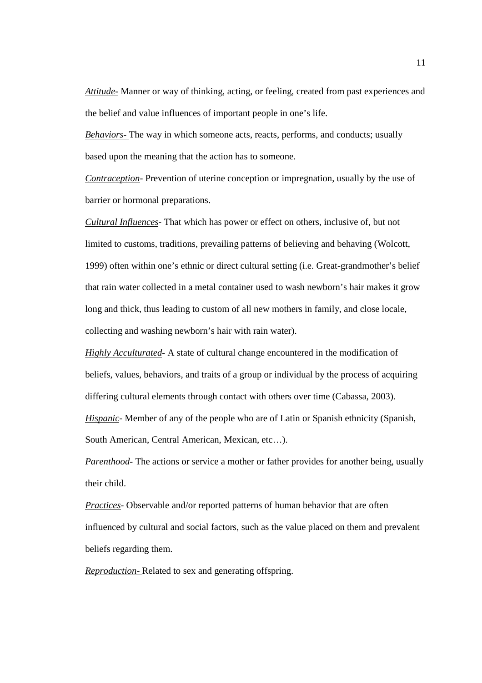*Attitude-* Manner or way of thinking, acting, or feeling, created from past experiences and the belief and value influences of important people in one's life.

*Behaviors-* The way in which someone acts, reacts, performs, and conducts; usually based upon the meaning that the action has to someone.

*Contraception*- Prevention of uterine conception or impregnation, usually by the use of barrier or hormonal preparations.

*Cultural Influences*- That which has power or effect on others, inclusive of, but not limited to customs, traditions, prevailing patterns of believing and behaving (Wolcott, 1999) often within one's ethnic or direct cultural setting (i.e. Great-grandmother's belief that rain water collected in a metal container used to wash newborn's hair makes it grow long and thick, thus leading to custom of all new mothers in family, and close locale, collecting and washing newborn's hair with rain water).

*Highly Acculturated*- A state of cultural change encountered in the modification of beliefs, values, behaviors, and traits of a group or individual by the process of acquiring differing cultural elements through contact with others over time (Cabassa, 2003). *Hispanic*- Member of any of the people who are of Latin or Spanish ethnicity (Spanish, South American, Central American, Mexican, etc…).

*Parenthood*- The actions or service a mother or father provides for another being, usually their child.

*Practices*- Observable and/or reported patterns of human behavior that are often influenced by cultural and social factors, such as the value placed on them and prevalent beliefs regarding them.

*Reproduction-* Related to sex and generating offspring.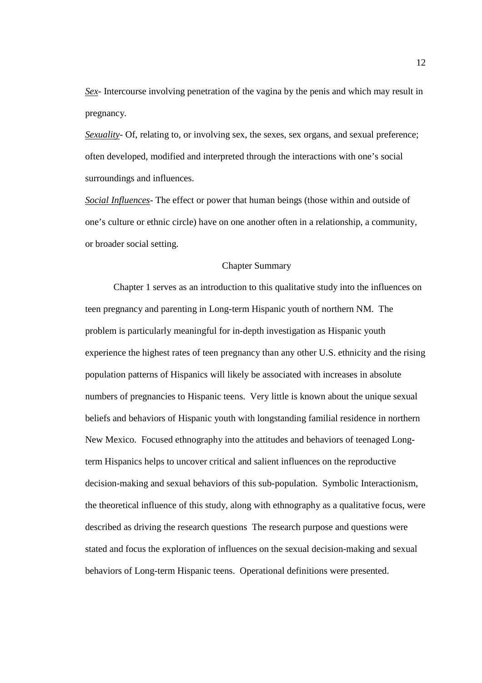*Sex*- Intercourse involving penetration of the vagina by the penis and which may result in pregnancy*.* 

*Sexuality*- Of, relating to, or involving sex, the sexes, sex organs, and sexual preference; often developed, modified and interpreted through the interactions with one's social surroundings and influences.

*Social Influences*- The effect or power that human beings (those within and outside of one's culture or ethnic circle) have on one another often in a relationship, a community, or broader social setting.

### Chapter Summary

Chapter 1 serves as an introduction to this qualitative study into the influences on teen pregnancy and parenting in Long-term Hispanic youth of northern NM. The problem is particularly meaningful for in-depth investigation as Hispanic youth experience the highest rates of teen pregnancy than any other U.S. ethnicity and the rising population patterns of Hispanics will likely be associated with increases in absolute numbers of pregnancies to Hispanic teens. Very little is known about the unique sexual beliefs and behaviors of Hispanic youth with longstanding familial residence in northern New Mexico. Focused ethnography into the attitudes and behaviors of teenaged Longterm Hispanics helps to uncover critical and salient influences on the reproductive decision-making and sexual behaviors of this sub-population. Symbolic Interactionism, the theoretical influence of this study, along with ethnography as a qualitative focus, were described as driving the research questions The research purpose and questions were stated and focus the exploration of influences on the sexual decision-making and sexual behaviors of Long-term Hispanic teens. Operational definitions were presented.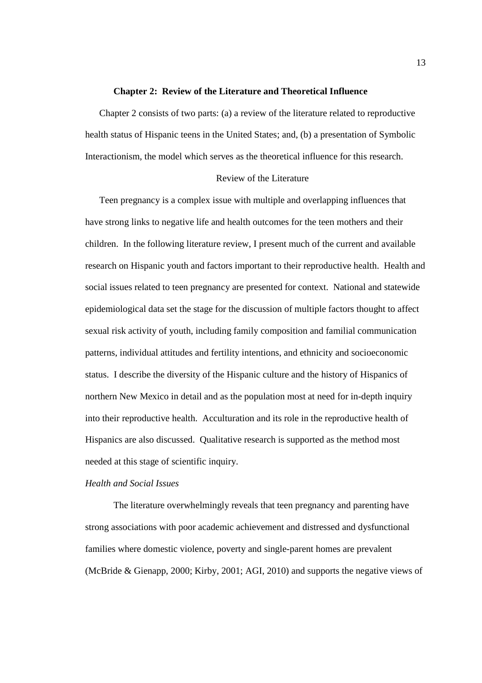#### **Chapter 2: Review of the Literature and Theoretical Influence**

Chapter 2 consists of two parts: (a) a review of the literature related to reproductive health status of Hispanic teens in the United States; and, (b) a presentation of Symbolic Interactionism, the model which serves as the theoretical influence for this research.

### Review of the Literature

Teen pregnancy is a complex issue with multiple and overlapping influences that have strong links to negative life and health outcomes for the teen mothers and their children. In the following literature review, I present much of the current and available research on Hispanic youth and factors important to their reproductive health. Health and social issues related to teen pregnancy are presented for context. National and statewide epidemiological data set the stage for the discussion of multiple factors thought to affect sexual risk activity of youth, including family composition and familial communication patterns, individual attitudes and fertility intentions, and ethnicity and socioeconomic status. I describe the diversity of the Hispanic culture and the history of Hispanics of northern New Mexico in detail and as the population most at need for in-depth inquiry into their reproductive health. Acculturation and its role in the reproductive health of Hispanics are also discussed. Qualitative research is supported as the method most needed at this stage of scientific inquiry.

### *Health and Social Issues*

The literature overwhelmingly reveals that teen pregnancy and parenting have strong associations with poor academic achievement and distressed and dysfunctional families where domestic violence, poverty and single-parent homes are prevalent (McBride & Gienapp, 2000; Kirby, 2001; AGI, 2010) and supports the negative views of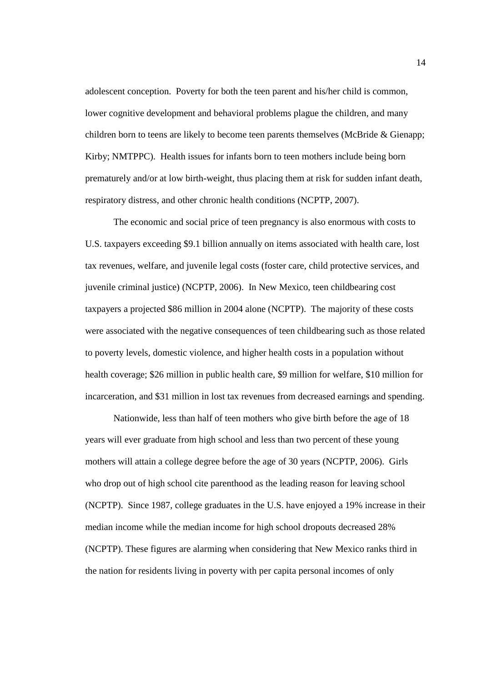adolescent conception. Poverty for both the teen parent and his/her child is common, lower cognitive development and behavioral problems plague the children, and many children born to teens are likely to become teen parents themselves (McBride & Gienapp; Kirby; NMTPPC). Health issues for infants born to teen mothers include being born prematurely and/or at low birth-weight, thus placing them at risk for sudden infant death, respiratory distress, and other chronic health conditions (NCPTP, 2007).

The economic and social price of teen pregnancy is also enormous with costs to U.S. taxpayers exceeding \$9.1 billion annually on items associated with health care, lost tax revenues, welfare, and juvenile legal costs (foster care, child protective services, and juvenile criminal justice) (NCPTP, 2006). In New Mexico, teen childbearing cost taxpayers a projected \$86 million in 2004 alone (NCPTP). The majority of these costs were associated with the negative consequences of teen childbearing such as those related to poverty levels, domestic violence, and higher health costs in a population without health coverage; \$26 million in public health care, \$9 million for welfare, \$10 million for incarceration, and \$31 million in lost tax revenues from decreased earnings and spending.

Nationwide, less than half of teen mothers who give birth before the age of 18 years will ever graduate from high school and less than two percent of these young mothers will attain a college degree before the age of 30 years (NCPTP, 2006). Girls who drop out of high school cite parenthood as the leading reason for leaving school (NCPTP). Since 1987, college graduates in the U.S. have enjoyed a 19% increase in their median income while the median income for high school dropouts decreased 28% (NCPTP). These figures are alarming when considering that New Mexico ranks third in the nation for residents living in poverty with per capita personal incomes of only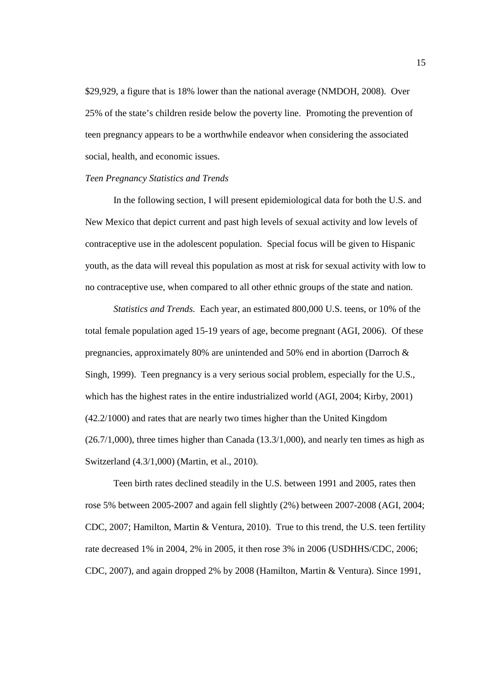\$29,929, a figure that is 18% lower than the national average (NMDOH, 2008). Over 25% of the state's children reside below the poverty line. Promoting the prevention of teen pregnancy appears to be a worthwhile endeavor when considering the associated social, health, and economic issues.

#### *Teen Pregnancy Statistics and Trends*

In the following section, I will present epidemiological data for both the U.S. and New Mexico that depict current and past high levels of sexual activity and low levels of contraceptive use in the adolescent population. Special focus will be given to Hispanic youth, as the data will reveal this population as most at risk for sexual activity with low to no contraceptive use, when compared to all other ethnic groups of the state and nation.

*Statistics and Trends.* Each year, an estimated 800,000 U.S. teens, or 10% of the total female population aged 15-19 years of age, become pregnant (AGI, 2006). Of these pregnancies, approximately 80% are unintended and 50% end in abortion (Darroch & Singh, 1999). Teen pregnancy is a very serious social problem, especially for the U.S., which has the highest rates in the entire industrialized world (AGI, 2004; Kirby, 2001) (42.2/1000) and rates that are nearly two times higher than the United Kingdom  $(26.7/1,000)$ , three times higher than Canada  $(13.3/1,000)$ , and nearly ten times as high as Switzerland (4.3/1,000) (Martin, et al., 2010).

Teen birth rates declined steadily in the U.S. between 1991 and 2005, rates then rose 5% between 2005-2007 and again fell slightly (2%) between 2007-2008 (AGI, 2004; CDC, 2007; Hamilton, Martin & Ventura, 2010). True to this trend, the U.S. teen fertility rate decreased 1% in 2004, 2% in 2005, it then rose 3% in 2006 (USDHHS/CDC, 2006; CDC, 2007), and again dropped 2% by 2008 (Hamilton, Martin & Ventura). Since 1991,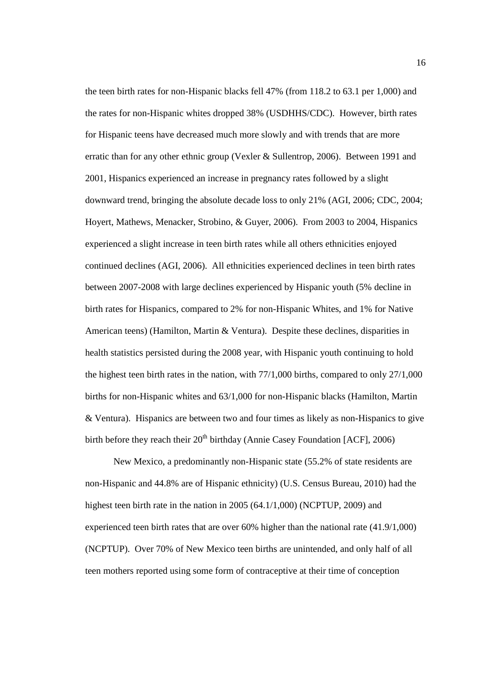the teen birth rates for non-Hispanic blacks fell 47% (from 118.2 to 63.1 per 1,000) and the rates for non-Hispanic whites dropped 38% (USDHHS/CDC). However, birth rates for Hispanic teens have decreased much more slowly and with trends that are more erratic than for any other ethnic group (Vexler & Sullentrop, 2006). Between 1991 and 2001, Hispanics experienced an increase in pregnancy rates followed by a slight downward trend, bringing the absolute decade loss to only 21% (AGI, 2006; CDC, 2004; Hoyert, Mathews, Menacker, Strobino, & Guyer, 2006). From 2003 to 2004, Hispanics experienced a slight increase in teen birth rates while all others ethnicities enjoyed continued declines (AGI, 2006). All ethnicities experienced declines in teen birth rates between 2007-2008 with large declines experienced by Hispanic youth (5% decline in birth rates for Hispanics, compared to 2% for non-Hispanic Whites, and 1% for Native American teens) (Hamilton, Martin & Ventura). Despite these declines, disparities in health statistics persisted during the 2008 year, with Hispanic youth continuing to hold the highest teen birth rates in the nation, with 77/1,000 births, compared to only 27/1,000 births for non-Hispanic whites and 63/1,000 for non-Hispanic blacks (Hamilton, Martin & Ventura). Hispanics are between two and four times as likely as non-Hispanics to give birth before they reach their  $20<sup>th</sup>$  birthday (Annie Casey Foundation [ACF], 2006)

New Mexico, a predominantly non-Hispanic state (55.2% of state residents are non-Hispanic and 44.8% are of Hispanic ethnicity) (U.S. Census Bureau, 2010) had the highest teen birth rate in the nation in 2005 (64.1/1,000) (NCPTUP, 2009) and experienced teen birth rates that are over 60% higher than the national rate (41.9/1,000) (NCPTUP). Over 70% of New Mexico teen births are unintended, and only half of all teen mothers reported using some form of contraceptive at their time of conception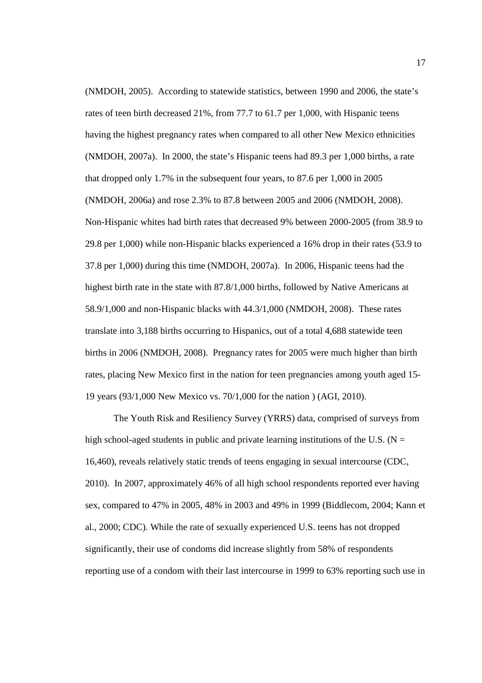(NMDOH, 2005). According to statewide statistics, between 1990 and 2006, the state's rates of teen birth decreased 21%, from 77.7 to 61.7 per 1,000, with Hispanic teens having the highest pregnancy rates when compared to all other New Mexico ethnicities (NMDOH, 2007a). In 2000, the state's Hispanic teens had 89.3 per 1,000 births, a rate that dropped only 1.7% in the subsequent four years, to 87.6 per 1,000 in 2005 (NMDOH, 2006a) and rose 2.3% to 87.8 between 2005 and 2006 (NMDOH, 2008). Non-Hispanic whites had birth rates that decreased 9% between 2000-2005 (from 38.9 to 29.8 per 1,000) while non-Hispanic blacks experienced a 16% drop in their rates (53.9 to 37.8 per 1,000) during this time (NMDOH, 2007a). In 2006, Hispanic teens had the highest birth rate in the state with 87.8/1,000 births, followed by Native Americans at 58.9/1,000 and non-Hispanic blacks with 44.3/1,000 (NMDOH, 2008). These rates translate into 3,188 births occurring to Hispanics, out of a total 4,688 statewide teen births in 2006 (NMDOH, 2008). Pregnancy rates for 2005 were much higher than birth rates, placing New Mexico first in the nation for teen pregnancies among youth aged 15- 19 years (93/1,000 New Mexico vs. 70/1,000 for the nation ) (AGI, 2010).

The Youth Risk and Resiliency Survey (YRRS) data, comprised of surveys from high school-aged students in public and private learning institutions of the U.S. ( $N =$ 16,460), reveals relatively static trends of teens engaging in sexual intercourse (CDC, 2010). In 2007, approximately 46% of all high school respondents reported ever having sex, compared to 47% in 2005, 48% in 2003 and 49% in 1999 (Biddlecom, 2004; Kann et al., 2000; CDC). While the rate of sexually experienced U.S. teens has not dropped significantly, their use of condoms did increase slightly from 58% of respondents reporting use of a condom with their last intercourse in 1999 to 63% reporting such use in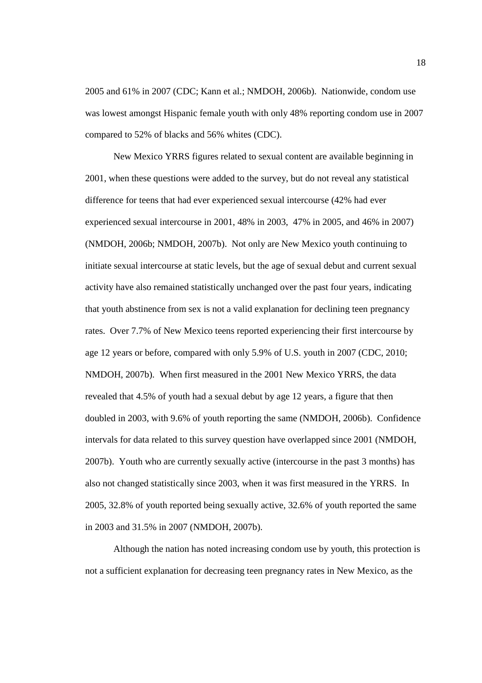2005 and 61% in 2007 (CDC; Kann et al.; NMDOH, 2006b). Nationwide, condom use was lowest amongst Hispanic female youth with only 48% reporting condom use in 2007 compared to 52% of blacks and 56% whites (CDC).

New Mexico YRRS figures related to sexual content are available beginning in 2001, when these questions were added to the survey, but do not reveal any statistical difference for teens that had ever experienced sexual intercourse (42% had ever experienced sexual intercourse in 2001, 48% in 2003, 47% in 2005, and 46% in 2007) (NMDOH, 2006b; NMDOH, 2007b). Not only are New Mexico youth continuing to initiate sexual intercourse at static levels, but the age of sexual debut and current sexual activity have also remained statistically unchanged over the past four years, indicating that youth abstinence from sex is not a valid explanation for declining teen pregnancy rates. Over 7.7% of New Mexico teens reported experiencing their first intercourse by age 12 years or before, compared with only 5.9% of U.S. youth in 2007 (CDC, 2010; NMDOH, 2007b). When first measured in the 2001 New Mexico YRRS, the data revealed that 4.5% of youth had a sexual debut by age 12 years, a figure that then doubled in 2003, with 9.6% of youth reporting the same (NMDOH, 2006b). Confidence intervals for data related to this survey question have overlapped since 2001 (NMDOH, 2007b). Youth who are currently sexually active (intercourse in the past 3 months) has also not changed statistically since 2003, when it was first measured in the YRRS. In 2005, 32.8% of youth reported being sexually active, 32.6% of youth reported the same in 2003 and 31.5% in 2007 (NMDOH, 2007b).

Although the nation has noted increasing condom use by youth, this protection is not a sufficient explanation for decreasing teen pregnancy rates in New Mexico, as the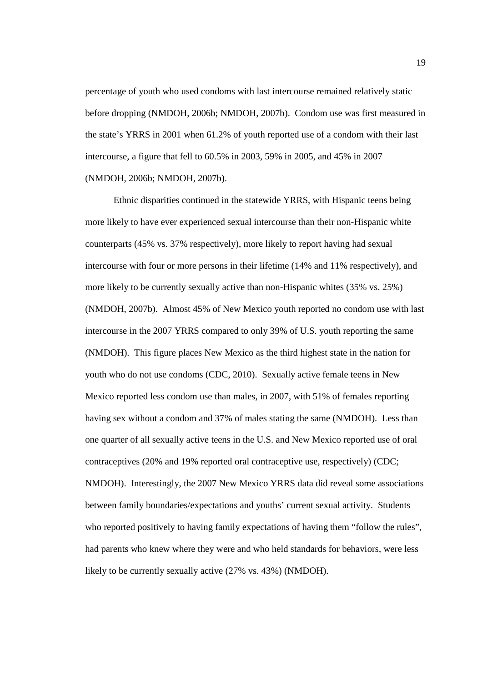percentage of youth who used condoms with last intercourse remained relatively static before dropping (NMDOH, 2006b; NMDOH, 2007b). Condom use was first measured in the state's YRRS in 2001 when 61.2% of youth reported use of a condom with their last intercourse, a figure that fell to 60.5% in 2003, 59% in 2005, and 45% in 2007 (NMDOH, 2006b; NMDOH, 2007b).

Ethnic disparities continued in the statewide YRRS, with Hispanic teens being more likely to have ever experienced sexual intercourse than their non-Hispanic white counterparts (45% vs. 37% respectively), more likely to report having had sexual intercourse with four or more persons in their lifetime (14% and 11% respectively), and more likely to be currently sexually active than non-Hispanic whites (35% vs. 25%) (NMDOH, 2007b). Almost 45% of New Mexico youth reported no condom use with last intercourse in the 2007 YRRS compared to only 39% of U.S. youth reporting the same (NMDOH). This figure places New Mexico as the third highest state in the nation for youth who do not use condoms (CDC, 2010). Sexually active female teens in New Mexico reported less condom use than males, in 2007, with 51% of females reporting having sex without a condom and 37% of males stating the same (NMDOH). Less than one quarter of all sexually active teens in the U.S. and New Mexico reported use of oral contraceptives (20% and 19% reported oral contraceptive use, respectively) (CDC; NMDOH). Interestingly, the 2007 New Mexico YRRS data did reveal some associations between family boundaries/expectations and youths' current sexual activity. Students who reported positively to having family expectations of having them "follow the rules", had parents who knew where they were and who held standards for behaviors, were less likely to be currently sexually active (27% vs. 43%) (NMDOH).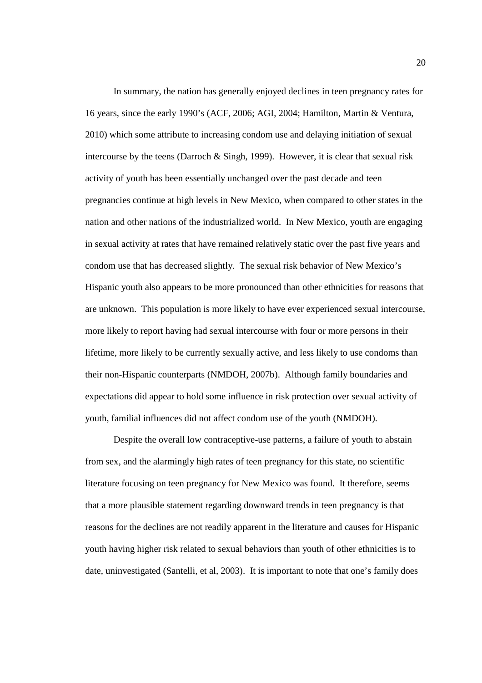In summary, the nation has generally enjoyed declines in teen pregnancy rates for 16 years, since the early 1990's (ACF, 2006; AGI, 2004; Hamilton, Martin & Ventura, 2010) which some attribute to increasing condom use and delaying initiation of sexual intercourse by the teens (Darroch & Singh, 1999). However, it is clear that sexual risk activity of youth has been essentially unchanged over the past decade and teen pregnancies continue at high levels in New Mexico, when compared to other states in the nation and other nations of the industrialized world. In New Mexico, youth are engaging in sexual activity at rates that have remained relatively static over the past five years and condom use that has decreased slightly. The sexual risk behavior of New Mexico's Hispanic youth also appears to be more pronounced than other ethnicities for reasons that are unknown. This population is more likely to have ever experienced sexual intercourse, more likely to report having had sexual intercourse with four or more persons in their lifetime, more likely to be currently sexually active, and less likely to use condoms than their non-Hispanic counterparts (NMDOH, 2007b). Although family boundaries and expectations did appear to hold some influence in risk protection over sexual activity of youth, familial influences did not affect condom use of the youth (NMDOH).

Despite the overall low contraceptive-use patterns, a failure of youth to abstain from sex, and the alarmingly high rates of teen pregnancy for this state, no scientific literature focusing on teen pregnancy for New Mexico was found. It therefore, seems that a more plausible statement regarding downward trends in teen pregnancy is that reasons for the declines are not readily apparent in the literature and causes for Hispanic youth having higher risk related to sexual behaviors than youth of other ethnicities is to date, uninvestigated (Santelli, et al, 2003). It is important to note that one's family does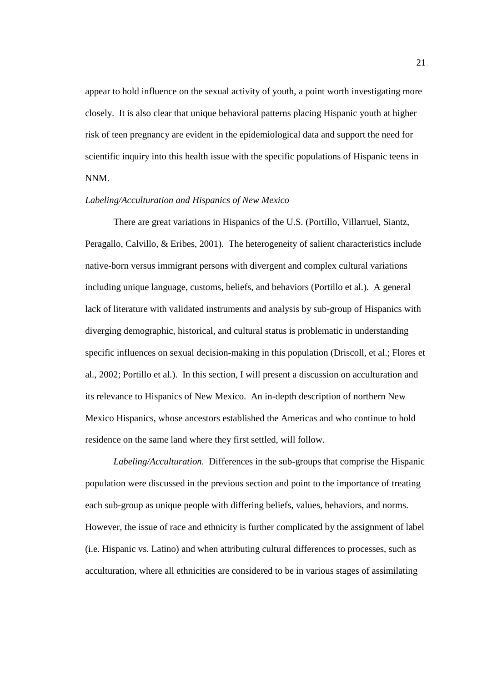appear to hold influence on the sexual activity of youth, a point worth investigating more closely. It is also clear that unique behavioral patterns placing Hispanic youth at higher risk of teen pregnancy are evident in the epidemiological data and support the need for scientific inquiry into this health issue with the specific populations of Hispanic teens in NNM.

### *Labeling/Acculturation and Hispanics of New Mexico*

There are great variations in Hispanics of the U.S. (Portillo, Villarruel, Siantz, Peragallo, Calvillo, & Eribes, 2001). The heterogeneity of salient characteristics include native-born versus immigrant persons with divergent and complex cultural variations including unique language, customs, beliefs, and behaviors (Portillo et al.). A general lack of literature with validated instruments and analysis by sub-group of Hispanics with diverging demographic, historical, and cultural status is problematic in understanding specific influences on sexual decision-making in this population (Driscoll, et al.; Flores et al., 2002; Portillo et al.). In this section, I will present a discussion on acculturation and its relevance to Hispanics of New Mexico. An in-depth description of northern New Mexico Hispanics, whose ancestors established the Americas and who continue to hold residence on the same land where they first settled, will follow.

*Labeling/Acculturation.* Differences in the sub-groups that comprise the Hispanic population were discussed in the previous section and point to the importance of treating each sub-group as unique people with differing beliefs, values, behaviors, and norms. However, the issue of race and ethnicity is further complicated by the assignment of label (i.e. Hispanic vs. Latino) and when attributing cultural differences to processes, such as acculturation, where all ethnicities are considered to be in various stages of assimilating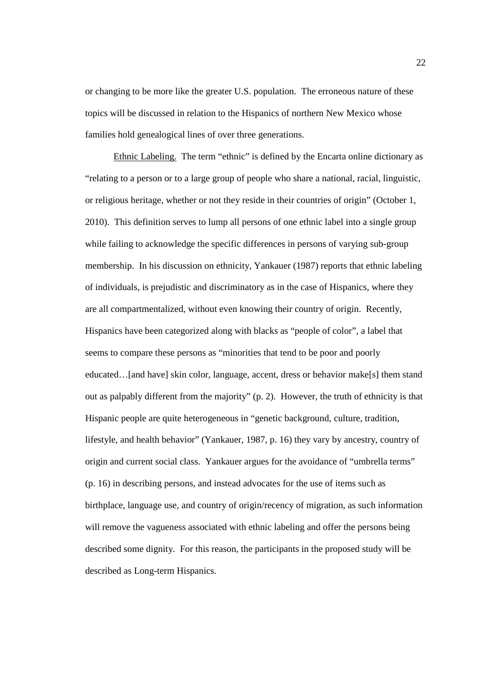or changing to be more like the greater U.S. population. The erroneous nature of these topics will be discussed in relation to the Hispanics of northern New Mexico whose families hold genealogical lines of over three generations.

Ethnic Labeling. The term "ethnic" is defined by the Encarta online dictionary as "relating to a person or to a large group of people who share a national, racial, linguistic, or religious heritage, whether or not they reside in their countries of origin" (October 1, 2010). This definition serves to lump all persons of one ethnic label into a single group while failing to acknowledge the specific differences in persons of varying sub-group membership. In his discussion on ethnicity, Yankauer (1987) reports that ethnic labeling of individuals, is prejudistic and discriminatory as in the case of Hispanics, where they are all compartmentalized, without even knowing their country of origin. Recently, Hispanics have been categorized along with blacks as "people of color", a label that seems to compare these persons as "minorities that tend to be poor and poorly educated…[and have] skin color, language, accent, dress or behavior make[s] them stand out as palpably different from the majority" (p. 2). However, the truth of ethnicity is that Hispanic people are quite heterogeneous in "genetic background, culture, tradition, lifestyle, and health behavior" (Yankauer, 1987, p. 16) they vary by ancestry, country of origin and current social class. Yankauer argues for the avoidance of "umbrella terms" (p. 16) in describing persons, and instead advocates for the use of items such as birthplace, language use, and country of origin/recency of migration, as such information will remove the vagueness associated with ethnic labeling and offer the persons being described some dignity. For this reason, the participants in the proposed study will be described as Long-term Hispanics.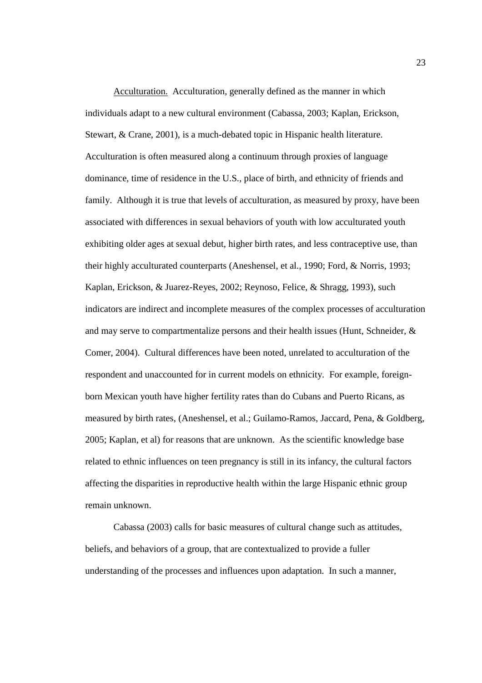Acculturation. Acculturation, generally defined as the manner in which individuals adapt to a new cultural environment (Cabassa, 2003; Kaplan, Erickson, Stewart, & Crane, 2001), is a much-debated topic in Hispanic health literature. Acculturation is often measured along a continuum through proxies of language dominance, time of residence in the U.S., place of birth, and ethnicity of friends and family. Although it is true that levels of acculturation, as measured by proxy, have been associated with differences in sexual behaviors of youth with low acculturated youth exhibiting older ages at sexual debut, higher birth rates, and less contraceptive use, than their highly acculturated counterparts (Aneshensel, et al., 1990; Ford, & Norris, 1993; Kaplan, Erickson, & Juarez-Reyes, 2002; Reynoso, Felice, & Shragg, 1993), such indicators are indirect and incomplete measures of the complex processes of acculturation and may serve to compartmentalize persons and their health issues (Hunt, Schneider, & Comer, 2004). Cultural differences have been noted, unrelated to acculturation of the respondent and unaccounted for in current models on ethnicity. For example, foreignborn Mexican youth have higher fertility rates than do Cubans and Puerto Ricans, as measured by birth rates, (Aneshensel, et al.; Guilamo-Ramos, Jaccard, Pena, & Goldberg, 2005; Kaplan, et al) for reasons that are unknown. As the scientific knowledge base related to ethnic influences on teen pregnancy is still in its infancy, the cultural factors affecting the disparities in reproductive health within the large Hispanic ethnic group remain unknown.

Cabassa (2003) calls for basic measures of cultural change such as attitudes, beliefs, and behaviors of a group, that are contextualized to provide a fuller understanding of the processes and influences upon adaptation. In such a manner,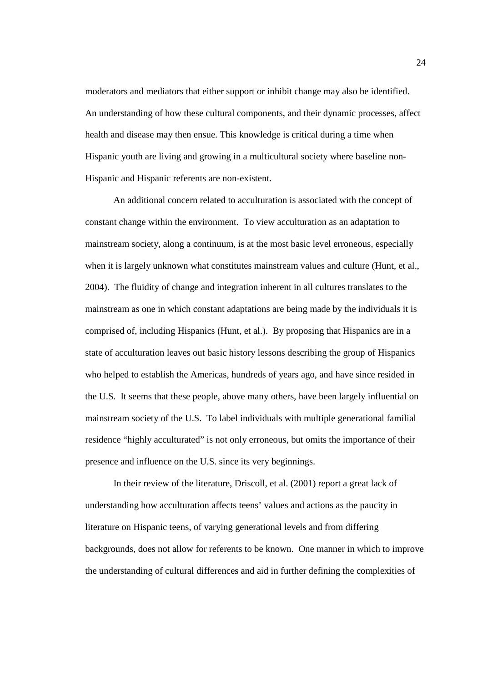moderators and mediators that either support or inhibit change may also be identified. An understanding of how these cultural components, and their dynamic processes, affect health and disease may then ensue. This knowledge is critical during a time when Hispanic youth are living and growing in a multicultural society where baseline non-Hispanic and Hispanic referents are non-existent.

An additional concern related to acculturation is associated with the concept of constant change within the environment. To view acculturation as an adaptation to mainstream society, along a continuum, is at the most basic level erroneous, especially when it is largely unknown what constitutes mainstream values and culture (Hunt, et al., 2004). The fluidity of change and integration inherent in all cultures translates to the mainstream as one in which constant adaptations are being made by the individuals it is comprised of, including Hispanics (Hunt, et al.). By proposing that Hispanics are in a state of acculturation leaves out basic history lessons describing the group of Hispanics who helped to establish the Americas, hundreds of years ago, and have since resided in the U.S. It seems that these people, above many others, have been largely influential on mainstream society of the U.S. To label individuals with multiple generational familial residence "highly acculturated" is not only erroneous, but omits the importance of their presence and influence on the U.S. since its very beginnings.

In their review of the literature, Driscoll, et al. (2001) report a great lack of understanding how acculturation affects teens' values and actions as the paucity in literature on Hispanic teens, of varying generational levels and from differing backgrounds, does not allow for referents to be known. One manner in which to improve the understanding of cultural differences and aid in further defining the complexities of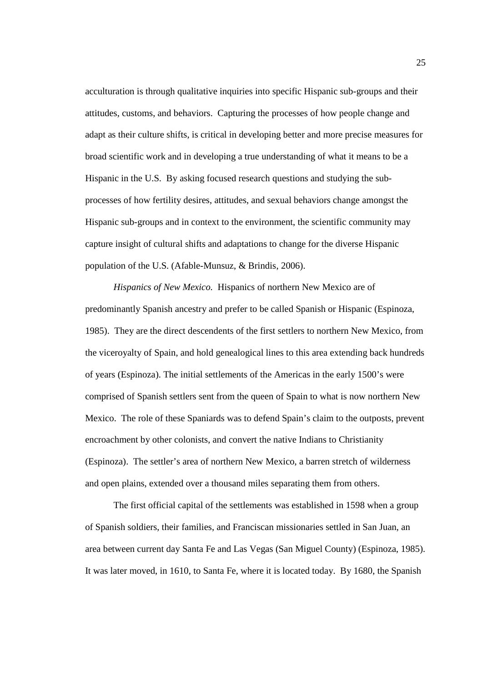acculturation is through qualitative inquiries into specific Hispanic sub-groups and their attitudes, customs, and behaviors. Capturing the processes of how people change and adapt as their culture shifts, is critical in developing better and more precise measures for broad scientific work and in developing a true understanding of what it means to be a Hispanic in the U.S. By asking focused research questions and studying the subprocesses of how fertility desires, attitudes, and sexual behaviors change amongst the Hispanic sub-groups and in context to the environment, the scientific community may capture insight of cultural shifts and adaptations to change for the diverse Hispanic population of the U.S. (Afable-Munsuz, & Brindis, 2006).

*Hispanics of New Mexico.* Hispanics of northern New Mexico are of predominantly Spanish ancestry and prefer to be called Spanish or Hispanic (Espinoza, 1985). They are the direct descendents of the first settlers to northern New Mexico, from the viceroyalty of Spain, and hold genealogical lines to this area extending back hundreds of years (Espinoza). The initial settlements of the Americas in the early 1500's were comprised of Spanish settlers sent from the queen of Spain to what is now northern New Mexico. The role of these Spaniards was to defend Spain's claim to the outposts, prevent encroachment by other colonists, and convert the native Indians to Christianity (Espinoza). The settler's area of northern New Mexico, a barren stretch of wilderness and open plains, extended over a thousand miles separating them from others.

The first official capital of the settlements was established in 1598 when a group of Spanish soldiers, their families, and Franciscan missionaries settled in San Juan, an area between current day Santa Fe and Las Vegas (San Miguel County) (Espinoza, 1985). It was later moved, in 1610, to Santa Fe, where it is located today. By 1680, the Spanish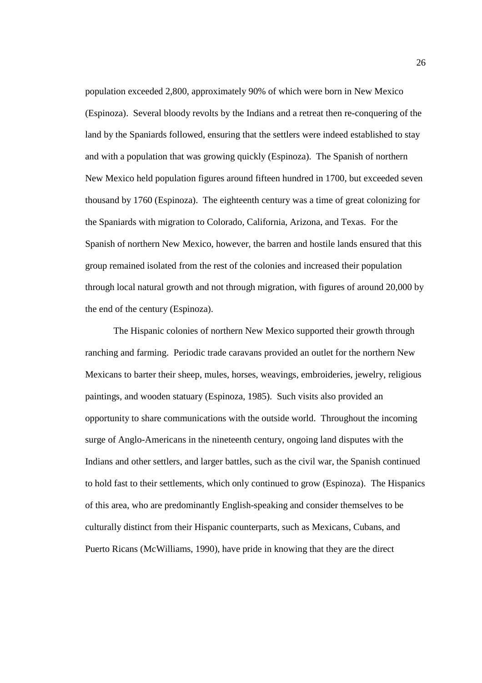population exceeded 2,800, approximately 90% of which were born in New Mexico (Espinoza). Several bloody revolts by the Indians and a retreat then re-conquering of the land by the Spaniards followed, ensuring that the settlers were indeed established to stay and with a population that was growing quickly (Espinoza). The Spanish of northern New Mexico held population figures around fifteen hundred in 1700, but exceeded seven thousand by 1760 (Espinoza). The eighteenth century was a time of great colonizing for the Spaniards with migration to Colorado, California, Arizona, and Texas. For the Spanish of northern New Mexico, however, the barren and hostile lands ensured that this group remained isolated from the rest of the colonies and increased their population through local natural growth and not through migration, with figures of around 20,000 by the end of the century (Espinoza).

The Hispanic colonies of northern New Mexico supported their growth through ranching and farming. Periodic trade caravans provided an outlet for the northern New Mexicans to barter their sheep, mules, horses, weavings, embroideries, jewelry, religious paintings, and wooden statuary (Espinoza, 1985). Such visits also provided an opportunity to share communications with the outside world. Throughout the incoming surge of Anglo-Americans in the nineteenth century, ongoing land disputes with the Indians and other settlers, and larger battles, such as the civil war, the Spanish continued to hold fast to their settlements, which only continued to grow (Espinoza). The Hispanics of this area, who are predominantly English-speaking and consider themselves to be culturally distinct from their Hispanic counterparts, such as Mexicans, Cubans, and Puerto Ricans (McWilliams, 1990), have pride in knowing that they are the direct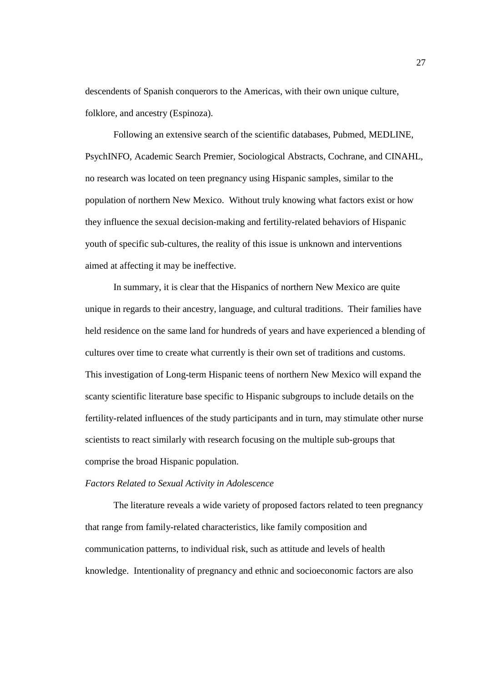descendents of Spanish conquerors to the Americas, with their own unique culture, folklore, and ancestry (Espinoza).

Following an extensive search of the scientific databases, Pubmed, MEDLINE, PsychINFO, Academic Search Premier, Sociological Abstracts, Cochrane, and CINAHL, no research was located on teen pregnancy using Hispanic samples, similar to the population of northern New Mexico. Without truly knowing what factors exist or how they influence the sexual decision-making and fertility-related behaviors of Hispanic youth of specific sub-cultures, the reality of this issue is unknown and interventions aimed at affecting it may be ineffective.

In summary, it is clear that the Hispanics of northern New Mexico are quite unique in regards to their ancestry, language, and cultural traditions. Their families have held residence on the same land for hundreds of years and have experienced a blending of cultures over time to create what currently is their own set of traditions and customs. This investigation of Long-term Hispanic teens of northern New Mexico will expand the scanty scientific literature base specific to Hispanic subgroups to include details on the fertility-related influences of the study participants and in turn, may stimulate other nurse scientists to react similarly with research focusing on the multiple sub-groups that comprise the broad Hispanic population.

### *Factors Related to Sexual Activity in Adolescence*

The literature reveals a wide variety of proposed factors related to teen pregnancy that range from family-related characteristics, like family composition and communication patterns, to individual risk, such as attitude and levels of health knowledge. Intentionality of pregnancy and ethnic and socioeconomic factors are also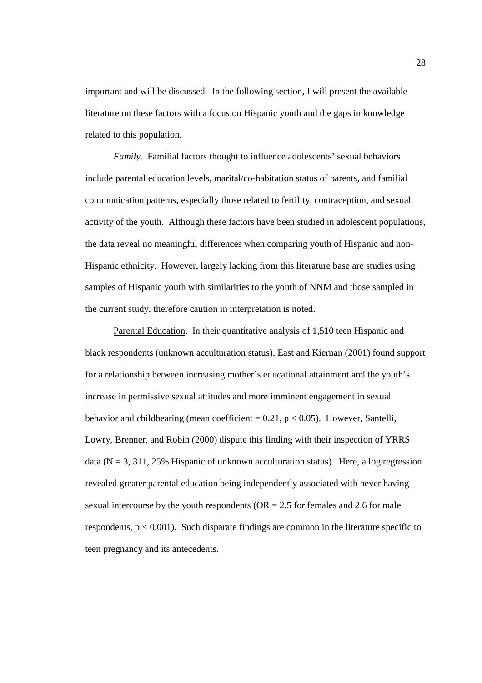important and will be discussed. In the following section, I will present the available literature on these factors with a focus on Hispanic youth and the gaps in knowledge related to this population.

*Family.* Familial factors thought to influence adolescents' sexual behaviors include parental education levels, marital/co-habitation status of parents, and familial communication patterns, especially those related to fertility, contraception, and sexual activity of the youth. Although these factors have been studied in adolescent populations, the data reveal no meaningful differences when comparing youth of Hispanic and non-Hispanic ethnicity. However, largely lacking from this literature base are studies using samples of Hispanic youth with similarities to the youth of NNM and those sampled in the current study, therefore caution in interpretation is noted.

Parental Education. In their quantitative analysis of 1,510 teen Hispanic and black respondents (unknown acculturation status), East and Kiernan (2001) found support for a relationship between increasing mother's educational attainment and the youth's increase in permissive sexual attitudes and more imminent engagement in sexual behavior and childbearing (mean coefficient =  $0.21$ , p <  $0.05$ ). However, Santelli, Lowry, Brenner, and Robin (2000) dispute this finding with their inspection of YRRS data ( $N = 3, 311, 25\%$  Hispanic of unknown acculturation status). Here, a log regression revealed greater parental education being independently associated with never having sexual intercourse by the youth respondents ( $OR = 2.5$  for females and 2.6 for male respondents,  $p < 0.001$ ). Such disparate findings are common in the literature specific to teen pregnancy and its antecedents.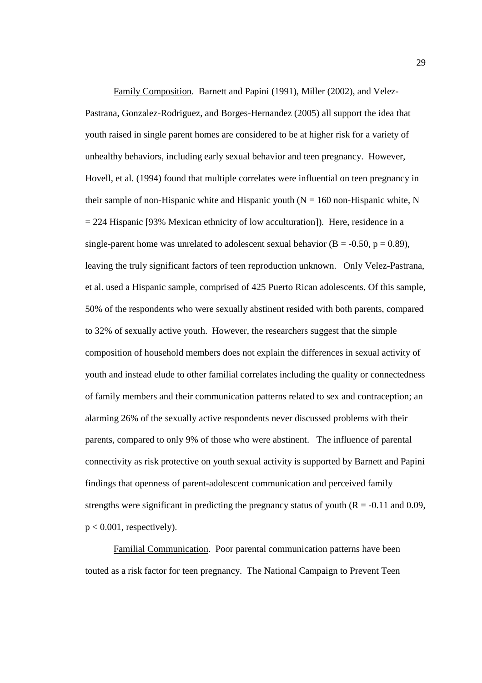Family Composition. Barnett and Papini (1991), Miller (2002), and Velez-Pastrana, Gonzalez-Rodriguez, and Borges-Hernandez (2005) all support the idea that youth raised in single parent homes are considered to be at higher risk for a variety of unhealthy behaviors, including early sexual behavior and teen pregnancy. However, Hovell, et al. (1994) found that multiple correlates were influential on teen pregnancy in their sample of non-Hispanic white and Hispanic youth  $(N = 160$  non-Hispanic white, N  $= 224$  Hispanic [93% Mexican ethnicity of low acculturation]). Here, residence in a single-parent home was unrelated to adolescent sexual behavior ( $B = -0.50$ ,  $p = 0.89$ ), leaving the truly significant factors of teen reproduction unknown. Only Velez-Pastrana, et al. used a Hispanic sample, comprised of 425 Puerto Rican adolescents. Of this sample, 50% of the respondents who were sexually abstinent resided with both parents, compared to 32% of sexually active youth. However, the researchers suggest that the simple composition of household members does not explain the differences in sexual activity of youth and instead elude to other familial correlates including the quality or connectedness of family members and their communication patterns related to sex and contraception; an alarming 26% of the sexually active respondents never discussed problems with their parents, compared to only 9% of those who were abstinent. The influence of parental connectivity as risk protective on youth sexual activity is supported by Barnett and Papini findings that openness of parent-adolescent communication and perceived family strengths were significant in predicting the pregnancy status of youth  $(R = -0.11$  and 0.09,  $p < 0.001$ , respectively).

Familial Communication. Poor parental communication patterns have been touted as a risk factor for teen pregnancy. The National Campaign to Prevent Teen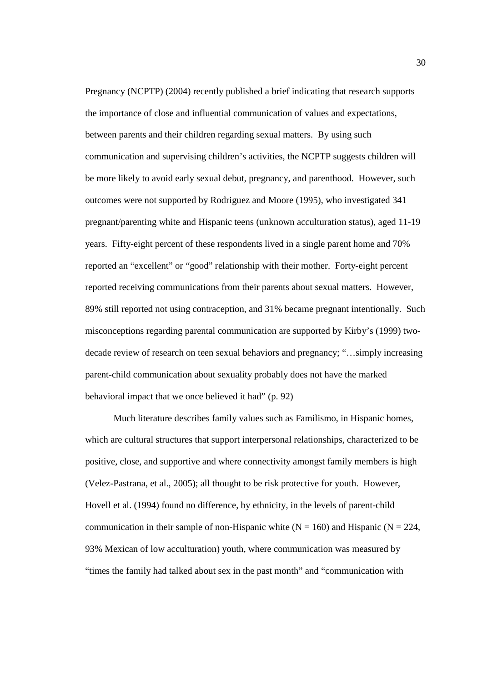Pregnancy (NCPTP) (2004) recently published a brief indicating that research supports the importance of close and influential communication of values and expectations, between parents and their children regarding sexual matters. By using such communication and supervising children's activities, the NCPTP suggests children will be more likely to avoid early sexual debut, pregnancy, and parenthood. However, such outcomes were not supported by Rodriguez and Moore (1995), who investigated 341 pregnant/parenting white and Hispanic teens (unknown acculturation status), aged 11-19 years. Fifty-eight percent of these respondents lived in a single parent home and 70% reported an "excellent" or "good" relationship with their mother. Forty-eight percent reported receiving communications from their parents about sexual matters. However, 89% still reported not using contraception, and 31% became pregnant intentionally. Such misconceptions regarding parental communication are supported by Kirby's (1999) twodecade review of research on teen sexual behaviors and pregnancy; "…simply increasing parent-child communication about sexuality probably does not have the marked behavioral impact that we once believed it had" (p. 92)

Much literature describes family values such as Familismo, in Hispanic homes, which are cultural structures that support interpersonal relationships, characterized to be positive, close, and supportive and where connectivity amongst family members is high (Velez-Pastrana, et al., 2005); all thought to be risk protective for youth. However, Hovell et al. (1994) found no difference, by ethnicity, in the levels of parent-child communication in their sample of non-Hispanic white  $(N = 160)$  and Hispanic  $(N = 224)$ , 93% Mexican of low acculturation) youth, where communication was measured by "times the family had talked about sex in the past month" and "communication with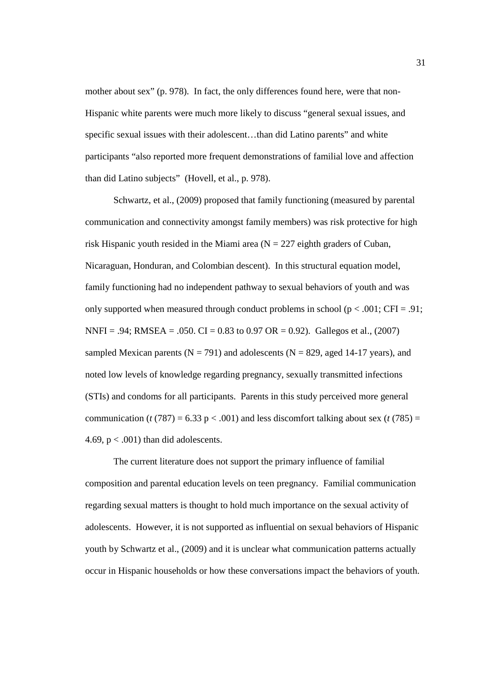mother about sex" (p. 978). In fact, the only differences found here, were that non-Hispanic white parents were much more likely to discuss "general sexual issues, and specific sexual issues with their adolescent…than did Latino parents" and white participants "also reported more frequent demonstrations of familial love and affection than did Latino subjects" (Hovell, et al., p. 978).

Schwartz, et al., (2009) proposed that family functioning (measured by parental communication and connectivity amongst family members) was risk protective for high risk Hispanic youth resided in the Miami area  $(N = 227$  eighth graders of Cuban, Nicaraguan, Honduran, and Colombian descent). In this structural equation model, family functioning had no independent pathway to sexual behaviors of youth and was only supported when measured through conduct problems in school ( $p < .001$ ; CFI = .91; NNFI = .94; RMSEA = .050. CI = 0.83 to 0.97 OR = 0.92). Gallegos et al., (2007) sampled Mexican parents ( $N = 791$ ) and adolescents ( $N = 829$ , aged 14-17 years), and noted low levels of knowledge regarding pregnancy, sexually transmitted infections (STIs) and condoms for all participants. Parents in this study perceived more general communication ( $t$  (787) = 6.33 p < .001) and less discomfort talking about sex ( $t$  (785) = 4.69,  $p < .001$ ) than did adolescents.

The current literature does not support the primary influence of familial composition and parental education levels on teen pregnancy. Familial communication regarding sexual matters is thought to hold much importance on the sexual activity of adolescents. However, it is not supported as influential on sexual behaviors of Hispanic youth by Schwartz et al., (2009) and it is unclear what communication patterns actually occur in Hispanic households or how these conversations impact the behaviors of youth.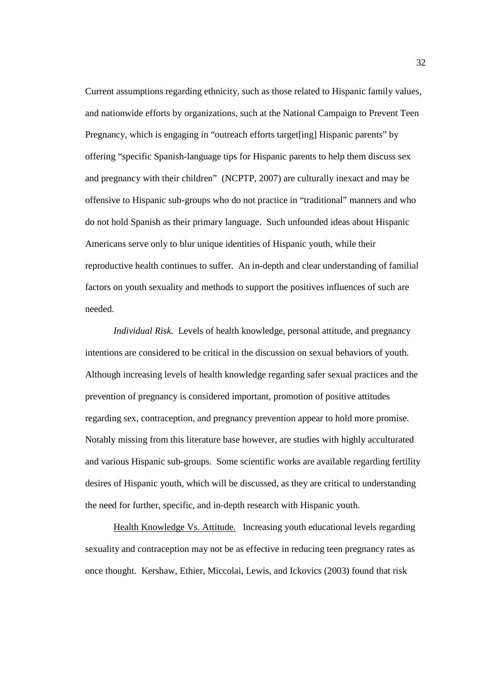Current assumptions regarding ethnicity, such as those related to Hispanic family values, and nationwide efforts by organizations, such at the National Campaign to Prevent Teen Pregnancy, which is engaging in "outreach efforts target[ing] Hispanic parents" by offering "specific Spanish-language tips for Hispanic parents to help them discuss sex and pregnancy with their children" (NCPTP, 2007) are culturally inexact and may be offensive to Hispanic sub-groups who do not practice in "traditional" manners and who do not hold Spanish as their primary language. Such unfounded ideas about Hispanic Americans serve only to blur unique identities of Hispanic youth, while their reproductive health continues to suffer. An in-depth and clear understanding of familial factors on youth sexuality and methods to support the positives influences of such are needed.

*Individual Risk.* Levels of health knowledge, personal attitude, and pregnancy intentions are considered to be critical in the discussion on sexual behaviors of youth. Although increasing levels of health knowledge regarding safer sexual practices and the prevention of pregnancy is considered important, promotion of positive attitudes regarding sex, contraception, and pregnancy prevention appear to hold more promise. Notably missing from this literature base however, are studies with highly acculturated and various Hispanic sub-groups. Some scientific works are available regarding fertility desires of Hispanic youth, which will be discussed, as they are critical to understanding the need for further, specific, and in-depth research with Hispanic youth.

Health Knowledge Vs. Attitude.Increasing youth educational levels regarding sexuality and contraception may not be as effective in reducing teen pregnancy rates as once thought. Kershaw, Ethier, Miccolai, Lewis, and Ickovics (2003) found that risk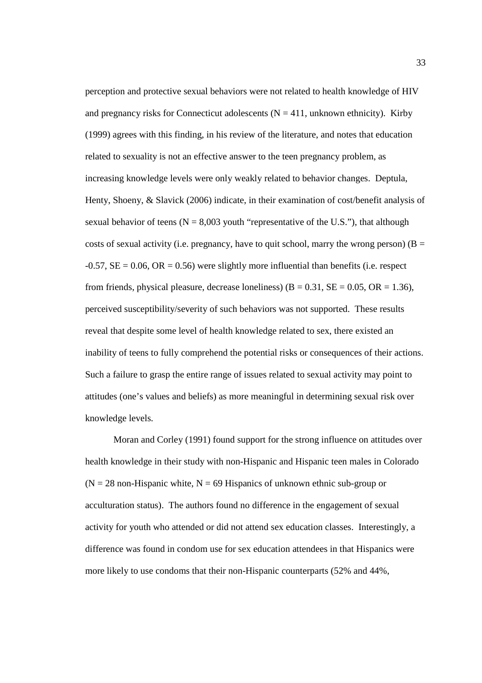perception and protective sexual behaviors were not related to health knowledge of HIV and pregnancy risks for Connecticut adolescents  $(N = 411$ , unknown ethnicity). Kirby (1999) agrees with this finding, in his review of the literature, and notes that education related to sexuality is not an effective answer to the teen pregnancy problem, as increasing knowledge levels were only weakly related to behavior changes. Deptula, Henty, Shoeny, & Slavick (2006) indicate, in their examination of cost/benefit analysis of sexual behavior of teens  $(N = 8,003$  youth "representative of the U.S."), that although costs of sexual activity (i.e. pregnancy, have to quit school, marry the wrong person) ( $B =$  $-0.57$ ,  $SE = 0.06$ ,  $OR = 0.56$ ) were slightly more influential than benefits (i.e. respect from friends, physical pleasure, decrease loneliness) ( $B = 0.31$ ,  $SE = 0.05$ ,  $OR = 1.36$ ), perceived susceptibility/severity of such behaviors was not supported. These results reveal that despite some level of health knowledge related to sex, there existed an inability of teens to fully comprehend the potential risks or consequences of their actions. Such a failure to grasp the entire range of issues related to sexual activity may point to attitudes (one's values and beliefs) as more meaningful in determining sexual risk over knowledge levels.

Moran and Corley (1991) found support for the strong influence on attitudes over health knowledge in their study with non-Hispanic and Hispanic teen males in Colorado  $(N = 28$  non-Hispanic white,  $N = 69$  Hispanics of unknown ethnic sub-group or acculturation status). The authors found no difference in the engagement of sexual activity for youth who attended or did not attend sex education classes. Interestingly, a difference was found in condom use for sex education attendees in that Hispanics were more likely to use condoms that their non-Hispanic counterparts (52% and 44%,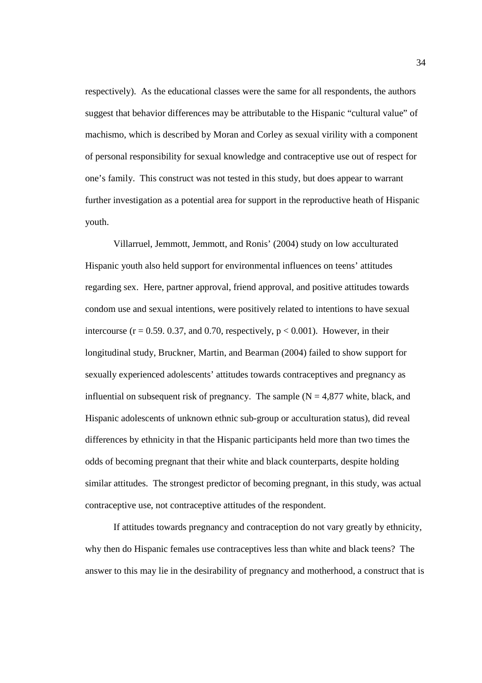respectively). As the educational classes were the same for all respondents, the authors suggest that behavior differences may be attributable to the Hispanic "cultural value" of machismo, which is described by Moran and Corley as sexual virility with a component of personal responsibility for sexual knowledge and contraceptive use out of respect for one's family. This construct was not tested in this study, but does appear to warrant further investigation as a potential area for support in the reproductive heath of Hispanic youth.

 Villarruel, Jemmott, Jemmott, and Ronis' (2004) study on low acculturated Hispanic youth also held support for environmental influences on teens' attitudes regarding sex. Here, partner approval, friend approval, and positive attitudes towards condom use and sexual intentions, were positively related to intentions to have sexual intercourse ( $r = 0.59$ . 0.37, and 0.70, respectively,  $p < 0.001$ ). However, in their longitudinal study, Bruckner, Martin, and Bearman (2004) failed to show support for sexually experienced adolescents' attitudes towards contraceptives and pregnancy as influential on subsequent risk of pregnancy. The sample  $(N = 4.877)$  white, black, and Hispanic adolescents of unknown ethnic sub-group or acculturation status), did reveal differences by ethnicity in that the Hispanic participants held more than two times the odds of becoming pregnant that their white and black counterparts, despite holding similar attitudes. The strongest predictor of becoming pregnant, in this study, was actual contraceptive use, not contraceptive attitudes of the respondent.

 If attitudes towards pregnancy and contraception do not vary greatly by ethnicity, why then do Hispanic females use contraceptives less than white and black teens? The answer to this may lie in the desirability of pregnancy and motherhood, a construct that is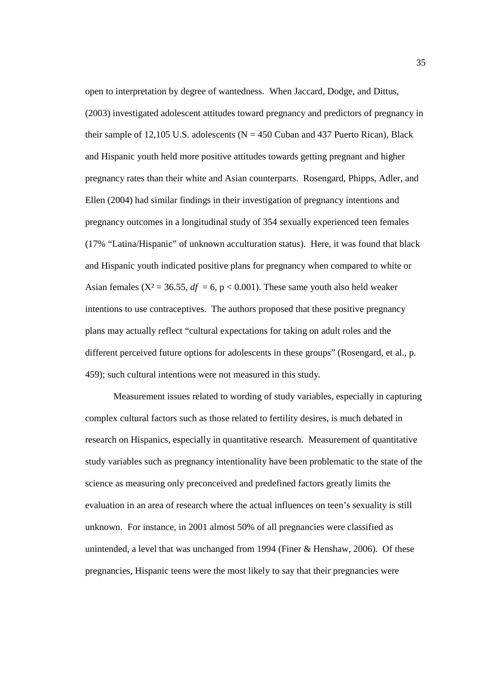open to interpretation by degree of wantedness. When Jaccard, Dodge, and Dittus, (2003) investigated adolescent attitudes toward pregnancy and predictors of pregnancy in their sample of 12,105 U.S. adolescents ( $N = 450$  Cuban and 437 Puerto Rican), Black and Hispanic youth held more positive attitudes towards getting pregnant and higher pregnancy rates than their white and Asian counterparts. Rosengard, Phipps, Adler, and Ellen (2004) had similar findings in their investigation of pregnancy intentions and pregnancy outcomes in a longitudinal study of 354 sexually experienced teen females (17% "Latina/Hispanic" of unknown acculturation status). Here, it was found that black and Hispanic youth indicated positive plans for pregnancy when compared to white or Asian females ( $X^2 = 36.55$ ,  $df = 6$ ,  $p < 0.001$ ). These same youth also held weaker intentions to use contraceptives. The authors proposed that these positive pregnancy plans may actually reflect "cultural expectations for taking on adult roles and the different perceived future options for adolescents in these groups" (Rosengard, et al., p. 459); such cultural intentions were not measured in this study.

Measurement issues related to wording of study variables, especially in capturing complex cultural factors such as those related to fertility desires, is much debated in research on Hispanics, especially in quantitative research. Measurement of quantitative study variables such as pregnancy intentionality have been problematic to the state of the science as measuring only preconceived and predefined factors greatly limits the evaluation in an area of research where the actual influences on teen's sexuality is still unknown. For instance, in 2001 almost 50% of all pregnancies were classified as unintended, a level that was unchanged from 1994 (Finer & Henshaw, 2006). Of these pregnancies, Hispanic teens were the most likely to say that their pregnancies were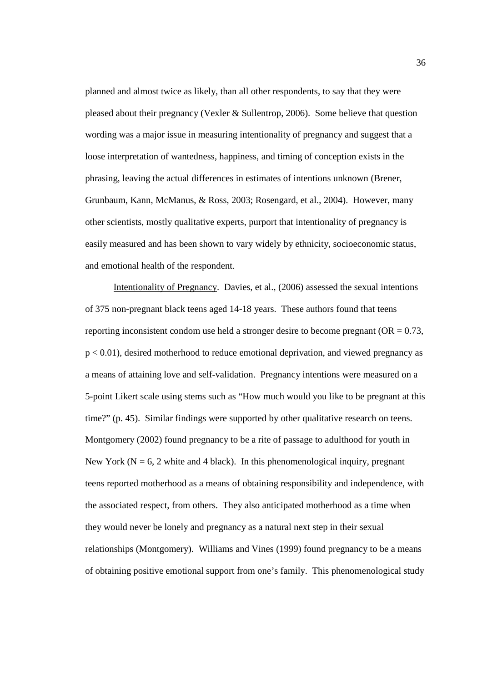planned and almost twice as likely, than all other respondents, to say that they were pleased about their pregnancy (Vexler & Sullentrop, 2006). Some believe that question wording was a major issue in measuring intentionality of pregnancy and suggest that a loose interpretation of wantedness, happiness, and timing of conception exists in the phrasing, leaving the actual differences in estimates of intentions unknown (Brener, Grunbaum, Kann, McManus, & Ross, 2003; Rosengard, et al., 2004). However, many other scientists, mostly qualitative experts, purport that intentionality of pregnancy is easily measured and has been shown to vary widely by ethnicity, socioeconomic status, and emotional health of the respondent.

Intentionality of Pregnancy. Davies, et al., (2006) assessed the sexual intentions of 375 non-pregnant black teens aged 14-18 years. These authors found that teens reporting inconsistent condom use held a stronger desire to become pregnant (OR = 0.73, p < 0.01), desired motherhood to reduce emotional deprivation, and viewed pregnancy as a means of attaining love and self-validation. Pregnancy intentions were measured on a 5-point Likert scale using stems such as "How much would you like to be pregnant at this time?" (p. 45). Similar findings were supported by other qualitative research on teens. Montgomery (2002) found pregnancy to be a rite of passage to adulthood for youth in New York ( $N = 6$ , 2 white and 4 black). In this phenomenological inquiry, pregnant teens reported motherhood as a means of obtaining responsibility and independence, with the associated respect, from others. They also anticipated motherhood as a time when they would never be lonely and pregnancy as a natural next step in their sexual relationships (Montgomery). Williams and Vines (1999) found pregnancy to be a means of obtaining positive emotional support from one's family. This phenomenological study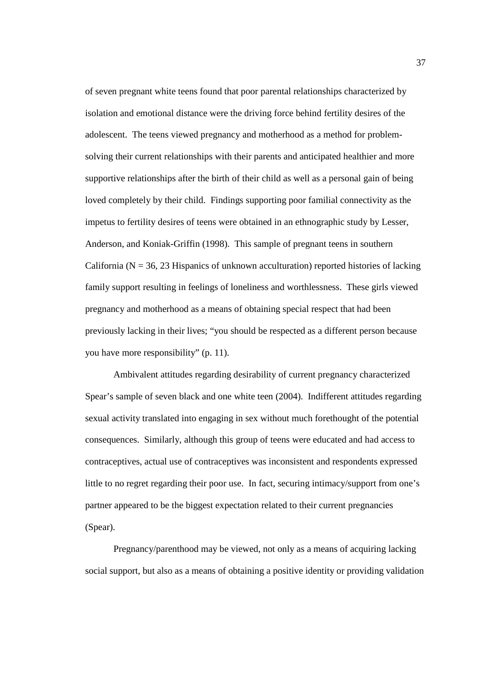of seven pregnant white teens found that poor parental relationships characterized by isolation and emotional distance were the driving force behind fertility desires of the adolescent. The teens viewed pregnancy and motherhood as a method for problemsolving their current relationships with their parents and anticipated healthier and more supportive relationships after the birth of their child as well as a personal gain of being loved completely by their child. Findings supporting poor familial connectivity as the impetus to fertility desires of teens were obtained in an ethnographic study by Lesser, Anderson, and Koniak-Griffin (1998). This sample of pregnant teens in southern California ( $N = 36$ , 23 Hispanics of unknown acculturation) reported histories of lacking family support resulting in feelings of loneliness and worthlessness. These girls viewed pregnancy and motherhood as a means of obtaining special respect that had been previously lacking in their lives; "you should be respected as a different person because you have more responsibility" (p. 11).

Ambivalent attitudes regarding desirability of current pregnancy characterized Spear's sample of seven black and one white teen (2004). Indifferent attitudes regarding sexual activity translated into engaging in sex without much forethought of the potential consequences. Similarly, although this group of teens were educated and had access to contraceptives, actual use of contraceptives was inconsistent and respondents expressed little to no regret regarding their poor use. In fact, securing intimacy/support from one's partner appeared to be the biggest expectation related to their current pregnancies (Spear).

Pregnancy/parenthood may be viewed, not only as a means of acquiring lacking social support, but also as a means of obtaining a positive identity or providing validation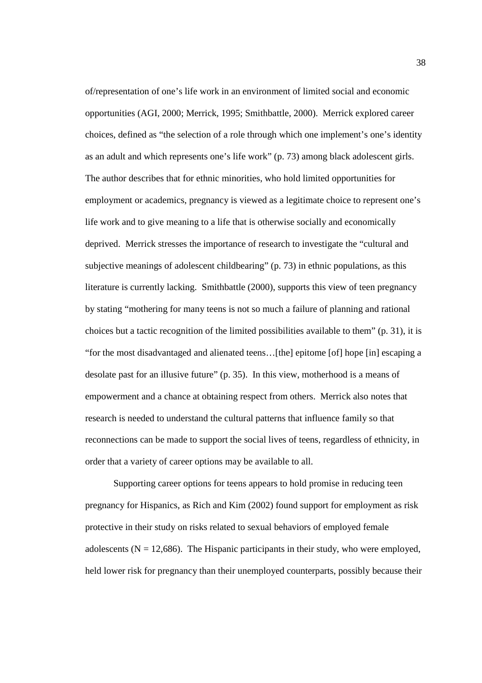of/representation of one's life work in an environment of limited social and economic opportunities (AGI, 2000; Merrick, 1995; Smithbattle, 2000). Merrick explored career choices, defined as "the selection of a role through which one implement's one's identity as an adult and which represents one's life work" (p. 73) among black adolescent girls. The author describes that for ethnic minorities, who hold limited opportunities for employment or academics, pregnancy is viewed as a legitimate choice to represent one's life work and to give meaning to a life that is otherwise socially and economically deprived. Merrick stresses the importance of research to investigate the "cultural and subjective meanings of adolescent childbearing" (p. 73) in ethnic populations, as this literature is currently lacking. Smithbattle (2000), supports this view of teen pregnancy by stating "mothering for many teens is not so much a failure of planning and rational choices but a tactic recognition of the limited possibilities available to them" (p. 31), it is "for the most disadvantaged and alienated teens…[the] epitome [of] hope [in] escaping a desolate past for an illusive future" (p. 35). In this view, motherhood is a means of empowerment and a chance at obtaining respect from others. Merrick also notes that research is needed to understand the cultural patterns that influence family so that reconnections can be made to support the social lives of teens, regardless of ethnicity, in order that a variety of career options may be available to all.

Supporting career options for teens appears to hold promise in reducing teen pregnancy for Hispanics, as Rich and Kim (2002) found support for employment as risk protective in their study on risks related to sexual behaviors of employed female adolescents ( $N = 12,686$ ). The Hispanic participants in their study, who were employed, held lower risk for pregnancy than their unemployed counterparts, possibly because their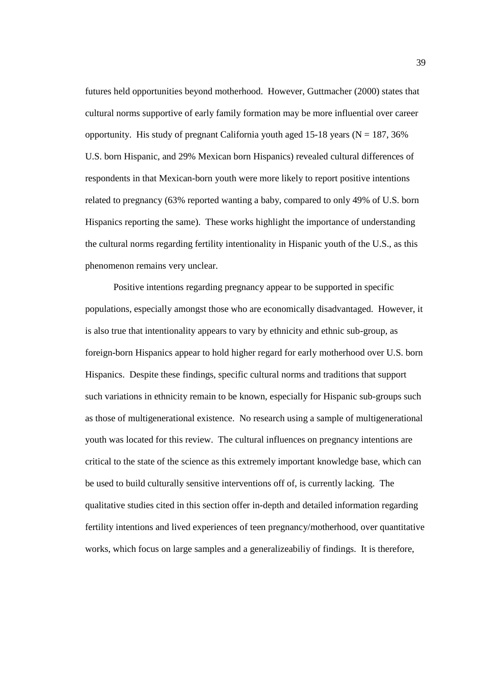futures held opportunities beyond motherhood. However, Guttmacher (2000) states that cultural norms supportive of early family formation may be more influential over career opportunity. His study of pregnant California youth aged 15-18 years ( $N = 187, 36\%$ ) U.S. born Hispanic, and 29% Mexican born Hispanics) revealed cultural differences of respondents in that Mexican-born youth were more likely to report positive intentions related to pregnancy (63% reported wanting a baby, compared to only 49% of U.S. born Hispanics reporting the same). These works highlight the importance of understanding the cultural norms regarding fertility intentionality in Hispanic youth of the U.S., as this phenomenon remains very unclear.

Positive intentions regarding pregnancy appear to be supported in specific populations, especially amongst those who are economically disadvantaged. However, it is also true that intentionality appears to vary by ethnicity and ethnic sub-group, as foreign-born Hispanics appear to hold higher regard for early motherhood over U.S. born Hispanics. Despite these findings, specific cultural norms and traditions that support such variations in ethnicity remain to be known, especially for Hispanic sub-groups such as those of multigenerational existence. No research using a sample of multigenerational youth was located for this review. The cultural influences on pregnancy intentions are critical to the state of the science as this extremely important knowledge base, which can be used to build culturally sensitive interventions off of, is currently lacking. The qualitative studies cited in this section offer in-depth and detailed information regarding fertility intentions and lived experiences of teen pregnancy/motherhood, over quantitative works, which focus on large samples and a generalizeabiliy of findings. It is therefore,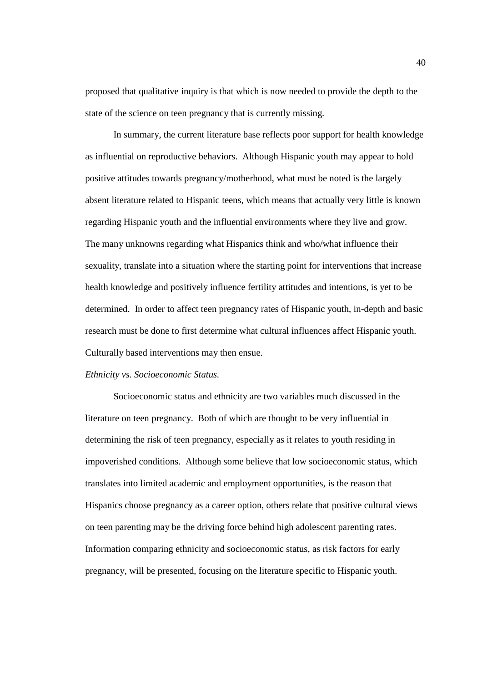proposed that qualitative inquiry is that which is now needed to provide the depth to the state of the science on teen pregnancy that is currently missing.

In summary, the current literature base reflects poor support for health knowledge as influential on reproductive behaviors. Although Hispanic youth may appear to hold positive attitudes towards pregnancy/motherhood, what must be noted is the largely absent literature related to Hispanic teens, which means that actually very little is known regarding Hispanic youth and the influential environments where they live and grow. The many unknowns regarding what Hispanics think and who/what influence their sexuality, translate into a situation where the starting point for interventions that increase health knowledge and positively influence fertility attitudes and intentions, is yet to be determined. In order to affect teen pregnancy rates of Hispanic youth, in-depth and basic research must be done to first determine what cultural influences affect Hispanic youth. Culturally based interventions may then ensue.

### *Ethnicity vs. Socioeconomic Status.*

Socioeconomic status and ethnicity are two variables much discussed in the literature on teen pregnancy. Both of which are thought to be very influential in determining the risk of teen pregnancy, especially as it relates to youth residing in impoverished conditions. Although some believe that low socioeconomic status, which translates into limited academic and employment opportunities, is the reason that Hispanics choose pregnancy as a career option, others relate that positive cultural views on teen parenting may be the driving force behind high adolescent parenting rates. Information comparing ethnicity and socioeconomic status, as risk factors for early pregnancy, will be presented, focusing on the literature specific to Hispanic youth.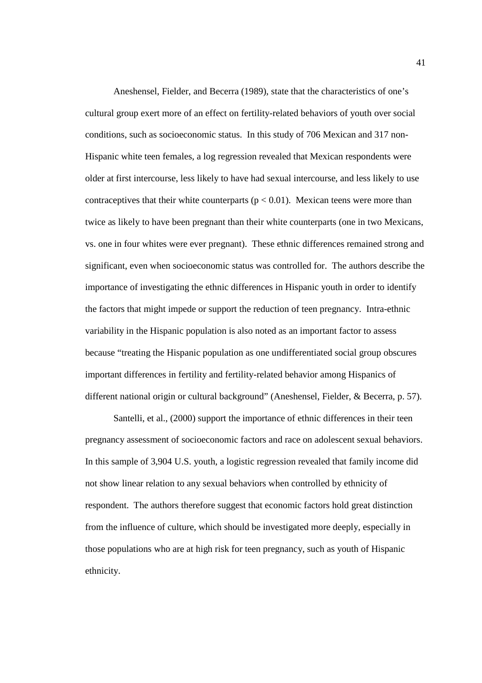Aneshensel, Fielder, and Becerra (1989), state that the characteristics of one's cultural group exert more of an effect on fertility-related behaviors of youth over social conditions, such as socioeconomic status. In this study of 706 Mexican and 317 non-Hispanic white teen females, a log regression revealed that Mexican respondents were older at first intercourse, less likely to have had sexual intercourse, and less likely to use contraceptives that their white counterparts ( $p < 0.01$ ). Mexican teens were more than twice as likely to have been pregnant than their white counterparts (one in two Mexicans, vs. one in four whites were ever pregnant). These ethnic differences remained strong and significant, even when socioeconomic status was controlled for. The authors describe the importance of investigating the ethnic differences in Hispanic youth in order to identify the factors that might impede or support the reduction of teen pregnancy. Intra-ethnic variability in the Hispanic population is also noted as an important factor to assess because "treating the Hispanic population as one undifferentiated social group obscures important differences in fertility and fertility-related behavior among Hispanics of different national origin or cultural background" (Aneshensel, Fielder, & Becerra, p. 57).

Santelli, et al., (2000) support the importance of ethnic differences in their teen pregnancy assessment of socioeconomic factors and race on adolescent sexual behaviors. In this sample of 3,904 U.S. youth, a logistic regression revealed that family income did not show linear relation to any sexual behaviors when controlled by ethnicity of respondent. The authors therefore suggest that economic factors hold great distinction from the influence of culture, which should be investigated more deeply, especially in those populations who are at high risk for teen pregnancy, such as youth of Hispanic ethnicity.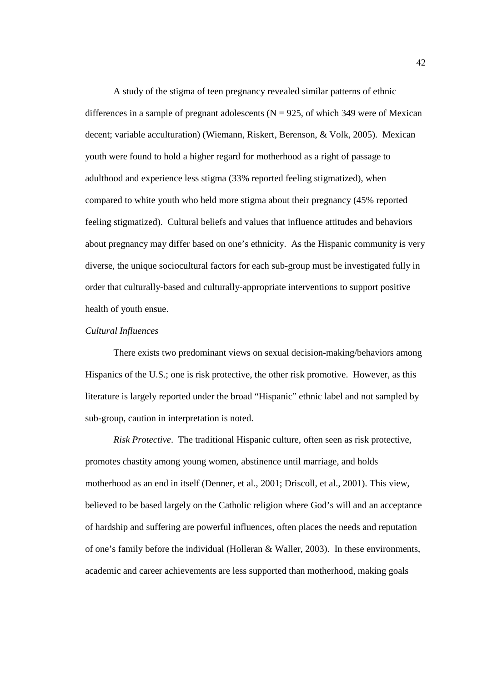A study of the stigma of teen pregnancy revealed similar patterns of ethnic differences in a sample of pregnant adolescents ( $N = 925$ , of which 349 were of Mexican decent; variable acculturation) (Wiemann, Riskert, Berenson, & Volk, 2005). Mexican youth were found to hold a higher regard for motherhood as a right of passage to adulthood and experience less stigma (33% reported feeling stigmatized), when compared to white youth who held more stigma about their pregnancy (45% reported feeling stigmatized). Cultural beliefs and values that influence attitudes and behaviors about pregnancy may differ based on one's ethnicity. As the Hispanic community is very diverse, the unique sociocultural factors for each sub-group must be investigated fully in order that culturally-based and culturally-appropriate interventions to support positive health of youth ensue.

# *Cultural Influences*

There exists two predominant views on sexual decision-making/behaviors among Hispanics of the U.S.; one is risk protective, the other risk promotive. However, as this literature is largely reported under the broad "Hispanic" ethnic label and not sampled by sub-group, caution in interpretation is noted.

*Risk Protective*. The traditional Hispanic culture, often seen as risk protective, promotes chastity among young women, abstinence until marriage, and holds motherhood as an end in itself (Denner, et al., 2001; Driscoll, et al., 2001). This view, believed to be based largely on the Catholic religion where God's will and an acceptance of hardship and suffering are powerful influences, often places the needs and reputation of one's family before the individual (Holleran & Waller, 2003). In these environments, academic and career achievements are less supported than motherhood, making goals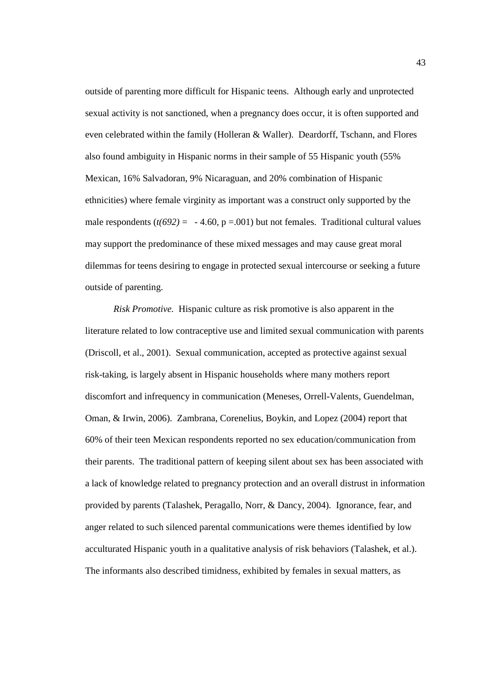outside of parenting more difficult for Hispanic teens. Although early and unprotected sexual activity is not sanctioned, when a pregnancy does occur, it is often supported and even celebrated within the family (Holleran & Waller). Deardorff, Tschann, and Flores also found ambiguity in Hispanic norms in their sample of 55 Hispanic youth (55% Mexican, 16% Salvadoran, 9% Nicaraguan, and 20% combination of Hispanic ethnicities) where female virginity as important was a construct only supported by the male respondents  $(t(692) = -4.60, p = .001)$  but not females. Traditional cultural values may support the predominance of these mixed messages and may cause great moral dilemmas for teens desiring to engage in protected sexual intercourse or seeking a future outside of parenting.

*Risk Promotive.* Hispanic culture as risk promotive is also apparent in the literature related to low contraceptive use and limited sexual communication with parents (Driscoll, et al., 2001). Sexual communication, accepted as protective against sexual risk-taking, is largely absent in Hispanic households where many mothers report discomfort and infrequency in communication (Meneses, Orrell-Valents, Guendelman, Oman, & Irwin, 2006). Zambrana, Corenelius, Boykin, and Lopez (2004) report that 60% of their teen Mexican respondents reported no sex education/communication from their parents. The traditional pattern of keeping silent about sex has been associated with a lack of knowledge related to pregnancy protection and an overall distrust in information provided by parents (Talashek, Peragallo, Norr, & Dancy, 2004). Ignorance, fear, and anger related to such silenced parental communications were themes identified by low acculturated Hispanic youth in a qualitative analysis of risk behaviors (Talashek, et al.). The informants also described timidness, exhibited by females in sexual matters, as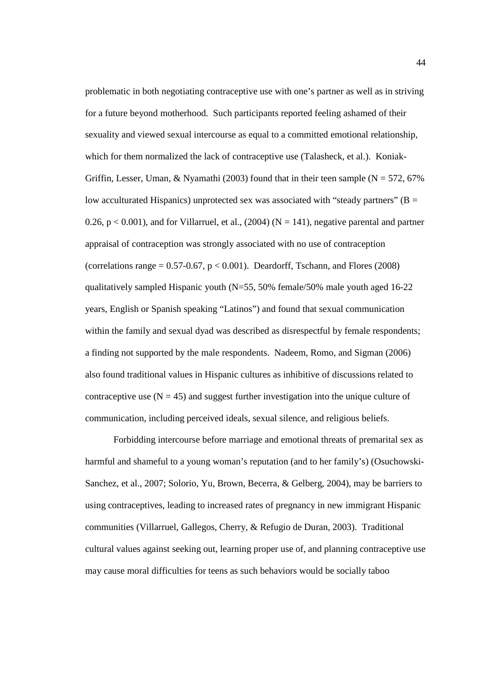problematic in both negotiating contraceptive use with one's partner as well as in striving for a future beyond motherhood. Such participants reported feeling ashamed of their sexuality and viewed sexual intercourse as equal to a committed emotional relationship, which for them normalized the lack of contraceptive use (Talasheck, et al.). Koniak-Griffin, Lesser, Uman, & Nyamathi (2003) found that in their teen sample ( $N = 572,67\%$ low acculturated Hispanics) unprotected sex was associated with "steady partners" ( $B =$ 0.26,  $p < 0.001$ ), and for Villarruel, et al., (2004) (N = 141), negative parental and partner appraisal of contraception was strongly associated with no use of contraception (correlations range  $= 0.57 - 0.67$ ,  $p < 0.001$ ). Deardorff, Tschann, and Flores (2008) qualitatively sampled Hispanic youth (N=55, 50% female/50% male youth aged 16-22 years, English or Spanish speaking "Latinos") and found that sexual communication within the family and sexual dyad was described as disrespectful by female respondents; a finding not supported by the male respondents. Nadeem, Romo, and Sigman (2006) also found traditional values in Hispanic cultures as inhibitive of discussions related to contraceptive use  $(N = 45)$  and suggest further investigation into the unique culture of communication, including perceived ideals, sexual silence, and religious beliefs.

Forbidding intercourse before marriage and emotional threats of premarital sex as harmful and shameful to a young woman's reputation (and to her family's) (Osuchowski-Sanchez, et al., 2007; Solorio, Yu, Brown, Becerra, & Gelberg, 2004), may be barriers to using contraceptives, leading to increased rates of pregnancy in new immigrant Hispanic communities (Villarruel, Gallegos, Cherry, & Refugio de Duran, 2003). Traditional cultural values against seeking out, learning proper use of, and planning contraceptive use may cause moral difficulties for teens as such behaviors would be socially taboo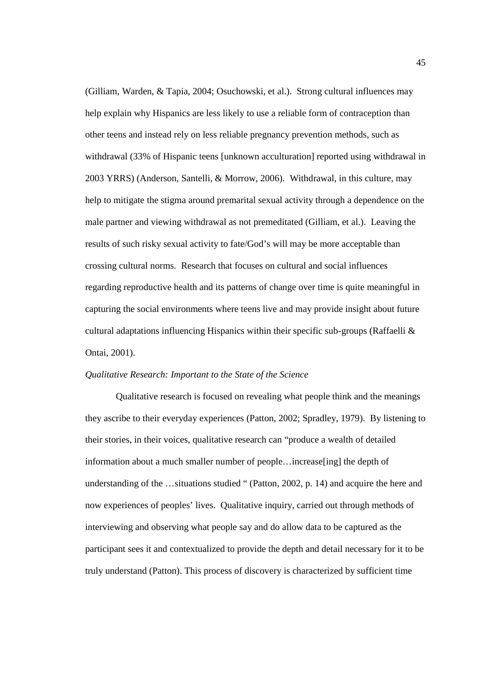(Gilliam, Warden, & Tapia, 2004; Osuchowski, et al.). Strong cultural influences may help explain why Hispanics are less likely to use a reliable form of contraception than other teens and instead rely on less reliable pregnancy prevention methods, such as withdrawal (33% of Hispanic teens [unknown acculturation] reported using withdrawal in 2003 YRRS) (Anderson, Santelli, & Morrow, 2006). Withdrawal, in this culture, may help to mitigate the stigma around premarital sexual activity through a dependence on the male partner and viewing withdrawal as not premeditated (Gilliam, et al.). Leaving the results of such risky sexual activity to fate/God's will may be more acceptable than crossing cultural norms. Research that focuses on cultural and social influences regarding reproductive health and its patterns of change over time is quite meaningful in capturing the social environments where teens live and may provide insight about future cultural adaptations influencing Hispanics within their specific sub-groups (Raffaelli & Ontai, 2001).

# *Qualitative Research: Important to the State of the Science*

 Qualitative research is focused on revealing what people think and the meanings they ascribe to their everyday experiences (Patton, 2002; Spradley, 1979). By listening to their stories, in their voices, qualitative research can "produce a wealth of detailed information about a much smaller number of people…increase[ing] the depth of understanding of the ... situations studied " (Patton, 2002, p. 14) and acquire the here and now experiences of peoples' lives. Qualitative inquiry, carried out through methods of interviewing and observing what people say and do allow data to be captured as the participant sees it and contextualized to provide the depth and detail necessary for it to be truly understand (Patton). This process of discovery is characterized by sufficient time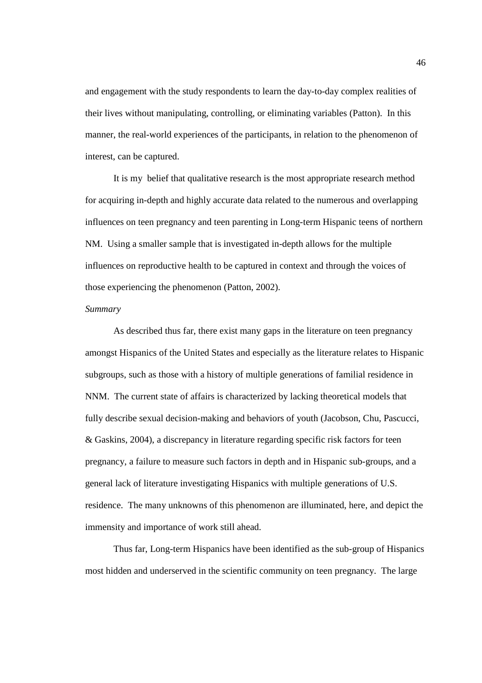and engagement with the study respondents to learn the day-to-day complex realities of their lives without manipulating, controlling, or eliminating variables (Patton). In this manner, the real-world experiences of the participants, in relation to the phenomenon of interest, can be captured.

It is my belief that qualitative research is the most appropriate research method for acquiring in-depth and highly accurate data related to the numerous and overlapping influences on teen pregnancy and teen parenting in Long-term Hispanic teens of northern NM. Using a smaller sample that is investigated in-depth allows for the multiple influences on reproductive health to be captured in context and through the voices of those experiencing the phenomenon (Patton, 2002).

### *Summary*

As described thus far, there exist many gaps in the literature on teen pregnancy amongst Hispanics of the United States and especially as the literature relates to Hispanic subgroups, such as those with a history of multiple generations of familial residence in NNM. The current state of affairs is characterized by lacking theoretical models that fully describe sexual decision-making and behaviors of youth (Jacobson, Chu, Pascucci, & Gaskins, 2004), a discrepancy in literature regarding specific risk factors for teen pregnancy, a failure to measure such factors in depth and in Hispanic sub-groups, and a general lack of literature investigating Hispanics with multiple generations of U.S. residence. The many unknowns of this phenomenon are illuminated, here, and depict the immensity and importance of work still ahead.

Thus far, Long-term Hispanics have been identified as the sub-group of Hispanics most hidden and underserved in the scientific community on teen pregnancy. The large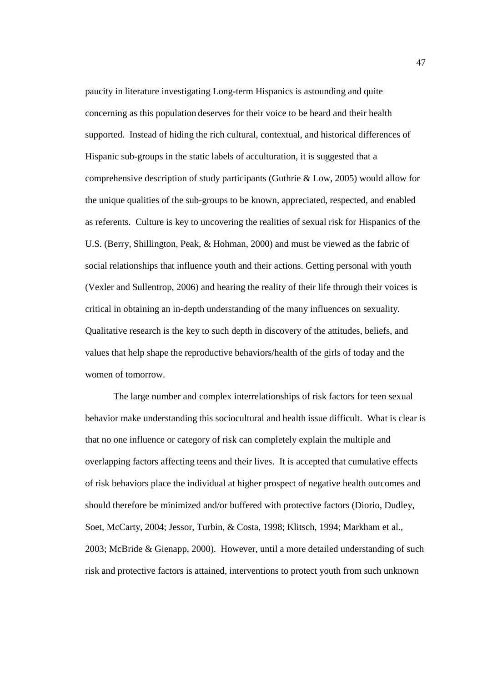paucity in literature investigating Long-term Hispanics is astounding and quite concerning as this population deserves for their voice to be heard and their health supported. Instead of hiding the rich cultural, contextual, and historical differences of Hispanic sub-groups in the static labels of acculturation, it is suggested that a comprehensive description of study participants (Guthrie & Low, 2005) would allow for the unique qualities of the sub-groups to be known, appreciated, respected, and enabled as referents. Culture is key to uncovering the realities of sexual risk for Hispanics of the U.S. (Berry, Shillington, Peak, & Hohman, 2000) and must be viewed as the fabric of social relationships that influence youth and their actions. Getting personal with youth (Vexler and Sullentrop, 2006) and hearing the reality of their life through their voices is critical in obtaining an in-depth understanding of the many influences on sexuality. Qualitative research is the key to such depth in discovery of the attitudes, beliefs, and values that help shape the reproductive behaviors/health of the girls of today and the women of tomorrow.

The large number and complex interrelationships of risk factors for teen sexual behavior make understanding this sociocultural and health issue difficult. What is clear is that no one influence or category of risk can completely explain the multiple and overlapping factors affecting teens and their lives. It is accepted that cumulative effects of risk behaviors place the individual at higher prospect of negative health outcomes and should therefore be minimized and/or buffered with protective factors (Diorio, Dudley, Soet, McCarty, 2004; Jessor, Turbin, & Costa, 1998; Klitsch, 1994; Markham et al., 2003; McBride & Gienapp, 2000). However, until a more detailed understanding of such risk and protective factors is attained, interventions to protect youth from such unknown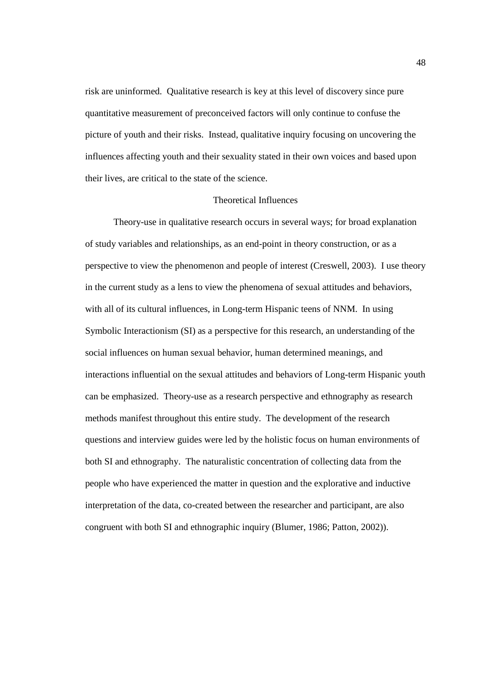risk are uninformed. Qualitative research is key at this level of discovery since pure quantitative measurement of preconceived factors will only continue to confuse the picture of youth and their risks. Instead, qualitative inquiry focusing on uncovering the influences affecting youth and their sexuality stated in their own voices and based upon their lives, are critical to the state of the science.

# Theoretical Influences

 Theory-use in qualitative research occurs in several ways; for broad explanation of study variables and relationships, as an end-point in theory construction, or as a perspective to view the phenomenon and people of interest (Creswell, 2003). I use theory in the current study as a lens to view the phenomena of sexual attitudes and behaviors, with all of its cultural influences, in Long-term Hispanic teens of NNM. In using Symbolic Interactionism (SI) as a perspective for this research, an understanding of the social influences on human sexual behavior, human determined meanings, and interactions influential on the sexual attitudes and behaviors of Long-term Hispanic youth can be emphasized. Theory-use as a research perspective and ethnography as research methods manifest throughout this entire study. The development of the research questions and interview guides were led by the holistic focus on human environments of both SI and ethnography. The naturalistic concentration of collecting data from the people who have experienced the matter in question and the explorative and inductive interpretation of the data, co-created between the researcher and participant, are also congruent with both SI and ethnographic inquiry (Blumer, 1986; Patton, 2002)).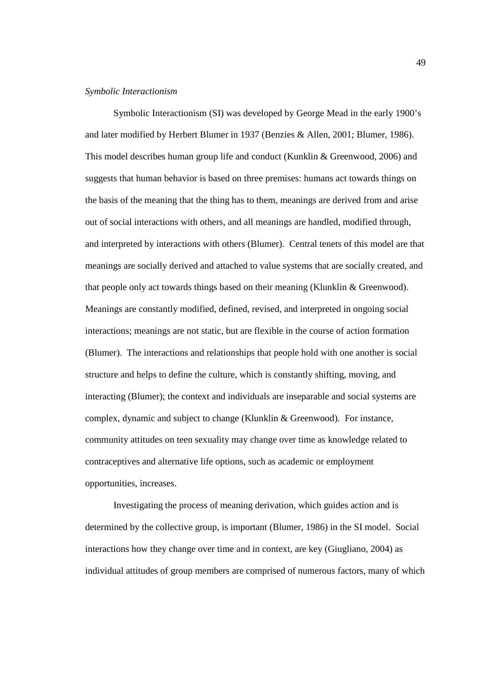#### *Symbolic Interactionism*

Symbolic Interactionism (SI) was developed by George Mead in the early 1900's and later modified by Herbert Blumer in 1937 (Benzies & Allen, 2001; Blumer, 1986). This model describes human group life and conduct (Kunklin & Greenwood, 2006) and suggests that human behavior is based on three premises: humans act towards things on the basis of the meaning that the thing has to them, meanings are derived from and arise out of social interactions with others, and all meanings are handled, modified through, and interpreted by interactions with others (Blumer). Central tenets of this model are that meanings are socially derived and attached to value systems that are socially created, and that people only act towards things based on their meaning (Klunklin & Greenwood). Meanings are constantly modified, defined, revised, and interpreted in ongoing social interactions; meanings are not static, but are flexible in the course of action formation (Blumer). The interactions and relationships that people hold with one another is social structure and helps to define the culture, which is constantly shifting, moving, and interacting (Blumer); the context and individuals are inseparable and social systems are complex, dynamic and subject to change (Klunklin & Greenwood). For instance, community attitudes on teen sexuality may change over time as knowledge related to contraceptives and alternative life options, such as academic or employment opportunities, increases.

Investigating the process of meaning derivation, which guides action and is determined by the collective group, is important (Blumer, 1986) in the SI model. Social interactions how they change over time and in context, are key (Giugliano, 2004) as individual attitudes of group members are comprised of numerous factors, many of which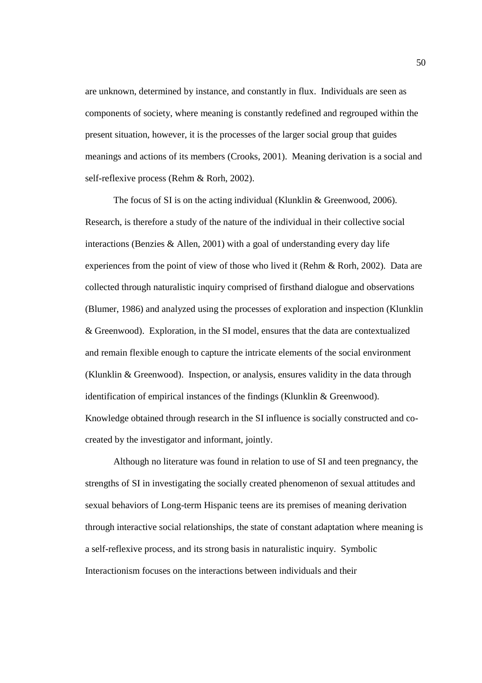are unknown, determined by instance, and constantly in flux. Individuals are seen as components of society, where meaning is constantly redefined and regrouped within the present situation, however, it is the processes of the larger social group that guides meanings and actions of its members (Crooks, 2001). Meaning derivation is a social and self-reflexive process (Rehm & Rorh, 2002).

The focus of SI is on the acting individual (Klunklin & Greenwood, 2006). Research, is therefore a study of the nature of the individual in their collective social interactions (Benzies  $&$  Allen, 2001) with a goal of understanding every day life experiences from the point of view of those who lived it (Rehm & Rorh, 2002). Data are collected through naturalistic inquiry comprised of firsthand dialogue and observations (Blumer, 1986) and analyzed using the processes of exploration and inspection (Klunklin & Greenwood). Exploration, in the SI model, ensures that the data are contextualized and remain flexible enough to capture the intricate elements of the social environment (Klunklin & Greenwood). Inspection, or analysis, ensures validity in the data through identification of empirical instances of the findings (Klunklin & Greenwood). Knowledge obtained through research in the SI influence is socially constructed and cocreated by the investigator and informant, jointly.

Although no literature was found in relation to use of SI and teen pregnancy, the strengths of SI in investigating the socially created phenomenon of sexual attitudes and sexual behaviors of Long-term Hispanic teens are its premises of meaning derivation through interactive social relationships, the state of constant adaptation where meaning is a self-reflexive process, and its strong basis in naturalistic inquiry. Symbolic Interactionism focuses on the interactions between individuals and their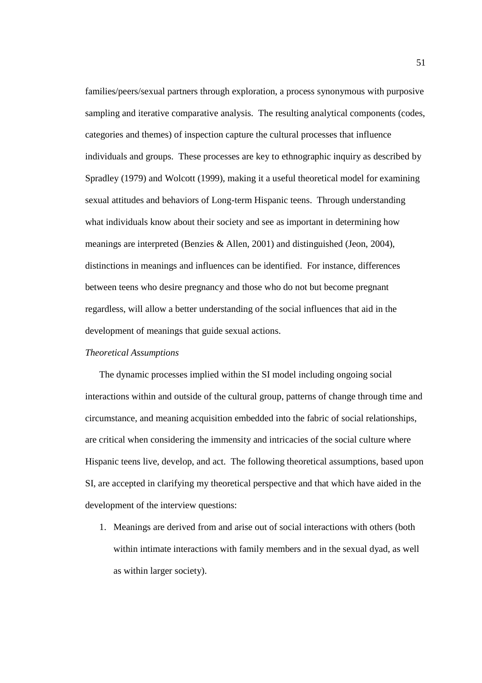families/peers/sexual partners through exploration, a process synonymous with purposive sampling and iterative comparative analysis. The resulting analytical components (codes, categories and themes) of inspection capture the cultural processes that influence individuals and groups. These processes are key to ethnographic inquiry as described by Spradley (1979) and Wolcott (1999), making it a useful theoretical model for examining sexual attitudes and behaviors of Long-term Hispanic teens. Through understanding what individuals know about their society and see as important in determining how meanings are interpreted (Benzies & Allen, 2001) and distinguished (Jeon, 2004), distinctions in meanings and influences can be identified. For instance, differences between teens who desire pregnancy and those who do not but become pregnant regardless, will allow a better understanding of the social influences that aid in the development of meanings that guide sexual actions.

### *Theoretical Assumptions*

The dynamic processes implied within the SI model including ongoing social interactions within and outside of the cultural group, patterns of change through time and circumstance, and meaning acquisition embedded into the fabric of social relationships, are critical when considering the immensity and intricacies of the social culture where Hispanic teens live, develop, and act. The following theoretical assumptions, based upon SI, are accepted in clarifying my theoretical perspective and that which have aided in the development of the interview questions:

1. Meanings are derived from and arise out of social interactions with others (both within intimate interactions with family members and in the sexual dyad, as well as within larger society).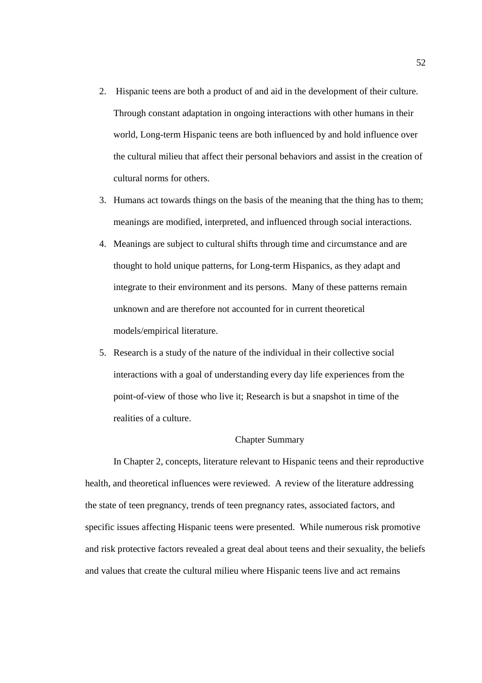- 2. Hispanic teens are both a product of and aid in the development of their culture. Through constant adaptation in ongoing interactions with other humans in their world, Long-term Hispanic teens are both influenced by and hold influence over the cultural milieu that affect their personal behaviors and assist in the creation of cultural norms for others.
- 3. Humans act towards things on the basis of the meaning that the thing has to them; meanings are modified, interpreted, and influenced through social interactions.
- 4. Meanings are subject to cultural shifts through time and circumstance and are thought to hold unique patterns, for Long-term Hispanics, as they adapt and integrate to their environment and its persons. Many of these patterns remain unknown and are therefore not accounted for in current theoretical models/empirical literature.
- 5. Research is a study of the nature of the individual in their collective social interactions with a goal of understanding every day life experiences from the point-of-view of those who live it; Research is but a snapshot in time of the realities of a culture.

# Chapter Summary

In Chapter 2, concepts, literature relevant to Hispanic teens and their reproductive health, and theoretical influences were reviewed. A review of the literature addressing the state of teen pregnancy, trends of teen pregnancy rates, associated factors, and specific issues affecting Hispanic teens were presented. While numerous risk promotive and risk protective factors revealed a great deal about teens and their sexuality, the beliefs and values that create the cultural milieu where Hispanic teens live and act remains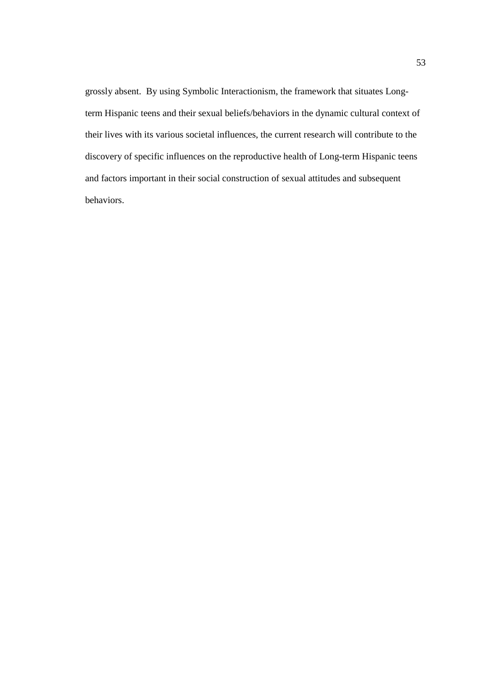grossly absent. By using Symbolic Interactionism, the framework that situates Longterm Hispanic teens and their sexual beliefs/behaviors in the dynamic cultural context of their lives with its various societal influences, the current research will contribute to the discovery of specific influences on the reproductive health of Long-term Hispanic teens and factors important in their social construction of sexual attitudes and subsequent behaviors.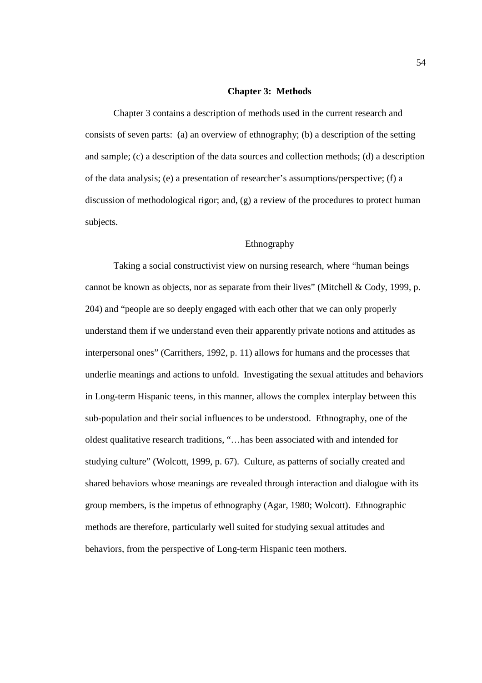### **Chapter 3: Methods**

Chapter 3 contains a description of methods used in the current research and consists of seven parts: (a) an overview of ethnography; (b) a description of the setting and sample; (c) a description of the data sources and collection methods; (d) a description of the data analysis; (e) a presentation of researcher's assumptions/perspective; (f) a discussion of methodological rigor; and, (g) a review of the procedures to protect human subjects.

# Ethnography

Taking a social constructivist view on nursing research, where "human beings cannot be known as objects, nor as separate from their lives" (Mitchell & Cody, 1999, p. 204) and "people are so deeply engaged with each other that we can only properly understand them if we understand even their apparently private notions and attitudes as interpersonal ones" (Carrithers, 1992, p. 11) allows for humans and the processes that underlie meanings and actions to unfold. Investigating the sexual attitudes and behaviors in Long-term Hispanic teens, in this manner, allows the complex interplay between this sub-population and their social influences to be understood. Ethnography, one of the oldest qualitative research traditions, "…has been associated with and intended for studying culture" (Wolcott, 1999, p. 67). Culture, as patterns of socially created and shared behaviors whose meanings are revealed through interaction and dialogue with its group members, is the impetus of ethnography (Agar, 1980; Wolcott). Ethnographic methods are therefore, particularly well suited for studying sexual attitudes and behaviors, from the perspective of Long-term Hispanic teen mothers.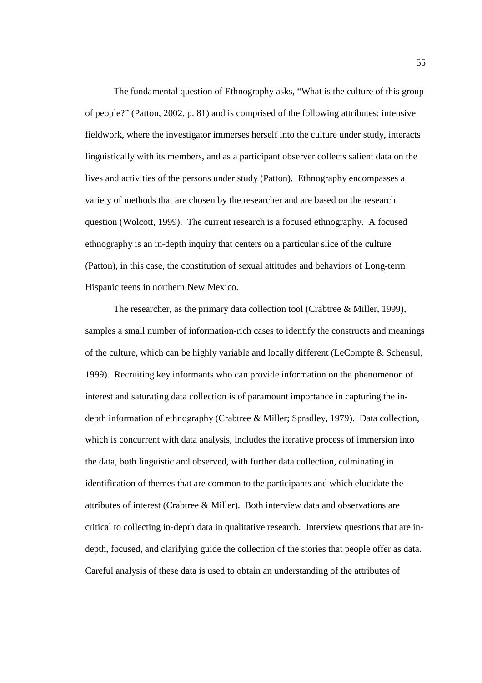The fundamental question of Ethnography asks, "What is the culture of this group of people?" (Patton, 2002, p. 81) and is comprised of the following attributes: intensive fieldwork, where the investigator immerses herself into the culture under study, interacts linguistically with its members, and as a participant observer collects salient data on the lives and activities of the persons under study (Patton). Ethnography encompasses a variety of methods that are chosen by the researcher and are based on the research question (Wolcott, 1999). The current research is a focused ethnography. A focused ethnography is an in-depth inquiry that centers on a particular slice of the culture (Patton), in this case, the constitution of sexual attitudes and behaviors of Long-term Hispanic teens in northern New Mexico.

The researcher, as the primary data collection tool (Crabtree & Miller, 1999), samples a small number of information-rich cases to identify the constructs and meanings of the culture, which can be highly variable and locally different (LeCompte & Schensul, 1999). Recruiting key informants who can provide information on the phenomenon of interest and saturating data collection is of paramount importance in capturing the indepth information of ethnography (Crabtree & Miller; Spradley, 1979). Data collection, which is concurrent with data analysis, includes the iterative process of immersion into the data, both linguistic and observed, with further data collection, culminating in identification of themes that are common to the participants and which elucidate the attributes of interest (Crabtree & Miller). Both interview data and observations are critical to collecting in-depth data in qualitative research. Interview questions that are indepth, focused, and clarifying guide the collection of the stories that people offer as data. Careful analysis of these data is used to obtain an understanding of the attributes of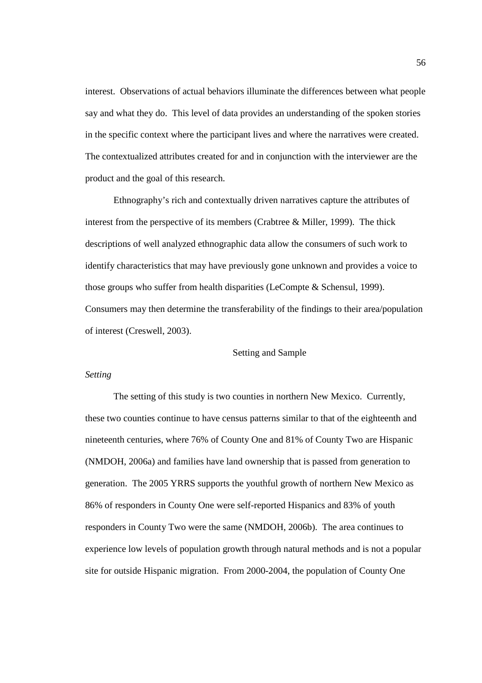interest. Observations of actual behaviors illuminate the differences between what people say and what they do. This level of data provides an understanding of the spoken stories in the specific context where the participant lives and where the narratives were created. The contextualized attributes created for and in conjunction with the interviewer are the product and the goal of this research.

Ethnography's rich and contextually driven narratives capture the attributes of interest from the perspective of its members (Crabtree & Miller, 1999). The thick descriptions of well analyzed ethnographic data allow the consumers of such work to identify characteristics that may have previously gone unknown and provides a voice to those groups who suffer from health disparities (LeCompte & Schensul, 1999). Consumers may then determine the transferability of the findings to their area/population of interest (Creswell, 2003).

#### Setting and Sample

#### *Setting*

The setting of this study is two counties in northern New Mexico. Currently, these two counties continue to have census patterns similar to that of the eighteenth and nineteenth centuries, where 76% of County One and 81% of County Two are Hispanic (NMDOH, 2006a) and families have land ownership that is passed from generation to generation. The 2005 YRRS supports the youthful growth of northern New Mexico as 86% of responders in County One were self-reported Hispanics and 83% of youth responders in County Two were the same (NMDOH, 2006b). The area continues to experience low levels of population growth through natural methods and is not a popular site for outside Hispanic migration. From 2000-2004, the population of County One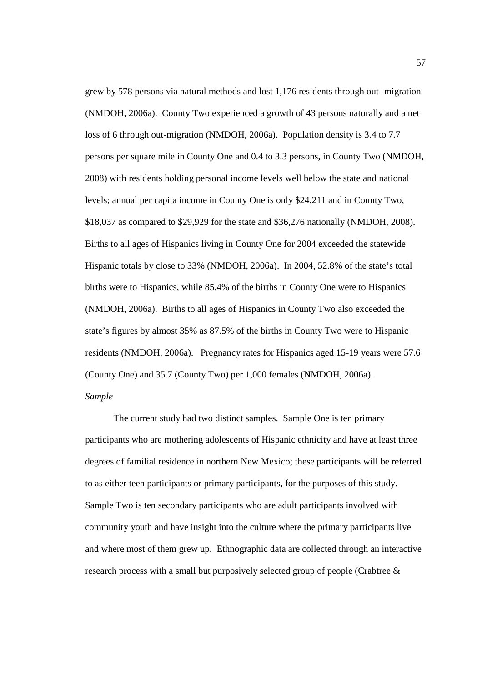grew by 578 persons via natural methods and lost 1,176 residents through out- migration (NMDOH, 2006a). County Two experienced a growth of 43 persons naturally and a net loss of 6 through out-migration (NMDOH, 2006a). Population density is 3.4 to 7.7 persons per square mile in County One and 0.4 to 3.3 persons, in County Two (NMDOH, 2008) with residents holding personal income levels well below the state and national levels; annual per capita income in County One is only \$24,211 and in County Two, \$18,037 as compared to \$29,929 for the state and \$36,276 nationally (NMDOH, 2008). Births to all ages of Hispanics living in County One for 2004 exceeded the statewide Hispanic totals by close to 33% (NMDOH, 2006a). In 2004, 52.8% of the state's total births were to Hispanics, while 85.4% of the births in County One were to Hispanics (NMDOH, 2006a). Births to all ages of Hispanics in County Two also exceeded the state's figures by almost 35% as 87.5% of the births in County Two were to Hispanic residents (NMDOH, 2006a). Pregnancy rates for Hispanics aged 15-19 years were 57.6 (County One) and 35.7 (County Two) per 1,000 females (NMDOH, 2006a). *Sample* 

The current study had two distinct samples. Sample One is ten primary participants who are mothering adolescents of Hispanic ethnicity and have at least three degrees of familial residence in northern New Mexico; these participants will be referred to as either teen participants or primary participants, for the purposes of this study. Sample Two is ten secondary participants who are adult participants involved with community youth and have insight into the culture where the primary participants live and where most of them grew up. Ethnographic data are collected through an interactive research process with a small but purposively selected group of people (Crabtree &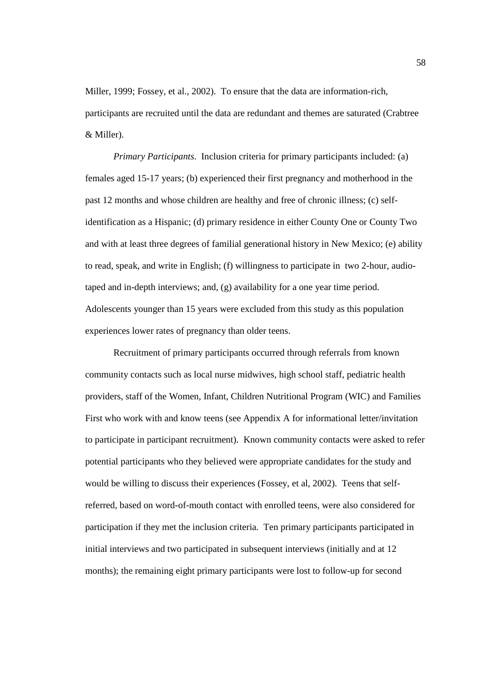Miller, 1999; Fossey, et al., 2002). To ensure that the data are information-rich, participants are recruited until the data are redundant and themes are saturated (Crabtree & Miller).

*Primary Participants*. Inclusion criteria for primary participants included: (a) females aged 15-17 years; (b) experienced their first pregnancy and motherhood in the past 12 months and whose children are healthy and free of chronic illness; (c) selfidentification as a Hispanic; (d) primary residence in either County One or County Two and with at least three degrees of familial generational history in New Mexico; (e) ability to read, speak, and write in English; (f) willingness to participate in two 2-hour, audiotaped and in-depth interviews; and, (g) availability for a one year time period. Adolescents younger than 15 years were excluded from this study as this population experiences lower rates of pregnancy than older teens.

Recruitment of primary participants occurred through referrals from known community contacts such as local nurse midwives, high school staff, pediatric health providers, staff of the Women, Infant, Children Nutritional Program (WIC) and Families First who work with and know teens (see Appendix A for informational letter/invitation to participate in participant recruitment). Known community contacts were asked to refer potential participants who they believed were appropriate candidates for the study and would be willing to discuss their experiences (Fossey, et al, 2002). Teens that selfreferred, based on word-of-mouth contact with enrolled teens, were also considered for participation if they met the inclusion criteria. Ten primary participants participated in initial interviews and two participated in subsequent interviews (initially and at 12 months); the remaining eight primary participants were lost to follow-up for second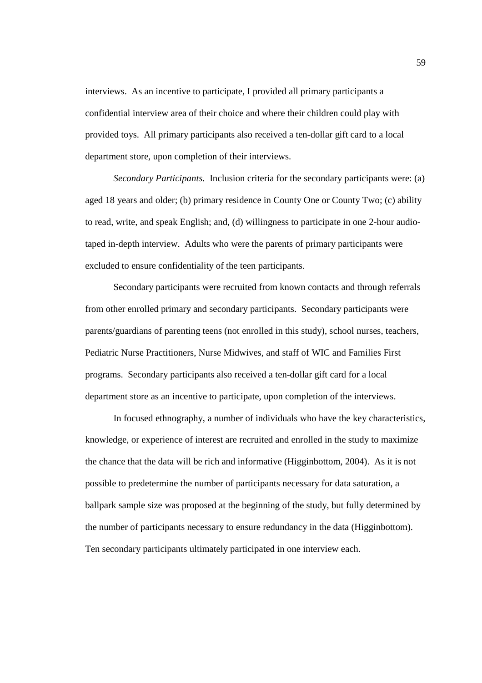interviews. As an incentive to participate, I provided all primary participants a confidential interview area of their choice and where their children could play with provided toys. All primary participants also received a ten-dollar gift card to a local department store, upon completion of their interviews.

*Secondary Participants.* Inclusion criteria for the secondary participants were: (a) aged 18 years and older; (b) primary residence in County One or County Two; (c) ability to read, write, and speak English; and, (d) willingness to participate in one 2-hour audiotaped in-depth interview. Adults who were the parents of primary participants were excluded to ensure confidentiality of the teen participants.

Secondary participants were recruited from known contacts and through referrals from other enrolled primary and secondary participants. Secondary participants were parents/guardians of parenting teens (not enrolled in this study), school nurses, teachers, Pediatric Nurse Practitioners, Nurse Midwives, and staff of WIC and Families First programs. Secondary participants also received a ten-dollar gift card for a local department store as an incentive to participate, upon completion of the interviews.

In focused ethnography, a number of individuals who have the key characteristics, knowledge, or experience of interest are recruited and enrolled in the study to maximize the chance that the data will be rich and informative (Higginbottom, 2004). As it is not possible to predetermine the number of participants necessary for data saturation, a ballpark sample size was proposed at the beginning of the study, but fully determined by the number of participants necessary to ensure redundancy in the data (Higginbottom). Ten secondary participants ultimately participated in one interview each.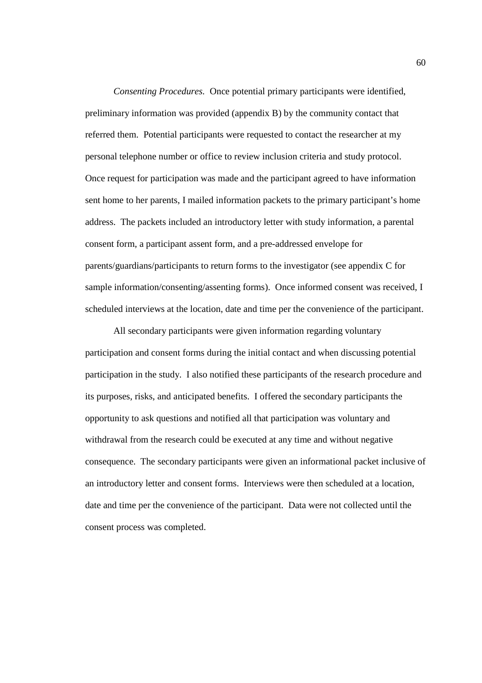*Consenting Procedures.* Once potential primary participants were identified, preliminary information was provided (appendix B) by the community contact that referred them. Potential participants were requested to contact the researcher at my personal telephone number or office to review inclusion criteria and study protocol. Once request for participation was made and the participant agreed to have information sent home to her parents, I mailed information packets to the primary participant's home address. The packets included an introductory letter with study information, a parental consent form, a participant assent form, and a pre-addressed envelope for parents/guardians/participants to return forms to the investigator (see appendix C for sample information/consenting/assenting forms). Once informed consent was received, I scheduled interviews at the location, date and time per the convenience of the participant.

 All secondary participants were given information regarding voluntary participation and consent forms during the initial contact and when discussing potential participation in the study. I also notified these participants of the research procedure and its purposes, risks, and anticipated benefits. I offered the secondary participants the opportunity to ask questions and notified all that participation was voluntary and withdrawal from the research could be executed at any time and without negative consequence. The secondary participants were given an informational packet inclusive of an introductory letter and consent forms. Interviews were then scheduled at a location, date and time per the convenience of the participant. Data were not collected until the consent process was completed.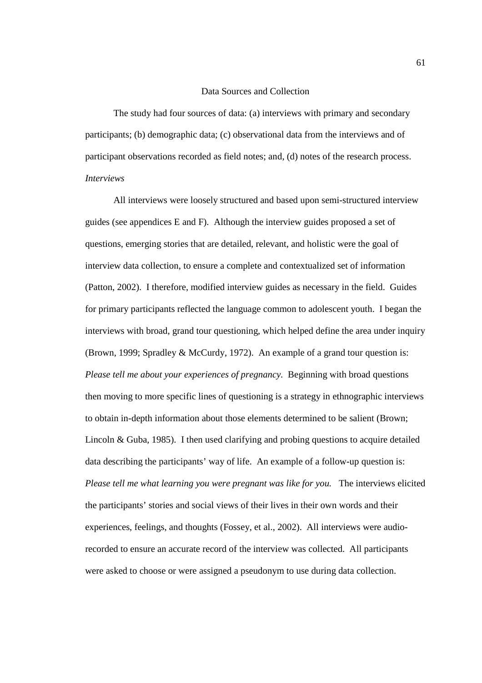#### Data Sources and Collection

 The study had four sources of data: (a) interviews with primary and secondary participants; (b) demographic data; (c) observational data from the interviews and of participant observations recorded as field notes; and, (d) notes of the research process. *Interviews* 

All interviews were loosely structured and based upon semi-structured interview guides (see appendices E and F). Although the interview guides proposed a set of questions, emerging stories that are detailed, relevant, and holistic were the goal of interview data collection, to ensure a complete and contextualized set of information (Patton, 2002). I therefore, modified interview guides as necessary in the field. Guides for primary participants reflected the language common to adolescent youth. I began the interviews with broad, grand tour questioning, which helped define the area under inquiry (Brown, 1999; Spradley & McCurdy, 1972). An example of a grand tour question is: *Please tell me about your experiences of pregnancy.* Beginning with broad questions then moving to more specific lines of questioning is a strategy in ethnographic interviews to obtain in-depth information about those elements determined to be salient (Brown; Lincoln & Guba, 1985). I then used clarifying and probing questions to acquire detailed data describing the participants' way of life. An example of a follow-up question is: *Please tell me what learning you were pregnant was like for you.* The interviews elicited the participants' stories and social views of their lives in their own words and their experiences, feelings, and thoughts (Fossey, et al., 2002). All interviews were audiorecorded to ensure an accurate record of the interview was collected. All participants were asked to choose or were assigned a pseudonym to use during data collection.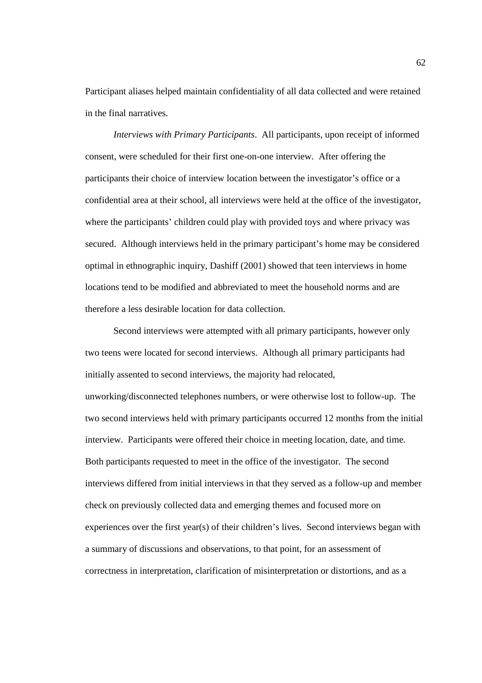Participant aliases helped maintain confidentiality of all data collected and were retained in the final narratives.

*Interviews with Primary Participants*. All participants, upon receipt of informed consent, were scheduled for their first one-on-one interview. After offering the participants their choice of interview location between the investigator's office or a confidential area at their school, all interviews were held at the office of the investigator, where the participants' children could play with provided toys and where privacy was secured. Although interviews held in the primary participant's home may be considered optimal in ethnographic inquiry, Dashiff (2001) showed that teen interviews in home locations tend to be modified and abbreviated to meet the household norms and are therefore a less desirable location for data collection.

Second interviews were attempted with all primary participants, however only two teens were located for second interviews. Although all primary participants had initially assented to second interviews, the majority had relocated, unworking/disconnected telephones numbers, or were otherwise lost to follow-up. The two second interviews held with primary participants occurred 12 months from the initial interview. Participants were offered their choice in meeting location, date, and time. Both participants requested to meet in the office of the investigator. The second interviews differed from initial interviews in that they served as a follow-up and member check on previously collected data and emerging themes and focused more on experiences over the first year(s) of their children's lives. Second interviews began with a summary of discussions and observations, to that point, for an assessment of correctness in interpretation, clarification of misinterpretation or distortions, and as a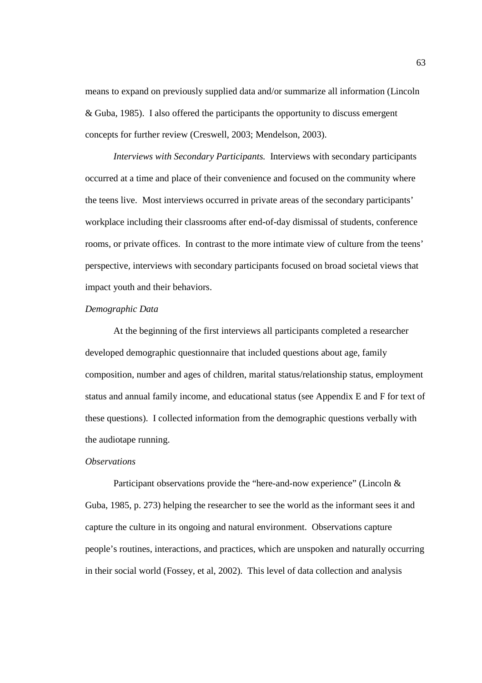means to expand on previously supplied data and/or summarize all information (Lincoln & Guba, 1985). I also offered the participants the opportunity to discuss emergent concepts for further review (Creswell, 2003; Mendelson, 2003).

*Interviews with Secondary Participants.* Interviews with secondary participants occurred at a time and place of their convenience and focused on the community where the teens live. Most interviews occurred in private areas of the secondary participants' workplace including their classrooms after end-of-day dismissal of students, conference rooms, or private offices. In contrast to the more intimate view of culture from the teens' perspective, interviews with secondary participants focused on broad societal views that impact youth and their behaviors.

#### *Demographic Data*

At the beginning of the first interviews all participants completed a researcher developed demographic questionnaire that included questions about age, family composition, number and ages of children, marital status/relationship status, employment status and annual family income, and educational status (see Appendix E and F for text of these questions). I collected information from the demographic questions verbally with the audiotape running.

#### *Observations*

Participant observations provide the "here-and-now experience" (Lincoln & Guba, 1985, p. 273) helping the researcher to see the world as the informant sees it and capture the culture in its ongoing and natural environment. Observations capture people's routines, interactions, and practices, which are unspoken and naturally occurring in their social world (Fossey, et al, 2002). This level of data collection and analysis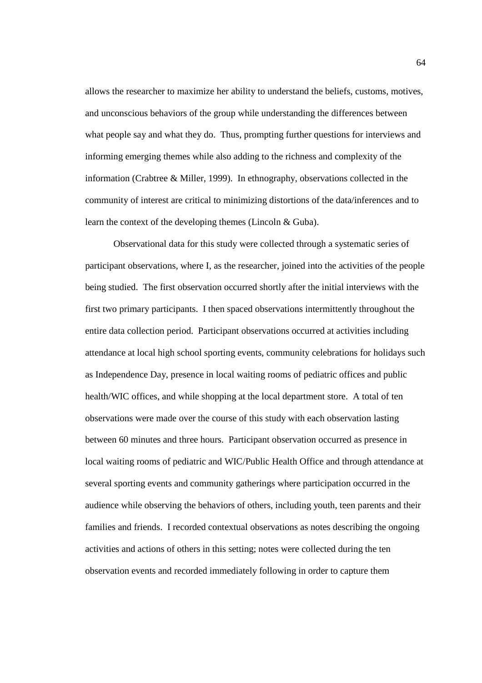allows the researcher to maximize her ability to understand the beliefs, customs, motives, and unconscious behaviors of the group while understanding the differences between what people say and what they do. Thus, prompting further questions for interviews and informing emerging themes while also adding to the richness and complexity of the information (Crabtree & Miller, 1999). In ethnography, observations collected in the community of interest are critical to minimizing distortions of the data/inferences and to learn the context of the developing themes (Lincoln & Guba).

 Observational data for this study were collected through a systematic series of participant observations, where I, as the researcher, joined into the activities of the people being studied. The first observation occurred shortly after the initial interviews with the first two primary participants. I then spaced observations intermittently throughout the entire data collection period. Participant observations occurred at activities including attendance at local high school sporting events, community celebrations for holidays such as Independence Day, presence in local waiting rooms of pediatric offices and public health/WIC offices, and while shopping at the local department store. A total of ten observations were made over the course of this study with each observation lasting between 60 minutes and three hours. Participant observation occurred as presence in local waiting rooms of pediatric and WIC/Public Health Office and through attendance at several sporting events and community gatherings where participation occurred in the audience while observing the behaviors of others, including youth, teen parents and their families and friends. I recorded contextual observations as notes describing the ongoing activities and actions of others in this setting; notes were collected during the ten observation events and recorded immediately following in order to capture them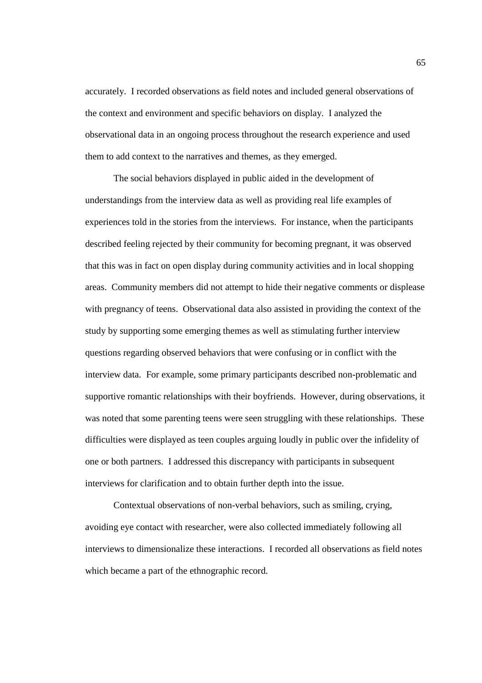accurately. I recorded observations as field notes and included general observations of the context and environment and specific behaviors on display. I analyzed the observational data in an ongoing process throughout the research experience and used them to add context to the narratives and themes, as they emerged.

The social behaviors displayed in public aided in the development of understandings from the interview data as well as providing real life examples of experiences told in the stories from the interviews. For instance, when the participants described feeling rejected by their community for becoming pregnant, it was observed that this was in fact on open display during community activities and in local shopping areas. Community members did not attempt to hide their negative comments or displease with pregnancy of teens. Observational data also assisted in providing the context of the study by supporting some emerging themes as well as stimulating further interview questions regarding observed behaviors that were confusing or in conflict with the interview data. For example, some primary participants described non-problematic and supportive romantic relationships with their boyfriends. However, during observations, it was noted that some parenting teens were seen struggling with these relationships. These difficulties were displayed as teen couples arguing loudly in public over the infidelity of one or both partners. I addressed this discrepancy with participants in subsequent interviews for clarification and to obtain further depth into the issue.

Contextual observations of non-verbal behaviors, such as smiling, crying, avoiding eye contact with researcher, were also collected immediately following all interviews to dimensionalize these interactions. I recorded all observations as field notes which became a part of the ethnographic record.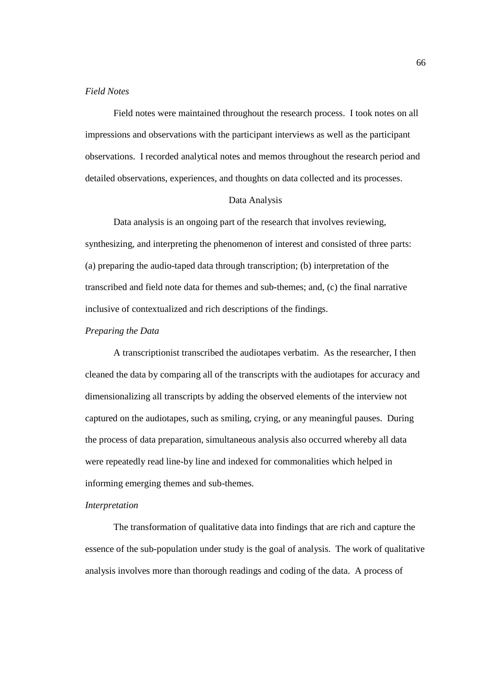### *Field Notes*

 Field notes were maintained throughout the research process. I took notes on all impressions and observations with the participant interviews as well as the participant observations. I recorded analytical notes and memos throughout the research period and detailed observations, experiences, and thoughts on data collected and its processes.

# Data Analysis

 Data analysis is an ongoing part of the research that involves reviewing, synthesizing, and interpreting the phenomenon of interest and consisted of three parts: (a) preparing the audio-taped data through transcription; (b) interpretation of the transcribed and field note data for themes and sub-themes; and, (c) the final narrative inclusive of contextualized and rich descriptions of the findings.

#### *Preparing the Data*

A transcriptionist transcribed the audiotapes verbatim. As the researcher, I then cleaned the data by comparing all of the transcripts with the audiotapes for accuracy and dimensionalizing all transcripts by adding the observed elements of the interview not captured on the audiotapes, such as smiling, crying, or any meaningful pauses. During the process of data preparation, simultaneous analysis also occurred whereby all data were repeatedly read line-by line and indexed for commonalities which helped in informing emerging themes and sub-themes.

#### *Interpretation*

The transformation of qualitative data into findings that are rich and capture the essence of the sub-population under study is the goal of analysis. The work of qualitative analysis involves more than thorough readings and coding of the data. A process of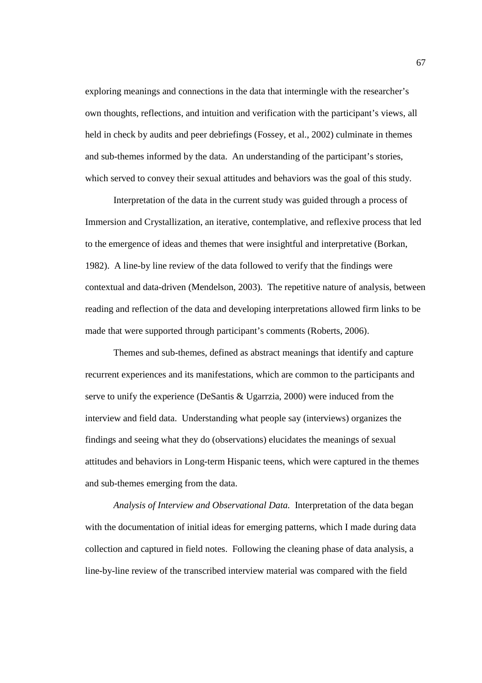exploring meanings and connections in the data that intermingle with the researcher's own thoughts, reflections, and intuition and verification with the participant's views, all held in check by audits and peer debriefings (Fossey, et al., 2002) culminate in themes and sub-themes informed by the data. An understanding of the participant's stories, which served to convey their sexual attitudes and behaviors was the goal of this study.

Interpretation of the data in the current study was guided through a process of Immersion and Crystallization, an iterative, contemplative, and reflexive process that led to the emergence of ideas and themes that were insightful and interpretative (Borkan, 1982). A line-by line review of the data followed to verify that the findings were contextual and data-driven (Mendelson, 2003). The repetitive nature of analysis, between reading and reflection of the data and developing interpretations allowed firm links to be made that were supported through participant's comments (Roberts, 2006).

 Themes and sub-themes, defined as abstract meanings that identify and capture recurrent experiences and its manifestations, which are common to the participants and serve to unify the experience (DeSantis & Ugarrzia, 2000) were induced from the interview and field data. Understanding what people say (interviews) organizes the findings and seeing what they do (observations) elucidates the meanings of sexual attitudes and behaviors in Long-term Hispanic teens, which were captured in the themes and sub-themes emerging from the data.

*Analysis of Interview and Observational Data.* Interpretation of the data began with the documentation of initial ideas for emerging patterns, which I made during data collection and captured in field notes. Following the cleaning phase of data analysis, a line-by-line review of the transcribed interview material was compared with the field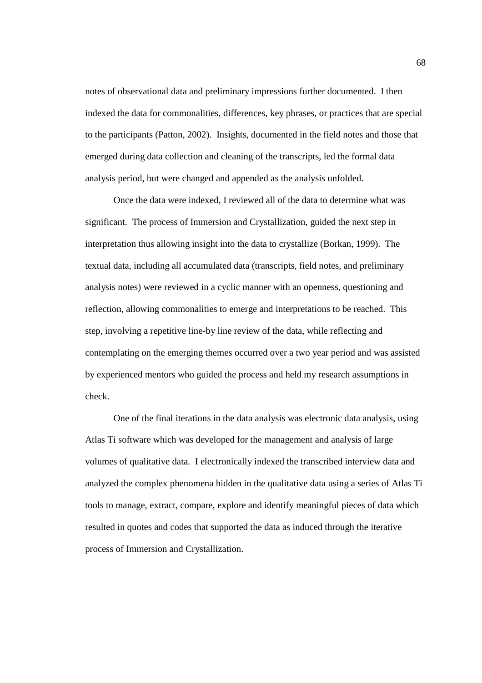notes of observational data and preliminary impressions further documented. I then indexed the data for commonalities, differences, key phrases, or practices that are special to the participants (Patton, 2002). Insights, documented in the field notes and those that emerged during data collection and cleaning of the transcripts, led the formal data analysis period, but were changed and appended as the analysis unfolded.

Once the data were indexed, I reviewed all of the data to determine what was significant. The process of Immersion and Crystallization, guided the next step in interpretation thus allowing insight into the data to crystallize (Borkan, 1999). The textual data, including all accumulated data (transcripts, field notes, and preliminary analysis notes) were reviewed in a cyclic manner with an openness, questioning and reflection, allowing commonalities to emerge and interpretations to be reached. This step, involving a repetitive line-by line review of the data, while reflecting and contemplating on the emerging themes occurred over a two year period and was assisted by experienced mentors who guided the process and held my research assumptions in check.

One of the final iterations in the data analysis was electronic data analysis, using Atlas Ti software which was developed for the management and analysis of large volumes of qualitative data. I electronically indexed the transcribed interview data and analyzed the complex phenomena hidden in the qualitative data using a series of Atlas Ti tools to manage, extract, compare, explore and identify meaningful pieces of data which resulted in quotes and codes that supported the data as induced through the iterative process of Immersion and Crystallization.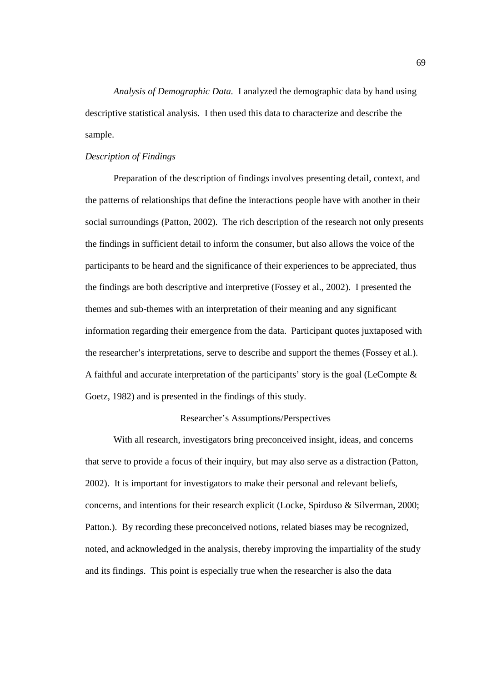*Analysis of Demographic Data.* I analyzed the demographic data by hand using descriptive statistical analysis. I then used this data to characterize and describe the sample.

## *Description of Findings*

Preparation of the description of findings involves presenting detail, context, and the patterns of relationships that define the interactions people have with another in their social surroundings (Patton, 2002). The rich description of the research not only presents the findings in sufficient detail to inform the consumer, but also allows the voice of the participants to be heard and the significance of their experiences to be appreciated, thus the findings are both descriptive and interpretive (Fossey et al., 2002). I presented the themes and sub-themes with an interpretation of their meaning and any significant information regarding their emergence from the data. Participant quotes juxtaposed with the researcher's interpretations, serve to describe and support the themes (Fossey et al.). A faithful and accurate interpretation of the participants' story is the goal (LeCompte & Goetz, 1982) and is presented in the findings of this study.

# Researcher's Assumptions/Perspectives

 With all research, investigators bring preconceived insight, ideas, and concerns that serve to provide a focus of their inquiry, but may also serve as a distraction (Patton, 2002). It is important for investigators to make their personal and relevant beliefs, concerns, and intentions for their research explicit (Locke, Spirduso & Silverman, 2000; Patton.). By recording these preconceived notions, related biases may be recognized, noted, and acknowledged in the analysis, thereby improving the impartiality of the study and its findings. This point is especially true when the researcher is also the data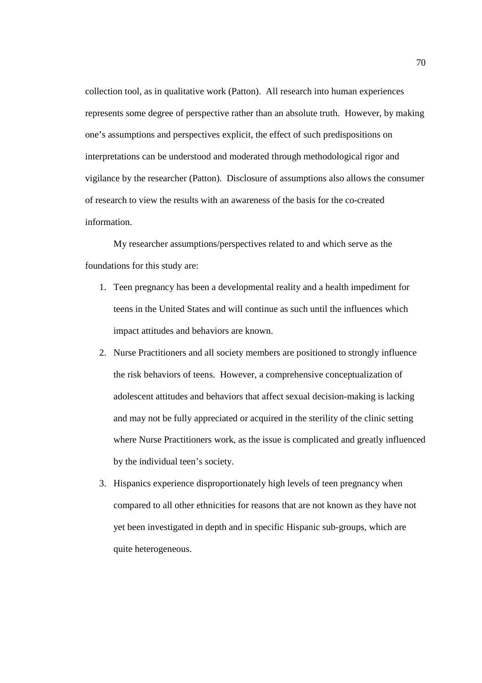collection tool, as in qualitative work (Patton). All research into human experiences represents some degree of perspective rather than an absolute truth. However, by making one's assumptions and perspectives explicit, the effect of such predispositions on interpretations can be understood and moderated through methodological rigor and vigilance by the researcher (Patton). Disclosure of assumptions also allows the consumer of research to view the results with an awareness of the basis for the co-created information.

 My researcher assumptions/perspectives related to and which serve as the foundations for this study are:

- 1. Teen pregnancy has been a developmental reality and a health impediment for teens in the United States and will continue as such until the influences which impact attitudes and behaviors are known.
- 2. Nurse Practitioners and all society members are positioned to strongly influence the risk behaviors of teens. However, a comprehensive conceptualization of adolescent attitudes and behaviors that affect sexual decision-making is lacking and may not be fully appreciated or acquired in the sterility of the clinic setting where Nurse Practitioners work, as the issue is complicated and greatly influenced by the individual teen's society.
- 3. Hispanics experience disproportionately high levels of teen pregnancy when compared to all other ethnicities for reasons that are not known as they have not yet been investigated in depth and in specific Hispanic sub-groups, which are quite heterogeneous.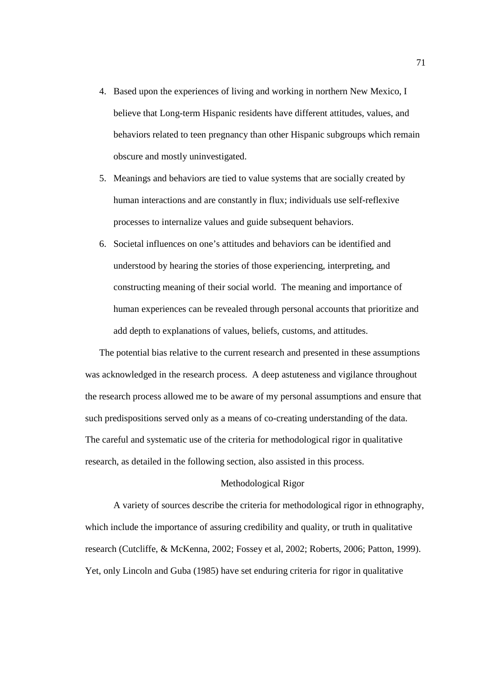- 4. Based upon the experiences of living and working in northern New Mexico, I believe that Long-term Hispanic residents have different attitudes, values, and behaviors related to teen pregnancy than other Hispanic subgroups which remain obscure and mostly uninvestigated.
- 5. Meanings and behaviors are tied to value systems that are socially created by human interactions and are constantly in flux; individuals use self-reflexive processes to internalize values and guide subsequent behaviors.
- 6. Societal influences on one's attitudes and behaviors can be identified and understood by hearing the stories of those experiencing, interpreting, and constructing meaning of their social world. The meaning and importance of human experiences can be revealed through personal accounts that prioritize and add depth to explanations of values, beliefs, customs, and attitudes.

The potential bias relative to the current research and presented in these assumptions was acknowledged in the research process. A deep astuteness and vigilance throughout the research process allowed me to be aware of my personal assumptions and ensure that such predispositions served only as a means of co-creating understanding of the data. The careful and systematic use of the criteria for methodological rigor in qualitative research, as detailed in the following section, also assisted in this process.

### Methodological Rigor

A variety of sources describe the criteria for methodological rigor in ethnography, which include the importance of assuring credibility and quality, or truth in qualitative research (Cutcliffe, & McKenna, 2002; Fossey et al, 2002; Roberts, 2006; Patton, 1999). Yet, only Lincoln and Guba (1985) have set enduring criteria for rigor in qualitative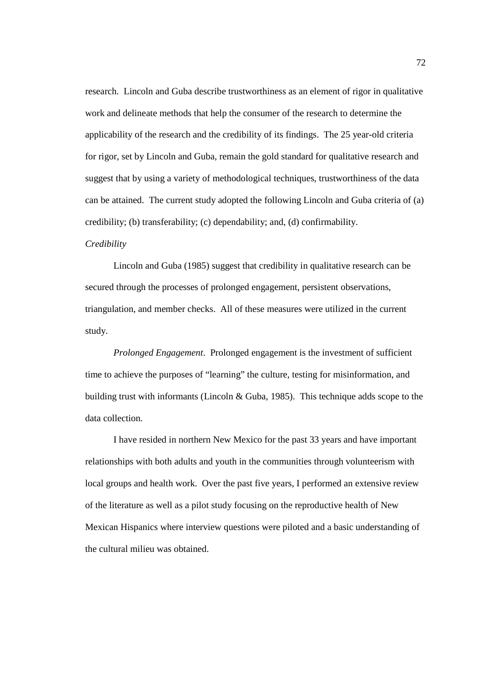research. Lincoln and Guba describe trustworthiness as an element of rigor in qualitative work and delineate methods that help the consumer of the research to determine the applicability of the research and the credibility of its findings. The 25 year-old criteria for rigor, set by Lincoln and Guba, remain the gold standard for qualitative research and suggest that by using a variety of methodological techniques, trustworthiness of the data can be attained. The current study adopted the following Lincoln and Guba criteria of (a) credibility; (b) transferability; (c) dependability; and, (d) confirmability.

# *Credibility*

Lincoln and Guba (1985) suggest that credibility in qualitative research can be secured through the processes of prolonged engagement, persistent observations, triangulation, and member checks. All of these measures were utilized in the current study.

*Prolonged Engagement*. Prolonged engagement is the investment of sufficient time to achieve the purposes of "learning" the culture, testing for misinformation, and building trust with informants (Lincoln & Guba, 1985). This technique adds scope to the data collection.

I have resided in northern New Mexico for the past 33 years and have important relationships with both adults and youth in the communities through volunteerism with local groups and health work. Over the past five years, I performed an extensive review of the literature as well as a pilot study focusing on the reproductive health of New Mexican Hispanics where interview questions were piloted and a basic understanding of the cultural milieu was obtained.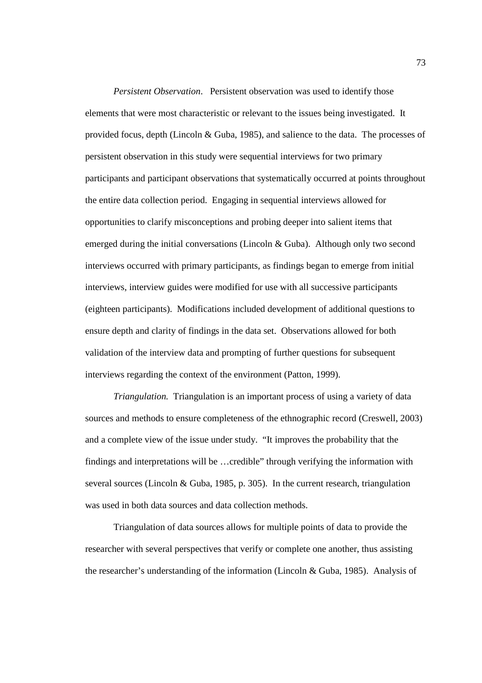*Persistent Observation*. Persistent observation was used to identify those elements that were most characteristic or relevant to the issues being investigated. It provided focus, depth (Lincoln & Guba, 1985), and salience to the data. The processes of persistent observation in this study were sequential interviews for two primary participants and participant observations that systematically occurred at points throughout the entire data collection period. Engaging in sequential interviews allowed for opportunities to clarify misconceptions and probing deeper into salient items that emerged during the initial conversations (Lincoln & Guba). Although only two second interviews occurred with primary participants, as findings began to emerge from initial interviews, interview guides were modified for use with all successive participants (eighteen participants). Modifications included development of additional questions to ensure depth and clarity of findings in the data set. Observations allowed for both validation of the interview data and prompting of further questions for subsequent interviews regarding the context of the environment (Patton, 1999).

*Triangulation.* Triangulation is an important process of using a variety of data sources and methods to ensure completeness of the ethnographic record (Creswell, 2003) and a complete view of the issue under study. "It improves the probability that the findings and interpretations will be …credible" through verifying the information with several sources (Lincoln & Guba, 1985, p. 305). In the current research, triangulation was used in both data sources and data collection methods.

Triangulation of data sources allows for multiple points of data to provide the researcher with several perspectives that verify or complete one another, thus assisting the researcher's understanding of the information (Lincoln & Guba, 1985). Analysis of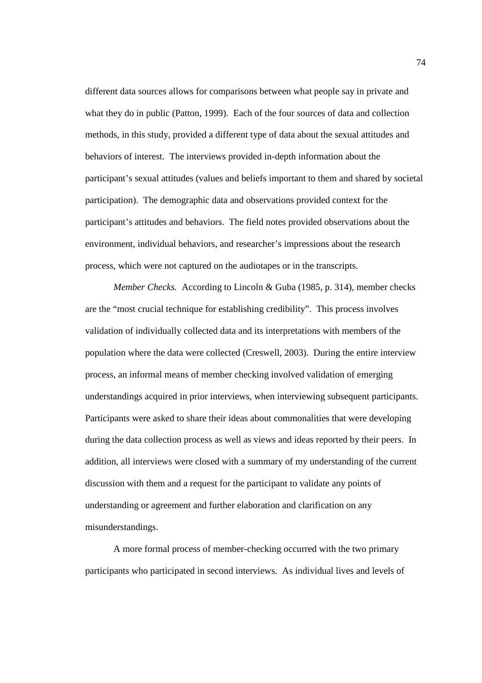different data sources allows for comparisons between what people say in private and what they do in public (Patton, 1999). Each of the four sources of data and collection methods, in this study, provided a different type of data about the sexual attitudes and behaviors of interest. The interviews provided in-depth information about the participant's sexual attitudes (values and beliefs important to them and shared by societal participation). The demographic data and observations provided context for the participant's attitudes and behaviors. The field notes provided observations about the environment, individual behaviors, and researcher's impressions about the research process, which were not captured on the audiotapes or in the transcripts.

*Member Checks.* According to Lincoln & Guba (1985, p. 314), member checks are the "most crucial technique for establishing credibility". This process involves validation of individually collected data and its interpretations with members of the population where the data were collected (Creswell, 2003). During the entire interview process, an informal means of member checking involved validation of emerging understandings acquired in prior interviews, when interviewing subsequent participants. Participants were asked to share their ideas about commonalities that were developing during the data collection process as well as views and ideas reported by their peers. In addition, all interviews were closed with a summary of my understanding of the current discussion with them and a request for the participant to validate any points of understanding or agreement and further elaboration and clarification on any misunderstandings.

A more formal process of member-checking occurred with the two primary participants who participated in second interviews. As individual lives and levels of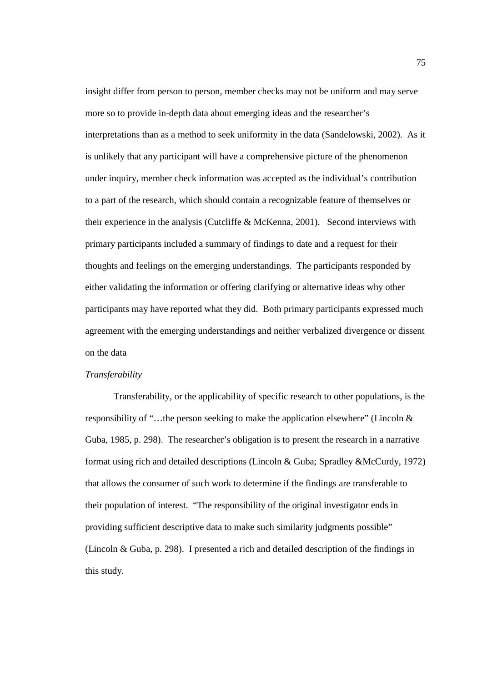insight differ from person to person, member checks may not be uniform and may serve more so to provide in-depth data about emerging ideas and the researcher's interpretations than as a method to seek uniformity in the data (Sandelowski, 2002). As it is unlikely that any participant will have a comprehensive picture of the phenomenon under inquiry, member check information was accepted as the individual's contribution to a part of the research, which should contain a recognizable feature of themselves or their experience in the analysis (Cutcliffe & McKenna, 2001). Second interviews with primary participants included a summary of findings to date and a request for their thoughts and feelings on the emerging understandings. The participants responded by either validating the information or offering clarifying or alternative ideas why other participants may have reported what they did. Both primary participants expressed much agreement with the emerging understandings and neither verbalized divergence or dissent on the data

## *Transferability*

 Transferability, or the applicability of specific research to other populations, is the responsibility of "…the person seeking to make the application elsewhere" (Lincoln & Guba, 1985, p. 298). The researcher's obligation is to present the research in a narrative format using rich and detailed descriptions (Lincoln & Guba; Spradley &McCurdy, 1972) that allows the consumer of such work to determine if the findings are transferable to their population of interest. "The responsibility of the original investigator ends in providing sufficient descriptive data to make such similarity judgments possible" (Lincoln & Guba, p. 298). I presented a rich and detailed description of the findings in this study.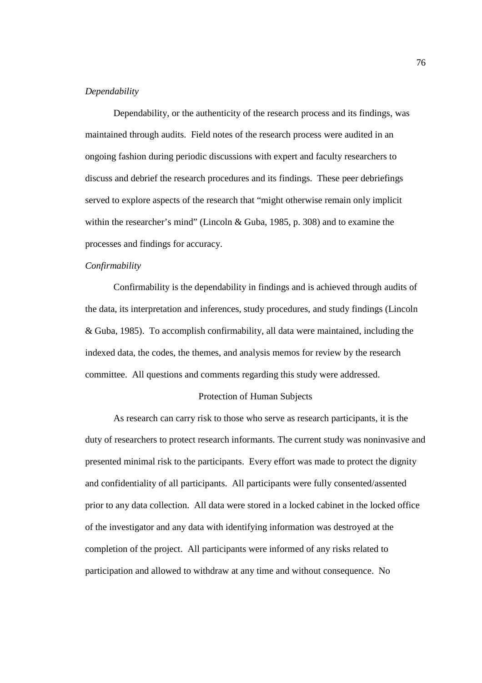#### *Dependability*

 Dependability, or the authenticity of the research process and its findings, was maintained through audits. Field notes of the research process were audited in an ongoing fashion during periodic discussions with expert and faculty researchers to discuss and debrief the research procedures and its findings. These peer debriefings served to explore aspects of the research that "might otherwise remain only implicit within the researcher's mind" (Lincoln & Guba, 1985, p. 308) and to examine the processes and findings for accuracy.

#### *Confirmability*

 Confirmability is the dependability in findings and is achieved through audits of the data, its interpretation and inferences, study procedures, and study findings (Lincoln & Guba, 1985). To accomplish confirmability, all data were maintained, including the indexed data, the codes, the themes, and analysis memos for review by the research committee. All questions and comments regarding this study were addressed.

#### Protection of Human Subjects

As research can carry risk to those who serve as research participants, it is the duty of researchers to protect research informants. The current study was noninvasive and presented minimal risk to the participants. Every effort was made to protect the dignity and confidentiality of all participants. All participants were fully consented/assented prior to any data collection. All data were stored in a locked cabinet in the locked office of the investigator and any data with identifying information was destroyed at the completion of the project. All participants were informed of any risks related to participation and allowed to withdraw at any time and without consequence. No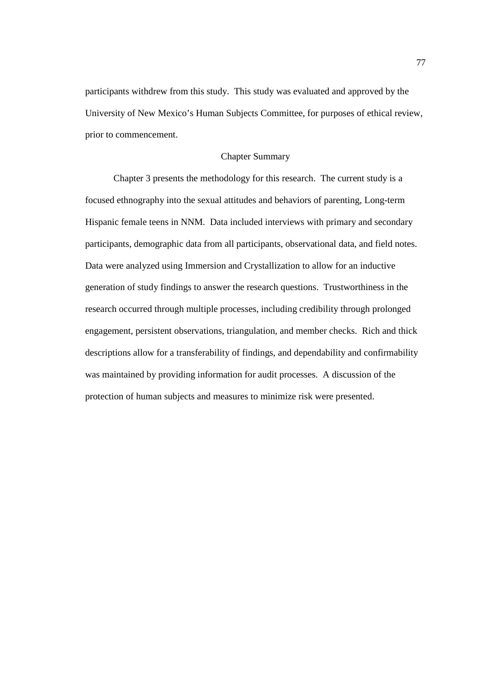participants withdrew from this study. This study was evaluated and approved by the University of New Mexico's Human Subjects Committee, for purposes of ethical review, prior to commencement.

# Chapter Summary

Chapter 3 presents the methodology for this research. The current study is a focused ethnography into the sexual attitudes and behaviors of parenting, Long-term Hispanic female teens in NNM. Data included interviews with primary and secondary participants, demographic data from all participants, observational data, and field notes. Data were analyzed using Immersion and Crystallization to allow for an inductive generation of study findings to answer the research questions. Trustworthiness in the research occurred through multiple processes, including credibility through prolonged engagement, persistent observations, triangulation, and member checks. Rich and thick descriptions allow for a transferability of findings, and dependability and confirmability was maintained by providing information for audit processes. A discussion of the protection of human subjects and measures to minimize risk were presented.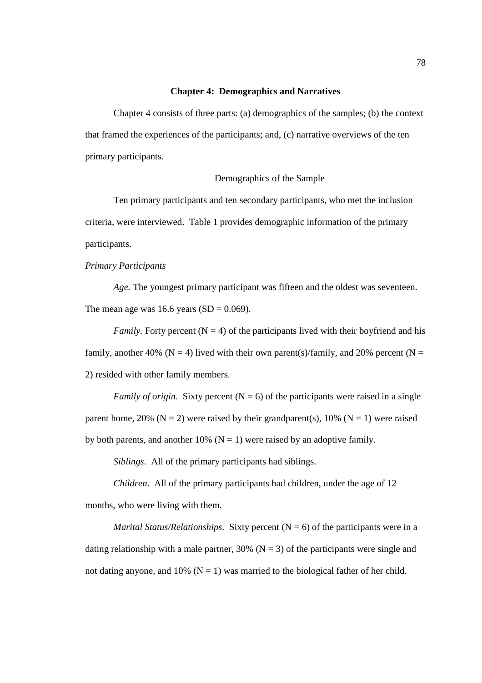#### **Chapter 4: Demographics and Narratives**

Chapter 4 consists of three parts: (a) demographics of the samples; (b) the context that framed the experiences of the participants; and, (c) narrative overviews of the ten primary participants.

## Demographics of the Sample

Ten primary participants and ten secondary participants, who met the inclusion criteria, were interviewed. Table 1 provides demographic information of the primary participants.

## *Primary Participants*

*Age.* The youngest primary participant was fifteen and the oldest was seventeen. The mean age was 16.6 years  $(SD = 0.069)$ .

*Family.* Forty percent  $(N = 4)$  of the participants lived with their boyfriend and his family, another 40% (N = 4) lived with their own parent(s)/family, and 20% percent (N = 2) resided with other family members.

*Family of origin.* Sixty percent  $(N = 6)$  of the participants were raised in a single parent home, 20% ( $N = 2$ ) were raised by their grandparent(s), 10% ( $N = 1$ ) were raised by both parents, and another 10% ( $N = 1$ ) were raised by an adoptive family.

*Siblings*. All of the primary participants had siblings.

*Children*. All of the primary participants had children, under the age of 12 months, who were living with them.

*Marital Status/Relationships.* Sixty percent  $(N = 6)$  of the participants were in a dating relationship with a male partner,  $30\%$  (N = 3) of the participants were single and not dating anyone, and 10% ( $N = 1$ ) was married to the biological father of her child.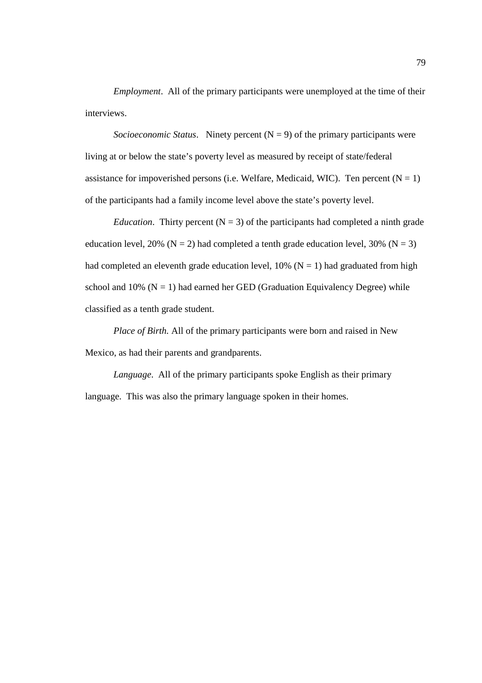*Employment*. All of the primary participants were unemployed at the time of their interviews.

*Socioeconomic Status.* Ninety percent  $(N = 9)$  of the primary participants were living at or below the state's poverty level as measured by receipt of state/federal assistance for impoverished persons (i.e. Welfare, Medicaid, WIC). Ten percent  $(N = 1)$ of the participants had a family income level above the state's poverty level.

*Education*. Thirty percent  $(N = 3)$  of the participants had completed a ninth grade education level, 20% ( $N = 2$ ) had completed a tenth grade education level, 30% ( $N = 3$ ) had completed an eleventh grade education level,  $10\%$  (N = 1) had graduated from high school and 10% ( $N = 1$ ) had earned her GED (Graduation Equivalency Degree) while classified as a tenth grade student.

 *Place of Birth.* All of the primary participants were born and raised in New Mexico, as had their parents and grandparents.

*Language*. All of the primary participants spoke English as their primary language. This was also the primary language spoken in their homes.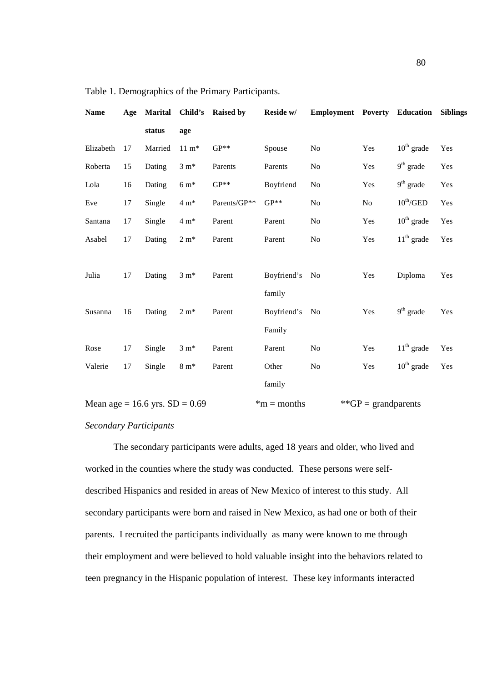| <b>Name</b>                      | Age | <b>Marital</b> |                  | Child's Raised by | Reside w/      | <b>Employment Poverty Education</b> |                        |                             | <b>Siblings</b> |
|----------------------------------|-----|----------------|------------------|-------------------|----------------|-------------------------------------|------------------------|-----------------------------|-----------------|
|                                  |     | status         | age              |                   |                |                                     |                        |                             |                 |
| Elizabeth                        | 17  | Married        | $11 \text{ m}^*$ | $GP**$            | Spouse         | No                                  | Yes                    | $10th$ grade                | Yes             |
| Roberta                          | 15  | Dating         | $3 \text{ m}^*$  | Parents           | Parents        | No                                  | Yes                    | $9th$ grade                 | Yes             |
| Lola                             | 16  | Dating         | $6 \text{ m}^*$  | $GP**$            | Boyfriend      | N <sub>o</sub>                      | Yes                    | $9th$ grade                 | Yes             |
| Eve                              | 17  | Single         | $4~\mathrm{m}^*$ | Parents/GP**      | $GP**$         | N <sub>o</sub>                      | $\rm No$               | $10^{\text{th}}/\text{GED}$ | Yes             |
| Santana                          | 17  | Single         | $4 \text{ m}^*$  | Parent            | Parent         | N <sub>o</sub>                      | Yes                    | $10th$ grade                | Yes             |
| Asabel                           | 17  | Dating         | $2 \text{ m}^*$  | Parent            | Parent         | No                                  | Yes                    | $11th$ grade                | Yes             |
|                                  |     |                |                  |                   |                |                                     |                        |                             |                 |
| Julia                            | 17  | Dating         | $3 m*$           | Parent            | Boyfriend's No |                                     | Yes                    | Diploma                     | Yes             |
|                                  |     |                |                  |                   | family         |                                     |                        |                             |                 |
| Susanna                          | 16  | Dating         | $2 \text{ m}^*$  | Parent            | Boyfriend's No |                                     | Yes                    | $9th$ grade                 | Yes             |
|                                  |     |                |                  |                   | Family         |                                     |                        |                             |                 |
| Rose                             | 17  | Single         | $3 \text{ m}^*$  | Parent            | Parent         | No                                  | Yes                    | $11th$ grade                | Yes             |
| Valerie                          | 17  | Single         | $8 \text{ m}^*$  | Parent            | Other          | No                                  | Yes                    | $10th$ grade                | Yes             |
|                                  |     |                |                  |                   | family         |                                     |                        |                             |                 |
| Mean age = 16.6 yrs. $SD = 0.69$ |     |                |                  |                   | $*m$ = months  |                                     | ** $GP =$ grandparents |                             |                 |

Table 1. Demographics of the Primary Participants.

# *Secondary Participants*

 The secondary participants were adults, aged 18 years and older, who lived and worked in the counties where the study was conducted. These persons were selfdescribed Hispanics and resided in areas of New Mexico of interest to this study. All secondary participants were born and raised in New Mexico, as had one or both of their parents. I recruited the participants individually as many were known to me through their employment and were believed to hold valuable insight into the behaviors related to teen pregnancy in the Hispanic population of interest. These key informants interacted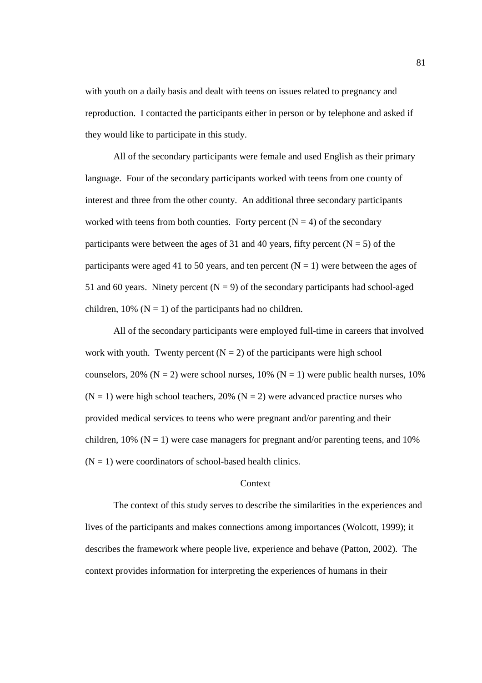with youth on a daily basis and dealt with teens on issues related to pregnancy and reproduction. I contacted the participants either in person or by telephone and asked if they would like to participate in this study.

All of the secondary participants were female and used English as their primary language. Four of the secondary participants worked with teens from one county of interest and three from the other county. An additional three secondary participants worked with teens from both counties. Forty percent  $(N = 4)$  of the secondary participants were between the ages of 31 and 40 years, fifty percent ( $N = 5$ ) of the participants were aged 41 to 50 years, and ten percent  $(N = 1)$  were between the ages of 51 and 60 years. Ninety percent  $(N = 9)$  of the secondary participants had school-aged children, 10% ( $N = 1$ ) of the participants had no children.

All of the secondary participants were employed full-time in careers that involved work with youth. Twenty percent  $(N = 2)$  of the participants were high school counselors, 20% ( $N = 2$ ) were school nurses, 10% ( $N = 1$ ) were public health nurses, 10%  $(N = 1)$  were high school teachers, 20%  $(N = 2)$  were advanced practice nurses who provided medical services to teens who were pregnant and/or parenting and their children, 10% ( $N = 1$ ) were case managers for pregnant and/or parenting teens, and 10%  $(N = 1)$  were coordinators of school-based health clinics.

#### **Context**

 The context of this study serves to describe the similarities in the experiences and lives of the participants and makes connections among importances (Wolcott, 1999); it describes the framework where people live, experience and behave (Patton, 2002). The context provides information for interpreting the experiences of humans in their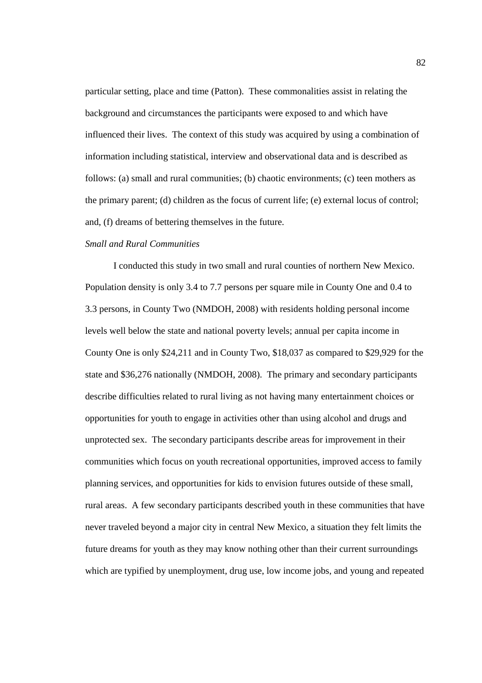particular setting, place and time (Patton). These commonalities assist in relating the background and circumstances the participants were exposed to and which have influenced their lives. The context of this study was acquired by using a combination of information including statistical, interview and observational data and is described as follows: (a) small and rural communities; (b) chaotic environments; (c) teen mothers as the primary parent; (d) children as the focus of current life; (e) external locus of control; and, (f) dreams of bettering themselves in the future.

# *Small and Rural Communities*

 I conducted this study in two small and rural counties of northern New Mexico. Population density is only 3.4 to 7.7 persons per square mile in County One and 0.4 to 3.3 persons, in County Two (NMDOH, 2008) with residents holding personal income levels well below the state and national poverty levels; annual per capita income in County One is only \$24,211 and in County Two, \$18,037 as compared to \$29,929 for the state and \$36,276 nationally (NMDOH, 2008). The primary and secondary participants describe difficulties related to rural living as not having many entertainment choices or opportunities for youth to engage in activities other than using alcohol and drugs and unprotected sex. The secondary participants describe areas for improvement in their communities which focus on youth recreational opportunities, improved access to family planning services, and opportunities for kids to envision futures outside of these small, rural areas. A few secondary participants described youth in these communities that have never traveled beyond a major city in central New Mexico, a situation they felt limits the future dreams for youth as they may know nothing other than their current surroundings which are typified by unemployment, drug use, low income jobs, and young and repeated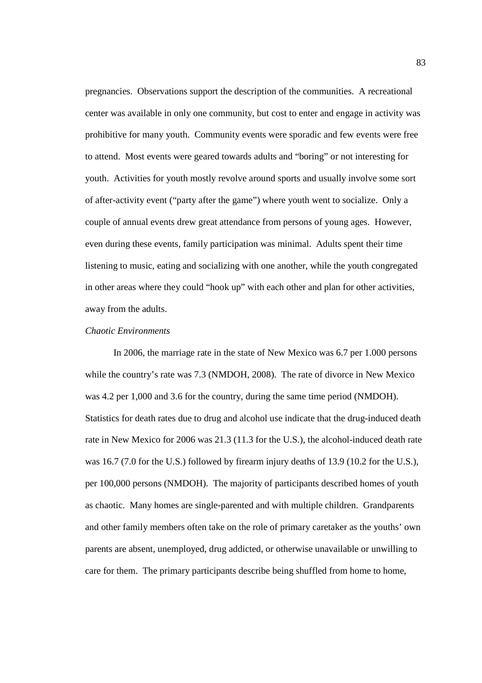pregnancies. Observations support the description of the communities. A recreational center was available in only one community, but cost to enter and engage in activity was prohibitive for many youth. Community events were sporadic and few events were free to attend. Most events were geared towards adults and "boring" or not interesting for youth. Activities for youth mostly revolve around sports and usually involve some sort of after-activity event ("party after the game") where youth went to socialize. Only a couple of annual events drew great attendance from persons of young ages. However, even during these events, family participation was minimal. Adults spent their time listening to music, eating and socializing with one another, while the youth congregated in other areas where they could "hook up" with each other and plan for other activities, away from the adults.

## *Chaotic Environments*

 In 2006, the marriage rate in the state of New Mexico was 6.7 per 1.000 persons while the country's rate was 7.3 (NMDOH, 2008). The rate of divorce in New Mexico was 4.2 per 1,000 and 3.6 for the country, during the same time period (NMDOH). Statistics for death rates due to drug and alcohol use indicate that the drug-induced death rate in New Mexico for 2006 was 21.3 (11.3 for the U.S.), the alcohol-induced death rate was 16.7 (7.0 for the U.S.) followed by firearm injury deaths of 13.9 (10.2 for the U.S.), per 100,000 persons (NMDOH). The majority of participants described homes of youth as chaotic. Many homes are single-parented and with multiple children. Grandparents and other family members often take on the role of primary caretaker as the youths' own parents are absent, unemployed, drug addicted, or otherwise unavailable or unwilling to care for them. The primary participants describe being shuffled from home to home,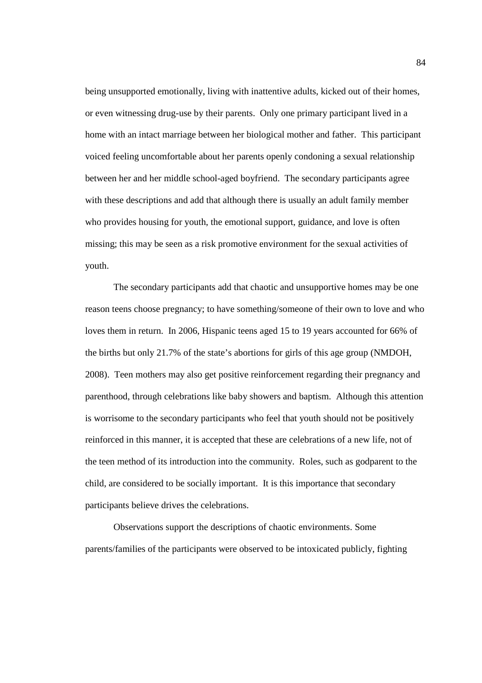being unsupported emotionally, living with inattentive adults, kicked out of their homes, or even witnessing drug-use by their parents. Only one primary participant lived in a home with an intact marriage between her biological mother and father. This participant voiced feeling uncomfortable about her parents openly condoning a sexual relationship between her and her middle school-aged boyfriend. The secondary participants agree with these descriptions and add that although there is usually an adult family member who provides housing for youth, the emotional support, guidance, and love is often missing; this may be seen as a risk promotive environment for the sexual activities of youth.

The secondary participants add that chaotic and unsupportive homes may be one reason teens choose pregnancy; to have something/someone of their own to love and who loves them in return. In 2006, Hispanic teens aged 15 to 19 years accounted for 66% of the births but only 21.7% of the state's abortions for girls of this age group (NMDOH, 2008). Teen mothers may also get positive reinforcement regarding their pregnancy and parenthood, through celebrations like baby showers and baptism. Although this attention is worrisome to the secondary participants who feel that youth should not be positively reinforced in this manner, it is accepted that these are celebrations of a new life, not of the teen method of its introduction into the community. Roles, such as godparent to the child, are considered to be socially important. It is this importance that secondary participants believe drives the celebrations.

Observations support the descriptions of chaotic environments. Some parents/families of the participants were observed to be intoxicated publicly, fighting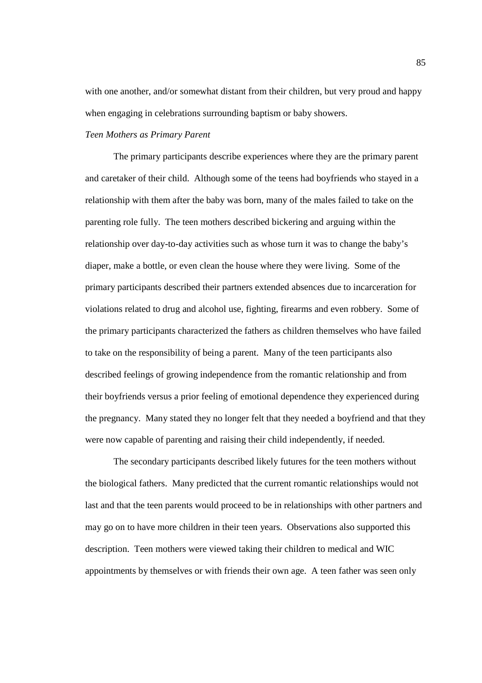with one another, and/or somewhat distant from their children, but very proud and happy when engaging in celebrations surrounding baptism or baby showers.

#### *Teen Mothers as Primary Parent*

 The primary participants describe experiences where they are the primary parent and caretaker of their child. Although some of the teens had boyfriends who stayed in a relationship with them after the baby was born, many of the males failed to take on the parenting role fully. The teen mothers described bickering and arguing within the relationship over day-to-day activities such as whose turn it was to change the baby's diaper, make a bottle, or even clean the house where they were living. Some of the primary participants described their partners extended absences due to incarceration for violations related to drug and alcohol use, fighting, firearms and even robbery. Some of the primary participants characterized the fathers as children themselves who have failed to take on the responsibility of being a parent. Many of the teen participants also described feelings of growing independence from the romantic relationship and from their boyfriends versus a prior feeling of emotional dependence they experienced during the pregnancy. Many stated they no longer felt that they needed a boyfriend and that they were now capable of parenting and raising their child independently, if needed.

The secondary participants described likely futures for the teen mothers without the biological fathers. Many predicted that the current romantic relationships would not last and that the teen parents would proceed to be in relationships with other partners and may go on to have more children in their teen years. Observations also supported this description. Teen mothers were viewed taking their children to medical and WIC appointments by themselves or with friends their own age. A teen father was seen only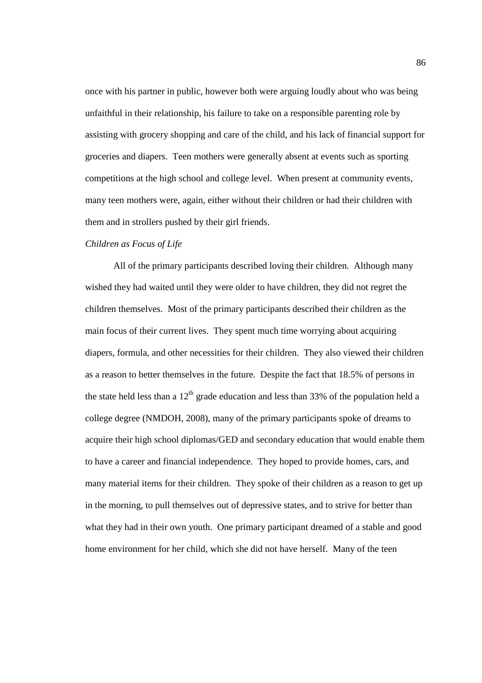once with his partner in public, however both were arguing loudly about who was being unfaithful in their relationship, his failure to take on a responsible parenting role by assisting with grocery shopping and care of the child, and his lack of financial support for groceries and diapers. Teen mothers were generally absent at events such as sporting competitions at the high school and college level. When present at community events, many teen mothers were, again, either without their children or had their children with them and in strollers pushed by their girl friends.

# *Children as Focus of Life*

All of the primary participants described loving their children. Although many wished they had waited until they were older to have children, they did not regret the children themselves. Most of the primary participants described their children as the main focus of their current lives. They spent much time worrying about acquiring diapers, formula, and other necessities for their children. They also viewed their children as a reason to better themselves in the future. Despite the fact that 18.5% of persons in the state held less than a  $12<sup>th</sup>$  grade education and less than 33% of the population held a college degree (NMDOH, 2008), many of the primary participants spoke of dreams to acquire their high school diplomas/GED and secondary education that would enable them to have a career and financial independence. They hoped to provide homes, cars, and many material items for their children. They spoke of their children as a reason to get up in the morning, to pull themselves out of depressive states, and to strive for better than what they had in their own youth. One primary participant dreamed of a stable and good home environment for her child, which she did not have herself. Many of the teen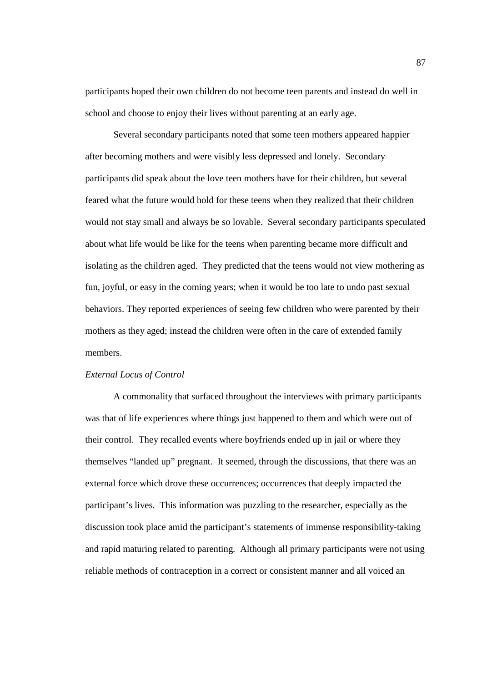participants hoped their own children do not become teen parents and instead do well in school and choose to enjoy their lives without parenting at an early age.

Several secondary participants noted that some teen mothers appeared happier after becoming mothers and were visibly less depressed and lonely. Secondary participants did speak about the love teen mothers have for their children, but several feared what the future would hold for these teens when they realized that their children would not stay small and always be so lovable. Several secondary participants speculated about what life would be like for the teens when parenting became more difficult and isolating as the children aged. They predicted that the teens would not view mothering as fun, joyful, or easy in the coming years; when it would be too late to undo past sexual behaviors. They reported experiences of seeing few children who were parented by their mothers as they aged; instead the children were often in the care of extended family members.

## *External Locus of Control*

 A commonality that surfaced throughout the interviews with primary participants was that of life experiences where things just happened to them and which were out of their control. They recalled events where boyfriends ended up in jail or where they themselves "landed up" pregnant. It seemed, through the discussions, that there was an external force which drove these occurrences; occurrences that deeply impacted the participant's lives. This information was puzzling to the researcher, especially as the discussion took place amid the participant's statements of immense responsibility-taking and rapid maturing related to parenting. Although all primary participants were not using reliable methods of contraception in a correct or consistent manner and all voiced an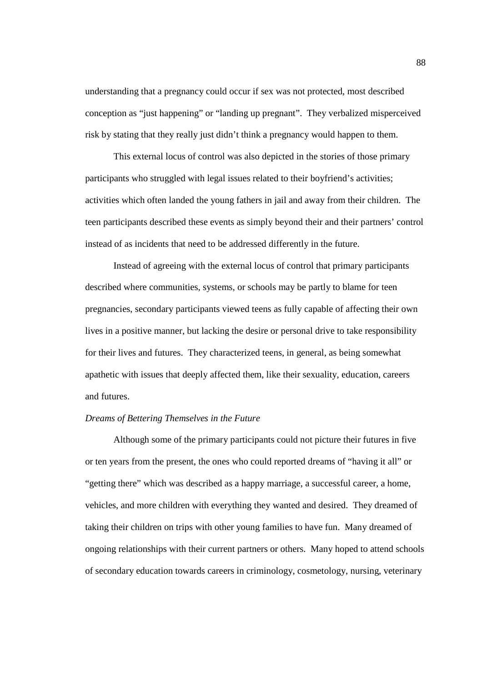understanding that a pregnancy could occur if sex was not protected, most described conception as "just happening" or "landing up pregnant". They verbalized misperceived risk by stating that they really just didn't think a pregnancy would happen to them.

This external locus of control was also depicted in the stories of those primary participants who struggled with legal issues related to their boyfriend's activities; activities which often landed the young fathers in jail and away from their children. The teen participants described these events as simply beyond their and their partners' control instead of as incidents that need to be addressed differently in the future.

Instead of agreeing with the external locus of control that primary participants described where communities, systems, or schools may be partly to blame for teen pregnancies, secondary participants viewed teens as fully capable of affecting their own lives in a positive manner, but lacking the desire or personal drive to take responsibility for their lives and futures. They characterized teens, in general, as being somewhat apathetic with issues that deeply affected them, like their sexuality, education, careers and futures.

#### *Dreams of Bettering Themselves in the Future*

 Although some of the primary participants could not picture their futures in five or ten years from the present, the ones who could reported dreams of "having it all" or "getting there" which was described as a happy marriage, a successful career, a home, vehicles, and more children with everything they wanted and desired. They dreamed of taking their children on trips with other young families to have fun. Many dreamed of ongoing relationships with their current partners or others. Many hoped to attend schools of secondary education towards careers in criminology, cosmetology, nursing, veterinary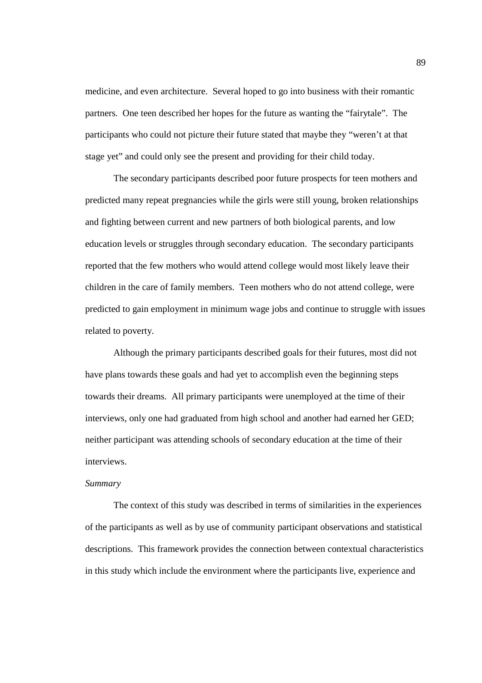medicine, and even architecture. Several hoped to go into business with their romantic partners. One teen described her hopes for the future as wanting the "fairytale". The participants who could not picture their future stated that maybe they "weren't at that stage yet" and could only see the present and providing for their child today.

The secondary participants described poor future prospects for teen mothers and predicted many repeat pregnancies while the girls were still young, broken relationships and fighting between current and new partners of both biological parents, and low education levels or struggles through secondary education. The secondary participants reported that the few mothers who would attend college would most likely leave their children in the care of family members. Teen mothers who do not attend college, were predicted to gain employment in minimum wage jobs and continue to struggle with issues related to poverty.

Although the primary participants described goals for their futures, most did not have plans towards these goals and had yet to accomplish even the beginning steps towards their dreams. All primary participants were unemployed at the time of their interviews, only one had graduated from high school and another had earned her GED; neither participant was attending schools of secondary education at the time of their interviews.

# *Summary*

The context of this study was described in terms of similarities in the experiences of the participants as well as by use of community participant observations and statistical descriptions. This framework provides the connection between contextual characteristics in this study which include the environment where the participants live, experience and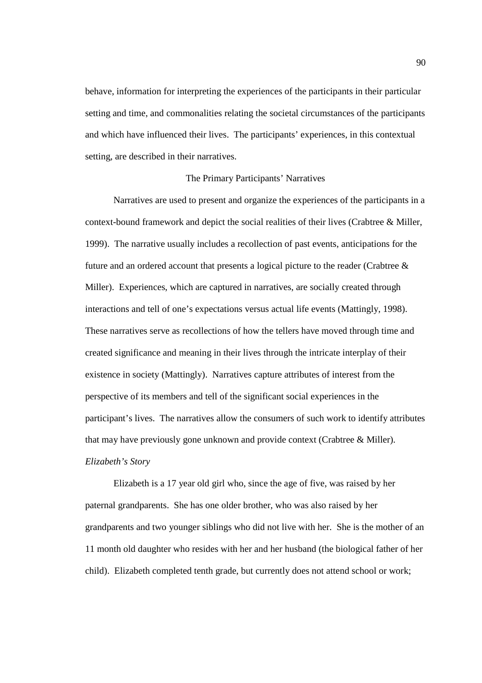behave, information for interpreting the experiences of the participants in their particular setting and time, and commonalities relating the societal circumstances of the participants and which have influenced their lives. The participants' experiences, in this contextual setting, are described in their narratives.

## The Primary Participants' Narratives

 Narratives are used to present and organize the experiences of the participants in a context-bound framework and depict the social realities of their lives (Crabtree & Miller, 1999). The narrative usually includes a recollection of past events, anticipations for the future and an ordered account that presents a logical picture to the reader (Crabtree  $\&$ Miller). Experiences, which are captured in narratives, are socially created through interactions and tell of one's expectations versus actual life events (Mattingly, 1998). These narratives serve as recollections of how the tellers have moved through time and created significance and meaning in their lives through the intricate interplay of their existence in society (Mattingly). Narratives capture attributes of interest from the perspective of its members and tell of the significant social experiences in the participant's lives. The narratives allow the consumers of such work to identify attributes that may have previously gone unknown and provide context (Crabtree & Miller). *Elizabeth's Story* 

Elizabeth is a 17 year old girl who, since the age of five, was raised by her paternal grandparents. She has one older brother, who was also raised by her grandparents and two younger siblings who did not live with her. She is the mother of an 11 month old daughter who resides with her and her husband (the biological father of her child). Elizabeth completed tenth grade, but currently does not attend school or work;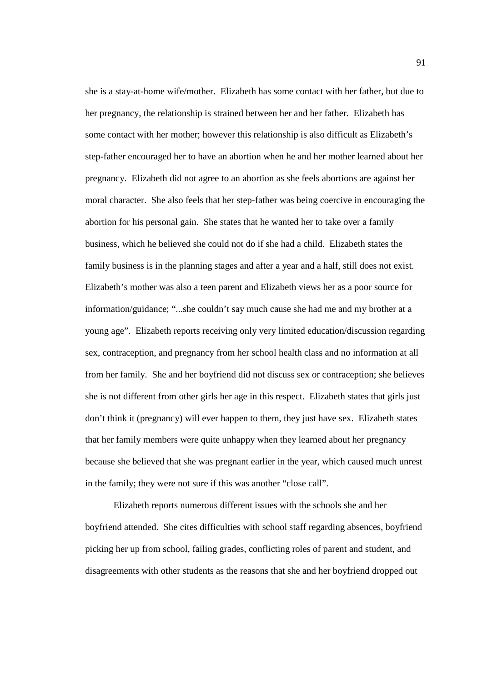she is a stay-at-home wife/mother. Elizabeth has some contact with her father, but due to her pregnancy, the relationship is strained between her and her father. Elizabeth has some contact with her mother; however this relationship is also difficult as Elizabeth's step-father encouraged her to have an abortion when he and her mother learned about her pregnancy. Elizabeth did not agree to an abortion as she feels abortions are against her moral character. She also feels that her step-father was being coercive in encouraging the abortion for his personal gain. She states that he wanted her to take over a family business, which he believed she could not do if she had a child. Elizabeth states the family business is in the planning stages and after a year and a half, still does not exist. Elizabeth's mother was also a teen parent and Elizabeth views her as a poor source for information/guidance; "...she couldn't say much cause she had me and my brother at a young age". Elizabeth reports receiving only very limited education/discussion regarding sex, contraception, and pregnancy from her school health class and no information at all from her family. She and her boyfriend did not discuss sex or contraception; she believes she is not different from other girls her age in this respect. Elizabeth states that girls just don't think it (pregnancy) will ever happen to them, they just have sex. Elizabeth states that her family members were quite unhappy when they learned about her pregnancy because she believed that she was pregnant earlier in the year, which caused much unrest in the family; they were not sure if this was another "close call".

 Elizabeth reports numerous different issues with the schools she and her boyfriend attended. She cites difficulties with school staff regarding absences, boyfriend picking her up from school, failing grades, conflicting roles of parent and student, and disagreements with other students as the reasons that she and her boyfriend dropped out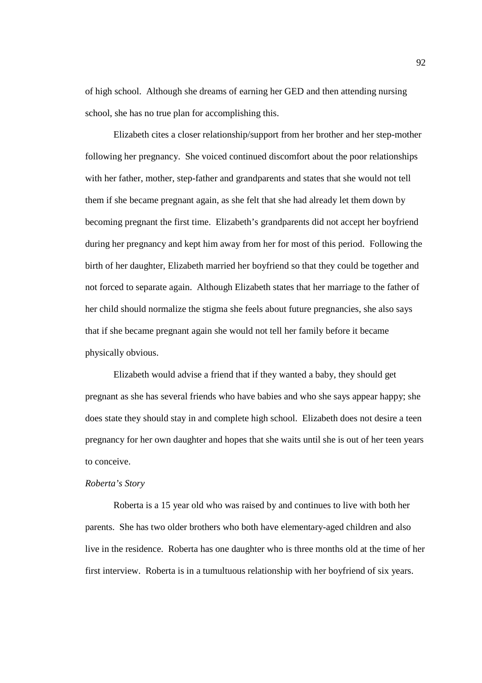of high school. Although she dreams of earning her GED and then attending nursing school, she has no true plan for accomplishing this.

Elizabeth cites a closer relationship/support from her brother and her step-mother following her pregnancy. She voiced continued discomfort about the poor relationships with her father, mother, step-father and grandparents and states that she would not tell them if she became pregnant again, as she felt that she had already let them down by becoming pregnant the first time. Elizabeth's grandparents did not accept her boyfriend during her pregnancy and kept him away from her for most of this period. Following the birth of her daughter, Elizabeth married her boyfriend so that they could be together and not forced to separate again. Although Elizabeth states that her marriage to the father of her child should normalize the stigma she feels about future pregnancies, she also says that if she became pregnant again she would not tell her family before it became physically obvious.

Elizabeth would advise a friend that if they wanted a baby, they should get pregnant as she has several friends who have babies and who she says appear happy; she does state they should stay in and complete high school. Elizabeth does not desire a teen pregnancy for her own daughter and hopes that she waits until she is out of her teen years to conceive.

# *Roberta's Story*

Roberta is a 15 year old who was raised by and continues to live with both her parents. She has two older brothers who both have elementary-aged children and also live in the residence. Roberta has one daughter who is three months old at the time of her first interview. Roberta is in a tumultuous relationship with her boyfriend of six years.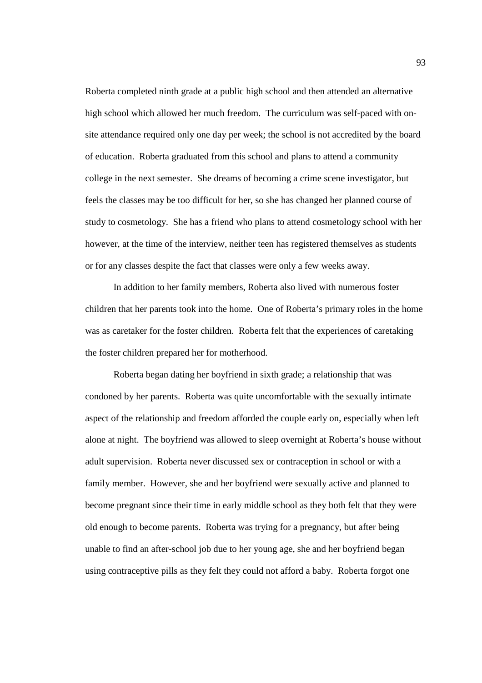Roberta completed ninth grade at a public high school and then attended an alternative high school which allowed her much freedom. The curriculum was self-paced with onsite attendance required only one day per week; the school is not accredited by the board of education. Roberta graduated from this school and plans to attend a community college in the next semester. She dreams of becoming a crime scene investigator, but feels the classes may be too difficult for her, so she has changed her planned course of study to cosmetology. She has a friend who plans to attend cosmetology school with her however, at the time of the interview, neither teen has registered themselves as students or for any classes despite the fact that classes were only a few weeks away.

 In addition to her family members, Roberta also lived with numerous foster children that her parents took into the home. One of Roberta's primary roles in the home was as caretaker for the foster children. Roberta felt that the experiences of caretaking the foster children prepared her for motherhood.

Roberta began dating her boyfriend in sixth grade; a relationship that was condoned by her parents. Roberta was quite uncomfortable with the sexually intimate aspect of the relationship and freedom afforded the couple early on, especially when left alone at night. The boyfriend was allowed to sleep overnight at Roberta's house without adult supervision. Roberta never discussed sex or contraception in school or with a family member. However, she and her boyfriend were sexually active and planned to become pregnant since their time in early middle school as they both felt that they were old enough to become parents. Roberta was trying for a pregnancy, but after being unable to find an after-school job due to her young age, she and her boyfriend began using contraceptive pills as they felt they could not afford a baby. Roberta forgot one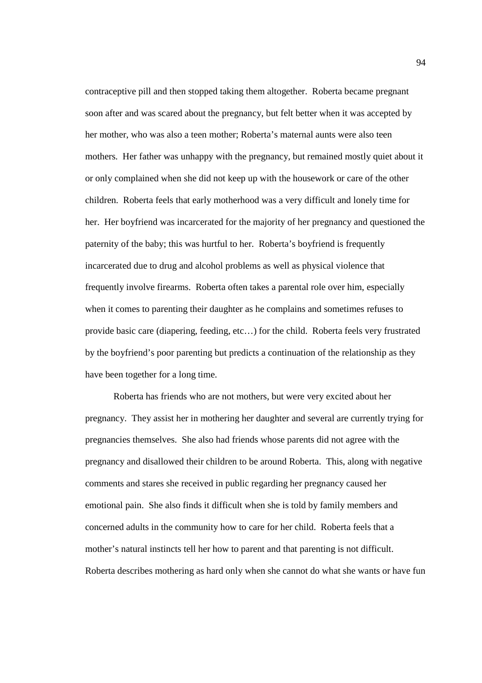contraceptive pill and then stopped taking them altogether. Roberta became pregnant soon after and was scared about the pregnancy, but felt better when it was accepted by her mother, who was also a teen mother; Roberta's maternal aunts were also teen mothers. Her father was unhappy with the pregnancy, but remained mostly quiet about it or only complained when she did not keep up with the housework or care of the other children. Roberta feels that early motherhood was a very difficult and lonely time for her. Her boyfriend was incarcerated for the majority of her pregnancy and questioned the paternity of the baby; this was hurtful to her. Roberta's boyfriend is frequently incarcerated due to drug and alcohol problems as well as physical violence that frequently involve firearms. Roberta often takes a parental role over him, especially when it comes to parenting their daughter as he complains and sometimes refuses to provide basic care (diapering, feeding, etc…) for the child. Roberta feels very frustrated by the boyfriend's poor parenting but predicts a continuation of the relationship as they have been together for a long time.

Roberta has friends who are not mothers, but were very excited about her pregnancy. They assist her in mothering her daughter and several are currently trying for pregnancies themselves. She also had friends whose parents did not agree with the pregnancy and disallowed their children to be around Roberta. This, along with negative comments and stares she received in public regarding her pregnancy caused her emotional pain. She also finds it difficult when she is told by family members and concerned adults in the community how to care for her child. Roberta feels that a mother's natural instincts tell her how to parent and that parenting is not difficult. Roberta describes mothering as hard only when she cannot do what she wants or have fun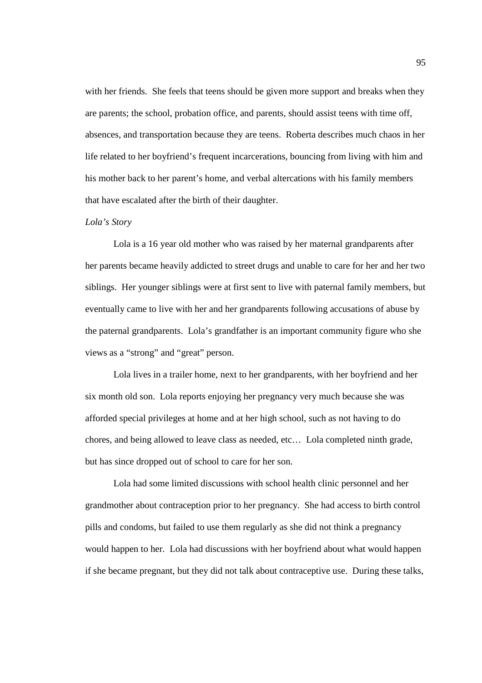with her friends. She feels that teens should be given more support and breaks when they are parents; the school, probation office, and parents, should assist teens with time off, absences, and transportation because they are teens. Roberta describes much chaos in her life related to her boyfriend's frequent incarcerations, bouncing from living with him and his mother back to her parent's home, and verbal altercations with his family members that have escalated after the birth of their daughter.

## *Lola's Story*

 Lola is a 16 year old mother who was raised by her maternal grandparents after her parents became heavily addicted to street drugs and unable to care for her and her two siblings. Her younger siblings were at first sent to live with paternal family members, but eventually came to live with her and her grandparents following accusations of abuse by the paternal grandparents. Lola's grandfather is an important community figure who she views as a "strong" and "great" person.

Lola lives in a trailer home, next to her grandparents, with her boyfriend and her six month old son. Lola reports enjoying her pregnancy very much because she was afforded special privileges at home and at her high school, such as not having to do chores, and being allowed to leave class as needed, etc… Lola completed ninth grade, but has since dropped out of school to care for her son.

Lola had some limited discussions with school health clinic personnel and her grandmother about contraception prior to her pregnancy. She had access to birth control pills and condoms, but failed to use them regularly as she did not think a pregnancy would happen to her. Lola had discussions with her boyfriend about what would happen if she became pregnant, but they did not talk about contraceptive use. During these talks,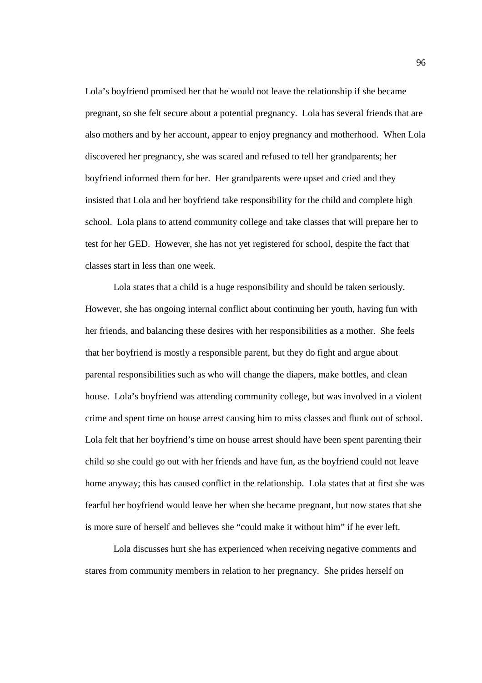Lola's boyfriend promised her that he would not leave the relationship if she became pregnant, so she felt secure about a potential pregnancy. Lola has several friends that are also mothers and by her account, appear to enjoy pregnancy and motherhood. When Lola discovered her pregnancy, she was scared and refused to tell her grandparents; her boyfriend informed them for her. Her grandparents were upset and cried and they insisted that Lola and her boyfriend take responsibility for the child and complete high school. Lola plans to attend community college and take classes that will prepare her to test for her GED. However, she has not yet registered for school, despite the fact that classes start in less than one week.

Lola states that a child is a huge responsibility and should be taken seriously. However, she has ongoing internal conflict about continuing her youth, having fun with her friends, and balancing these desires with her responsibilities as a mother. She feels that her boyfriend is mostly a responsible parent, but they do fight and argue about parental responsibilities such as who will change the diapers, make bottles, and clean house. Lola's boyfriend was attending community college, but was involved in a violent crime and spent time on house arrest causing him to miss classes and flunk out of school. Lola felt that her boyfriend's time on house arrest should have been spent parenting their child so she could go out with her friends and have fun, as the boyfriend could not leave home anyway; this has caused conflict in the relationship. Lola states that at first she was fearful her boyfriend would leave her when she became pregnant, but now states that she is more sure of herself and believes she "could make it without him" if he ever left.

Lola discusses hurt she has experienced when receiving negative comments and stares from community members in relation to her pregnancy. She prides herself on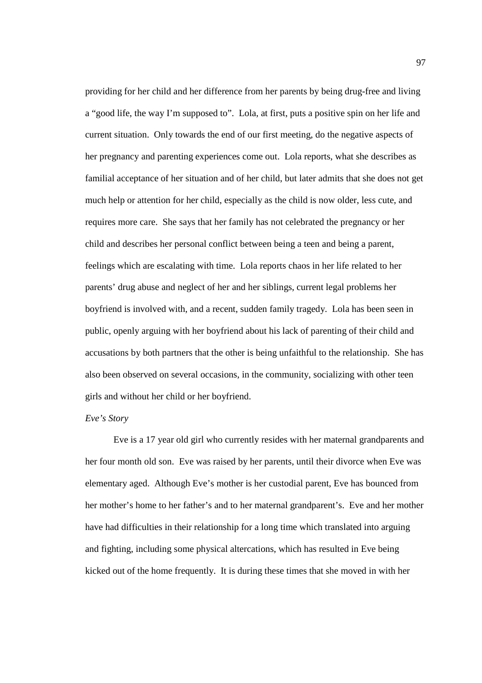providing for her child and her difference from her parents by being drug-free and living a "good life, the way I'm supposed to". Lola, at first, puts a positive spin on her life and current situation. Only towards the end of our first meeting, do the negative aspects of her pregnancy and parenting experiences come out. Lola reports, what she describes as familial acceptance of her situation and of her child, but later admits that she does not get much help or attention for her child, especially as the child is now older, less cute, and requires more care. She says that her family has not celebrated the pregnancy or her child and describes her personal conflict between being a teen and being a parent, feelings which are escalating with time. Lola reports chaos in her life related to her parents' drug abuse and neglect of her and her siblings, current legal problems her boyfriend is involved with, and a recent, sudden family tragedy. Lola has been seen in public, openly arguing with her boyfriend about his lack of parenting of their child and accusations by both partners that the other is being unfaithful to the relationship. She has also been observed on several occasions, in the community, socializing with other teen girls and without her child or her boyfriend.

# *Eve's Story*

Eve is a 17 year old girl who currently resides with her maternal grandparents and her four month old son. Eve was raised by her parents, until their divorce when Eve was elementary aged. Although Eve's mother is her custodial parent, Eve has bounced from her mother's home to her father's and to her maternal grandparent's. Eve and her mother have had difficulties in their relationship for a long time which translated into arguing and fighting, including some physical altercations, which has resulted in Eve being kicked out of the home frequently. It is during these times that she moved in with her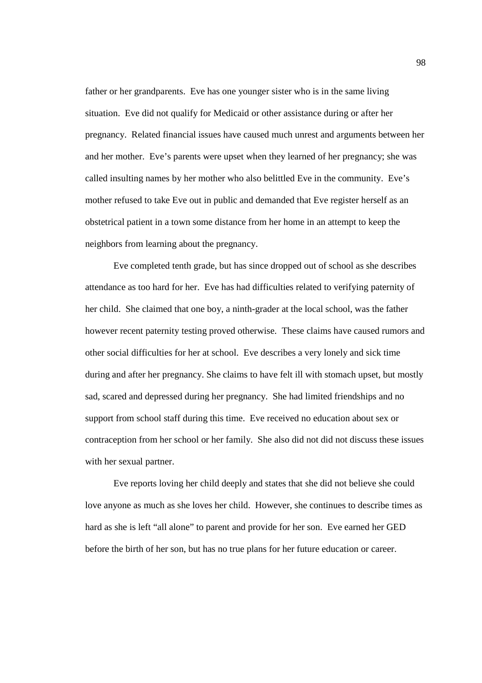father or her grandparents. Eve has one younger sister who is in the same living situation. Eve did not qualify for Medicaid or other assistance during or after her pregnancy. Related financial issues have caused much unrest and arguments between her and her mother. Eve's parents were upset when they learned of her pregnancy; she was called insulting names by her mother who also belittled Eve in the community. Eve's mother refused to take Eve out in public and demanded that Eve register herself as an obstetrical patient in a town some distance from her home in an attempt to keep the neighbors from learning about the pregnancy.

Eve completed tenth grade, but has since dropped out of school as she describes attendance as too hard for her. Eve has had difficulties related to verifying paternity of her child. She claimed that one boy, a ninth-grader at the local school, was the father however recent paternity testing proved otherwise. These claims have caused rumors and other social difficulties for her at school. Eve describes a very lonely and sick time during and after her pregnancy. She claims to have felt ill with stomach upset, but mostly sad, scared and depressed during her pregnancy. She had limited friendships and no support from school staff during this time. Eve received no education about sex or contraception from her school or her family. She also did not did not discuss these issues with her sexual partner.

Eve reports loving her child deeply and states that she did not believe she could love anyone as much as she loves her child. However, she continues to describe times as hard as she is left "all alone" to parent and provide for her son. Eve earned her GED before the birth of her son, but has no true plans for her future education or career.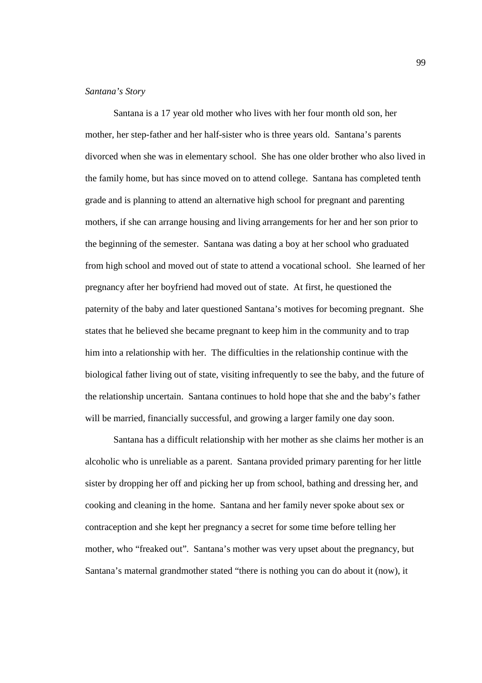### *Santana's Story*

Santana is a 17 year old mother who lives with her four month old son, her mother, her step-father and her half-sister who is three years old. Santana's parents divorced when she was in elementary school. She has one older brother who also lived in the family home, but has since moved on to attend college. Santana has completed tenth grade and is planning to attend an alternative high school for pregnant and parenting mothers, if she can arrange housing and living arrangements for her and her son prior to the beginning of the semester. Santana was dating a boy at her school who graduated from high school and moved out of state to attend a vocational school. She learned of her pregnancy after her boyfriend had moved out of state. At first, he questioned the paternity of the baby and later questioned Santana's motives for becoming pregnant. She states that he believed she became pregnant to keep him in the community and to trap him into a relationship with her. The difficulties in the relationship continue with the biological father living out of state, visiting infrequently to see the baby, and the future of the relationship uncertain. Santana continues to hold hope that she and the baby's father will be married, financially successful, and growing a larger family one day soon.

Santana has a difficult relationship with her mother as she claims her mother is an alcoholic who is unreliable as a parent. Santana provided primary parenting for her little sister by dropping her off and picking her up from school, bathing and dressing her, and cooking and cleaning in the home. Santana and her family never spoke about sex or contraception and she kept her pregnancy a secret for some time before telling her mother, who "freaked out". Santana's mother was very upset about the pregnancy, but Santana's maternal grandmother stated "there is nothing you can do about it (now), it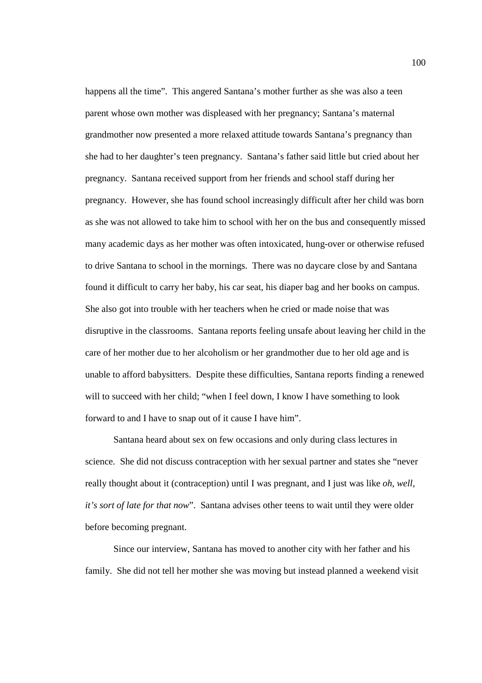happens all the time". This angered Santana's mother further as she was also a teen parent whose own mother was displeased with her pregnancy; Santana's maternal grandmother now presented a more relaxed attitude towards Santana's pregnancy than she had to her daughter's teen pregnancy. Santana's father said little but cried about her pregnancy. Santana received support from her friends and school staff during her pregnancy. However, she has found school increasingly difficult after her child was born as she was not allowed to take him to school with her on the bus and consequently missed many academic days as her mother was often intoxicated, hung-over or otherwise refused to drive Santana to school in the mornings. There was no daycare close by and Santana found it difficult to carry her baby, his car seat, his diaper bag and her books on campus. She also got into trouble with her teachers when he cried or made noise that was disruptive in the classrooms. Santana reports feeling unsafe about leaving her child in the care of her mother due to her alcoholism or her grandmother due to her old age and is unable to afford babysitters. Despite these difficulties, Santana reports finding a renewed will to succeed with her child; "when I feel down, I know I have something to look forward to and I have to snap out of it cause I have him".

Santana heard about sex on few occasions and only during class lectures in science. She did not discuss contraception with her sexual partner and states she "never really thought about it (contraception) until I was pregnant, and I just was like *oh, well, it's sort of late for that now*". Santana advises other teens to wait until they were older before becoming pregnant.

Since our interview, Santana has moved to another city with her father and his family. She did not tell her mother she was moving but instead planned a weekend visit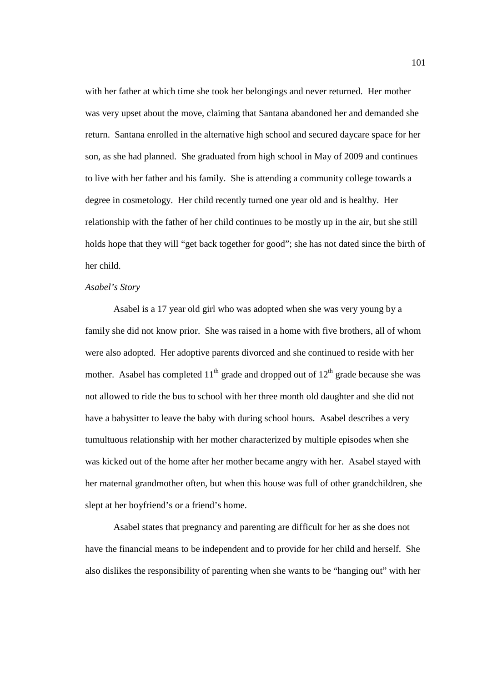with her father at which time she took her belongings and never returned. Her mother was very upset about the move, claiming that Santana abandoned her and demanded she return. Santana enrolled in the alternative high school and secured daycare space for her son, as she had planned. She graduated from high school in May of 2009 and continues to live with her father and his family. She is attending a community college towards a degree in cosmetology. Her child recently turned one year old and is healthy. Her relationship with the father of her child continues to be mostly up in the air, but she still holds hope that they will "get back together for good"; she has not dated since the birth of her child.

# *Asabel's Story*

Asabel is a 17 year old girl who was adopted when she was very young by a family she did not know prior. She was raised in a home with five brothers, all of whom were also adopted. Her adoptive parents divorced and she continued to reside with her mother. Asabel has completed  $11<sup>th</sup>$  grade and dropped out of  $12<sup>th</sup>$  grade because she was not allowed to ride the bus to school with her three month old daughter and she did not have a babysitter to leave the baby with during school hours. Asabel describes a very tumultuous relationship with her mother characterized by multiple episodes when she was kicked out of the home after her mother became angry with her. Asabel stayed with her maternal grandmother often, but when this house was full of other grandchildren, she slept at her boyfriend's or a friend's home.

Asabel states that pregnancy and parenting are difficult for her as she does not have the financial means to be independent and to provide for her child and herself. She also dislikes the responsibility of parenting when she wants to be "hanging out" with her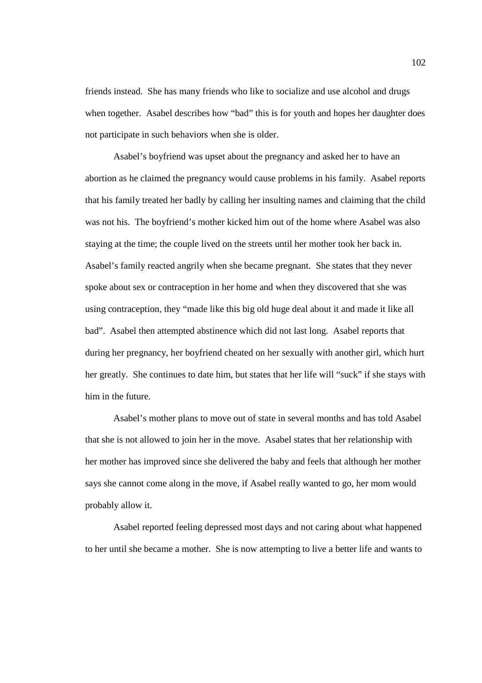friends instead. She has many friends who like to socialize and use alcohol and drugs when together. Asabel describes how "bad" this is for youth and hopes her daughter does not participate in such behaviors when she is older.

Asabel's boyfriend was upset about the pregnancy and asked her to have an abortion as he claimed the pregnancy would cause problems in his family. Asabel reports that his family treated her badly by calling her insulting names and claiming that the child was not his. The boyfriend's mother kicked him out of the home where Asabel was also staying at the time; the couple lived on the streets until her mother took her back in. Asabel's family reacted angrily when she became pregnant. She states that they never spoke about sex or contraception in her home and when they discovered that she was using contraception, they "made like this big old huge deal about it and made it like all bad". Asabel then attempted abstinence which did not last long. Asabel reports that during her pregnancy, her boyfriend cheated on her sexually with another girl, which hurt her greatly. She continues to date him, but states that her life will "suck" if she stays with him in the future.

Asabel's mother plans to move out of state in several months and has told Asabel that she is not allowed to join her in the move. Asabel states that her relationship with her mother has improved since she delivered the baby and feels that although her mother says she cannot come along in the move, if Asabel really wanted to go, her mom would probably allow it.

Asabel reported feeling depressed most days and not caring about what happened to her until she became a mother. She is now attempting to live a better life and wants to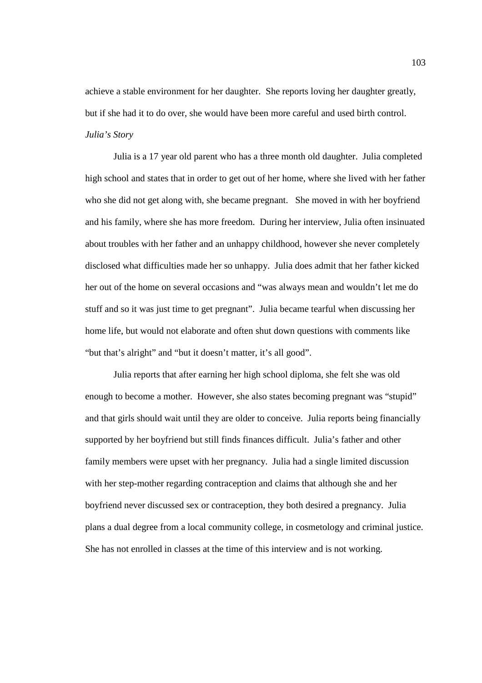achieve a stable environment for her daughter. She reports loving her daughter greatly, but if she had it to do over, she would have been more careful and used birth control. *Julia's Story* 

 Julia is a 17 year old parent who has a three month old daughter. Julia completed high school and states that in order to get out of her home, where she lived with her father who she did not get along with, she became pregnant. She moved in with her boyfriend and his family, where she has more freedom. During her interview, Julia often insinuated about troubles with her father and an unhappy childhood, however she never completely disclosed what difficulties made her so unhappy. Julia does admit that her father kicked her out of the home on several occasions and "was always mean and wouldn't let me do stuff and so it was just time to get pregnant". Julia became tearful when discussing her home life, but would not elaborate and often shut down questions with comments like "but that's alright" and "but it doesn't matter, it's all good".

Julia reports that after earning her high school diploma, she felt she was old enough to become a mother. However, she also states becoming pregnant was "stupid" and that girls should wait until they are older to conceive. Julia reports being financially supported by her boyfriend but still finds finances difficult. Julia's father and other family members were upset with her pregnancy. Julia had a single limited discussion with her step-mother regarding contraception and claims that although she and her boyfriend never discussed sex or contraception, they both desired a pregnancy. Julia plans a dual degree from a local community college, in cosmetology and criminal justice. She has not enrolled in classes at the time of this interview and is not working.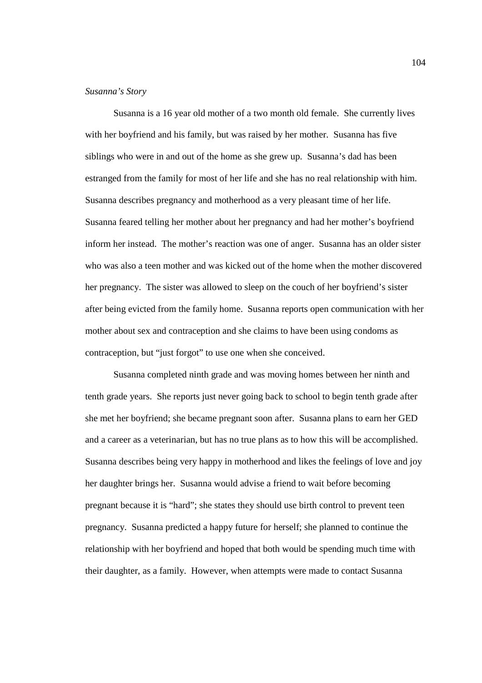## *Susanna's Story*

 Susanna is a 16 year old mother of a two month old female. She currently lives with her boyfriend and his family, but was raised by her mother. Susanna has five siblings who were in and out of the home as she grew up. Susanna's dad has been estranged from the family for most of her life and she has no real relationship with him. Susanna describes pregnancy and motherhood as a very pleasant time of her life. Susanna feared telling her mother about her pregnancy and had her mother's boyfriend inform her instead. The mother's reaction was one of anger. Susanna has an older sister who was also a teen mother and was kicked out of the home when the mother discovered her pregnancy. The sister was allowed to sleep on the couch of her boyfriend's sister after being evicted from the family home. Susanna reports open communication with her mother about sex and contraception and she claims to have been using condoms as contraception, but "just forgot" to use one when she conceived.

Susanna completed ninth grade and was moving homes between her ninth and tenth grade years. She reports just never going back to school to begin tenth grade after she met her boyfriend; she became pregnant soon after. Susanna plans to earn her GED and a career as a veterinarian, but has no true plans as to how this will be accomplished. Susanna describes being very happy in motherhood and likes the feelings of love and joy her daughter brings her. Susanna would advise a friend to wait before becoming pregnant because it is "hard"; she states they should use birth control to prevent teen pregnancy. Susanna predicted a happy future for herself; she planned to continue the relationship with her boyfriend and hoped that both would be spending much time with their daughter, as a family. However, when attempts were made to contact Susanna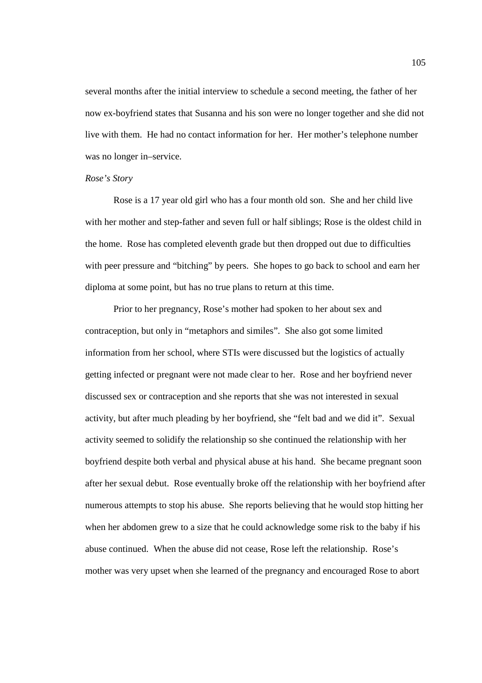several months after the initial interview to schedule a second meeting, the father of her now ex-boyfriend states that Susanna and his son were no longer together and she did not live with them. He had no contact information for her. Her mother's telephone number was no longer in–service.

## *Rose's Story*

Rose is a 17 year old girl who has a four month old son. She and her child live with her mother and step-father and seven full or half siblings; Rose is the oldest child in the home. Rose has completed eleventh grade but then dropped out due to difficulties with peer pressure and "bitching" by peers. She hopes to go back to school and earn her diploma at some point, but has no true plans to return at this time.

Prior to her pregnancy, Rose's mother had spoken to her about sex and contraception, but only in "metaphors and similes". She also got some limited information from her school, where STIs were discussed but the logistics of actually getting infected or pregnant were not made clear to her. Rose and her boyfriend never discussed sex or contraception and she reports that she was not interested in sexual activity, but after much pleading by her boyfriend, she "felt bad and we did it". Sexual activity seemed to solidify the relationship so she continued the relationship with her boyfriend despite both verbal and physical abuse at his hand. She became pregnant soon after her sexual debut. Rose eventually broke off the relationship with her boyfriend after numerous attempts to stop his abuse. She reports believing that he would stop hitting her when her abdomen grew to a size that he could acknowledge some risk to the baby if his abuse continued. When the abuse did not cease, Rose left the relationship. Rose's mother was very upset when she learned of the pregnancy and encouraged Rose to abort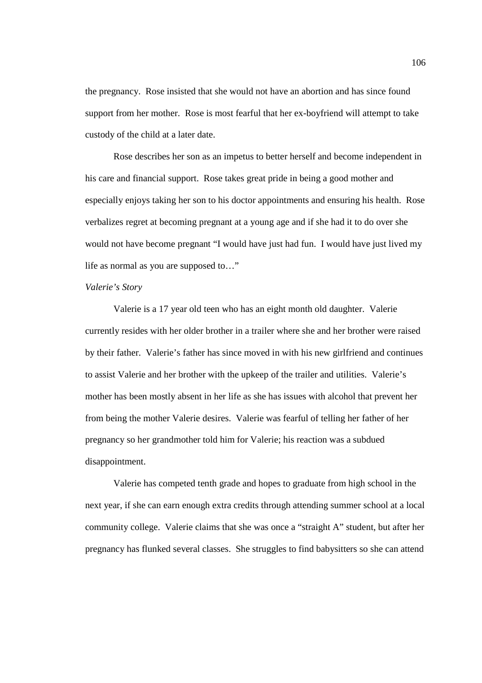the pregnancy. Rose insisted that she would not have an abortion and has since found support from her mother. Rose is most fearful that her ex-boyfriend will attempt to take custody of the child at a later date.

Rose describes her son as an impetus to better herself and become independent in his care and financial support. Rose takes great pride in being a good mother and especially enjoys taking her son to his doctor appointments and ensuring his health. Rose verbalizes regret at becoming pregnant at a young age and if she had it to do over she would not have become pregnant "I would have just had fun. I would have just lived my life as normal as you are supposed to…"

# *Valerie's Story*

 Valerie is a 17 year old teen who has an eight month old daughter. Valerie currently resides with her older brother in a trailer where she and her brother were raised by their father. Valerie's father has since moved in with his new girlfriend and continues to assist Valerie and her brother with the upkeep of the trailer and utilities. Valerie's mother has been mostly absent in her life as she has issues with alcohol that prevent her from being the mother Valerie desires. Valerie was fearful of telling her father of her pregnancy so her grandmother told him for Valerie; his reaction was a subdued disappointment.

Valerie has competed tenth grade and hopes to graduate from high school in the next year, if she can earn enough extra credits through attending summer school at a local community college. Valerie claims that she was once a "straight A" student, but after her pregnancy has flunked several classes. She struggles to find babysitters so she can attend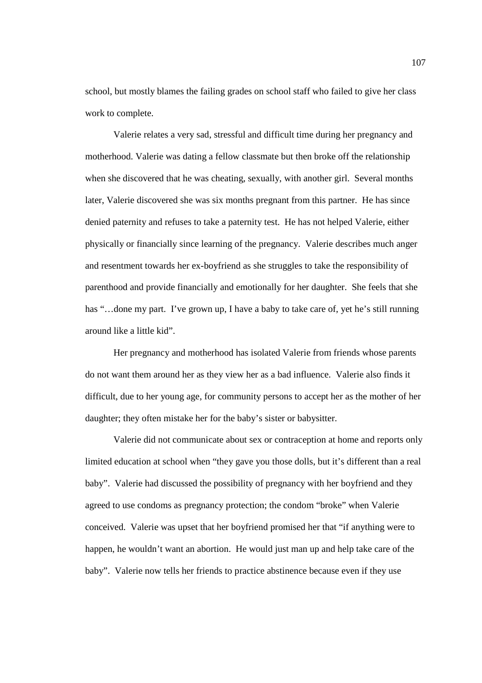school, but mostly blames the failing grades on school staff who failed to give her class work to complete.

Valerie relates a very sad, stressful and difficult time during her pregnancy and motherhood. Valerie was dating a fellow classmate but then broke off the relationship when she discovered that he was cheating, sexually, with another girl. Several months later, Valerie discovered she was six months pregnant from this partner. He has since denied paternity and refuses to take a paternity test. He has not helped Valerie, either physically or financially since learning of the pregnancy. Valerie describes much anger and resentment towards her ex-boyfriend as she struggles to take the responsibility of parenthood and provide financially and emotionally for her daughter. She feels that she has "...done my part. I've grown up, I have a baby to take care of, yet he's still running around like a little kid".

Her pregnancy and motherhood has isolated Valerie from friends whose parents do not want them around her as they view her as a bad influence. Valerie also finds it difficult, due to her young age, for community persons to accept her as the mother of her daughter; they often mistake her for the baby's sister or babysitter.

Valerie did not communicate about sex or contraception at home and reports only limited education at school when "they gave you those dolls, but it's different than a real baby". Valerie had discussed the possibility of pregnancy with her boyfriend and they agreed to use condoms as pregnancy protection; the condom "broke" when Valerie conceived. Valerie was upset that her boyfriend promised her that "if anything were to happen, he wouldn't want an abortion. He would just man up and help take care of the baby". Valerie now tells her friends to practice abstinence because even if they use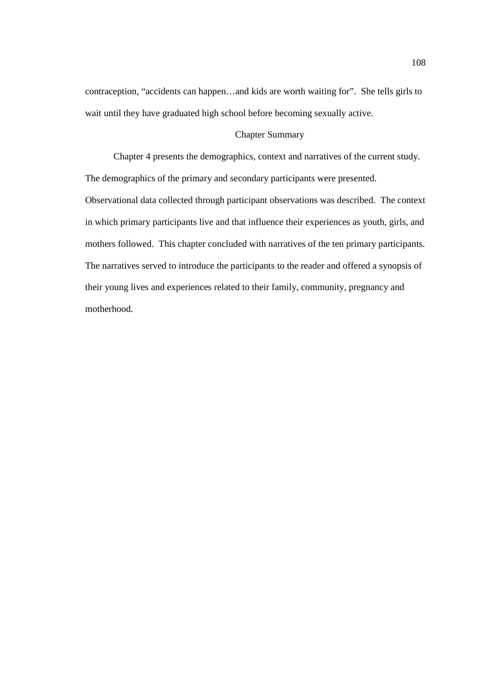contraception, "accidents can happen…and kids are worth waiting for". She tells girls to wait until they have graduated high school before becoming sexually active.

# Chapter Summary

Chapter 4 presents the demographics, context and narratives of the current study. The demographics of the primary and secondary participants were presented. Observational data collected through participant observations was described. The context in which primary participants live and that influence their experiences as youth, girls, and mothers followed. This chapter concluded with narratives of the ten primary participants. The narratives served to introduce the participants to the reader and offered a synopsis of their young lives and experiences related to their family, community, pregnancy and motherhood.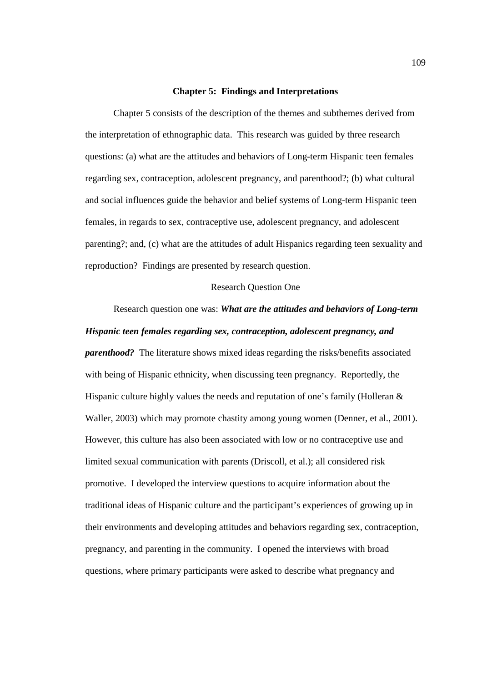## **Chapter 5: Findings and Interpretations**

Chapter 5 consists of the description of the themes and subthemes derived from the interpretation of ethnographic data. This research was guided by three research questions: (a) what are the attitudes and behaviors of Long-term Hispanic teen females regarding sex, contraception, adolescent pregnancy, and parenthood?; (b) what cultural and social influences guide the behavior and belief systems of Long-term Hispanic teen females, in regards to sex, contraceptive use, adolescent pregnancy, and adolescent parenting?; and, (c) what are the attitudes of adult Hispanics regarding teen sexuality and reproduction? Findings are presented by research question.

# Research Question One

# Research question one was: *What are the attitudes and behaviors of Long-term Hispanic teen females regarding sex, contraception, adolescent pregnancy, and*

*parenthood?* The literature shows mixed ideas regarding the risks/benefits associated with being of Hispanic ethnicity, when discussing teen pregnancy. Reportedly, the Hispanic culture highly values the needs and reputation of one's family (Holleran & Waller, 2003) which may promote chastity among young women (Denner, et al., 2001). However, this culture has also been associated with low or no contraceptive use and limited sexual communication with parents (Driscoll, et al.); all considered risk promotive. I developed the interview questions to acquire information about the traditional ideas of Hispanic culture and the participant's experiences of growing up in their environments and developing attitudes and behaviors regarding sex, contraception, pregnancy, and parenting in the community. I opened the interviews with broad questions, where primary participants were asked to describe what pregnancy and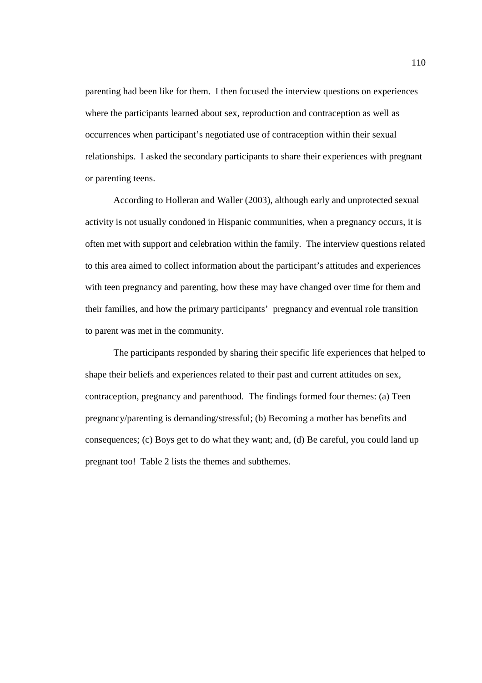parenting had been like for them. I then focused the interview questions on experiences where the participants learned about sex, reproduction and contraception as well as occurrences when participant's negotiated use of contraception within their sexual relationships. I asked the secondary participants to share their experiences with pregnant or parenting teens.

According to Holleran and Waller (2003), although early and unprotected sexual activity is not usually condoned in Hispanic communities, when a pregnancy occurs, it is often met with support and celebration within the family. The interview questions related to this area aimed to collect information about the participant's attitudes and experiences with teen pregnancy and parenting, how these may have changed over time for them and their families, and how the primary participants' pregnancy and eventual role transition to parent was met in the community.

The participants responded by sharing their specific life experiences that helped to shape their beliefs and experiences related to their past and current attitudes on sex, contraception, pregnancy and parenthood. The findings formed four themes: (a) Teen pregnancy/parenting is demanding/stressful; (b) Becoming a mother has benefits and consequences; (c) Boys get to do what they want; and, (d) Be careful, you could land up pregnant too! Table 2 lists the themes and subthemes.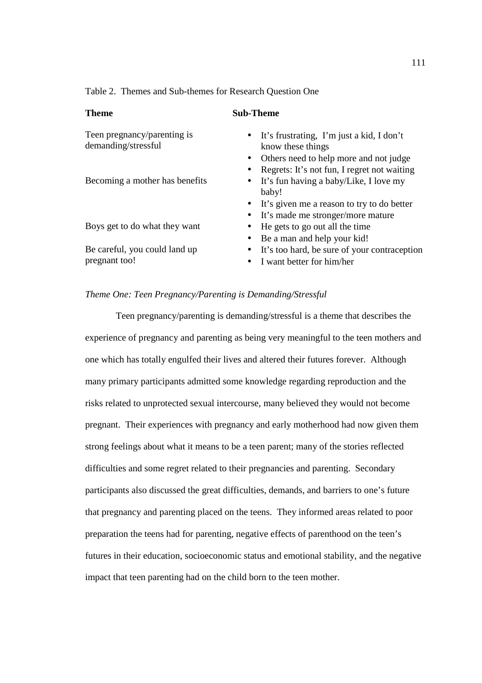Table 2. Themes and Sub-themes for Research Question One

| <b>Theme</b>                                       | <b>Sub-Theme</b>                                                                                          |
|----------------------------------------------------|-----------------------------------------------------------------------------------------------------------|
| Teen pregnancy/parenting is<br>demanding/stressful | It's frustrating, I'm just a kid, I don't<br>$\bullet$<br>know these things                               |
|                                                    | Others need to help more and not judge<br>Regrets: It's not fun, I regret not waiting<br>$\bullet$        |
| Becoming a mother has benefits                     | It's fun having a baby/Like, I love my<br>baby!                                                           |
|                                                    | It's given me a reason to try to do better<br>$\bullet$<br>It's made me stronger/more mature<br>$\bullet$ |
| Boys get to do what they want                      | He gets to go out all the time<br>$\bullet$<br>Be a man and help your kid!                                |
| Be careful, you could land up<br>pregnant too!     | It's too hard, be sure of your contraception<br>$\bullet$<br>I want better for him/her<br>$\bullet$       |
|                                                    |                                                                                                           |

# *Theme One: Teen Pregnancy/Parenting is Demanding/Stressful*

 Teen pregnancy/parenting is demanding/stressful is a theme that describes the experience of pregnancy and parenting as being very meaningful to the teen mothers and one which has totally engulfed their lives and altered their futures forever. Although many primary participants admitted some knowledge regarding reproduction and the risks related to unprotected sexual intercourse, many believed they would not become pregnant. Their experiences with pregnancy and early motherhood had now given them strong feelings about what it means to be a teen parent; many of the stories reflected difficulties and some regret related to their pregnancies and parenting. Secondary participants also discussed the great difficulties, demands, and barriers to one's future that pregnancy and parenting placed on the teens. They informed areas related to poor preparation the teens had for parenting, negative effects of parenthood on the teen's futures in their education, socioeconomic status and emotional stability, and the negative impact that teen parenting had on the child born to the teen mother.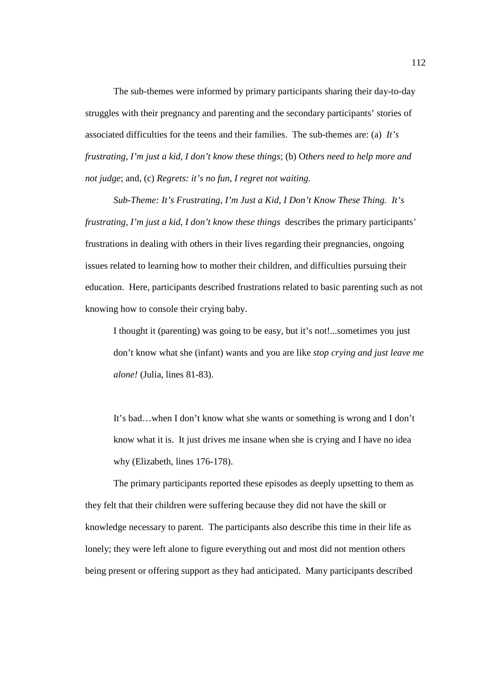The sub-themes were informed by primary participants sharing their day-to-day struggles with their pregnancy and parenting and the secondary participants' stories of associated difficulties for the teens and their families. The sub-themes are: (a) *It's frustrating, I'm just a kid, I don't know these things*; (b) O*thers need to help more and not judge*; and, (c) *Regrets: it's no fun, I regret not waiting.* 

*Sub-Theme: It's Frustrating, I'm Just a Kid, I Don't Know These Thing. It's frustrating, I'm just a kid, I don't know these things* describes the primary participants' frustrations in dealing with others in their lives regarding their pregnancies, ongoing issues related to learning how to mother their children, and difficulties pursuing their education. Here, participants described frustrations related to basic parenting such as not knowing how to console their crying baby.

I thought it (parenting) was going to be easy, but it's not!...sometimes you just don't know what she (infant) wants and you are like *stop crying and just leave me alone!* (Julia, lines 81-83).

It's bad…when I don't know what she wants or something is wrong and I don't know what it is. It just drives me insane when she is crying and I have no idea why (Elizabeth, lines 176-178).

The primary participants reported these episodes as deeply upsetting to them as they felt that their children were suffering because they did not have the skill or knowledge necessary to parent. The participants also describe this time in their life as lonely; they were left alone to figure everything out and most did not mention others being present or offering support as they had anticipated. Many participants described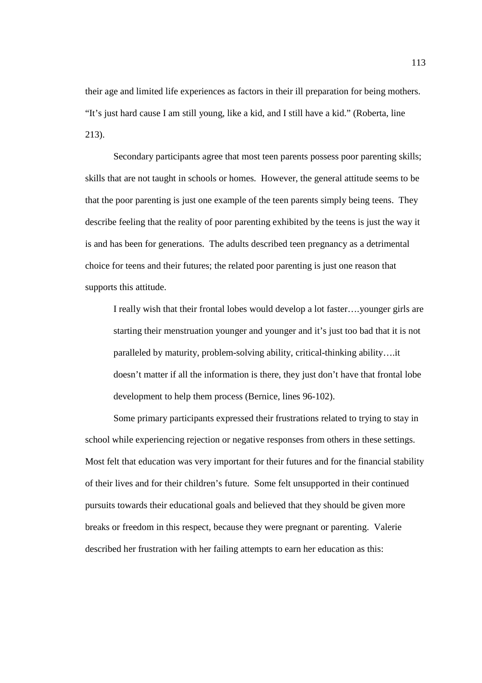their age and limited life experiences as factors in their ill preparation for being mothers. "It's just hard cause I am still young, like a kid, and I still have a kid." (Roberta, line 213).

Secondary participants agree that most teen parents possess poor parenting skills; skills that are not taught in schools or homes. However, the general attitude seems to be that the poor parenting is just one example of the teen parents simply being teens. They describe feeling that the reality of poor parenting exhibited by the teens is just the way it is and has been for generations. The adults described teen pregnancy as a detrimental choice for teens and their futures; the related poor parenting is just one reason that supports this attitude.

I really wish that their frontal lobes would develop a lot faster….younger girls are starting their menstruation younger and younger and it's just too bad that it is not paralleled by maturity, problem-solving ability, critical-thinking ability….it doesn't matter if all the information is there, they just don't have that frontal lobe development to help them process (Bernice, lines 96-102).

Some primary participants expressed their frustrations related to trying to stay in school while experiencing rejection or negative responses from others in these settings. Most felt that education was very important for their futures and for the financial stability of their lives and for their children's future. Some felt unsupported in their continued pursuits towards their educational goals and believed that they should be given more breaks or freedom in this respect, because they were pregnant or parenting. Valerie described her frustration with her failing attempts to earn her education as this: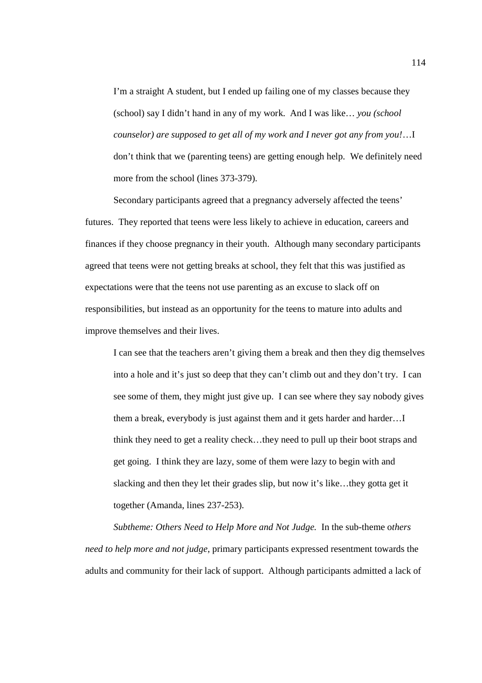I'm a straight A student, but I ended up failing one of my classes because they (school) say I didn't hand in any of my work. And I was like… *you (school counselor) are supposed to get all of my work and I never got any from you!*…I don't think that we (parenting teens) are getting enough help. We definitely need more from the school (lines 373-379).

Secondary participants agreed that a pregnancy adversely affected the teens' futures. They reported that teens were less likely to achieve in education, careers and finances if they choose pregnancy in their youth. Although many secondary participants agreed that teens were not getting breaks at school, they felt that this was justified as expectations were that the teens not use parenting as an excuse to slack off on responsibilities, but instead as an opportunity for the teens to mature into adults and improve themselves and their lives.

I can see that the teachers aren't giving them a break and then they dig themselves into a hole and it's just so deep that they can't climb out and they don't try. I can see some of them, they might just give up. I can see where they say nobody gives them a break, everybody is just against them and it gets harder and harder…I think they need to get a reality check…they need to pull up their boot straps and get going. I think they are lazy, some of them were lazy to begin with and slacking and then they let their grades slip, but now it's like…they gotta get it together (Amanda, lines 237-253).

*Subtheme: Others Need to Help More and Not Judge.* In the sub-theme o*thers need to help more and not judge*, primary participants expressed resentment towards the adults and community for their lack of support. Although participants admitted a lack of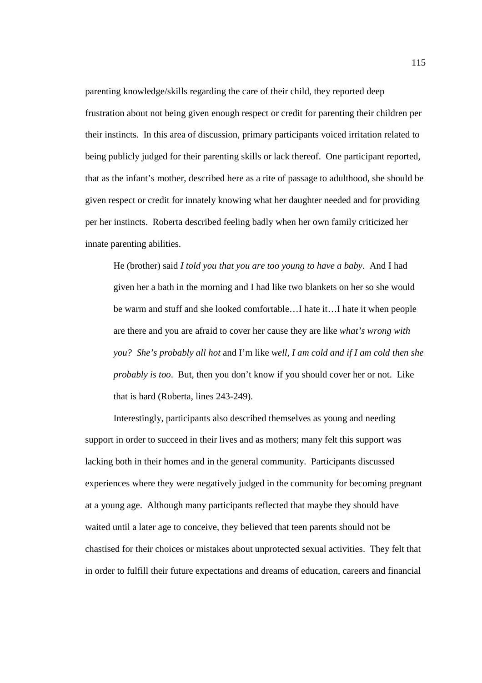parenting knowledge/skills regarding the care of their child, they reported deep frustration about not being given enough respect or credit for parenting their children per their instincts. In this area of discussion, primary participants voiced irritation related to being publicly judged for their parenting skills or lack thereof. One participant reported, that as the infant's mother, described here as a rite of passage to adulthood, she should be given respect or credit for innately knowing what her daughter needed and for providing per her instincts. Roberta described feeling badly when her own family criticized her innate parenting abilities.

He (brother) said *I told you that you are too young to have a baby*. And I had given her a bath in the morning and I had like two blankets on her so she would be warm and stuff and she looked comfortable…I hate it…I hate it when people are there and you are afraid to cover her cause they are like *what's wrong with you? She's probably all hot* and I'm like *well, I am cold and if I am cold then she probably is too*. But, then you don't know if you should cover her or not. Like that is hard (Roberta, lines 243-249).

Interestingly, participants also described themselves as young and needing support in order to succeed in their lives and as mothers; many felt this support was lacking both in their homes and in the general community. Participants discussed experiences where they were negatively judged in the community for becoming pregnant at a young age. Although many participants reflected that maybe they should have waited until a later age to conceive, they believed that teen parents should not be chastised for their choices or mistakes about unprotected sexual activities. They felt that in order to fulfill their future expectations and dreams of education, careers and financial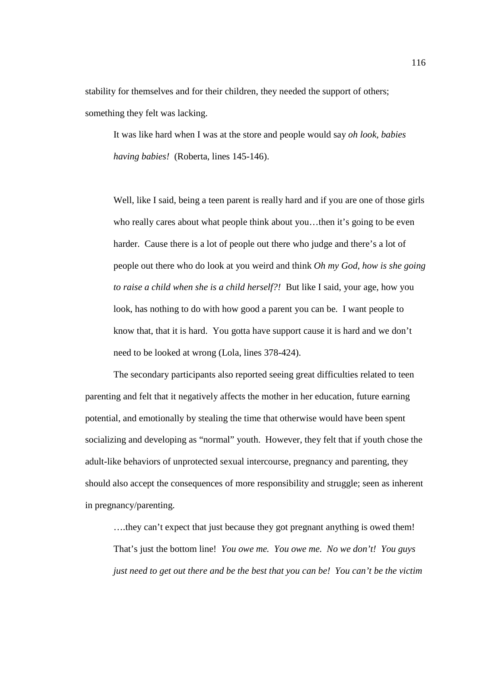stability for themselves and for their children, they needed the support of others; something they felt was lacking.

It was like hard when I was at the store and people would say *oh look, babies having babies!* (Roberta, lines 145-146).

Well, like I said, being a teen parent is really hard and if you are one of those girls who really cares about what people think about you…then it's going to be even harder. Cause there is a lot of people out there who judge and there's a lot of people out there who do look at you weird and think *Oh my God, how is she going to raise a child when she is a child herself?!* But like I said, your age, how you look, has nothing to do with how good a parent you can be. I want people to know that, that it is hard. You gotta have support cause it is hard and we don't need to be looked at wrong (Lola, lines 378-424).

The secondary participants also reported seeing great difficulties related to teen parenting and felt that it negatively affects the mother in her education, future earning potential, and emotionally by stealing the time that otherwise would have been spent socializing and developing as "normal" youth. However, they felt that if youth chose the adult-like behaviors of unprotected sexual intercourse, pregnancy and parenting, they should also accept the consequences of more responsibility and struggle; seen as inherent in pregnancy/parenting.

….they can't expect that just because they got pregnant anything is owed them! That's just the bottom line! *You owe me. You owe me. No we don't! You guys just need to get out there and be the best that you can be! You can't be the victim*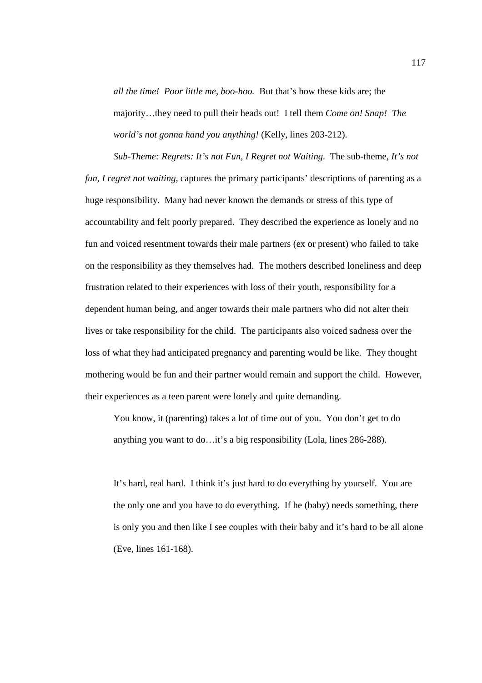*all the time! Poor little me, boo-hoo.* But that's how these kids are; the majority…they need to pull their heads out! I tell them *Come on! Snap! The world's not gonna hand you anything!* (Kelly, lines 203-212).

*Sub-Theme: Regrets: It's not Fun, I Regret not Waiting.* The sub-theme, *It's not fun, I regret not waiting*, captures the primary participants' descriptions of parenting as a huge responsibility. Many had never known the demands or stress of this type of accountability and felt poorly prepared. They described the experience as lonely and no fun and voiced resentment towards their male partners (ex or present) who failed to take on the responsibility as they themselves had. The mothers described loneliness and deep frustration related to their experiences with loss of their youth, responsibility for a dependent human being, and anger towards their male partners who did not alter their lives or take responsibility for the child. The participants also voiced sadness over the loss of what they had anticipated pregnancy and parenting would be like. They thought mothering would be fun and their partner would remain and support the child. However, their experiences as a teen parent were lonely and quite demanding.

You know, it (parenting) takes a lot of time out of you. You don't get to do anything you want to do…it's a big responsibility (Lola, lines 286-288).

It's hard, real hard. I think it's just hard to do everything by yourself. You are the only one and you have to do everything. If he (baby) needs something, there is only you and then like I see couples with their baby and it's hard to be all alone (Eve, lines 161-168).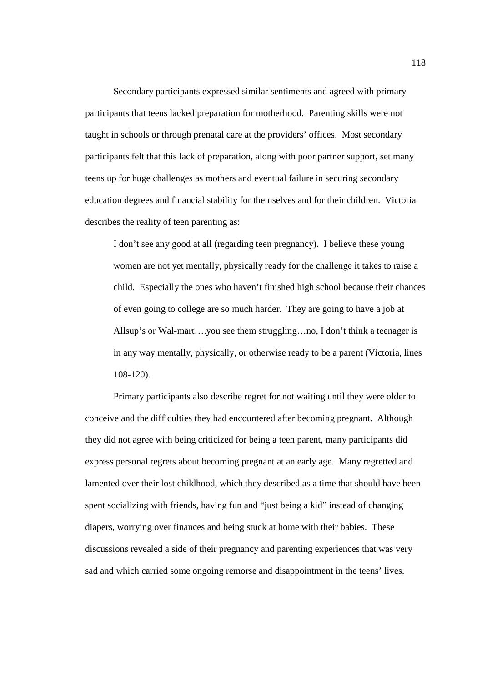Secondary participants expressed similar sentiments and agreed with primary participants that teens lacked preparation for motherhood. Parenting skills were not taught in schools or through prenatal care at the providers' offices. Most secondary participants felt that this lack of preparation, along with poor partner support, set many teens up for huge challenges as mothers and eventual failure in securing secondary education degrees and financial stability for themselves and for their children. Victoria describes the reality of teen parenting as:

I don't see any good at all (regarding teen pregnancy). I believe these young women are not yet mentally, physically ready for the challenge it takes to raise a child. Especially the ones who haven't finished high school because their chances of even going to college are so much harder. They are going to have a job at Allsup's or Wal-mart….you see them struggling…no, I don't think a teenager is in any way mentally, physically, or otherwise ready to be a parent (Victoria, lines 108-120).

Primary participants also describe regret for not waiting until they were older to conceive and the difficulties they had encountered after becoming pregnant. Although they did not agree with being criticized for being a teen parent, many participants did express personal regrets about becoming pregnant at an early age. Many regretted and lamented over their lost childhood, which they described as a time that should have been spent socializing with friends, having fun and "just being a kid" instead of changing diapers, worrying over finances and being stuck at home with their babies. These discussions revealed a side of their pregnancy and parenting experiences that was very sad and which carried some ongoing remorse and disappointment in the teens' lives.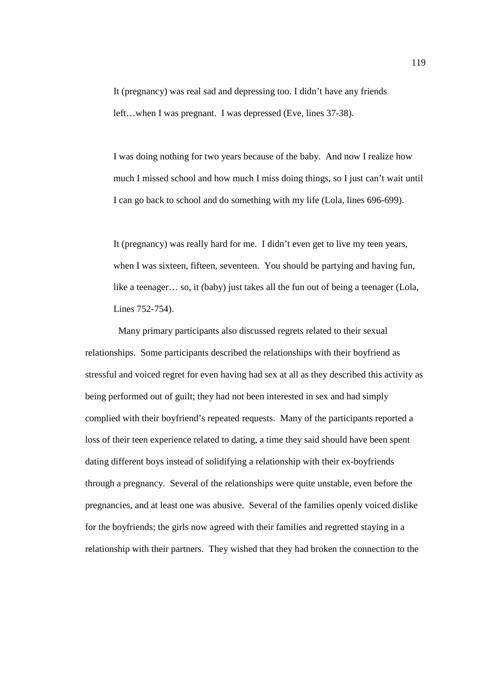It (pregnancy) was real sad and depressing too. I didn't have any friends left…when I was pregnant. I was depressed (Eve, lines 37-38).

I was doing nothing for two years because of the baby. And now I realize how much I missed school and how much I miss doing things, so I just can't wait until I can go back to school and do something with my life (Lola, lines 696-699).

It (pregnancy) was really hard for me. I didn't even get to live my teen years, when I was sixteen, fifteen, seventeen. You should be partying and having fun, like a teenager... so, it (baby) just takes all the fun out of being a teenager (Lola, Lines 752-754).

 Many primary participants also discussed regrets related to their sexual relationships. Some participants described the relationships with their boyfriend as stressful and voiced regret for even having had sex at all as they described this activity as being performed out of guilt; they had not been interested in sex and had simply complied with their boyfriend's repeated requests. Many of the participants reported a loss of their teen experience related to dating, a time they said should have been spent dating different boys instead of solidifying a relationship with their ex-boyfriends through a pregnancy. Several of the relationships were quite unstable, even before the pregnancies, and at least one was abusive. Several of the families openly voiced dislike for the boyfriends; the girls now agreed with their families and regretted staying in a relationship with their partners. They wished that they had broken the connection to the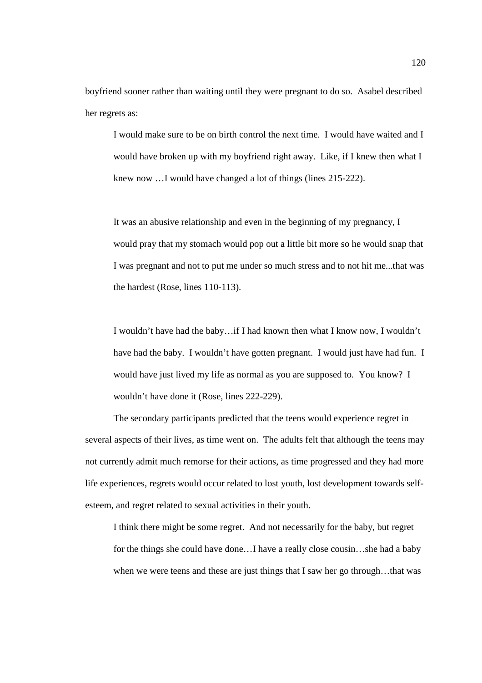boyfriend sooner rather than waiting until they were pregnant to do so. Asabel described her regrets as:

I would make sure to be on birth control the next time. I would have waited and I would have broken up with my boyfriend right away. Like, if I knew then what I knew now ... I would have changed a lot of things (lines 215-222).

It was an abusive relationship and even in the beginning of my pregnancy, I would pray that my stomach would pop out a little bit more so he would snap that I was pregnant and not to put me under so much stress and to not hit me...that was the hardest (Rose, lines 110-113).

I wouldn't have had the baby…if I had known then what I know now, I wouldn't have had the baby. I wouldn't have gotten pregnant. I would just have had fun. I would have just lived my life as normal as you are supposed to. You know? I wouldn't have done it (Rose, lines 222-229).

 The secondary participants predicted that the teens would experience regret in several aspects of their lives, as time went on. The adults felt that although the teens may not currently admit much remorse for their actions, as time progressed and they had more life experiences, regrets would occur related to lost youth, lost development towards selfesteem, and regret related to sexual activities in their youth.

I think there might be some regret. And not necessarily for the baby, but regret for the things she could have done…I have a really close cousin…she had a baby when we were teens and these are just things that I saw her go through...that was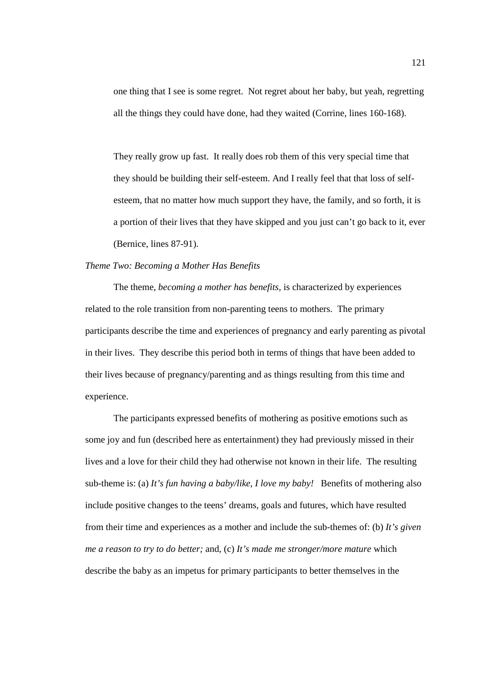one thing that I see is some regret. Not regret about her baby, but yeah, regretting all the things they could have done, had they waited (Corrine, lines 160-168).

They really grow up fast. It really does rob them of this very special time that they should be building their self-esteem. And I really feel that that loss of selfesteem, that no matter how much support they have, the family, and so forth, it is a portion of their lives that they have skipped and you just can't go back to it, ever (Bernice, lines 87-91).

# *Theme Two: Becoming a Mother Has Benefits*

The theme, *becoming a mother has benefits,* is characterized by experiences related to the role transition from non-parenting teens to mothers. The primary participants describe the time and experiences of pregnancy and early parenting as pivotal in their lives. They describe this period both in terms of things that have been added to their lives because of pregnancy/parenting and as things resulting from this time and experience.

The participants expressed benefits of mothering as positive emotions such as some joy and fun (described here as entertainment) they had previously missed in their lives and a love for their child they had otherwise not known in their life. The resulting sub-theme is: (a) *It's fun having a baby/like, I love my baby!* Benefits of mothering also include positive changes to the teens' dreams, goals and futures, which have resulted from their time and experiences as a mother and include the sub-themes of: (b) *It's given me a reason to try to do better;* and, (c) *It's made me stronger/more mature* which describe the baby as an impetus for primary participants to better themselves in the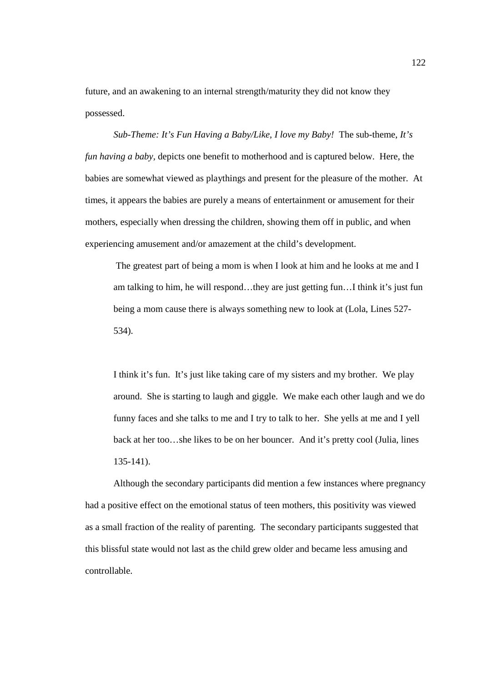future, and an awakening to an internal strength/maturity they did not know they possessed.

*Sub-Theme: It's Fun Having a Baby/Like, I love my Baby!* The sub-theme, *It's fun having a baby,* depicts one benefit to motherhood and is captured below. Here, the babies are somewhat viewed as playthings and present for the pleasure of the mother. At times, it appears the babies are purely a means of entertainment or amusement for their mothers, especially when dressing the children, showing them off in public, and when experiencing amusement and/or amazement at the child's development.

 The greatest part of being a mom is when I look at him and he looks at me and I am talking to him, he will respond…they are just getting fun…I think it's just fun being a mom cause there is always something new to look at (Lola, Lines 527- 534).

I think it's fun. It's just like taking care of my sisters and my brother. We play around. She is starting to laugh and giggle. We make each other laugh and we do funny faces and she talks to me and I try to talk to her. She yells at me and I yell back at her too…she likes to be on her bouncer. And it's pretty cool (Julia, lines 135-141).

 Although the secondary participants did mention a few instances where pregnancy had a positive effect on the emotional status of teen mothers, this positivity was viewed as a small fraction of the reality of parenting. The secondary participants suggested that this blissful state would not last as the child grew older and became less amusing and controllable.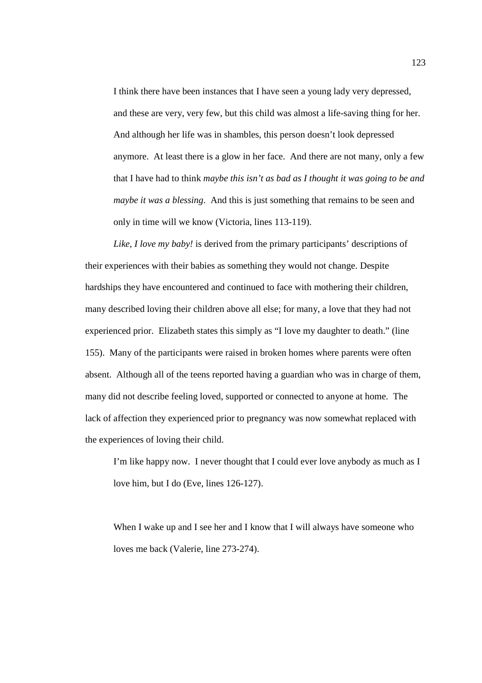I think there have been instances that I have seen a young lady very depressed, and these are very, very few, but this child was almost a life-saving thing for her. And although her life was in shambles, this person doesn't look depressed anymore. At least there is a glow in her face. And there are not many, only a few that I have had to think *maybe this isn't as bad as I thought it was going to be and maybe it was a blessing*. And this is just something that remains to be seen and only in time will we know (Victoria, lines 113-119).

*Like, I love my baby!* is derived from the primary participants' descriptions of their experiences with their babies as something they would not change. Despite hardships they have encountered and continued to face with mothering their children, many described loving their children above all else; for many, a love that they had not experienced prior. Elizabeth states this simply as "I love my daughter to death." (line 155). Many of the participants were raised in broken homes where parents were often absent. Although all of the teens reported having a guardian who was in charge of them, many did not describe feeling loved, supported or connected to anyone at home. The lack of affection they experienced prior to pregnancy was now somewhat replaced with the experiences of loving their child.

I'm like happy now. I never thought that I could ever love anybody as much as I love him, but I do (Eve, lines 126-127).

When I wake up and I see her and I know that I will always have someone who loves me back (Valerie, line 273-274).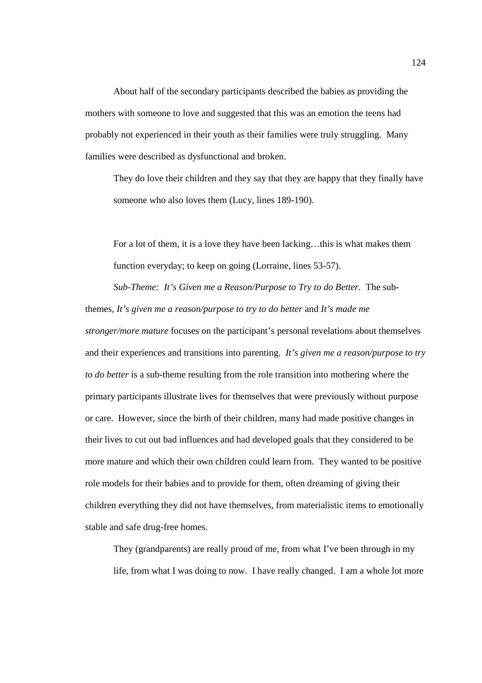About half of the secondary participants described the babies as providing the mothers with someone to love and suggested that this was an emotion the teens had probably not experienced in their youth as their families were truly struggling. Many families were described as dysfunctional and broken.

They do love their children and they say that they are happy that they finally have someone who also loves them (Lucy, lines 189-190).

For a lot of them, it is a love they have been lacking…this is what makes them function everyday; to keep on going (Lorraine, lines 53-57).

*Sub-Theme: It's Given me a Reason/Purpose to Try to do Better.* The subthemes, *It's given me a reason/purpose to try to do better* and *It's made me stronger/more mature* focuses on the participant's personal revelations about themselves and their experiences and transitions into parenting. *It's given me a reason/purpose to try to do better* is a sub-theme resulting from the role transition into mothering where the primary participants illustrate lives for themselves that were previously without purpose or care. However, since the birth of their children, many had made positive changes in their lives to cut out bad influences and had developed goals that they considered to be more mature and which their own children could learn from. They wanted to be positive role models for their babies and to provide for them, often dreaming of giving their children everything they did not have themselves, from materialistic items to emotionally stable and safe drug-free homes.

They (grandparents) are really proud of me, from what I've been through in my life, from what I was doing to now. I have really changed. I am a whole lot more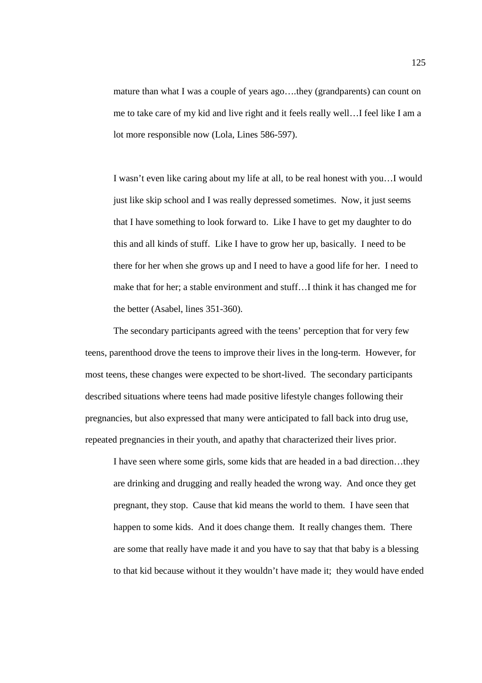mature than what I was a couple of years ago….they (grandparents) can count on me to take care of my kid and live right and it feels really well…I feel like I am a lot more responsible now (Lola, Lines 586-597).

I wasn't even like caring about my life at all, to be real honest with you…I would just like skip school and I was really depressed sometimes. Now, it just seems that I have something to look forward to. Like I have to get my daughter to do this and all kinds of stuff. Like I have to grow her up, basically. I need to be there for her when she grows up and I need to have a good life for her. I need to make that for her; a stable environment and stuff…I think it has changed me for the better (Asabel, lines 351-360).

 The secondary participants agreed with the teens' perception that for very few teens, parenthood drove the teens to improve their lives in the long-term. However, for most teens, these changes were expected to be short-lived. The secondary participants described situations where teens had made positive lifestyle changes following their pregnancies, but also expressed that many were anticipated to fall back into drug use, repeated pregnancies in their youth, and apathy that characterized their lives prior.

I have seen where some girls, some kids that are headed in a bad direction…they are drinking and drugging and really headed the wrong way. And once they get pregnant, they stop. Cause that kid means the world to them. I have seen that happen to some kids. And it does change them. It really changes them. There are some that really have made it and you have to say that that baby is a blessing to that kid because without it they wouldn't have made it; they would have ended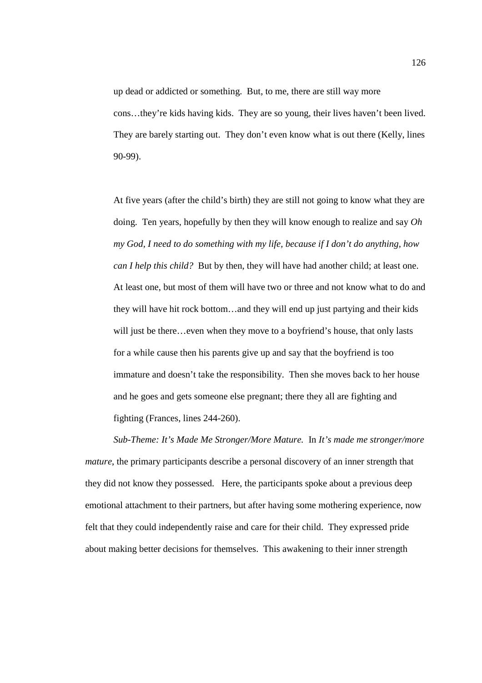up dead or addicted or something. But, to me, there are still way more cons…they're kids having kids. They are so young, their lives haven't been lived. They are barely starting out. They don't even know what is out there (Kelly, lines 90-99).

At five years (after the child's birth) they are still not going to know what they are doing. Ten years, hopefully by then they will know enough to realize and say *Oh my God, I need to do something with my life, because if I don't do anything, how can I help this child?* But by then, they will have had another child; at least one. At least one, but most of them will have two or three and not know what to do and they will have hit rock bottom…and they will end up just partying and their kids will just be there...even when they move to a boyfriend's house, that only lasts for a while cause then his parents give up and say that the boyfriend is too immature and doesn't take the responsibility. Then she moves back to her house and he goes and gets someone else pregnant; there they all are fighting and fighting (Frances, lines 244-260).

*Sub-Theme: It's Made Me Stronger/More Mature.* In *It's made me stronger/more mature*, the primary participants describe a personal discovery of an inner strength that they did not know they possessed. Here, the participants spoke about a previous deep emotional attachment to their partners, but after having some mothering experience, now felt that they could independently raise and care for their child. They expressed pride about making better decisions for themselves. This awakening to their inner strength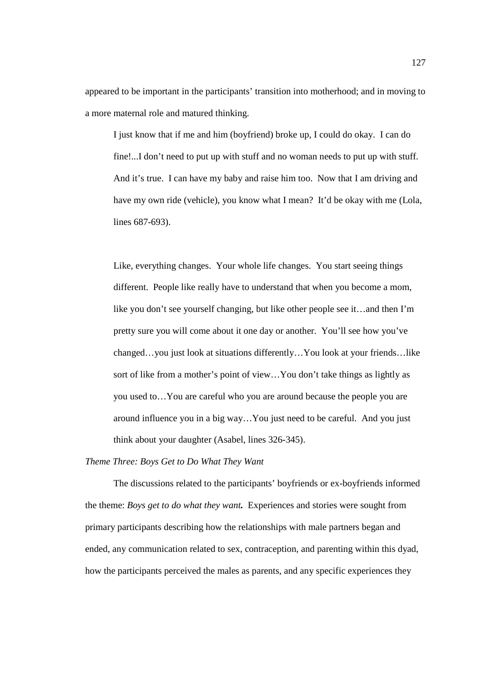appeared to be important in the participants' transition into motherhood; and in moving to a more maternal role and matured thinking.

I just know that if me and him (boyfriend) broke up, I could do okay. I can do fine!...I don't need to put up with stuff and no woman needs to put up with stuff. And it's true. I can have my baby and raise him too. Now that I am driving and have my own ride (vehicle), you know what I mean? It'd be okay with me (Lola, lines 687-693).

Like, everything changes. Your whole life changes. You start seeing things different. People like really have to understand that when you become a mom, like you don't see yourself changing, but like other people see it…and then I'm pretty sure you will come about it one day or another. You'll see how you've changed…you just look at situations differently…You look at your friends…like sort of like from a mother's point of view…You don't take things as lightly as you used to…You are careful who you are around because the people you are around influence you in a big way…You just need to be careful. And you just think about your daughter (Asabel, lines 326-345).

# *Theme Three: Boys Get to Do What They Want*

The discussions related to the participants' boyfriends or ex-boyfriends informed the theme: *Boys get to do what they want.* Experiences and stories were sought from primary participants describing how the relationships with male partners began and ended, any communication related to sex, contraception, and parenting within this dyad, how the participants perceived the males as parents, and any specific experiences they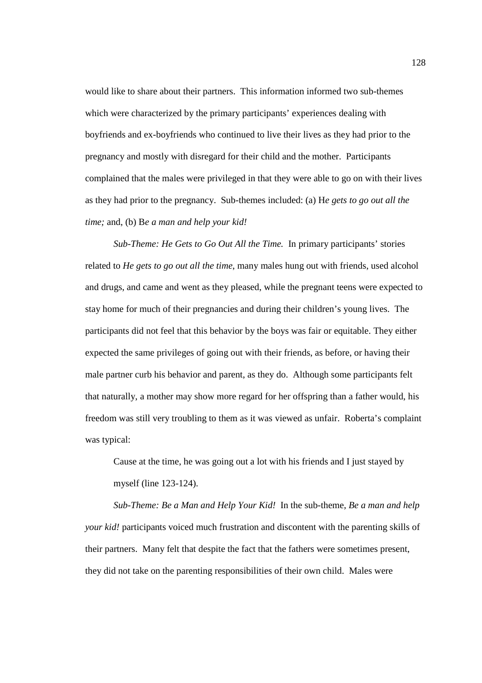would like to share about their partners. This information informed two sub-themes which were characterized by the primary participants' experiences dealing with boyfriends and ex-boyfriends who continued to live their lives as they had prior to the pregnancy and mostly with disregard for their child and the mother. Participants complained that the males were privileged in that they were able to go on with their lives as they had prior to the pregnancy. Sub-themes included: (a) H*e gets to go out all the time;* and, (b) B*e a man and help your kid!*

*Sub-Theme: He Gets to Go Out All the Time.* In primary participants' stories related to *He gets to go out all the time*, many males hung out with friends, used alcohol and drugs, and came and went as they pleased, while the pregnant teens were expected to stay home for much of their pregnancies and during their children's young lives. The participants did not feel that this behavior by the boys was fair or equitable. They either expected the same privileges of going out with their friends, as before, or having their male partner curb his behavior and parent, as they do. Although some participants felt that naturally, a mother may show more regard for her offspring than a father would, his freedom was still very troubling to them as it was viewed as unfair. Roberta's complaint was typical:

Cause at the time, he was going out a lot with his friends and I just stayed by myself (line 123-124).

*Sub-Theme: Be a Man and Help Your Kid!* In the sub-theme, *Be a man and help your kid!* participants voiced much frustration and discontent with the parenting skills of their partners. Many felt that despite the fact that the fathers were sometimes present, they did not take on the parenting responsibilities of their own child. Males were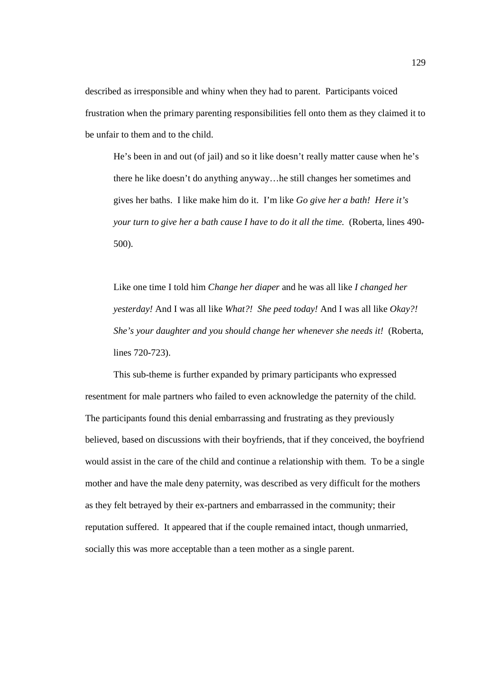described as irresponsible and whiny when they had to parent. Participants voiced frustration when the primary parenting responsibilities fell onto them as they claimed it to be unfair to them and to the child.

He's been in and out (of jail) and so it like doesn't really matter cause when he's there he like doesn't do anything anyway…he still changes her sometimes and gives her baths. I like make him do it. I'm like *Go give her a bath! Here it's your turn to give her a bath cause I have to do it all the time.* (Roberta, lines 490- 500).

Like one time I told him *Change her diaper* and he was all like *I changed her yesterday!* And I was all like *What?! She peed today!* And I was all like *Okay?! She's your daughter and you should change her whenever she needs it!* (Roberta, lines 720-723).

 This sub-theme is further expanded by primary participants who expressed resentment for male partners who failed to even acknowledge the paternity of the child. The participants found this denial embarrassing and frustrating as they previously believed, based on discussions with their boyfriends, that if they conceived, the boyfriend would assist in the care of the child and continue a relationship with them. To be a single mother and have the male deny paternity, was described as very difficult for the mothers as they felt betrayed by their ex-partners and embarrassed in the community; their reputation suffered. It appeared that if the couple remained intact, though unmarried, socially this was more acceptable than a teen mother as a single parent.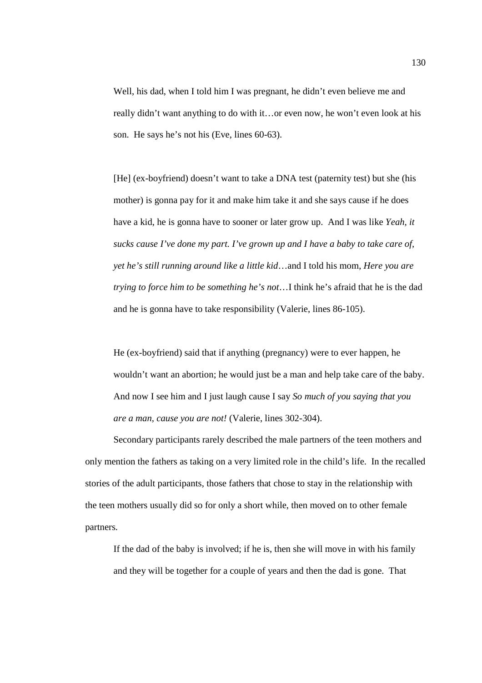Well, his dad, when I told him I was pregnant, he didn't even believe me and really didn't want anything to do with it…or even now, he won't even look at his son. He says he's not his (Eve, lines 60-63).

[He] (ex-boyfriend) doesn't want to take a DNA test (paternity test) but she (his mother) is gonna pay for it and make him take it and she says cause if he does have a kid, he is gonna have to sooner or later grow up. And I was like *Yeah, it sucks cause I've done my part. I've grown up and I have a baby to take care of, yet he's still running around like a little kid*…and I told his mom, *Here you are trying to force him to be something he's not*…I think he's afraid that he is the dad and he is gonna have to take responsibility (Valerie, lines 86-105).

He (ex-boyfriend) said that if anything (pregnancy) were to ever happen, he wouldn't want an abortion; he would just be a man and help take care of the baby. And now I see him and I just laugh cause I say *So much of you saying that you are a man, cause you are not!* (Valerie, lines 302-304).

Secondary participants rarely described the male partners of the teen mothers and only mention the fathers as taking on a very limited role in the child's life. In the recalled stories of the adult participants, those fathers that chose to stay in the relationship with the teen mothers usually did so for only a short while, then moved on to other female partners.

If the dad of the baby is involved; if he is, then she will move in with his family and they will be together for a couple of years and then the dad is gone. That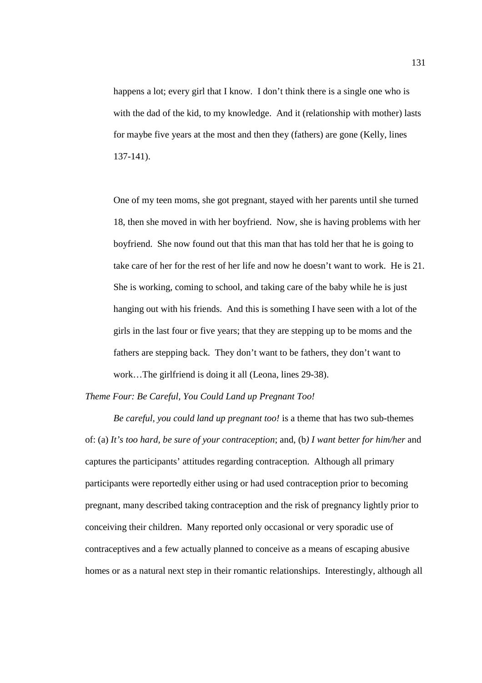happens a lot; every girl that I know. I don't think there is a single one who is with the dad of the kid, to my knowledge. And it (relationship with mother) lasts for maybe five years at the most and then they (fathers) are gone (Kelly, lines 137-141).

One of my teen moms, she got pregnant, stayed with her parents until she turned 18, then she moved in with her boyfriend. Now, she is having problems with her boyfriend. She now found out that this man that has told her that he is going to take care of her for the rest of her life and now he doesn't want to work. He is 21. She is working, coming to school, and taking care of the baby while he is just hanging out with his friends. And this is something I have seen with a lot of the girls in the last four or five years; that they are stepping up to be moms and the fathers are stepping back. They don't want to be fathers, they don't want to work…The girlfriend is doing it all (Leona, lines 29-38).

*Theme Four: Be Careful, You Could Land up Pregnant Too!* 

*Be careful, you could land up pregnant too!* is a theme that has two sub-themes of: (a) *It's too hard, be sure of your contraception*; and, (b*) I want better for him/her* and captures the participants' attitudes regarding contraception. Although all primary participants were reportedly either using or had used contraception prior to becoming pregnant, many described taking contraception and the risk of pregnancy lightly prior to conceiving their children. Many reported only occasional or very sporadic use of contraceptives and a few actually planned to conceive as a means of escaping abusive homes or as a natural next step in their romantic relationships. Interestingly, although all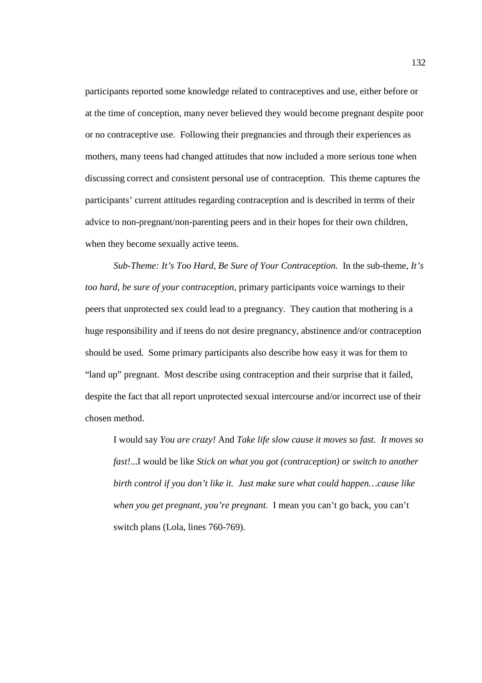participants reported some knowledge related to contraceptives and use, either before or at the time of conception, many never believed they would become pregnant despite poor or no contraceptive use. Following their pregnancies and through their experiences as mothers, many teens had changed attitudes that now included a more serious tone when discussing correct and consistent personal use of contraception. This theme captures the participants' current attitudes regarding contraception and is described in terms of their advice to non-pregnant/non-parenting peers and in their hopes for their own children, when they become sexually active teens.

*Sub-Theme: It's Too Hard, Be Sure of Your Contraception.* In the sub-theme, *It's too hard, be sure of your contraception*, primary participants voice warnings to their peers that unprotected sex could lead to a pregnancy. They caution that mothering is a huge responsibility and if teens do not desire pregnancy, abstinence and/or contraception should be used. Some primary participants also describe how easy it was for them to "land up" pregnant. Most describe using contraception and their surprise that it failed, despite the fact that all report unprotected sexual intercourse and/or incorrect use of their chosen method.

I would say *You are crazy!* And *Take life slow cause it moves so fast. It moves so fast!*...I would be like *Stick on what you got (contraception) or switch to another birth control if you don't like it. Just make sure what could happen…cause like when you get pregnant, you're pregnant.* I mean you can't go back, you can't switch plans (Lola, lines 760-769).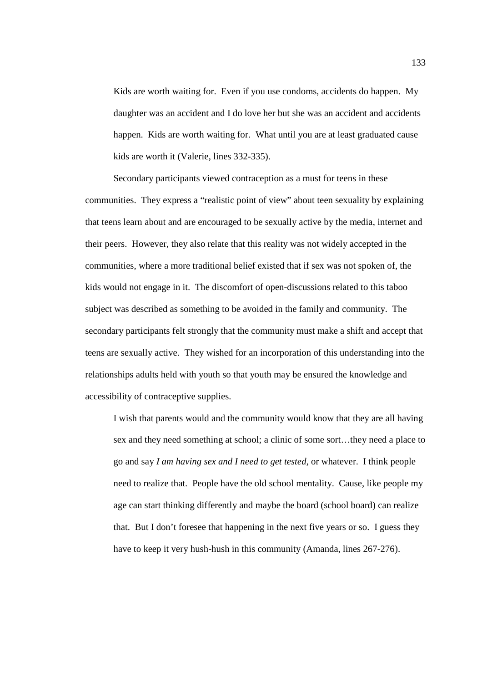Kids are worth waiting for. Even if you use condoms, accidents do happen. My daughter was an accident and I do love her but she was an accident and accidents happen. Kids are worth waiting for. What until you are at least graduated cause kids are worth it (Valerie, lines 332-335).

 Secondary participants viewed contraception as a must for teens in these communities. They express a "realistic point of view" about teen sexuality by explaining that teens learn about and are encouraged to be sexually active by the media, internet and their peers. However, they also relate that this reality was not widely accepted in the communities, where a more traditional belief existed that if sex was not spoken of, the kids would not engage in it. The discomfort of open-discussions related to this taboo subject was described as something to be avoided in the family and community. The secondary participants felt strongly that the community must make a shift and accept that teens are sexually active. They wished for an incorporation of this understanding into the relationships adults held with youth so that youth may be ensured the knowledge and accessibility of contraceptive supplies.

I wish that parents would and the community would know that they are all having sex and they need something at school; a clinic of some sort…they need a place to go and say *I am having sex and I need to get tested*, or whatever. I think people need to realize that. People have the old school mentality. Cause, like people my age can start thinking differently and maybe the board (school board) can realize that. But I don't foresee that happening in the next five years or so. I guess they have to keep it very hush-hush in this community (Amanda, lines 267-276).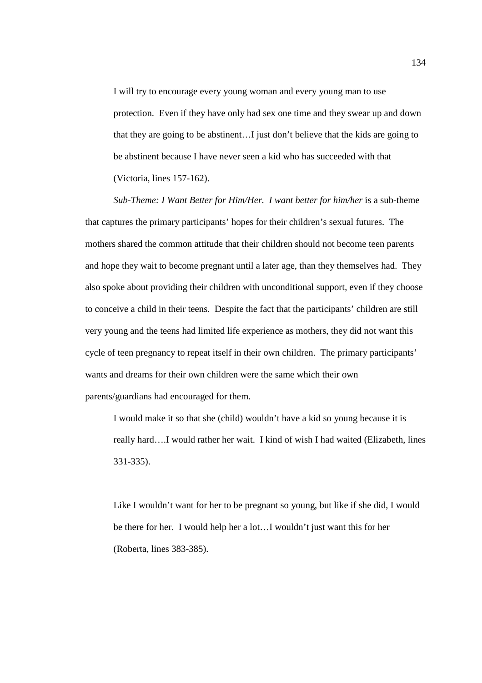I will try to encourage every young woman and every young man to use protection. Even if they have only had sex one time and they swear up and down that they are going to be abstinent…I just don't believe that the kids are going to be abstinent because I have never seen a kid who has succeeded with that (Victoria, lines 157-162).

*Sub-Theme: I Want Better for Him/Her. I want better for him/her* is a sub-theme that captures the primary participants' hopes for their children's sexual futures. The mothers shared the common attitude that their children should not become teen parents and hope they wait to become pregnant until a later age, than they themselves had. They also spoke about providing their children with unconditional support, even if they choose to conceive a child in their teens. Despite the fact that the participants' children are still very young and the teens had limited life experience as mothers, they did not want this cycle of teen pregnancy to repeat itself in their own children. The primary participants' wants and dreams for their own children were the same which their own parents/guardians had encouraged for them.

I would make it so that she (child) wouldn't have a kid so young because it is really hard….I would rather her wait. I kind of wish I had waited (Elizabeth, lines 331-335).

Like I wouldn't want for her to be pregnant so young, but like if she did, I would be there for her. I would help her a lot…I wouldn't just want this for her (Roberta, lines 383-385).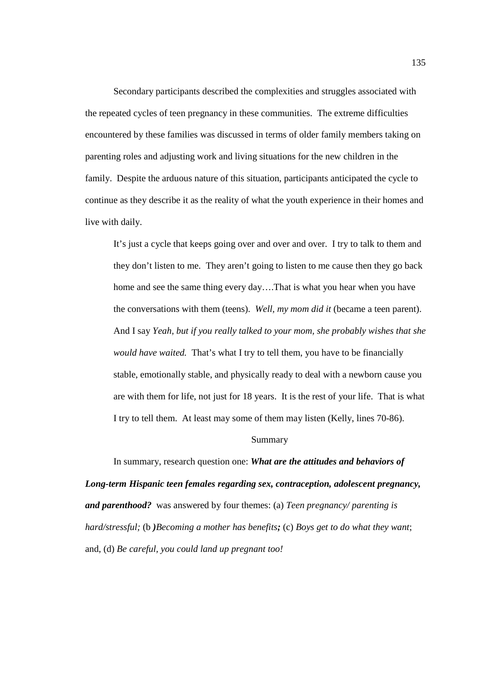Secondary participants described the complexities and struggles associated with the repeated cycles of teen pregnancy in these communities. The extreme difficulties encountered by these families was discussed in terms of older family members taking on parenting roles and adjusting work and living situations for the new children in the family. Despite the arduous nature of this situation, participants anticipated the cycle to continue as they describe it as the reality of what the youth experience in their homes and live with daily.

It's just a cycle that keeps going over and over and over. I try to talk to them and they don't listen to me. They aren't going to listen to me cause then they go back home and see the same thing every day….That is what you hear when you have the conversations with them (teens). *Well, my mom did it* (became a teen parent). And I say *Yeah, but if you really talked to your mom, she probably wishes that she would have waited.* That's what I try to tell them, you have to be financially stable, emotionally stable, and physically ready to deal with a newborn cause you are with them for life, not just for 18 years. It is the rest of your life. That is what I try to tell them. At least may some of them may listen (Kelly, lines 70-86).

### Summary

In summary, research question one: *What are the attitudes and behaviors of Long-term Hispanic teen females regarding sex, contraception, adolescent pregnancy, and parenthood?* was answered by four themes: (a) *Teen pregnancy/ parenting is hard/stressful;* (b *)Becoming a mother has benefits;* (c) *Boys get to do what they want*; and, (d) *Be careful, you could land up pregnant too!*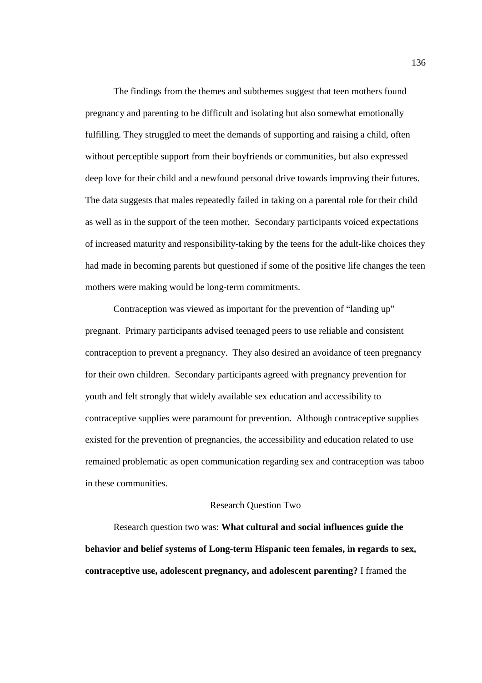The findings from the themes and subthemes suggest that teen mothers found pregnancy and parenting to be difficult and isolating but also somewhat emotionally fulfilling. They struggled to meet the demands of supporting and raising a child, often without perceptible support from their boyfriends or communities, but also expressed deep love for their child and a newfound personal drive towards improving their futures. The data suggests that males repeatedly failed in taking on a parental role for their child as well as in the support of the teen mother. Secondary participants voiced expectations of increased maturity and responsibility-taking by the teens for the adult-like choices they had made in becoming parents but questioned if some of the positive life changes the teen mothers were making would be long-term commitments.

Contraception was viewed as important for the prevention of "landing up" pregnant. Primary participants advised teenaged peers to use reliable and consistent contraception to prevent a pregnancy. They also desired an avoidance of teen pregnancy for their own children. Secondary participants agreed with pregnancy prevention for youth and felt strongly that widely available sex education and accessibility to contraceptive supplies were paramount for prevention. Although contraceptive supplies existed for the prevention of pregnancies, the accessibility and education related to use remained problematic as open communication regarding sex and contraception was taboo in these communities.

### Research Question Two

Research question two was: **What cultural and social influences guide the behavior and belief systems of Long-term Hispanic teen females, in regards to sex, contraceptive use, adolescent pregnancy, and adolescent parenting?** I framed the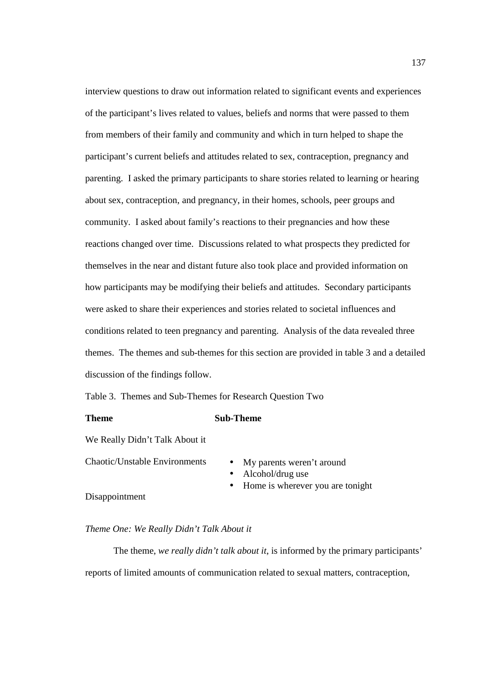interview questions to draw out information related to significant events and experiences of the participant's lives related to values, beliefs and norms that were passed to them from members of their family and community and which in turn helped to shape the participant's current beliefs and attitudes related to sex, contraception, pregnancy and parenting. I asked the primary participants to share stories related to learning or hearing about sex, contraception, and pregnancy, in their homes, schools, peer groups and community. I asked about family's reactions to their pregnancies and how these reactions changed over time. Discussions related to what prospects they predicted for themselves in the near and distant future also took place and provided information on how participants may be modifying their beliefs and attitudes. Secondary participants were asked to share their experiences and stories related to societal influences and conditions related to teen pregnancy and parenting. Analysis of the data revealed three themes. The themes and sub-themes for this section are provided in table 3 and a detailed discussion of the findings follow.

Table 3. Themes and Sub-Themes for Research Question Two

### **Theme** Sub-Theme

We Really Didn't Talk About it

Chaotic/Unstable Environments • My parents weren't around

- 
- Alcohol/drug use
- Home is wherever you are tonight

Disappointment

# *Theme One: We Really Didn't Talk About it*

The theme, *we really didn't talk about it*, is informed by the primary participants' reports of limited amounts of communication related to sexual matters, contraception,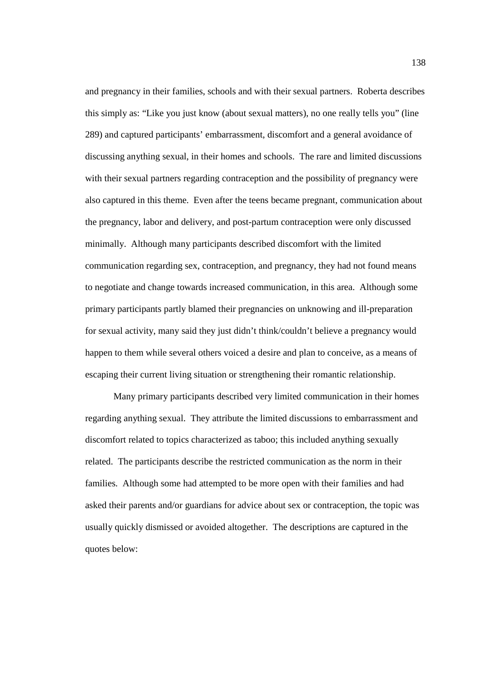and pregnancy in their families, schools and with their sexual partners. Roberta describes this simply as: "Like you just know (about sexual matters), no one really tells you" (line 289) and captured participants' embarrassment, discomfort and a general avoidance of discussing anything sexual, in their homes and schools. The rare and limited discussions with their sexual partners regarding contraception and the possibility of pregnancy were also captured in this theme. Even after the teens became pregnant, communication about the pregnancy, labor and delivery, and post-partum contraception were only discussed minimally. Although many participants described discomfort with the limited communication regarding sex, contraception, and pregnancy, they had not found means to negotiate and change towards increased communication, in this area. Although some primary participants partly blamed their pregnancies on unknowing and ill-preparation for sexual activity, many said they just didn't think/couldn't believe a pregnancy would happen to them while several others voiced a desire and plan to conceive, as a means of escaping their current living situation or strengthening their romantic relationship.

Many primary participants described very limited communication in their homes regarding anything sexual. They attribute the limited discussions to embarrassment and discomfort related to topics characterized as taboo; this included anything sexually related. The participants describe the restricted communication as the norm in their families. Although some had attempted to be more open with their families and had asked their parents and/or guardians for advice about sex or contraception, the topic was usually quickly dismissed or avoided altogether. The descriptions are captured in the quotes below: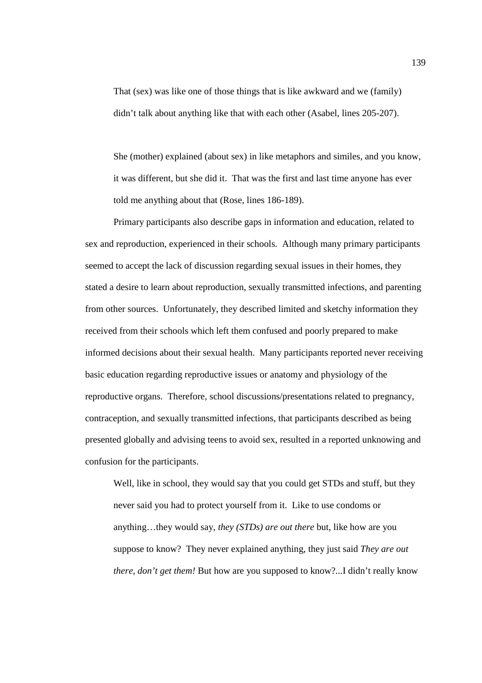That (sex) was like one of those things that is like awkward and we (family) didn't talk about anything like that with each other (Asabel, lines 205-207).

She (mother) explained (about sex) in like metaphors and similes, and you know, it was different, but she did it. That was the first and last time anyone has ever told me anything about that (Rose, lines 186-189).

 Primary participants also describe gaps in information and education, related to sex and reproduction, experienced in their schools. Although many primary participants seemed to accept the lack of discussion regarding sexual issues in their homes, they stated a desire to learn about reproduction, sexually transmitted infections, and parenting from other sources. Unfortunately, they described limited and sketchy information they received from their schools which left them confused and poorly prepared to make informed decisions about their sexual health. Many participants reported never receiving basic education regarding reproductive issues or anatomy and physiology of the reproductive organs. Therefore, school discussions/presentations related to pregnancy, contraception, and sexually transmitted infections, that participants described as being presented globally and advising teens to avoid sex, resulted in a reported unknowing and confusion for the participants.

Well, like in school, they would say that you could get STDs and stuff, but they never said you had to protect yourself from it. Like to use condoms or anything…they would say, *they (STDs) are out there* but, like how are you suppose to know? They never explained anything, they just said *They are out there, don't get them!* But how are you supposed to know?...I didn't really know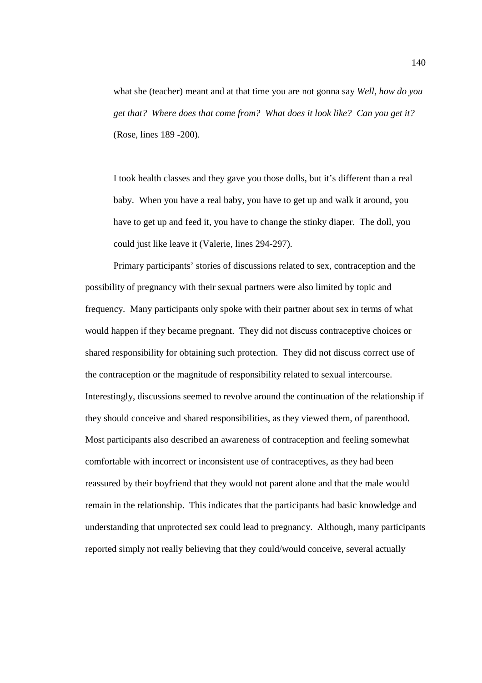what she (teacher) meant and at that time you are not gonna say *Well, how do you get that? Where does that come from? What does it look like? Can you get it?*  (Rose, lines 189 -200).

I took health classes and they gave you those dolls, but it's different than a real baby. When you have a real baby, you have to get up and walk it around, you have to get up and feed it, you have to change the stinky diaper. The doll, you could just like leave it (Valerie, lines 294-297).

Primary participants' stories of discussions related to sex, contraception and the possibility of pregnancy with their sexual partners were also limited by topic and frequency. Many participants only spoke with their partner about sex in terms of what would happen if they became pregnant. They did not discuss contraceptive choices or shared responsibility for obtaining such protection. They did not discuss correct use of the contraception or the magnitude of responsibility related to sexual intercourse. Interestingly, discussions seemed to revolve around the continuation of the relationship if they should conceive and shared responsibilities, as they viewed them, of parenthood. Most participants also described an awareness of contraception and feeling somewhat comfortable with incorrect or inconsistent use of contraceptives, as they had been reassured by their boyfriend that they would not parent alone and that the male would remain in the relationship. This indicates that the participants had basic knowledge and understanding that unprotected sex could lead to pregnancy. Although, many participants reported simply not really believing that they could/would conceive, several actually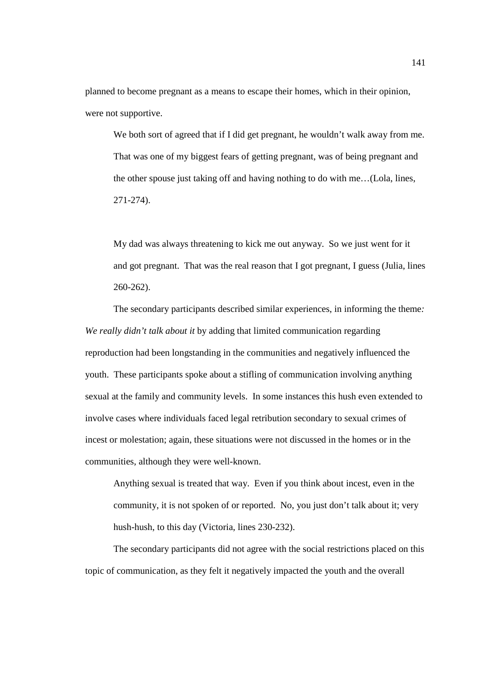planned to become pregnant as a means to escape their homes, which in their opinion, were not supportive.

We both sort of agreed that if I did get pregnant, he wouldn't walk away from me. That was one of my biggest fears of getting pregnant, was of being pregnant and the other spouse just taking off and having nothing to do with me…(Lola, lines, 271-274).

My dad was always threatening to kick me out anyway. So we just went for it and got pregnant. That was the real reason that I got pregnant, I guess (Julia, lines 260-262).

 The secondary participants described similar experiences, in informing the theme*: We really didn't talk about it* by adding that limited communication regarding reproduction had been longstanding in the communities and negatively influenced the youth. These participants spoke about a stifling of communication involving anything sexual at the family and community levels. In some instances this hush even extended to involve cases where individuals faced legal retribution secondary to sexual crimes of incest or molestation; again, these situations were not discussed in the homes or in the communities, although they were well-known.

Anything sexual is treated that way. Even if you think about incest, even in the community, it is not spoken of or reported. No, you just don't talk about it; very hush-hush, to this day (Victoria, lines 230-232).

The secondary participants did not agree with the social restrictions placed on this topic of communication, as they felt it negatively impacted the youth and the overall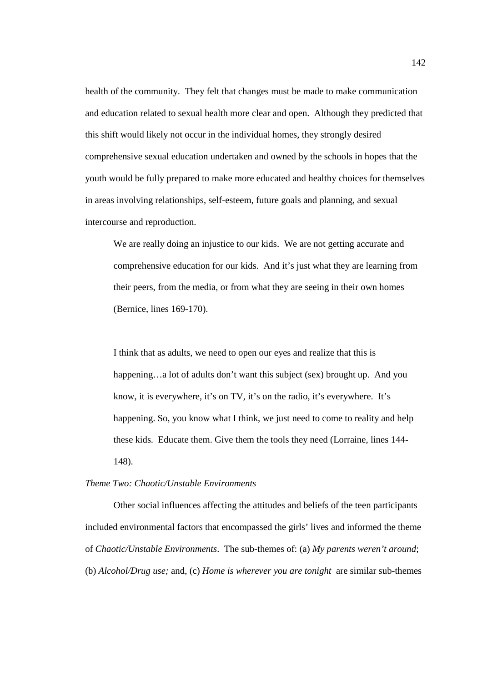health of the community. They felt that changes must be made to make communication and education related to sexual health more clear and open. Although they predicted that this shift would likely not occur in the individual homes, they strongly desired comprehensive sexual education undertaken and owned by the schools in hopes that the youth would be fully prepared to make more educated and healthy choices for themselves in areas involving relationships, self-esteem, future goals and planning, and sexual intercourse and reproduction.

We are really doing an injustice to our kids. We are not getting accurate and comprehensive education for our kids. And it's just what they are learning from their peers, from the media, or from what they are seeing in their own homes (Bernice, lines 169-170).

I think that as adults, we need to open our eyes and realize that this is happening…a lot of adults don't want this subject (sex) brought up. And you know, it is everywhere, it's on TV, it's on the radio, it's everywhere. It's happening. So, you know what I think, we just need to come to reality and help these kids. Educate them. Give them the tools they need (Lorraine, lines 144- 148).

# *Theme Two: Chaotic/Unstable Environments*

Other social influences affecting the attitudes and beliefs of the teen participants included environmental factors that encompassed the girls' lives and informed the theme of *Chaotic/Unstable Environments*. The sub-themes of: (a) *My parents weren't around*; (b) *Alcohol/Drug use;* and, (c) *Home is wherever you are tonight* are similar sub-themes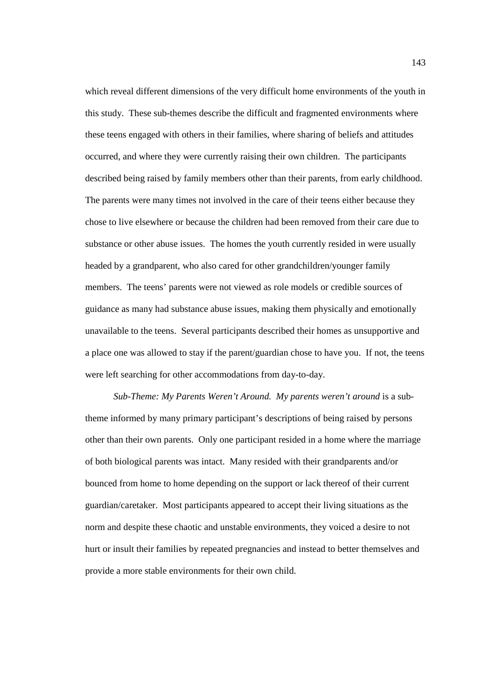which reveal different dimensions of the very difficult home environments of the youth in this study. These sub-themes describe the difficult and fragmented environments where these teens engaged with others in their families, where sharing of beliefs and attitudes occurred, and where they were currently raising their own children. The participants described being raised by family members other than their parents, from early childhood. The parents were many times not involved in the care of their teens either because they chose to live elsewhere or because the children had been removed from their care due to substance or other abuse issues. The homes the youth currently resided in were usually headed by a grandparent, who also cared for other grandchildren/younger family members. The teens' parents were not viewed as role models or credible sources of guidance as many had substance abuse issues, making them physically and emotionally unavailable to the teens. Several participants described their homes as unsupportive and a place one was allowed to stay if the parent/guardian chose to have you. If not, the teens were left searching for other accommodations from day-to-day.

*Sub-Theme: My Parents Weren't Around. My parents weren't around* is a subtheme informed by many primary participant's descriptions of being raised by persons other than their own parents. Only one participant resided in a home where the marriage of both biological parents was intact. Many resided with their grandparents and/or bounced from home to home depending on the support or lack thereof of their current guardian/caretaker. Most participants appeared to accept their living situations as the norm and despite these chaotic and unstable environments, they voiced a desire to not hurt or insult their families by repeated pregnancies and instead to better themselves and provide a more stable environments for their own child.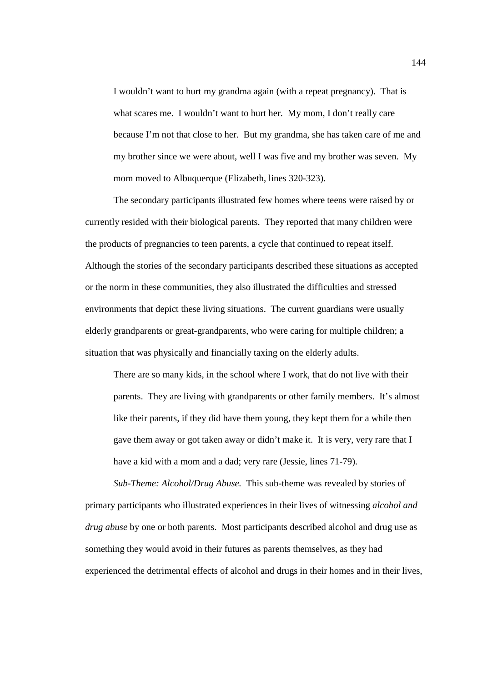I wouldn't want to hurt my grandma again (with a repeat pregnancy). That is what scares me. I wouldn't want to hurt her. My mom, I don't really care because I'm not that close to her. But my grandma, she has taken care of me and my brother since we were about, well I was five and my brother was seven. My mom moved to Albuquerque (Elizabeth, lines 320-323).

The secondary participants illustrated few homes where teens were raised by or currently resided with their biological parents. They reported that many children were the products of pregnancies to teen parents, a cycle that continued to repeat itself. Although the stories of the secondary participants described these situations as accepted or the norm in these communities, they also illustrated the difficulties and stressed environments that depict these living situations. The current guardians were usually elderly grandparents or great-grandparents, who were caring for multiple children; a situation that was physically and financially taxing on the elderly adults.

There are so many kids, in the school where I work, that do not live with their parents. They are living with grandparents or other family members. It's almost like their parents, if they did have them young, they kept them for a while then gave them away or got taken away or didn't make it. It is very, very rare that I have a kid with a mom and a dad; very rare (Jessie, lines 71-79).

 *Sub-Theme: Alcohol/Drug Abuse.* This sub-theme was revealed by stories of primary participants who illustrated experiences in their lives of witnessing *alcohol and drug abuse* by one or both parents. Most participants described alcohol and drug use as something they would avoid in their futures as parents themselves, as they had experienced the detrimental effects of alcohol and drugs in their homes and in their lives,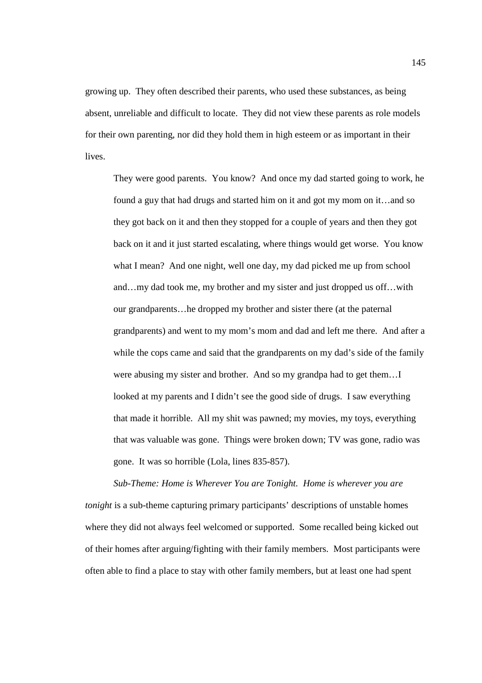growing up. They often described their parents, who used these substances, as being absent, unreliable and difficult to locate. They did not view these parents as role models for their own parenting, nor did they hold them in high esteem or as important in their lives.

They were good parents. You know? And once my dad started going to work, he found a guy that had drugs and started him on it and got my mom on it…and so they got back on it and then they stopped for a couple of years and then they got back on it and it just started escalating, where things would get worse. You know what I mean? And one night, well one day, my dad picked me up from school and…my dad took me, my brother and my sister and just dropped us off…with our grandparents…he dropped my brother and sister there (at the paternal grandparents) and went to my mom's mom and dad and left me there. And after a while the cops came and said that the grandparents on my dad's side of the family were abusing my sister and brother. And so my grandpa had to get them…I looked at my parents and I didn't see the good side of drugs. I saw everything that made it horrible. All my shit was pawned; my movies, my toys, everything that was valuable was gone. Things were broken down; TV was gone, radio was gone. It was so horrible (Lola, lines 835-857).

*Sub-Theme: Home is Wherever You are Tonight. Home is wherever you are tonight* is a sub-theme capturing primary participants' descriptions of unstable homes where they did not always feel welcomed or supported. Some recalled being kicked out of their homes after arguing/fighting with their family members. Most participants were often able to find a place to stay with other family members, but at least one had spent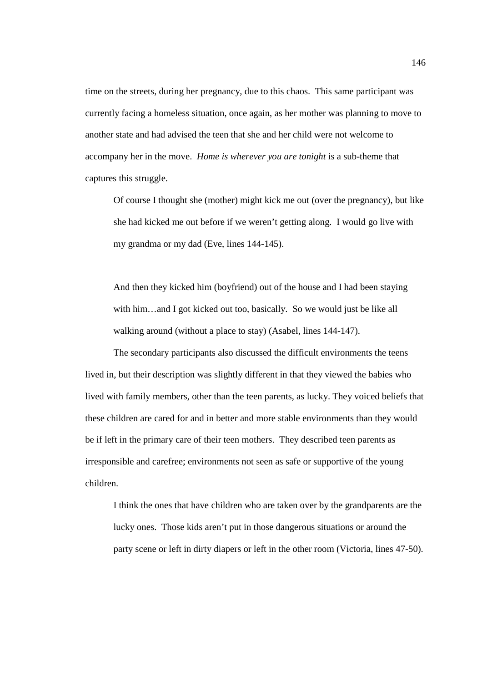time on the streets, during her pregnancy, due to this chaos. This same participant was currently facing a homeless situation, once again, as her mother was planning to move to another state and had advised the teen that she and her child were not welcome to accompany her in the move. *Home is wherever you are tonight* is a sub-theme that captures this struggle.

Of course I thought she (mother) might kick me out (over the pregnancy), but like she had kicked me out before if we weren't getting along. I would go live with my grandma or my dad (Eve, lines 144-145).

And then they kicked him (boyfriend) out of the house and I had been staying with him...and I got kicked out too, basically. So we would just be like all walking around (without a place to stay) (Asabel, lines 144-147).

The secondary participants also discussed the difficult environments the teens lived in, but their description was slightly different in that they viewed the babies who lived with family members, other than the teen parents, as lucky. They voiced beliefs that these children are cared for and in better and more stable environments than they would be if left in the primary care of their teen mothers. They described teen parents as irresponsible and carefree; environments not seen as safe or supportive of the young children.

I think the ones that have children who are taken over by the grandparents are the lucky ones. Those kids aren't put in those dangerous situations or around the party scene or left in dirty diapers or left in the other room (Victoria, lines 47-50).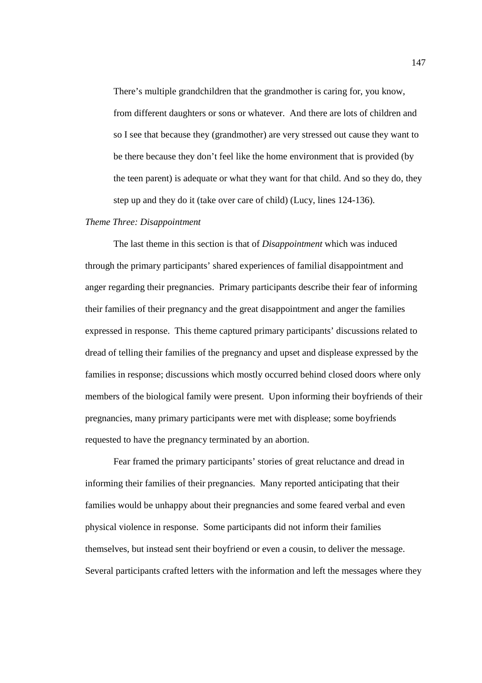There's multiple grandchildren that the grandmother is caring for, you know, from different daughters or sons or whatever. And there are lots of children and so I see that because they (grandmother) are very stressed out cause they want to be there because they don't feel like the home environment that is provided (by the teen parent) is adequate or what they want for that child. And so they do, they step up and they do it (take over care of child) (Lucy, lines 124-136).

# *Theme Three: Disappointment*

The last theme in this section is that of *Disappointment* which was induced through the primary participants' shared experiences of familial disappointment and anger regarding their pregnancies. Primary participants describe their fear of informing their families of their pregnancy and the great disappointment and anger the families expressed in response. This theme captured primary participants' discussions related to dread of telling their families of the pregnancy and upset and displease expressed by the families in response; discussions which mostly occurred behind closed doors where only members of the biological family were present. Upon informing their boyfriends of their pregnancies, many primary participants were met with displease; some boyfriends requested to have the pregnancy terminated by an abortion.

Fear framed the primary participants' stories of great reluctance and dread in informing their families of their pregnancies. Many reported anticipating that their families would be unhappy about their pregnancies and some feared verbal and even physical violence in response. Some participants did not inform their families themselves, but instead sent their boyfriend or even a cousin, to deliver the message. Several participants crafted letters with the information and left the messages where they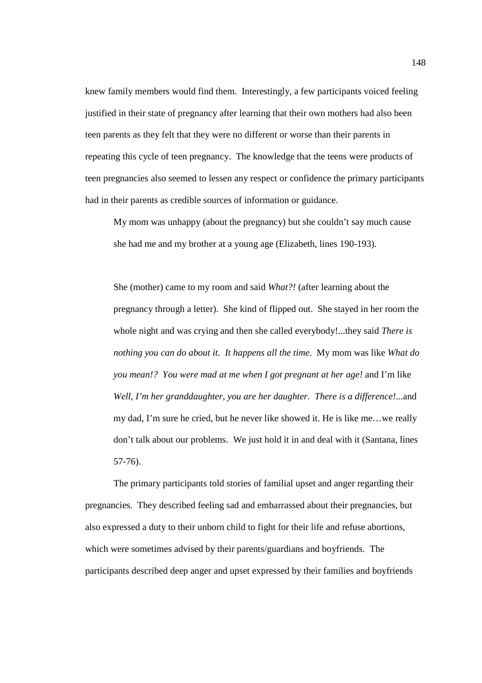knew family members would find them. Interestingly, a few participants voiced feeling justified in their state of pregnancy after learning that their own mothers had also been teen parents as they felt that they were no different or worse than their parents in repeating this cycle of teen pregnancy. The knowledge that the teens were products of teen pregnancies also seemed to lessen any respect or confidence the primary participants had in their parents as credible sources of information or guidance.

My mom was unhappy (about the pregnancy) but she couldn't say much cause she had me and my brother at a young age (Elizabeth, lines 190-193).

She (mother) came to my room and said *What?!* (after learning about the pregnancy through a letter). She kind of flipped out. She stayed in her room the whole night and was crying and then she called everybody!...they said *There is nothing you can do about it. It happens all the time*. My mom was like *What do you mean!? You were mad at me when I got pregnant at her age!* and I'm like *Well, I'm her granddaughter, you are her daughter. There is a difference!*...and my dad, I'm sure he cried, but he never like showed it. He is like me…we really don't talk about our problems. We just hold it in and deal with it (Santana, lines 57-76).

 The primary participants told stories of familial upset and anger regarding their pregnancies. They described feeling sad and embarrassed about their pregnancies, but also expressed a duty to their unborn child to fight for their life and refuse abortions, which were sometimes advised by their parents/guardians and boyfriends. The participants described deep anger and upset expressed by their families and boyfriends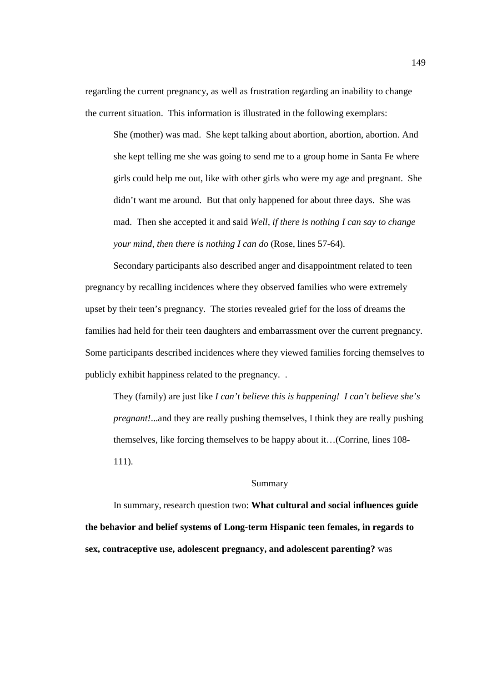regarding the current pregnancy, as well as frustration regarding an inability to change the current situation. This information is illustrated in the following exemplars:

She (mother) was mad. She kept talking about abortion, abortion, abortion. And she kept telling me she was going to send me to a group home in Santa Fe where girls could help me out, like with other girls who were my age and pregnant. She didn't want me around. But that only happened for about three days. She was mad. Then she accepted it and said *Well, if there is nothing I can say to change your mind, then there is nothing I can do* (Rose, lines 57-64).

Secondary participants also described anger and disappointment related to teen pregnancy by recalling incidences where they observed families who were extremely upset by their teen's pregnancy. The stories revealed grief for the loss of dreams the families had held for their teen daughters and embarrassment over the current pregnancy. Some participants described incidences where they viewed families forcing themselves to publicly exhibit happiness related to the pregnancy. .

They (family) are just like *I can't believe this is happening! I can't believe she's pregnant!*...and they are really pushing themselves, I think they are really pushing themselves, like forcing themselves to be happy about it…(Corrine, lines 108- 111).

# Summary

In summary, research question two: **What cultural and social influences guide the behavior and belief systems of Long-term Hispanic teen females, in regards to sex, contraceptive use, adolescent pregnancy, and adolescent parenting?** was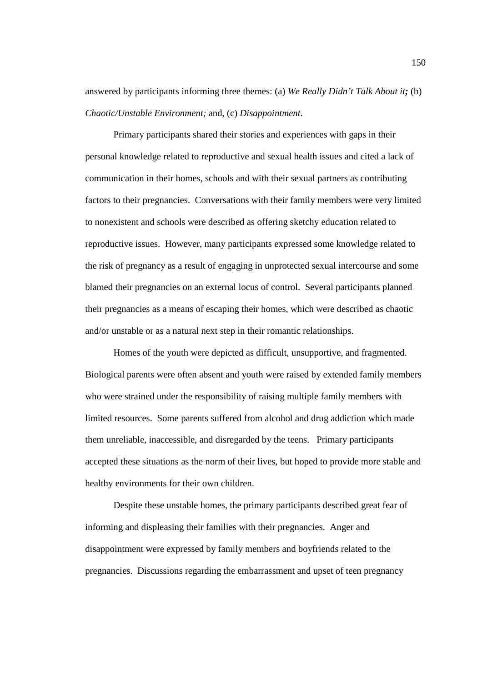answered by participants informing three themes: (a) *We Really Didn't Talk About it;* (b) *Chaotic/Unstable Environment;* and, (c) *Disappointment*.

Primary participants shared their stories and experiences with gaps in their personal knowledge related to reproductive and sexual health issues and cited a lack of communication in their homes, schools and with their sexual partners as contributing factors to their pregnancies. Conversations with their family members were very limited to nonexistent and schools were described as offering sketchy education related to reproductive issues. However, many participants expressed some knowledge related to the risk of pregnancy as a result of engaging in unprotected sexual intercourse and some blamed their pregnancies on an external locus of control. Several participants planned their pregnancies as a means of escaping their homes, which were described as chaotic and/or unstable or as a natural next step in their romantic relationships.

Homes of the youth were depicted as difficult, unsupportive, and fragmented. Biological parents were often absent and youth were raised by extended family members who were strained under the responsibility of raising multiple family members with limited resources. Some parents suffered from alcohol and drug addiction which made them unreliable, inaccessible, and disregarded by the teens. Primary participants accepted these situations as the norm of their lives, but hoped to provide more stable and healthy environments for their own children.

Despite these unstable homes, the primary participants described great fear of informing and displeasing their families with their pregnancies. Anger and disappointment were expressed by family members and boyfriends related to the pregnancies. Discussions regarding the embarrassment and upset of teen pregnancy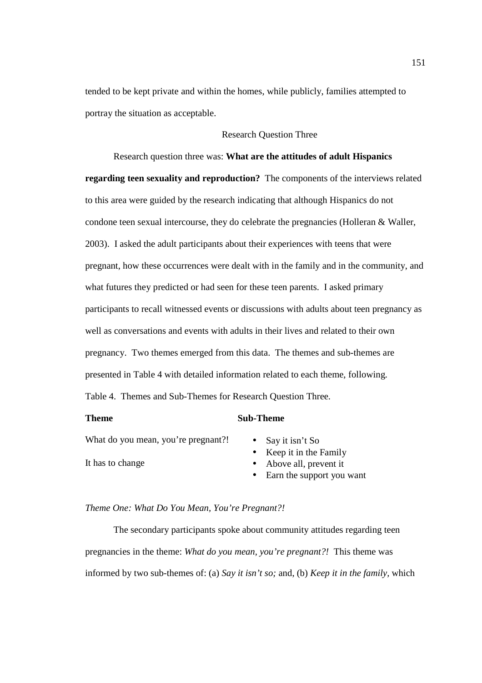tended to be kept private and within the homes, while publicly, families attempted to portray the situation as acceptable.

# Research Question Three

 Research question three was: **What are the attitudes of adult Hispanics regarding teen sexuality and reproduction?** The components of the interviews related to this area were guided by the research indicating that although Hispanics do not condone teen sexual intercourse, they do celebrate the pregnancies (Holleran & Waller, 2003). I asked the adult participants about their experiences with teens that were pregnant, how these occurrences were dealt with in the family and in the community, and what futures they predicted or had seen for these teen parents. I asked primary participants to recall witnessed events or discussions with adults about teen pregnancy as well as conversations and events with adults in their lives and related to their own pregnancy. Two themes emerged from this data. The themes and sub-themes are presented in Table 4 with detailed information related to each theme, following. Table 4. Themes and Sub-Themes for Research Question Three.

### **Theme** Sub-Theme

What do you mean, you're pregnant?! • Say it isn't So

- 
- Keep it in the Family
- It has to change Above all, prevent it
	- Earn the support you want

### *Theme One: What Do You Mean, You're Pregnant?!*

The secondary participants spoke about community attitudes regarding teen pregnancies in the theme: *What do you mean, you're pregnant?!* This theme was informed by two sub-themes of: (a) *Say it isn't so;* and, (b) *Keep it in the family,* which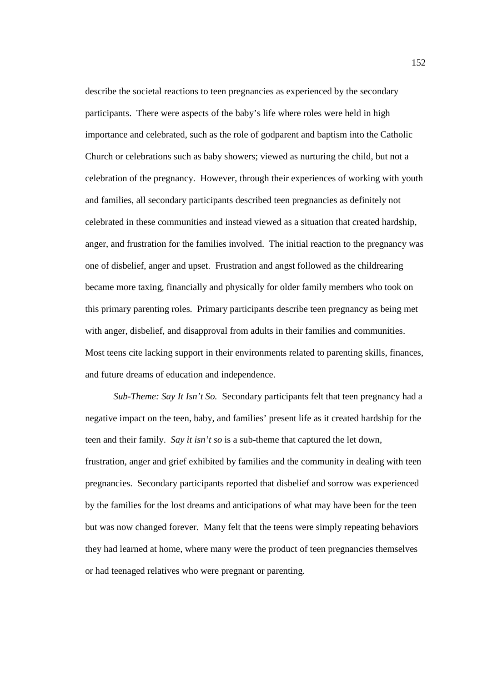describe the societal reactions to teen pregnancies as experienced by the secondary participants. There were aspects of the baby's life where roles were held in high importance and celebrated, such as the role of godparent and baptism into the Catholic Church or celebrations such as baby showers; viewed as nurturing the child, but not a celebration of the pregnancy. However, through their experiences of working with youth and families, all secondary participants described teen pregnancies as definitely not celebrated in these communities and instead viewed as a situation that created hardship, anger, and frustration for the families involved. The initial reaction to the pregnancy was one of disbelief, anger and upset. Frustration and angst followed as the childrearing became more taxing, financially and physically for older family members who took on this primary parenting roles. Primary participants describe teen pregnancy as being met with anger, disbelief, and disapproval from adults in their families and communities. Most teens cite lacking support in their environments related to parenting skills, finances, and future dreams of education and independence.

*Sub-Theme: Say It Isn't So.* Secondary participants felt that teen pregnancy had a negative impact on the teen, baby, and families' present life as it created hardship for the teen and their family. *Say it isn't so* is a sub-theme that captured the let down, frustration, anger and grief exhibited by families and the community in dealing with teen pregnancies. Secondary participants reported that disbelief and sorrow was experienced by the families for the lost dreams and anticipations of what may have been for the teen but was now changed forever. Many felt that the teens were simply repeating behaviors they had learned at home, where many were the product of teen pregnancies themselves or had teenaged relatives who were pregnant or parenting.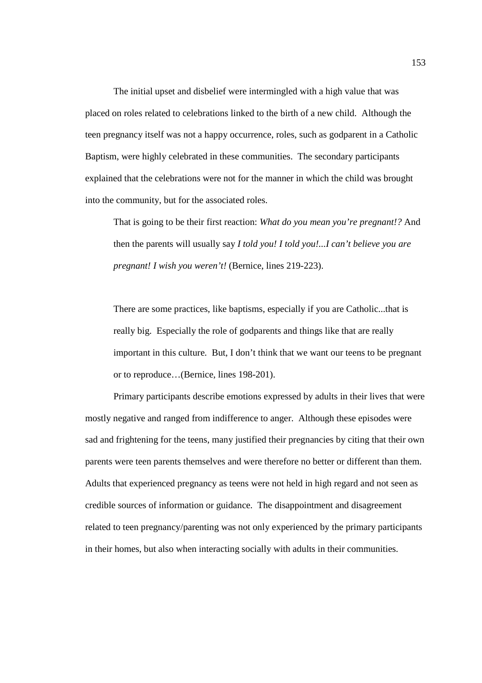The initial upset and disbelief were intermingled with a high value that was placed on roles related to celebrations linked to the birth of a new child. Although the teen pregnancy itself was not a happy occurrence, roles, such as godparent in a Catholic Baptism, were highly celebrated in these communities. The secondary participants explained that the celebrations were not for the manner in which the child was brought into the community, but for the associated roles.

That is going to be their first reaction: *What do you mean you're pregnant!?* And then the parents will usually say *I told you! I told you!...I can't believe you are pregnant! I wish you weren't!* (Bernice, lines 219-223).

There are some practices, like baptisms, especially if you are Catholic...that is really big. Especially the role of godparents and things like that are really important in this culture. But, I don't think that we want our teens to be pregnant or to reproduce…(Bernice, lines 198-201).

Primary participants describe emotions expressed by adults in their lives that were mostly negative and ranged from indifference to anger. Although these episodes were sad and frightening for the teens, many justified their pregnancies by citing that their own parents were teen parents themselves and were therefore no better or different than them. Adults that experienced pregnancy as teens were not held in high regard and not seen as credible sources of information or guidance. The disappointment and disagreement related to teen pregnancy/parenting was not only experienced by the primary participants in their homes, but also when interacting socially with adults in their communities.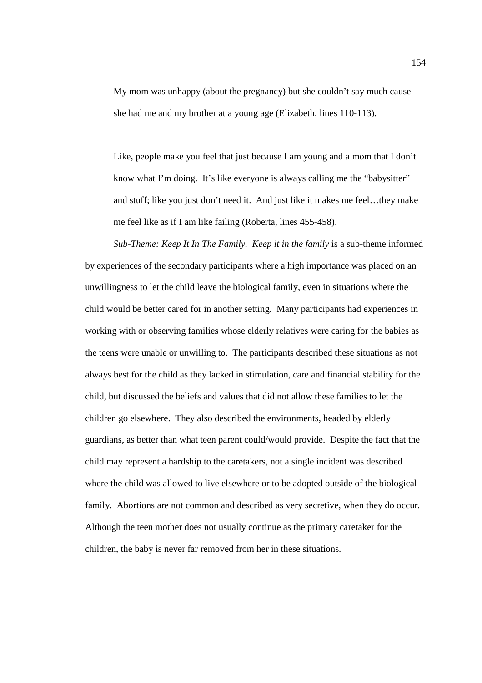My mom was unhappy (about the pregnancy) but she couldn't say much cause she had me and my brother at a young age (Elizabeth, lines 110-113).

Like, people make you feel that just because I am young and a mom that I don't know what I'm doing. It's like everyone is always calling me the "babysitter" and stuff; like you just don't need it. And just like it makes me feel…they make me feel like as if I am like failing (Roberta, lines 455-458).

*Sub-Theme: Keep It In The Family. Keep it in the family* is a sub-theme informed by experiences of the secondary participants where a high importance was placed on an unwillingness to let the child leave the biological family, even in situations where the child would be better cared for in another setting. Many participants had experiences in working with or observing families whose elderly relatives were caring for the babies as the teens were unable or unwilling to. The participants described these situations as not always best for the child as they lacked in stimulation, care and financial stability for the child, but discussed the beliefs and values that did not allow these families to let the children go elsewhere. They also described the environments, headed by elderly guardians, as better than what teen parent could/would provide. Despite the fact that the child may represent a hardship to the caretakers, not a single incident was described where the child was allowed to live elsewhere or to be adopted outside of the biological family. Abortions are not common and described as very secretive, when they do occur. Although the teen mother does not usually continue as the primary caretaker for the children, the baby is never far removed from her in these situations.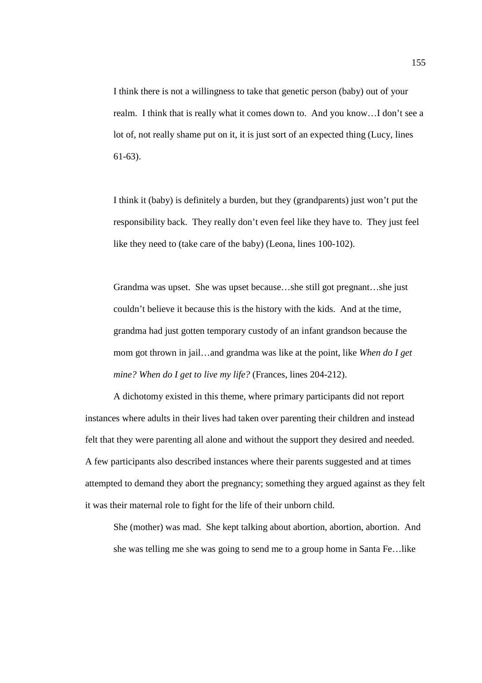I think there is not a willingness to take that genetic person (baby) out of your realm. I think that is really what it comes down to. And you know…I don't see a lot of, not really shame put on it, it is just sort of an expected thing (Lucy, lines 61-63).

I think it (baby) is definitely a burden, but they (grandparents) just won't put the responsibility back. They really don't even feel like they have to. They just feel like they need to (take care of the baby) (Leona, lines 100-102).

Grandma was upset. She was upset because…she still got pregnant…she just couldn't believe it because this is the history with the kids. And at the time, grandma had just gotten temporary custody of an infant grandson because the mom got thrown in jail…and grandma was like at the point, like *When do I get mine? When do I get to live my life?* (Frances, lines 204-212).

A dichotomy existed in this theme, where primary participants did not report instances where adults in their lives had taken over parenting their children and instead felt that they were parenting all alone and without the support they desired and needed. A few participants also described instances where their parents suggested and at times attempted to demand they abort the pregnancy; something they argued against as they felt it was their maternal role to fight for the life of their unborn child.

She (mother) was mad. She kept talking about abortion, abortion, abortion. And she was telling me she was going to send me to a group home in Santa Fe…like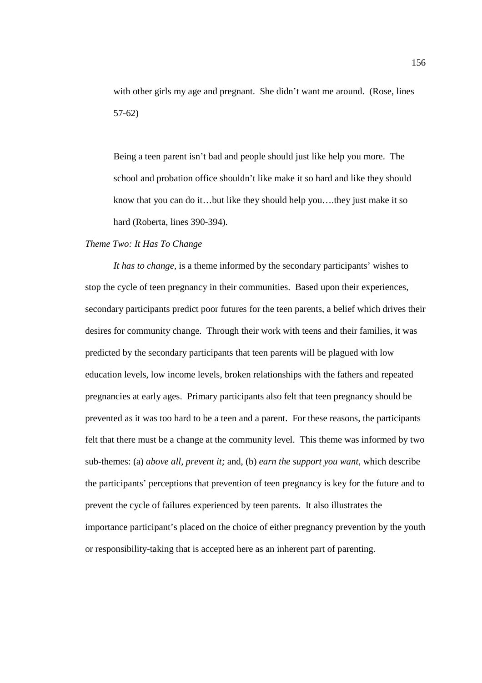with other girls my age and pregnant. She didn't want me around. (Rose, lines 57-62)

Being a teen parent isn't bad and people should just like help you more. The school and probation office shouldn't like make it so hard and like they should know that you can do it…but like they should help you….they just make it so hard (Roberta, lines 390-394).

# *Theme Two: It Has To Change*

*It has to change,* is a theme informed by the secondary participants' wishes to stop the cycle of teen pregnancy in their communities. Based upon their experiences, secondary participants predict poor futures for the teen parents, a belief which drives their desires for community change. Through their work with teens and their families, it was predicted by the secondary participants that teen parents will be plagued with low education levels, low income levels, broken relationships with the fathers and repeated pregnancies at early ages. Primary participants also felt that teen pregnancy should be prevented as it was too hard to be a teen and a parent. For these reasons, the participants felt that there must be a change at the community level. This theme was informed by two sub-themes: (a) *above all, prevent it;* and, (b) *earn the support you want,* which describe the participants' perceptions that prevention of teen pregnancy is key for the future and to prevent the cycle of failures experienced by teen parents. It also illustrates the importance participant's placed on the choice of either pregnancy prevention by the youth or responsibility-taking that is accepted here as an inherent part of parenting.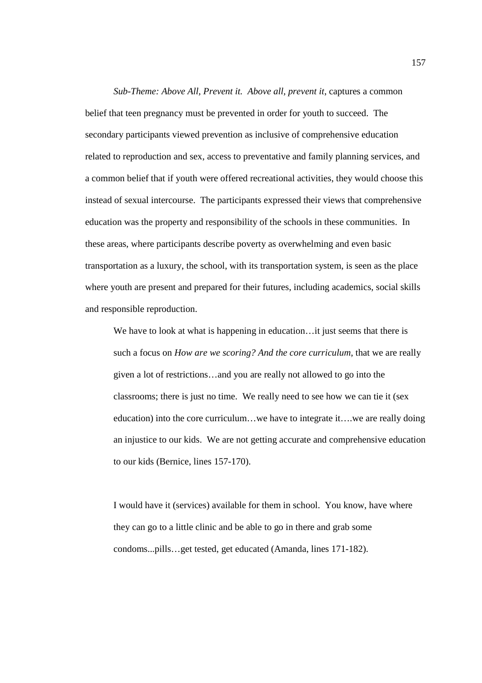*Sub-Theme: Above All, Prevent it. Above all, prevent it*, captures a common belief that teen pregnancy must be prevented in order for youth to succeed. The secondary participants viewed prevention as inclusive of comprehensive education related to reproduction and sex, access to preventative and family planning services, and a common belief that if youth were offered recreational activities, they would choose this instead of sexual intercourse. The participants expressed their views that comprehensive education was the property and responsibility of the schools in these communities. In these areas, where participants describe poverty as overwhelming and even basic transportation as a luxury, the school, with its transportation system, is seen as the place where youth are present and prepared for their futures, including academics, social skills and responsible reproduction.

We have to look at what is happening in education...it just seems that there is such a focus on *How are we scoring? And the core curriculum*, that we are really given a lot of restrictions…and you are really not allowed to go into the classrooms; there is just no time. We really need to see how we can tie it (sex education) into the core curriculum…we have to integrate it….we are really doing an injustice to our kids. We are not getting accurate and comprehensive education to our kids (Bernice, lines 157-170).

I would have it (services) available for them in school. You know, have where they can go to a little clinic and be able to go in there and grab some condoms...pills…get tested, get educated (Amanda, lines 171-182).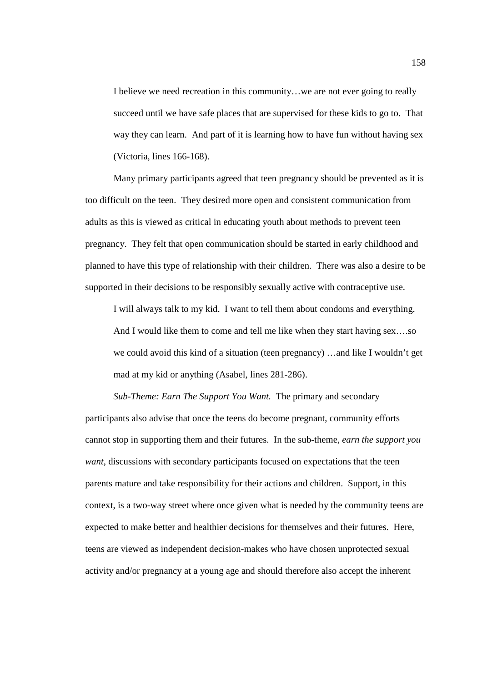I believe we need recreation in this community…we are not ever going to really succeed until we have safe places that are supervised for these kids to go to. That way they can learn. And part of it is learning how to have fun without having sex (Victoria, lines 166-168).

Many primary participants agreed that teen pregnancy should be prevented as it is too difficult on the teen. They desired more open and consistent communication from adults as this is viewed as critical in educating youth about methods to prevent teen pregnancy. They felt that open communication should be started in early childhood and planned to have this type of relationship with their children. There was also a desire to be supported in their decisions to be responsibly sexually active with contraceptive use.

I will always talk to my kid. I want to tell them about condoms and everything. And I would like them to come and tell me like when they start having sex….so we could avoid this kind of a situation (teen pregnancy) …and like I wouldn't get mad at my kid or anything (Asabel, lines 281-286).

*Sub-Theme: Earn The Support You Want.* The primary and secondary participants also advise that once the teens do become pregnant, community efforts cannot stop in supporting them and their futures. In the sub-theme, *earn the support you want*, discussions with secondary participants focused on expectations that the teen parents mature and take responsibility for their actions and children. Support, in this context, is a two-way street where once given what is needed by the community teens are expected to make better and healthier decisions for themselves and their futures. Here, teens are viewed as independent decision-makes who have chosen unprotected sexual activity and/or pregnancy at a young age and should therefore also accept the inherent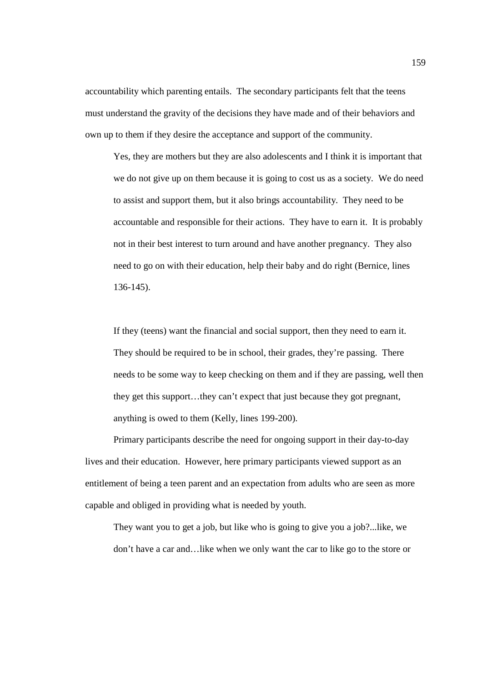accountability which parenting entails. The secondary participants felt that the teens must understand the gravity of the decisions they have made and of their behaviors and own up to them if they desire the acceptance and support of the community.

Yes, they are mothers but they are also adolescents and I think it is important that we do not give up on them because it is going to cost us as a society. We do need to assist and support them, but it also brings accountability. They need to be accountable and responsible for their actions. They have to earn it. It is probably not in their best interest to turn around and have another pregnancy. They also need to go on with their education, help their baby and do right (Bernice, lines 136-145).

If they (teens) want the financial and social support, then they need to earn it. They should be required to be in school, their grades, they're passing. There needs to be some way to keep checking on them and if they are passing, well then they get this support…they can't expect that just because they got pregnant, anything is owed to them (Kelly, lines 199-200).

Primary participants describe the need for ongoing support in their day-to-day lives and their education. However, here primary participants viewed support as an entitlement of being a teen parent and an expectation from adults who are seen as more capable and obliged in providing what is needed by youth.

They want you to get a job, but like who is going to give you a job?...like, we don't have a car and…like when we only want the car to like go to the store or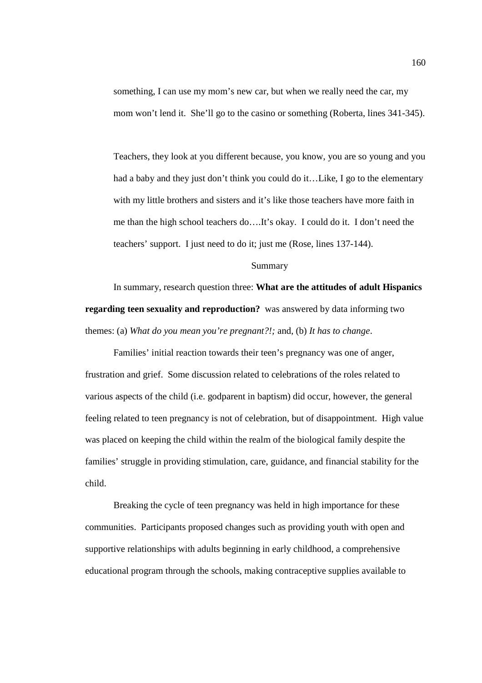something, I can use my mom's new car, but when we really need the car, my mom won't lend it. She'll go to the casino or something (Roberta, lines 341-345).

Teachers, they look at you different because, you know, you are so young and you had a baby and they just don't think you could do it…Like, I go to the elementary with my little brothers and sisters and it's like those teachers have more faith in me than the high school teachers do….It's okay. I could do it. I don't need the teachers' support. I just need to do it; just me (Rose, lines 137-144).

### Summary

 In summary, research question three: **What are the attitudes of adult Hispanics regarding teen sexuality and reproduction?** was answered by data informing two themes: (a) *What do you mean you're pregnant?!;* and, (b) *It has to change*.

Families' initial reaction towards their teen's pregnancy was one of anger, frustration and grief. Some discussion related to celebrations of the roles related to various aspects of the child (i.e. godparent in baptism) did occur, however, the general feeling related to teen pregnancy is not of celebration, but of disappointment. High value was placed on keeping the child within the realm of the biological family despite the families' struggle in providing stimulation, care, guidance, and financial stability for the child.

Breaking the cycle of teen pregnancy was held in high importance for these communities. Participants proposed changes such as providing youth with open and supportive relationships with adults beginning in early childhood, a comprehensive educational program through the schools, making contraceptive supplies available to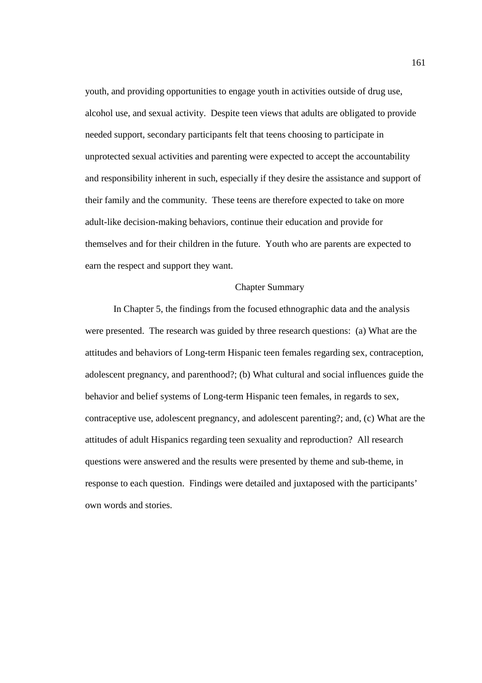youth, and providing opportunities to engage youth in activities outside of drug use, alcohol use, and sexual activity. Despite teen views that adults are obligated to provide needed support, secondary participants felt that teens choosing to participate in unprotected sexual activities and parenting were expected to accept the accountability and responsibility inherent in such, especially if they desire the assistance and support of their family and the community. These teens are therefore expected to take on more adult-like decision-making behaviors, continue their education and provide for themselves and for their children in the future. Youth who are parents are expected to earn the respect and support they want.

# Chapter Summary

In Chapter 5, the findings from the focused ethnographic data and the analysis were presented. The research was guided by three research questions: (a) What are the attitudes and behaviors of Long-term Hispanic teen females regarding sex, contraception, adolescent pregnancy, and parenthood?; (b) What cultural and social influences guide the behavior and belief systems of Long-term Hispanic teen females, in regards to sex, contraceptive use, adolescent pregnancy, and adolescent parenting?; and, (c) What are the attitudes of adult Hispanics regarding teen sexuality and reproduction? All research questions were answered and the results were presented by theme and sub-theme, in response to each question. Findings were detailed and juxtaposed with the participants' own words and stories.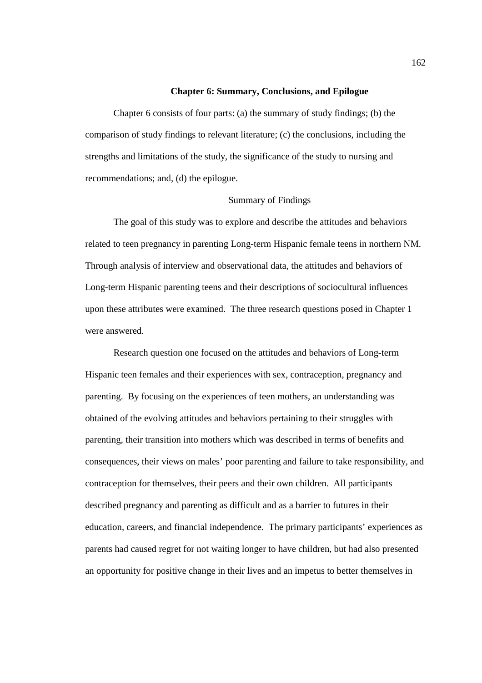### **Chapter 6: Summary, Conclusions, and Epilogue**

Chapter 6 consists of four parts: (a) the summary of study findings; (b) the comparison of study findings to relevant literature; (c) the conclusions, including the strengths and limitations of the study, the significance of the study to nursing and recommendations; and, (d) the epilogue.

# Summary of Findings

The goal of this study was to explore and describe the attitudes and behaviors related to teen pregnancy in parenting Long-term Hispanic female teens in northern NM. Through analysis of interview and observational data, the attitudes and behaviors of Long-term Hispanic parenting teens and their descriptions of sociocultural influences upon these attributes were examined. The three research questions posed in Chapter 1 were answered.

Research question one focused on the attitudes and behaviors of Long-term Hispanic teen females and their experiences with sex, contraception, pregnancy and parenting. By focusing on the experiences of teen mothers, an understanding was obtained of the evolving attitudes and behaviors pertaining to their struggles with parenting, their transition into mothers which was described in terms of benefits and consequences, their views on males' poor parenting and failure to take responsibility, and contraception for themselves, their peers and their own children. All participants described pregnancy and parenting as difficult and as a barrier to futures in their education, careers, and financial independence. The primary participants' experiences as parents had caused regret for not waiting longer to have children, but had also presented an opportunity for positive change in their lives and an impetus to better themselves in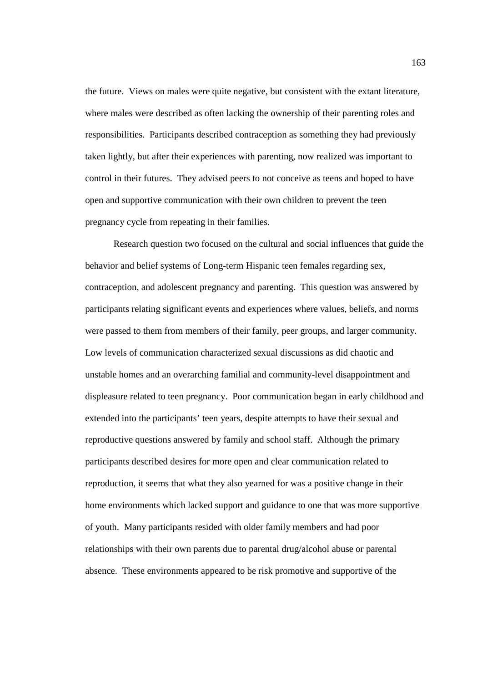the future. Views on males were quite negative, but consistent with the extant literature, where males were described as often lacking the ownership of their parenting roles and responsibilities. Participants described contraception as something they had previously taken lightly, but after their experiences with parenting, now realized was important to control in their futures. They advised peers to not conceive as teens and hoped to have open and supportive communication with their own children to prevent the teen pregnancy cycle from repeating in their families.

Research question two focused on the cultural and social influences that guide the behavior and belief systems of Long-term Hispanic teen females regarding sex, contraception, and adolescent pregnancy and parenting. This question was answered by participants relating significant events and experiences where values, beliefs, and norms were passed to them from members of their family, peer groups, and larger community. Low levels of communication characterized sexual discussions as did chaotic and unstable homes and an overarching familial and community-level disappointment and displeasure related to teen pregnancy. Poor communication began in early childhood and extended into the participants' teen years, despite attempts to have their sexual and reproductive questions answered by family and school staff. Although the primary participants described desires for more open and clear communication related to reproduction, it seems that what they also yearned for was a positive change in their home environments which lacked support and guidance to one that was more supportive of youth. Many participants resided with older family members and had poor relationships with their own parents due to parental drug/alcohol abuse or parental absence. These environments appeared to be risk promotive and supportive of the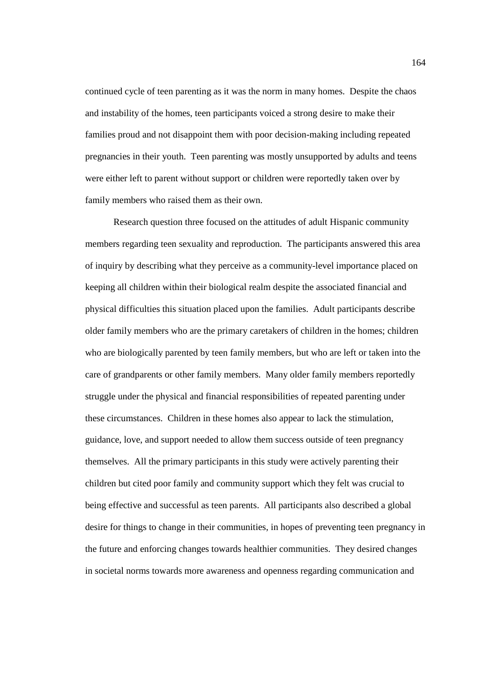continued cycle of teen parenting as it was the norm in many homes. Despite the chaos and instability of the homes, teen participants voiced a strong desire to make their families proud and not disappoint them with poor decision-making including repeated pregnancies in their youth. Teen parenting was mostly unsupported by adults and teens were either left to parent without support or children were reportedly taken over by family members who raised them as their own.

Research question three focused on the attitudes of adult Hispanic community members regarding teen sexuality and reproduction. The participants answered this area of inquiry by describing what they perceive as a community-level importance placed on keeping all children within their biological realm despite the associated financial and physical difficulties this situation placed upon the families. Adult participants describe older family members who are the primary caretakers of children in the homes; children who are biologically parented by teen family members, but who are left or taken into the care of grandparents or other family members. Many older family members reportedly struggle under the physical and financial responsibilities of repeated parenting under these circumstances. Children in these homes also appear to lack the stimulation, guidance, love, and support needed to allow them success outside of teen pregnancy themselves. All the primary participants in this study were actively parenting their children but cited poor family and community support which they felt was crucial to being effective and successful as teen parents. All participants also described a global desire for things to change in their communities, in hopes of preventing teen pregnancy in the future and enforcing changes towards healthier communities. They desired changes in societal norms towards more awareness and openness regarding communication and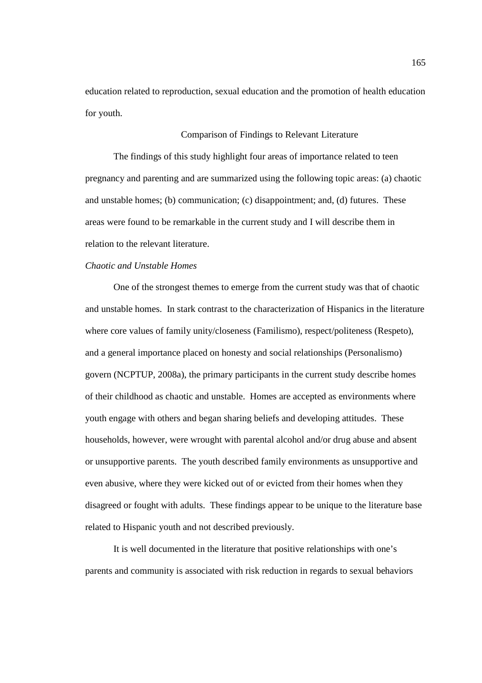education related to reproduction, sexual education and the promotion of health education for youth.

### Comparison of Findings to Relevant Literature

The findings of this study highlight four areas of importance related to teen pregnancy and parenting and are summarized using the following topic areas: (a) chaotic and unstable homes; (b) communication; (c) disappointment; and, (d) futures. These areas were found to be remarkable in the current study and I will describe them in relation to the relevant literature.

## *Chaotic and Unstable Homes*

One of the strongest themes to emerge from the current study was that of chaotic and unstable homes. In stark contrast to the characterization of Hispanics in the literature where core values of family unity/closeness (Familismo), respect/politeness (Respeto), and a general importance placed on honesty and social relationships (Personalismo) govern (NCPTUP, 2008a), the primary participants in the current study describe homes of their childhood as chaotic and unstable. Homes are accepted as environments where youth engage with others and began sharing beliefs and developing attitudes. These households, however, were wrought with parental alcohol and/or drug abuse and absent or unsupportive parents. The youth described family environments as unsupportive and even abusive, where they were kicked out of or evicted from their homes when they disagreed or fought with adults. These findings appear to be unique to the literature base related to Hispanic youth and not described previously.

It is well documented in the literature that positive relationships with one's parents and community is associated with risk reduction in regards to sexual behaviors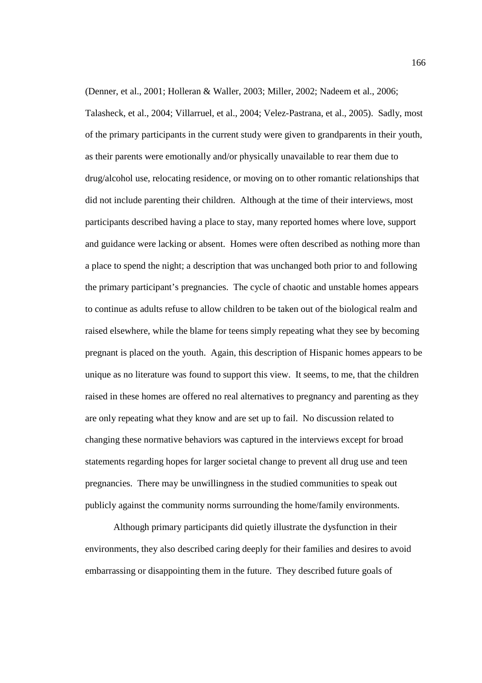(Denner, et al., 2001; Holleran & Waller, 2003; Miller, 2002; Nadeem et al., 2006; Talasheck, et al., 2004; Villarruel, et al., 2004; Velez-Pastrana, et al., 2005). Sadly, most of the primary participants in the current study were given to grandparents in their youth, as their parents were emotionally and/or physically unavailable to rear them due to drug/alcohol use, relocating residence, or moving on to other romantic relationships that did not include parenting their children. Although at the time of their interviews, most participants described having a place to stay, many reported homes where love, support and guidance were lacking or absent. Homes were often described as nothing more than a place to spend the night; a description that was unchanged both prior to and following the primary participant's pregnancies. The cycle of chaotic and unstable homes appears to continue as adults refuse to allow children to be taken out of the biological realm and raised elsewhere, while the blame for teens simply repeating what they see by becoming pregnant is placed on the youth. Again, this description of Hispanic homes appears to be unique as no literature was found to support this view. It seems, to me, that the children raised in these homes are offered no real alternatives to pregnancy and parenting as they are only repeating what they know and are set up to fail. No discussion related to changing these normative behaviors was captured in the interviews except for broad statements regarding hopes for larger societal change to prevent all drug use and teen pregnancies. There may be unwillingness in the studied communities to speak out publicly against the community norms surrounding the home/family environments.

Although primary participants did quietly illustrate the dysfunction in their environments, they also described caring deeply for their families and desires to avoid embarrassing or disappointing them in the future. They described future goals of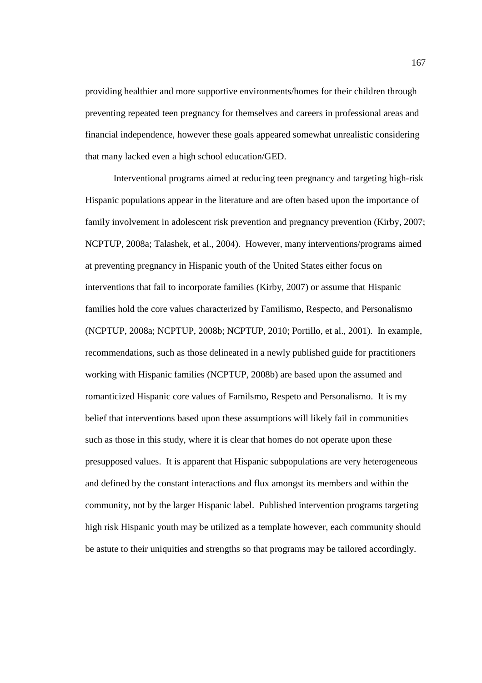providing healthier and more supportive environments/homes for their children through preventing repeated teen pregnancy for themselves and careers in professional areas and financial independence, however these goals appeared somewhat unrealistic considering that many lacked even a high school education/GED.

Interventional programs aimed at reducing teen pregnancy and targeting high-risk Hispanic populations appear in the literature and are often based upon the importance of family involvement in adolescent risk prevention and pregnancy prevention (Kirby, 2007; NCPTUP, 2008a; Talashek, et al., 2004). However, many interventions/programs aimed at preventing pregnancy in Hispanic youth of the United States either focus on interventions that fail to incorporate families (Kirby, 2007) or assume that Hispanic families hold the core values characterized by Familismo, Respecto, and Personalismo (NCPTUP, 2008a; NCPTUP, 2008b; NCPTUP, 2010; Portillo, et al., 2001). In example, recommendations, such as those delineated in a newly published guide for practitioners working with Hispanic families (NCPTUP, 2008b) are based upon the assumed and romanticized Hispanic core values of Familsmo, Respeto and Personalismo. It is my belief that interventions based upon these assumptions will likely fail in communities such as those in this study, where it is clear that homes do not operate upon these presupposed values. It is apparent that Hispanic subpopulations are very heterogeneous and defined by the constant interactions and flux amongst its members and within the community, not by the larger Hispanic label. Published intervention programs targeting high risk Hispanic youth may be utilized as a template however, each community should be astute to their uniquities and strengths so that programs may be tailored accordingly.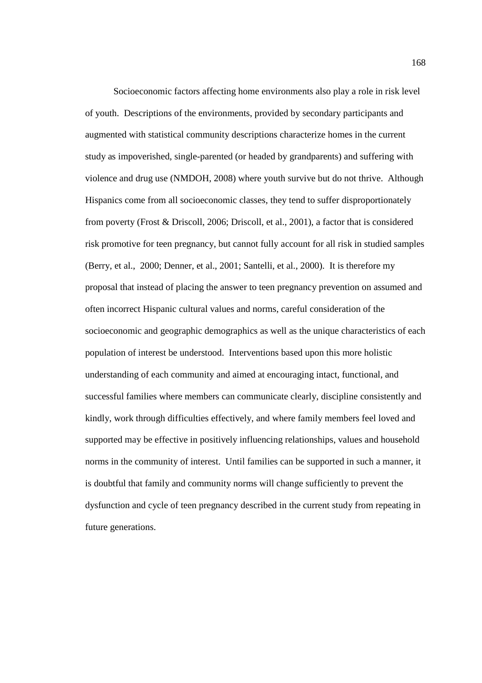Socioeconomic factors affecting home environments also play a role in risk level of youth. Descriptions of the environments, provided by secondary participants and augmented with statistical community descriptions characterize homes in the current study as impoverished, single-parented (or headed by grandparents) and suffering with violence and drug use (NMDOH, 2008) where youth survive but do not thrive. Although Hispanics come from all socioeconomic classes, they tend to suffer disproportionately from poverty (Frost & Driscoll, 2006; Driscoll, et al., 2001), a factor that is considered risk promotive for teen pregnancy, but cannot fully account for all risk in studied samples (Berry, et al., 2000; Denner, et al., 2001; Santelli, et al., 2000). It is therefore my proposal that instead of placing the answer to teen pregnancy prevention on assumed and often incorrect Hispanic cultural values and norms, careful consideration of the socioeconomic and geographic demographics as well as the unique characteristics of each population of interest be understood. Interventions based upon this more holistic understanding of each community and aimed at encouraging intact, functional, and successful families where members can communicate clearly, discipline consistently and kindly, work through difficulties effectively, and where family members feel loved and supported may be effective in positively influencing relationships, values and household norms in the community of interest. Until families can be supported in such a manner, it is doubtful that family and community norms will change sufficiently to prevent the dysfunction and cycle of teen pregnancy described in the current study from repeating in future generations.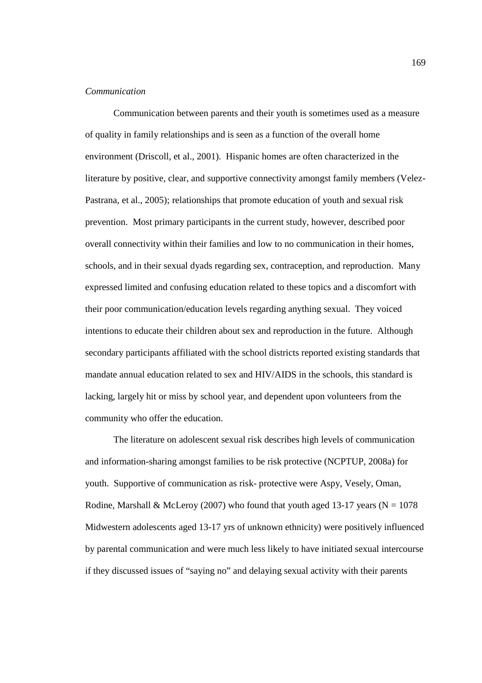#### *Communication*

 Communication between parents and their youth is sometimes used as a measure of quality in family relationships and is seen as a function of the overall home environment (Driscoll, et al., 2001). Hispanic homes are often characterized in the literature by positive, clear, and supportive connectivity amongst family members (Velez-Pastrana, et al., 2005); relationships that promote education of youth and sexual risk prevention. Most primary participants in the current study, however, described poor overall connectivity within their families and low to no communication in their homes, schools, and in their sexual dyads regarding sex, contraception, and reproduction. Many expressed limited and confusing education related to these topics and a discomfort with their poor communication/education levels regarding anything sexual. They voiced intentions to educate their children about sex and reproduction in the future. Although secondary participants affiliated with the school districts reported existing standards that mandate annual education related to sex and HIV/AIDS in the schools, this standard is lacking, largely hit or miss by school year, and dependent upon volunteers from the community who offer the education.

The literature on adolescent sexual risk describes high levels of communication and information-sharing amongst families to be risk protective (NCPTUP, 2008a) for youth. Supportive of communication as risk- protective were Aspy, Vesely, Oman, Rodine, Marshall & McLeroy (2007) who found that youth aged 13-17 years ( $N = 1078$ ) Midwestern adolescents aged 13-17 yrs of unknown ethnicity) were positively influenced by parental communication and were much less likely to have initiated sexual intercourse if they discussed issues of "saying no" and delaying sexual activity with their parents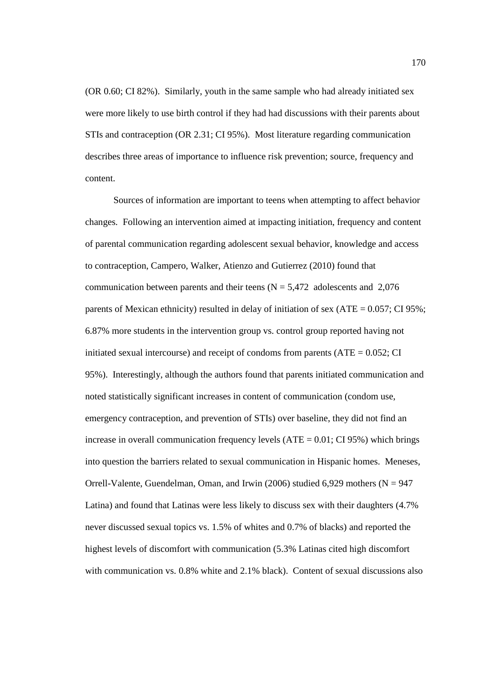(OR 0.60; CI 82%). Similarly, youth in the same sample who had already initiated sex were more likely to use birth control if they had had discussions with their parents about STIs and contraception (OR 2.31; CI 95%). Most literature regarding communication describes three areas of importance to influence risk prevention; source, frequency and content.

Sources of information are important to teens when attempting to affect behavior changes. Following an intervention aimed at impacting initiation, frequency and content of parental communication regarding adolescent sexual behavior, knowledge and access to contraception, Campero, Walker, Atienzo and Gutierrez (2010) found that communication between parents and their teens ( $N = 5,472$  adolescents and 2,076 parents of Mexican ethnicity) resulted in delay of initiation of sex (ATE =  $0.057$ ; CI 95%; 6.87% more students in the intervention group vs. control group reported having not initiated sexual intercourse) and receipt of condoms from parents  $(ATE = 0.052; CI)$ 95%). Interestingly, although the authors found that parents initiated communication and noted statistically significant increases in content of communication (condom use, emergency contraception, and prevention of STIs) over baseline, they did not find an increase in overall communication frequency levels  $(ATE = 0.01; CI 95%)$  which brings into question the barriers related to sexual communication in Hispanic homes. Meneses, Orrell-Valente, Guendelman, Oman, and Irwin (2006) studied 6,929 mothers ( $N = 947$ Latina) and found that Latinas were less likely to discuss sex with their daughters (4.7% never discussed sexual topics vs. 1.5% of whites and 0.7% of blacks) and reported the highest levels of discomfort with communication (5.3% Latinas cited high discomfort with communication vs. 0.8% white and 2.1% black). Content of sexual discussions also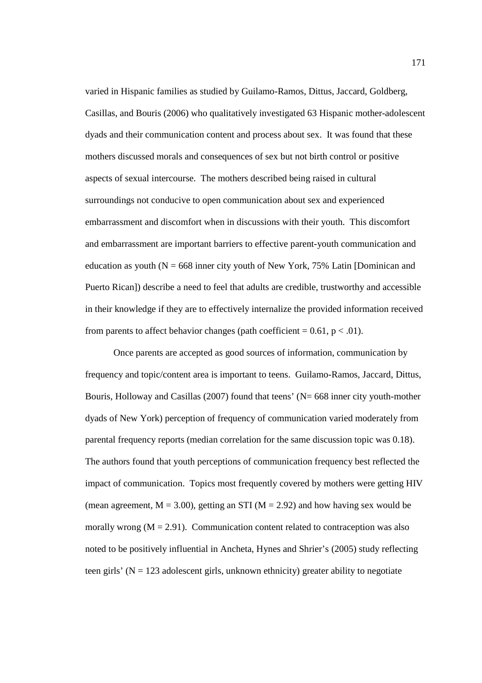varied in Hispanic families as studied by Guilamo-Ramos, Dittus, Jaccard, Goldberg, Casillas, and Bouris (2006) who qualitatively investigated 63 Hispanic mother-adolescent dyads and their communication content and process about sex. It was found that these mothers discussed morals and consequences of sex but not birth control or positive aspects of sexual intercourse. The mothers described being raised in cultural surroundings not conducive to open communication about sex and experienced embarrassment and discomfort when in discussions with their youth. This discomfort and embarrassment are important barriers to effective parent-youth communication and education as youth ( $N = 668$  inner city youth of New York, 75% Latin [Dominican and Puerto Rican]) describe a need to feel that adults are credible, trustworthy and accessible in their knowledge if they are to effectively internalize the provided information received from parents to affect behavior changes (path coefficient =  $0.61$ , p < .01).

Once parents are accepted as good sources of information, communication by frequency and topic/content area is important to teens. Guilamo-Ramos, Jaccard, Dittus, Bouris, Holloway and Casillas  $(2007)$  found that teens' (N= 668 inner city youth-mother dyads of New York) perception of frequency of communication varied moderately from parental frequency reports (median correlation for the same discussion topic was 0.18). The authors found that youth perceptions of communication frequency best reflected the impact of communication. Topics most frequently covered by mothers were getting HIV (mean agreement,  $M = 3.00$ ), getting an STI ( $M = 2.92$ ) and how having sex would be morally wrong  $(M = 2.91)$ . Communication content related to contraception was also noted to be positively influential in Ancheta, Hynes and Shrier's (2005) study reflecting teen girls' ( $N = 123$  adolescent girls, unknown ethnicity) greater ability to negotiate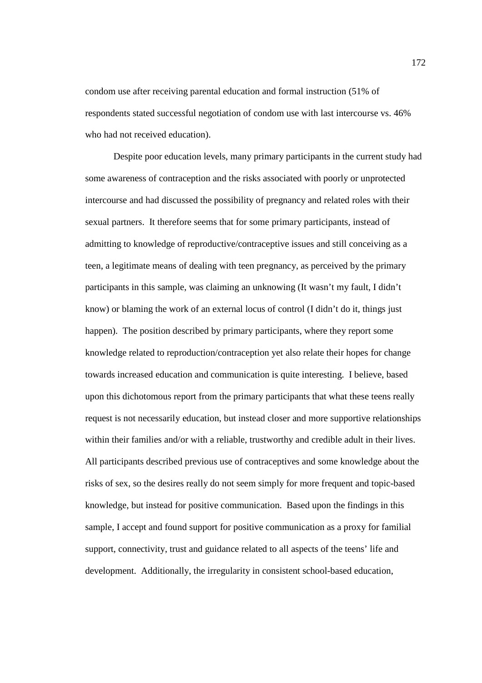condom use after receiving parental education and formal instruction (51% of respondents stated successful negotiation of condom use with last intercourse vs. 46% who had not received education).

Despite poor education levels, many primary participants in the current study had some awareness of contraception and the risks associated with poorly or unprotected intercourse and had discussed the possibility of pregnancy and related roles with their sexual partners. It therefore seems that for some primary participants, instead of admitting to knowledge of reproductive/contraceptive issues and still conceiving as a teen, a legitimate means of dealing with teen pregnancy, as perceived by the primary participants in this sample, was claiming an unknowing (It wasn't my fault, I didn't know) or blaming the work of an external locus of control (I didn't do it, things just happen). The position described by primary participants, where they report some knowledge related to reproduction/contraception yet also relate their hopes for change towards increased education and communication is quite interesting. I believe, based upon this dichotomous report from the primary participants that what these teens really request is not necessarily education, but instead closer and more supportive relationships within their families and/or with a reliable, trustworthy and credible adult in their lives. All participants described previous use of contraceptives and some knowledge about the risks of sex, so the desires really do not seem simply for more frequent and topic-based knowledge, but instead for positive communication. Based upon the findings in this sample, I accept and found support for positive communication as a proxy for familial support, connectivity, trust and guidance related to all aspects of the teens' life and development. Additionally, the irregularity in consistent school-based education,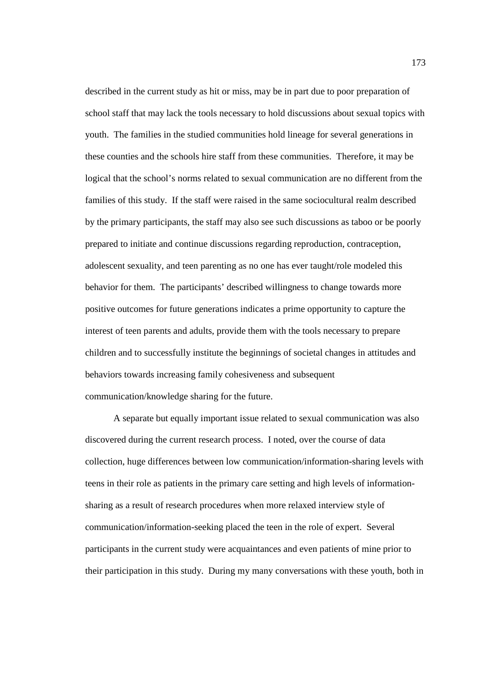described in the current study as hit or miss, may be in part due to poor preparation of school staff that may lack the tools necessary to hold discussions about sexual topics with youth. The families in the studied communities hold lineage for several generations in these counties and the schools hire staff from these communities. Therefore, it may be logical that the school's norms related to sexual communication are no different from the families of this study. If the staff were raised in the same sociocultural realm described by the primary participants, the staff may also see such discussions as taboo or be poorly prepared to initiate and continue discussions regarding reproduction, contraception, adolescent sexuality, and teen parenting as no one has ever taught/role modeled this behavior for them. The participants' described willingness to change towards more positive outcomes for future generations indicates a prime opportunity to capture the interest of teen parents and adults, provide them with the tools necessary to prepare children and to successfully institute the beginnings of societal changes in attitudes and behaviors towards increasing family cohesiveness and subsequent communication/knowledge sharing for the future.

A separate but equally important issue related to sexual communication was also discovered during the current research process. I noted, over the course of data collection, huge differences between low communication/information-sharing levels with teens in their role as patients in the primary care setting and high levels of informationsharing as a result of research procedures when more relaxed interview style of communication/information-seeking placed the teen in the role of expert. Several participants in the current study were acquaintances and even patients of mine prior to their participation in this study. During my many conversations with these youth, both in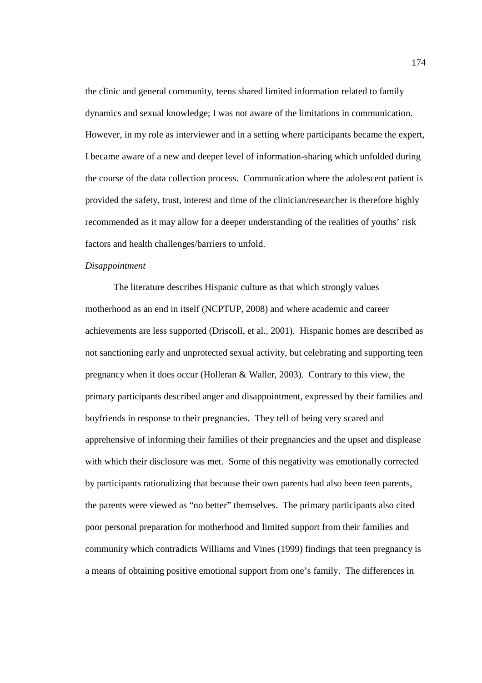the clinic and general community, teens shared limited information related to family dynamics and sexual knowledge; I was not aware of the limitations in communication. However, in my role as interviewer and in a setting where participants became the expert, I became aware of a new and deeper level of information-sharing which unfolded during the course of the data collection process. Communication where the adolescent patient is provided the safety, trust, interest and time of the clinician/researcher is therefore highly recommended as it may allow for a deeper understanding of the realities of youths' risk factors and health challenges/barriers to unfold.

### *Disappointment*

The literature describes Hispanic culture as that which strongly values motherhood as an end in itself (NCPTUP, 2008) and where academic and career achievements are less supported (Driscoll, et al., 2001). Hispanic homes are described as not sanctioning early and unprotected sexual activity, but celebrating and supporting teen pregnancy when it does occur (Holleran & Waller, 2003). Contrary to this view, the primary participants described anger and disappointment, expressed by their families and boyfriends in response to their pregnancies. They tell of being very scared and apprehensive of informing their families of their pregnancies and the upset and displease with which their disclosure was met. Some of this negativity was emotionally corrected by participants rationalizing that because their own parents had also been teen parents, the parents were viewed as "no better" themselves. The primary participants also cited poor personal preparation for motherhood and limited support from their families and community which contradicts Williams and Vines (1999) findings that teen pregnancy is a means of obtaining positive emotional support from one's family. The differences in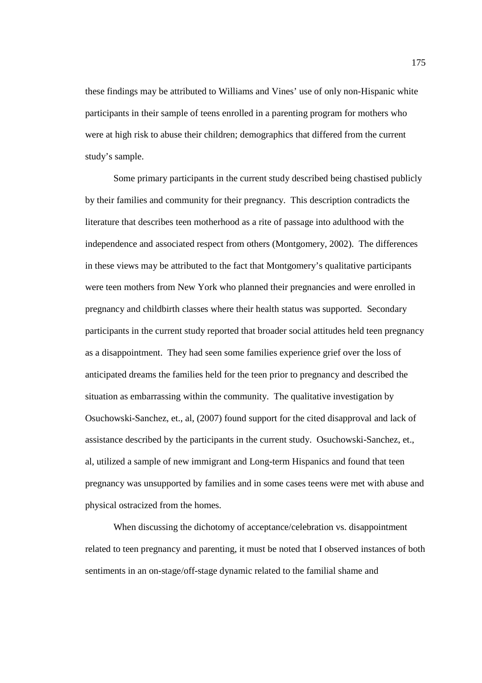these findings may be attributed to Williams and Vines' use of only non-Hispanic white participants in their sample of teens enrolled in a parenting program for mothers who were at high risk to abuse their children; demographics that differed from the current study's sample.

Some primary participants in the current study described being chastised publicly by their families and community for their pregnancy. This description contradicts the literature that describes teen motherhood as a rite of passage into adulthood with the independence and associated respect from others (Montgomery, 2002). The differences in these views may be attributed to the fact that Montgomery's qualitative participants were teen mothers from New York who planned their pregnancies and were enrolled in pregnancy and childbirth classes where their health status was supported. Secondary participants in the current study reported that broader social attitudes held teen pregnancy as a disappointment. They had seen some families experience grief over the loss of anticipated dreams the families held for the teen prior to pregnancy and described the situation as embarrassing within the community. The qualitative investigation by Osuchowski-Sanchez, et., al, (2007) found support for the cited disapproval and lack of assistance described by the participants in the current study. Osuchowski-Sanchez, et., al, utilized a sample of new immigrant and Long-term Hispanics and found that teen pregnancy was unsupported by families and in some cases teens were met with abuse and physical ostracized from the homes.

When discussing the dichotomy of acceptance/celebration vs. disappointment related to teen pregnancy and parenting, it must be noted that I observed instances of both sentiments in an on-stage/off-stage dynamic related to the familial shame and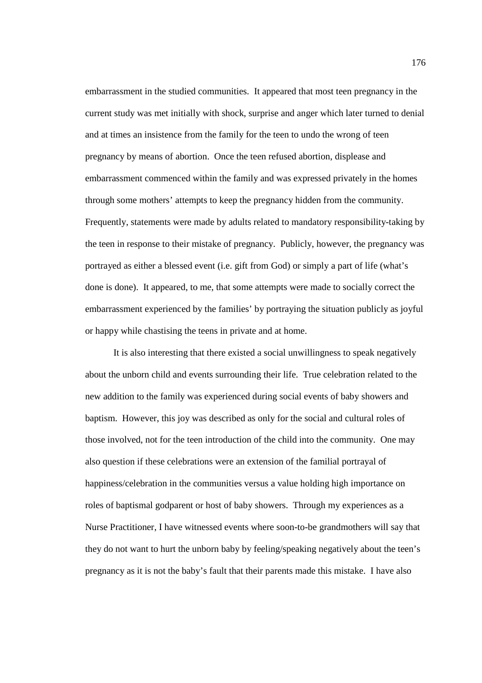embarrassment in the studied communities. It appeared that most teen pregnancy in the current study was met initially with shock, surprise and anger which later turned to denial and at times an insistence from the family for the teen to undo the wrong of teen pregnancy by means of abortion. Once the teen refused abortion, displease and embarrassment commenced within the family and was expressed privately in the homes through some mothers' attempts to keep the pregnancy hidden from the community. Frequently, statements were made by adults related to mandatory responsibility-taking by the teen in response to their mistake of pregnancy. Publicly, however, the pregnancy was portrayed as either a blessed event (i.e. gift from God) or simply a part of life (what's done is done). It appeared, to me, that some attempts were made to socially correct the embarrassment experienced by the families' by portraying the situation publicly as joyful or happy while chastising the teens in private and at home.

It is also interesting that there existed a social unwillingness to speak negatively about the unborn child and events surrounding their life. True celebration related to the new addition to the family was experienced during social events of baby showers and baptism. However, this joy was described as only for the social and cultural roles of those involved, not for the teen introduction of the child into the community. One may also question if these celebrations were an extension of the familial portrayal of happiness/celebration in the communities versus a value holding high importance on roles of baptismal godparent or host of baby showers. Through my experiences as a Nurse Practitioner, I have witnessed events where soon-to-be grandmothers will say that they do not want to hurt the unborn baby by feeling/speaking negatively about the teen's pregnancy as it is not the baby's fault that their parents made this mistake. I have also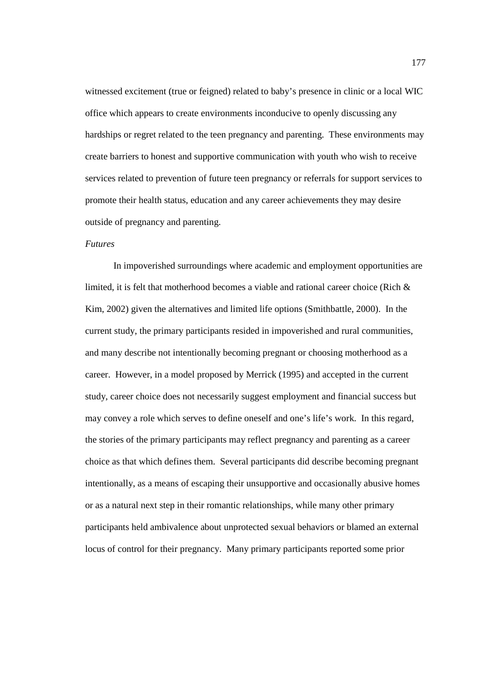witnessed excitement (true or feigned) related to baby's presence in clinic or a local WIC office which appears to create environments inconducive to openly discussing any hardships or regret related to the teen pregnancy and parenting. These environments may create barriers to honest and supportive communication with youth who wish to receive services related to prevention of future teen pregnancy or referrals for support services to promote their health status, education and any career achievements they may desire outside of pregnancy and parenting.

## *Futures*

In impoverished surroundings where academic and employment opportunities are limited, it is felt that motherhood becomes a viable and rational career choice (Rich & Kim, 2002) given the alternatives and limited life options (Smithbattle, 2000). In the current study, the primary participants resided in impoverished and rural communities, and many describe not intentionally becoming pregnant or choosing motherhood as a career. However, in a model proposed by Merrick (1995) and accepted in the current study, career choice does not necessarily suggest employment and financial success but may convey a role which serves to define oneself and one's life's work. In this regard, the stories of the primary participants may reflect pregnancy and parenting as a career choice as that which defines them. Several participants did describe becoming pregnant intentionally, as a means of escaping their unsupportive and occasionally abusive homes or as a natural next step in their romantic relationships, while many other primary participants held ambivalence about unprotected sexual behaviors or blamed an external locus of control for their pregnancy. Many primary participants reported some prior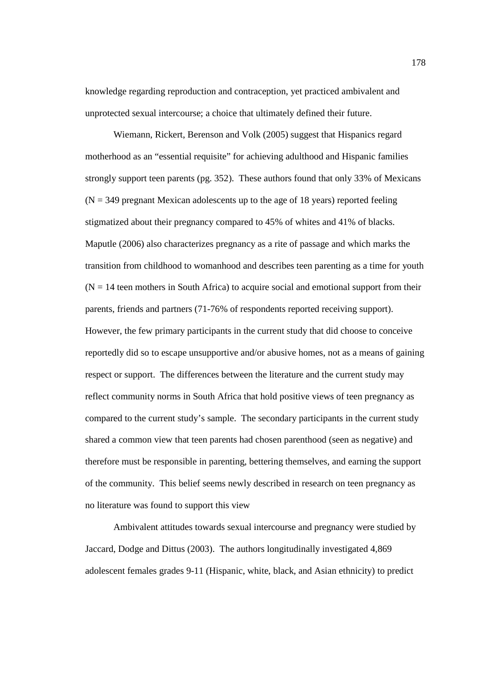knowledge regarding reproduction and contraception, yet practiced ambivalent and unprotected sexual intercourse; a choice that ultimately defined their future.

Wiemann, Rickert, Berenson and Volk (2005) suggest that Hispanics regard motherhood as an "essential requisite" for achieving adulthood and Hispanic families strongly support teen parents (pg. 352). These authors found that only 33% of Mexicans  $(N = 349)$  pregnant Mexican adolescents up to the age of 18 years) reported feeling stigmatized about their pregnancy compared to 45% of whites and 41% of blacks. Maputle (2006) also characterizes pregnancy as a rite of passage and which marks the transition from childhood to womanhood and describes teen parenting as a time for youth  $(N = 14$  teen mothers in South Africa) to acquire social and emotional support from their parents, friends and partners (71-76% of respondents reported receiving support). However, the few primary participants in the current study that did choose to conceive reportedly did so to escape unsupportive and/or abusive homes, not as a means of gaining respect or support. The differences between the literature and the current study may reflect community norms in South Africa that hold positive views of teen pregnancy as compared to the current study's sample. The secondary participants in the current study shared a common view that teen parents had chosen parenthood (seen as negative) and therefore must be responsible in parenting, bettering themselves, and earning the support of the community. This belief seems newly described in research on teen pregnancy as no literature was found to support this view

Ambivalent attitudes towards sexual intercourse and pregnancy were studied by Jaccard, Dodge and Dittus (2003). The authors longitudinally investigated 4,869 adolescent females grades 9-11 (Hispanic, white, black, and Asian ethnicity) to predict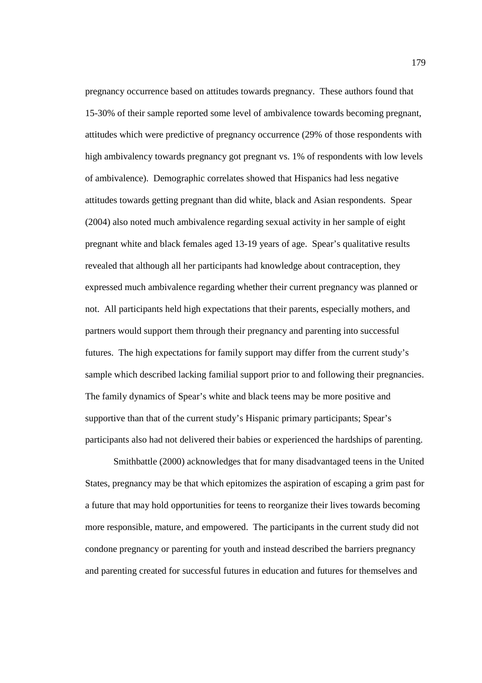pregnancy occurrence based on attitudes towards pregnancy. These authors found that 15-30% of their sample reported some level of ambivalence towards becoming pregnant, attitudes which were predictive of pregnancy occurrence (29% of those respondents with high ambivalency towards pregnancy got pregnant vs. 1% of respondents with low levels of ambivalence). Demographic correlates showed that Hispanics had less negative attitudes towards getting pregnant than did white, black and Asian respondents. Spear (2004) also noted much ambivalence regarding sexual activity in her sample of eight pregnant white and black females aged 13-19 years of age. Spear's qualitative results revealed that although all her participants had knowledge about contraception, they expressed much ambivalence regarding whether their current pregnancy was planned or not. All participants held high expectations that their parents, especially mothers, and partners would support them through their pregnancy and parenting into successful futures. The high expectations for family support may differ from the current study's sample which described lacking familial support prior to and following their pregnancies. The family dynamics of Spear's white and black teens may be more positive and supportive than that of the current study's Hispanic primary participants; Spear's participants also had not delivered their babies or experienced the hardships of parenting.

Smithbattle (2000) acknowledges that for many disadvantaged teens in the United States, pregnancy may be that which epitomizes the aspiration of escaping a grim past for a future that may hold opportunities for teens to reorganize their lives towards becoming more responsible, mature, and empowered. The participants in the current study did not condone pregnancy or parenting for youth and instead described the barriers pregnancy and parenting created for successful futures in education and futures for themselves and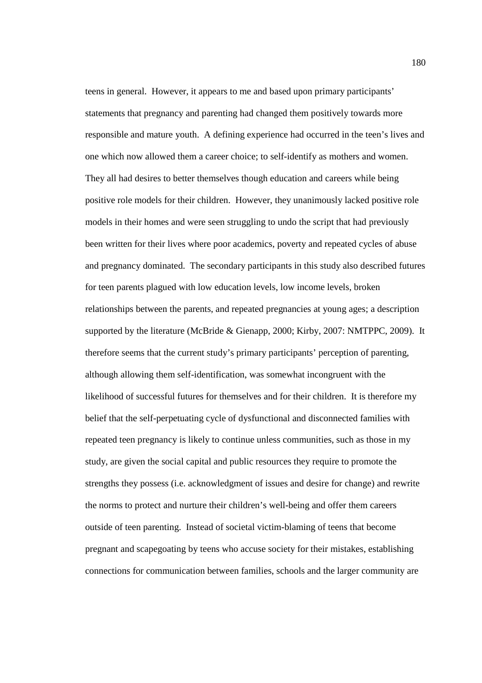teens in general. However, it appears to me and based upon primary participants' statements that pregnancy and parenting had changed them positively towards more responsible and mature youth. A defining experience had occurred in the teen's lives and one which now allowed them a career choice; to self-identify as mothers and women. They all had desires to better themselves though education and careers while being positive role models for their children. However, they unanimously lacked positive role models in their homes and were seen struggling to undo the script that had previously been written for their lives where poor academics, poverty and repeated cycles of abuse and pregnancy dominated. The secondary participants in this study also described futures for teen parents plagued with low education levels, low income levels, broken relationships between the parents, and repeated pregnancies at young ages; a description supported by the literature (McBride & Gienapp, 2000; Kirby, 2007: NMTPPC, 2009). It therefore seems that the current study's primary participants' perception of parenting, although allowing them self-identification, was somewhat incongruent with the likelihood of successful futures for themselves and for their children. It is therefore my belief that the self-perpetuating cycle of dysfunctional and disconnected families with repeated teen pregnancy is likely to continue unless communities, such as those in my study, are given the social capital and public resources they require to promote the strengths they possess (i.e. acknowledgment of issues and desire for change) and rewrite the norms to protect and nurture their children's well-being and offer them careers outside of teen parenting. Instead of societal victim-blaming of teens that become pregnant and scapegoating by teens who accuse society for their mistakes, establishing connections for communication between families, schools and the larger community are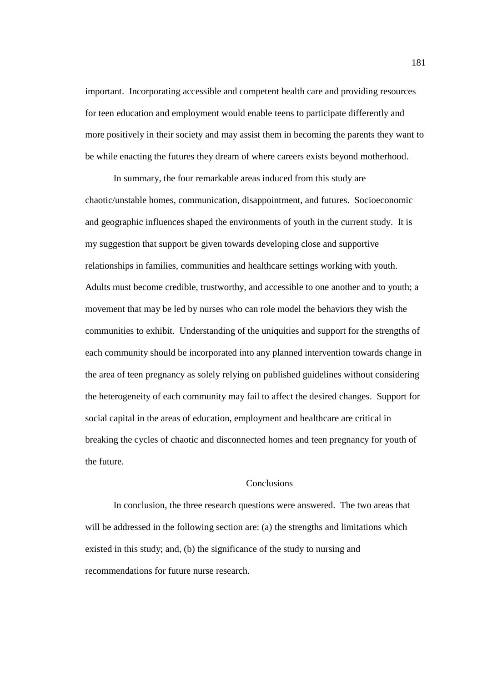important. Incorporating accessible and competent health care and providing resources for teen education and employment would enable teens to participate differently and more positively in their society and may assist them in becoming the parents they want to be while enacting the futures they dream of where careers exists beyond motherhood.

In summary, the four remarkable areas induced from this study are chaotic/unstable homes, communication, disappointment, and futures. Socioeconomic and geographic influences shaped the environments of youth in the current study. It is my suggestion that support be given towards developing close and supportive relationships in families, communities and healthcare settings working with youth. Adults must become credible, trustworthy, and accessible to one another and to youth; a movement that may be led by nurses who can role model the behaviors they wish the communities to exhibit. Understanding of the uniquities and support for the strengths of each community should be incorporated into any planned intervention towards change in the area of teen pregnancy as solely relying on published guidelines without considering the heterogeneity of each community may fail to affect the desired changes. Support for social capital in the areas of education, employment and healthcare are critical in breaking the cycles of chaotic and disconnected homes and teen pregnancy for youth of the future.

## Conclusions

In conclusion, the three research questions were answered. The two areas that will be addressed in the following section are: (a) the strengths and limitations which existed in this study; and, (b) the significance of the study to nursing and recommendations for future nurse research.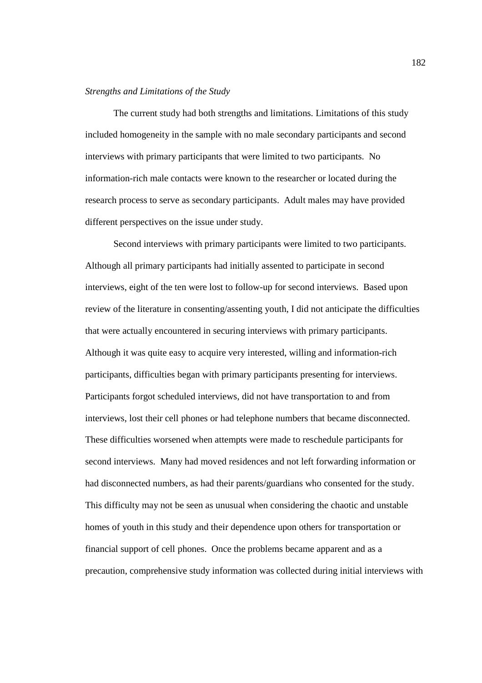### *Strengths and Limitations of the Study*

The current study had both strengths and limitations. Limitations of this study included homogeneity in the sample with no male secondary participants and second interviews with primary participants that were limited to two participants. No information-rich male contacts were known to the researcher or located during the research process to serve as secondary participants. Adult males may have provided different perspectives on the issue under study.

Second interviews with primary participants were limited to two participants. Although all primary participants had initially assented to participate in second interviews, eight of the ten were lost to follow-up for second interviews. Based upon review of the literature in consenting/assenting youth, I did not anticipate the difficulties that were actually encountered in securing interviews with primary participants. Although it was quite easy to acquire very interested, willing and information-rich participants, difficulties began with primary participants presenting for interviews. Participants forgot scheduled interviews, did not have transportation to and from interviews, lost their cell phones or had telephone numbers that became disconnected. These difficulties worsened when attempts were made to reschedule participants for second interviews. Many had moved residences and not left forwarding information or had disconnected numbers, as had their parents/guardians who consented for the study. This difficulty may not be seen as unusual when considering the chaotic and unstable homes of youth in this study and their dependence upon others for transportation or financial support of cell phones. Once the problems became apparent and as a precaution, comprehensive study information was collected during initial interviews with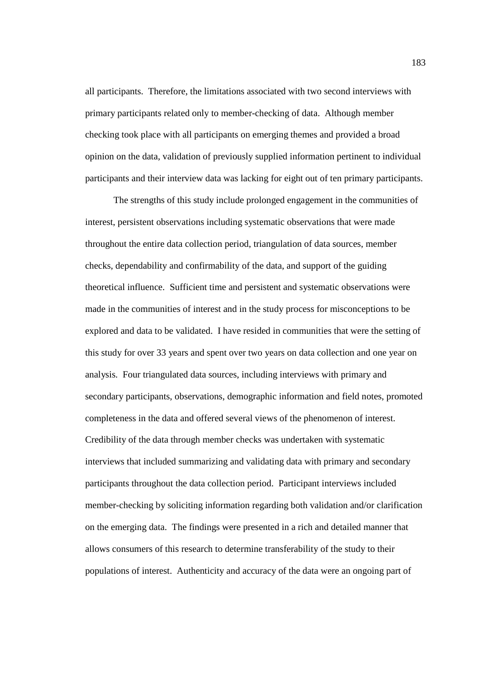all participants. Therefore, the limitations associated with two second interviews with primary participants related only to member-checking of data. Although member checking took place with all participants on emerging themes and provided a broad opinion on the data, validation of previously supplied information pertinent to individual participants and their interview data was lacking for eight out of ten primary participants.

The strengths of this study include prolonged engagement in the communities of interest, persistent observations including systematic observations that were made throughout the entire data collection period, triangulation of data sources, member checks, dependability and confirmability of the data, and support of the guiding theoretical influence. Sufficient time and persistent and systematic observations were made in the communities of interest and in the study process for misconceptions to be explored and data to be validated. I have resided in communities that were the setting of this study for over 33 years and spent over two years on data collection and one year on analysis. Four triangulated data sources, including interviews with primary and secondary participants, observations, demographic information and field notes, promoted completeness in the data and offered several views of the phenomenon of interest. Credibility of the data through member checks was undertaken with systematic interviews that included summarizing and validating data with primary and secondary participants throughout the data collection period. Participant interviews included member-checking by soliciting information regarding both validation and/or clarification on the emerging data. The findings were presented in a rich and detailed manner that allows consumers of this research to determine transferability of the study to their populations of interest. Authenticity and accuracy of the data were an ongoing part of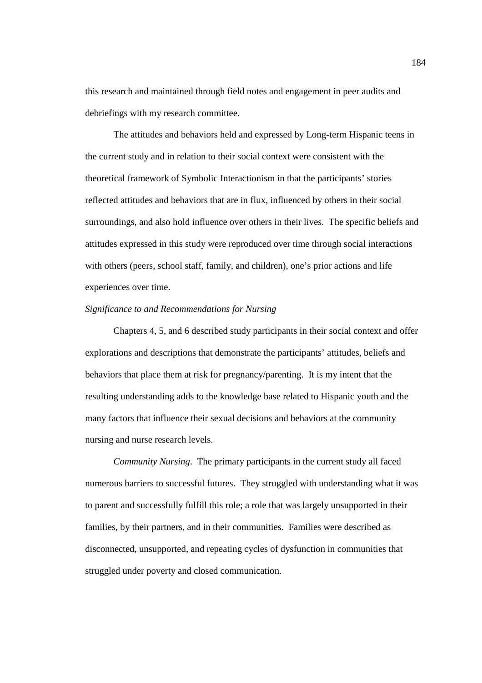this research and maintained through field notes and engagement in peer audits and debriefings with my research committee.

The attitudes and behaviors held and expressed by Long-term Hispanic teens in the current study and in relation to their social context were consistent with the theoretical framework of Symbolic Interactionism in that the participants' stories reflected attitudes and behaviors that are in flux, influenced by others in their social surroundings, and also hold influence over others in their lives. The specific beliefs and attitudes expressed in this study were reproduced over time through social interactions with others (peers, school staff, family, and children), one's prior actions and life experiences over time.

### *Significance to and Recommendations for Nursing*

Chapters 4, 5, and 6 described study participants in their social context and offer explorations and descriptions that demonstrate the participants' attitudes, beliefs and behaviors that place them at risk for pregnancy/parenting. It is my intent that the resulting understanding adds to the knowledge base related to Hispanic youth and the many factors that influence their sexual decisions and behaviors at the community nursing and nurse research levels.

*Community Nursing*. The primary participants in the current study all faced numerous barriers to successful futures. They struggled with understanding what it was to parent and successfully fulfill this role; a role that was largely unsupported in their families, by their partners, and in their communities. Families were described as disconnected, unsupported, and repeating cycles of dysfunction in communities that struggled under poverty and closed communication.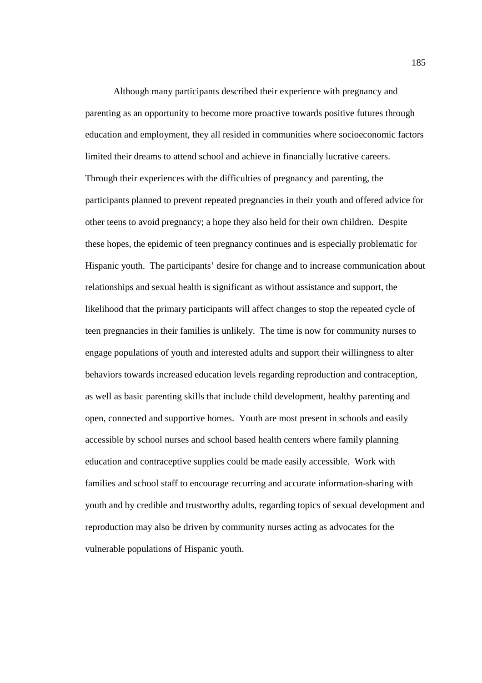Although many participants described their experience with pregnancy and parenting as an opportunity to become more proactive towards positive futures through education and employment, they all resided in communities where socioeconomic factors limited their dreams to attend school and achieve in financially lucrative careers. Through their experiences with the difficulties of pregnancy and parenting, the participants planned to prevent repeated pregnancies in their youth and offered advice for other teens to avoid pregnancy; a hope they also held for their own children. Despite these hopes, the epidemic of teen pregnancy continues and is especially problematic for Hispanic youth. The participants' desire for change and to increase communication about relationships and sexual health is significant as without assistance and support, the likelihood that the primary participants will affect changes to stop the repeated cycle of teen pregnancies in their families is unlikely. The time is now for community nurses to engage populations of youth and interested adults and support their willingness to alter behaviors towards increased education levels regarding reproduction and contraception, as well as basic parenting skills that include child development, healthy parenting and open, connected and supportive homes. Youth are most present in schools and easily accessible by school nurses and school based health centers where family planning education and contraceptive supplies could be made easily accessible. Work with families and school staff to encourage recurring and accurate information-sharing with youth and by credible and trustworthy adults, regarding topics of sexual development and reproduction may also be driven by community nurses acting as advocates for the vulnerable populations of Hispanic youth.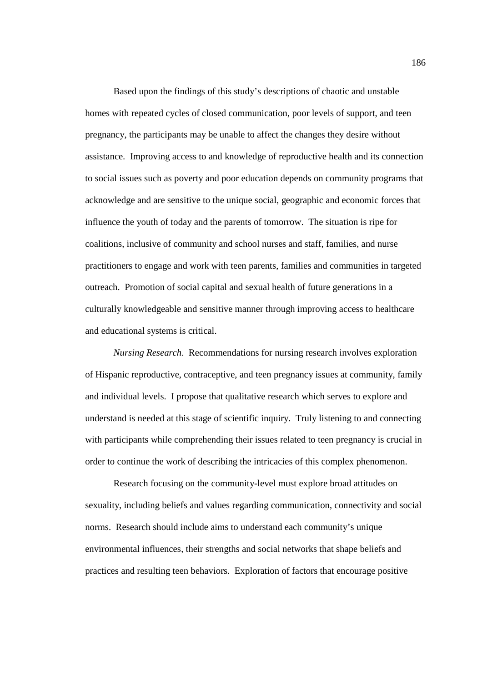Based upon the findings of this study's descriptions of chaotic and unstable homes with repeated cycles of closed communication, poor levels of support, and teen pregnancy, the participants may be unable to affect the changes they desire without assistance. Improving access to and knowledge of reproductive health and its connection to social issues such as poverty and poor education depends on community programs that acknowledge and are sensitive to the unique social, geographic and economic forces that influence the youth of today and the parents of tomorrow. The situation is ripe for coalitions, inclusive of community and school nurses and staff, families, and nurse practitioners to engage and work with teen parents, families and communities in targeted outreach. Promotion of social capital and sexual health of future generations in a culturally knowledgeable and sensitive manner through improving access to healthcare and educational systems is critical.

*Nursing Research*. Recommendations for nursing research involves exploration of Hispanic reproductive, contraceptive, and teen pregnancy issues at community, family and individual levels. I propose that qualitative research which serves to explore and understand is needed at this stage of scientific inquiry. Truly listening to and connecting with participants while comprehending their issues related to teen pregnancy is crucial in order to continue the work of describing the intricacies of this complex phenomenon.

Research focusing on the community-level must explore broad attitudes on sexuality, including beliefs and values regarding communication, connectivity and social norms. Research should include aims to understand each community's unique environmental influences, their strengths and social networks that shape beliefs and practices and resulting teen behaviors. Exploration of factors that encourage positive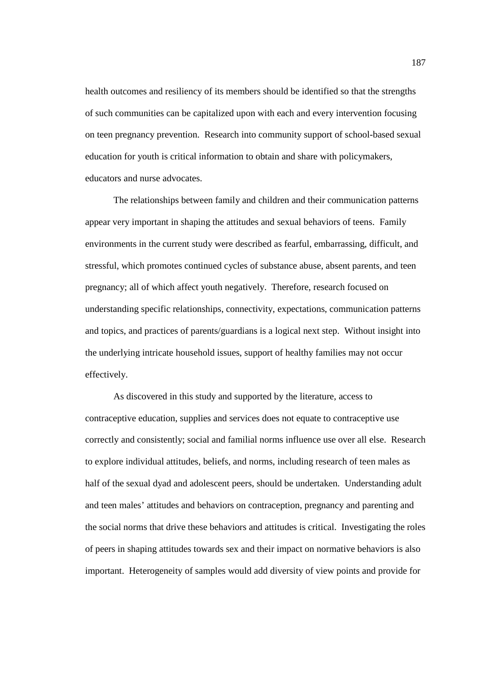health outcomes and resiliency of its members should be identified so that the strengths of such communities can be capitalized upon with each and every intervention focusing on teen pregnancy prevention. Research into community support of school-based sexual education for youth is critical information to obtain and share with policymakers, educators and nurse advocates.

The relationships between family and children and their communication patterns appear very important in shaping the attitudes and sexual behaviors of teens. Family environments in the current study were described as fearful, embarrassing, difficult, and stressful, which promotes continued cycles of substance abuse, absent parents, and teen pregnancy; all of which affect youth negatively. Therefore, research focused on understanding specific relationships, connectivity, expectations, communication patterns and topics, and practices of parents/guardians is a logical next step. Without insight into the underlying intricate household issues, support of healthy families may not occur effectively.

As discovered in this study and supported by the literature, access to contraceptive education, supplies and services does not equate to contraceptive use correctly and consistently; social and familial norms influence use over all else. Research to explore individual attitudes, beliefs, and norms, including research of teen males as half of the sexual dyad and adolescent peers, should be undertaken. Understanding adult and teen males' attitudes and behaviors on contraception, pregnancy and parenting and the social norms that drive these behaviors and attitudes is critical. Investigating the roles of peers in shaping attitudes towards sex and their impact on normative behaviors is also important. Heterogeneity of samples would add diversity of view points and provide for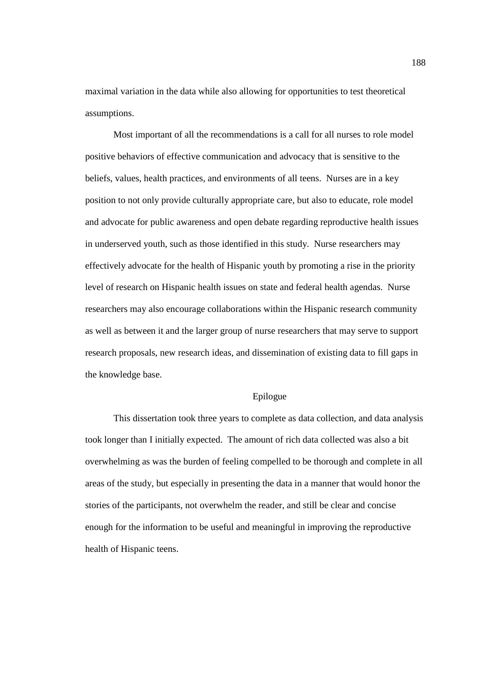maximal variation in the data while also allowing for opportunities to test theoretical assumptions.

Most important of all the recommendations is a call for all nurses to role model positive behaviors of effective communication and advocacy that is sensitive to the beliefs, values, health practices, and environments of all teens. Nurses are in a key position to not only provide culturally appropriate care, but also to educate, role model and advocate for public awareness and open debate regarding reproductive health issues in underserved youth, such as those identified in this study. Nurse researchers may effectively advocate for the health of Hispanic youth by promoting a rise in the priority level of research on Hispanic health issues on state and federal health agendas. Nurse researchers may also encourage collaborations within the Hispanic research community as well as between it and the larger group of nurse researchers that may serve to support research proposals, new research ideas, and dissemination of existing data to fill gaps in the knowledge base.

### Epilogue

This dissertation took three years to complete as data collection, and data analysis took longer than I initially expected. The amount of rich data collected was also a bit overwhelming as was the burden of feeling compelled to be thorough and complete in all areas of the study, but especially in presenting the data in a manner that would honor the stories of the participants, not overwhelm the reader, and still be clear and concise enough for the information to be useful and meaningful in improving the reproductive health of Hispanic teens.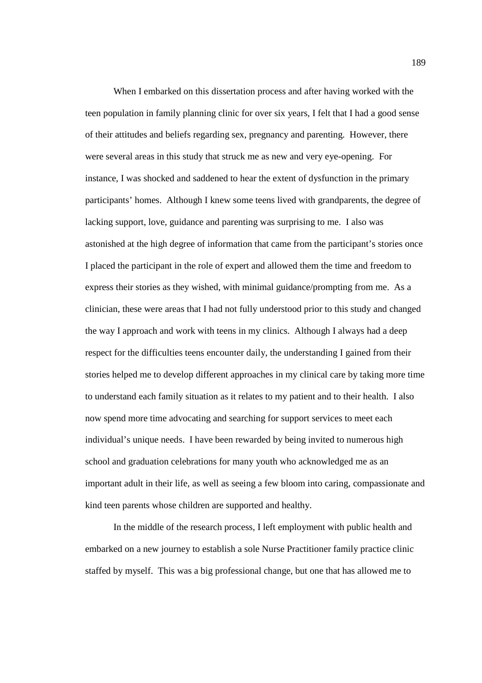When I embarked on this dissertation process and after having worked with the teen population in family planning clinic for over six years, I felt that I had a good sense of their attitudes and beliefs regarding sex, pregnancy and parenting. However, there were several areas in this study that struck me as new and very eye-opening. For instance, I was shocked and saddened to hear the extent of dysfunction in the primary participants' homes. Although I knew some teens lived with grandparents, the degree of lacking support, love, guidance and parenting was surprising to me. I also was astonished at the high degree of information that came from the participant's stories once I placed the participant in the role of expert and allowed them the time and freedom to express their stories as they wished, with minimal guidance/prompting from me. As a clinician, these were areas that I had not fully understood prior to this study and changed the way I approach and work with teens in my clinics. Although I always had a deep respect for the difficulties teens encounter daily, the understanding I gained from their stories helped me to develop different approaches in my clinical care by taking more time to understand each family situation as it relates to my patient and to their health. I also now spend more time advocating and searching for support services to meet each individual's unique needs. I have been rewarded by being invited to numerous high school and graduation celebrations for many youth who acknowledged me as an important adult in their life, as well as seeing a few bloom into caring, compassionate and kind teen parents whose children are supported and healthy.

In the middle of the research process, I left employment with public health and embarked on a new journey to establish a sole Nurse Practitioner family practice clinic staffed by myself. This was a big professional change, but one that has allowed me to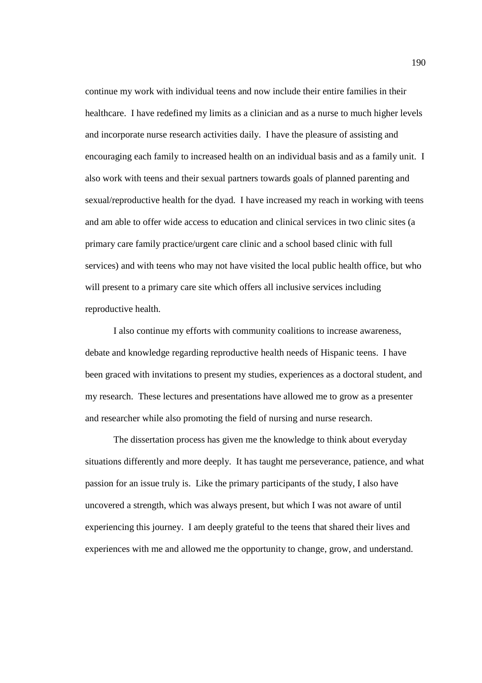continue my work with individual teens and now include their entire families in their healthcare. I have redefined my limits as a clinician and as a nurse to much higher levels and incorporate nurse research activities daily. I have the pleasure of assisting and encouraging each family to increased health on an individual basis and as a family unit. I also work with teens and their sexual partners towards goals of planned parenting and sexual/reproductive health for the dyad. I have increased my reach in working with teens and am able to offer wide access to education and clinical services in two clinic sites (a primary care family practice/urgent care clinic and a school based clinic with full services) and with teens who may not have visited the local public health office, but who will present to a primary care site which offers all inclusive services including reproductive health.

I also continue my efforts with community coalitions to increase awareness, debate and knowledge regarding reproductive health needs of Hispanic teens. I have been graced with invitations to present my studies, experiences as a doctoral student, and my research. These lectures and presentations have allowed me to grow as a presenter and researcher while also promoting the field of nursing and nurse research.

The dissertation process has given me the knowledge to think about everyday situations differently and more deeply. It has taught me perseverance, patience, and what passion for an issue truly is. Like the primary participants of the study, I also have uncovered a strength, which was always present, but which I was not aware of until experiencing this journey. I am deeply grateful to the teens that shared their lives and experiences with me and allowed me the opportunity to change, grow, and understand.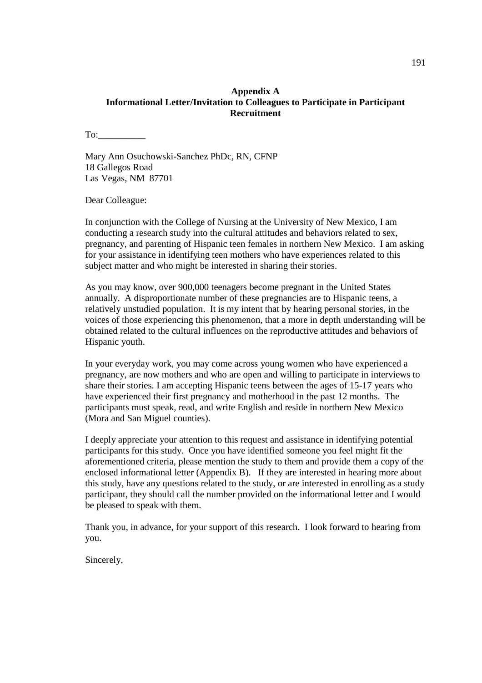## **Appendix A Informational Letter/Invitation to Colleagues to Participate in Participant Recruitment**

To:

Mary Ann Osuchowski-Sanchez PhDc, RN, CFNP 18 Gallegos Road Las Vegas, NM 87701

Dear Colleague:

In conjunction with the College of Nursing at the University of New Mexico, I am conducting a research study into the cultural attitudes and behaviors related to sex, pregnancy, and parenting of Hispanic teen females in northern New Mexico. I am asking for your assistance in identifying teen mothers who have experiences related to this subject matter and who might be interested in sharing their stories.

As you may know, over 900,000 teenagers become pregnant in the United States annually. A disproportionate number of these pregnancies are to Hispanic teens, a relatively unstudied population. It is my intent that by hearing personal stories, in the voices of those experiencing this phenomenon, that a more in depth understanding will be obtained related to the cultural influences on the reproductive attitudes and behaviors of Hispanic youth.

In your everyday work, you may come across young women who have experienced a pregnancy, are now mothers and who are open and willing to participate in interviews to share their stories. I am accepting Hispanic teens between the ages of 15-17 years who have experienced their first pregnancy and motherhood in the past 12 months. The participants must speak, read, and write English and reside in northern New Mexico (Mora and San Miguel counties).

I deeply appreciate your attention to this request and assistance in identifying potential participants for this study. Once you have identified someone you feel might fit the aforementioned criteria, please mention the study to them and provide them a copy of the enclosed informational letter (Appendix B). If they are interested in hearing more about this study, have any questions related to the study, or are interested in enrolling as a study participant, they should call the number provided on the informational letter and I would be pleased to speak with them.

Thank you, in advance, for your support of this research. I look forward to hearing from you.

Sincerely,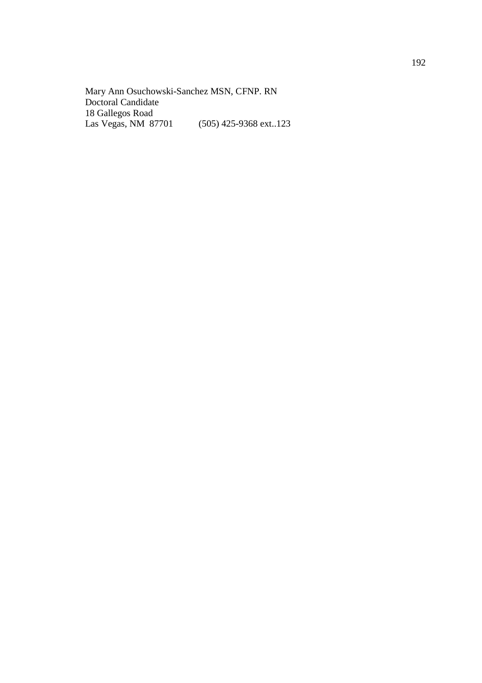Mary Ann Osuchowski-Sanchez MSN, CFNP. RN Doctoral Candidate 18 Gallegos Road Las Vegas, NM 87701 (505) 425-9368 ext..123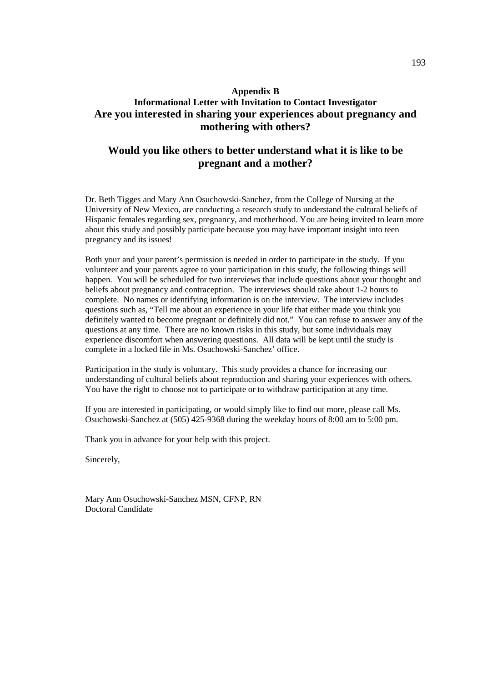# **Appendix B Informational Letter with Invitation to Contact Investigator Are you interested in sharing your experiences about pregnancy and mothering with others?**

# **Would you like others to better understand what it is like to be pregnant and a mother?**

Dr. Beth Tigges and Mary Ann Osuchowski-Sanchez, from the College of Nursing at the University of New Mexico, are conducting a research study to understand the cultural beliefs of Hispanic females regarding sex, pregnancy, and motherhood. You are being invited to learn more about this study and possibly participate because you may have important insight into teen pregnancy and its issues!

Both your and your parent's permission is needed in order to participate in the study. If you volunteer and your parents agree to your participation in this study, the following things will happen. You will be scheduled for two interviews that include questions about your thought and beliefs about pregnancy and contraception. The interviews should take about 1-2 hours to complete. No names or identifying information is on the interview. The interview includes questions such as, "Tell me about an experience in your life that either made you think you definitely wanted to become pregnant or definitely did not." You can refuse to answer any of the questions at any time. There are no known risks in this study, but some individuals may experience discomfort when answering questions. All data will be kept until the study is complete in a locked file in Ms. Osuchowski-Sanchez' office.

Participation in the study is voluntary. This study provides a chance for increasing our understanding of cultural beliefs about reproduction and sharing your experiences with others. You have the right to choose not to participate or to withdraw participation at any time.

If you are interested in participating, or would simply like to find out more, please call Ms. Osuchowski-Sanchez at (505) 425-9368 during the weekday hours of 8:00 am to 5:00 pm.

Thank you in advance for your help with this project.

Sincerely,

Mary Ann Osuchowski-Sanchez MSN, CFNP, RN Doctoral Candidate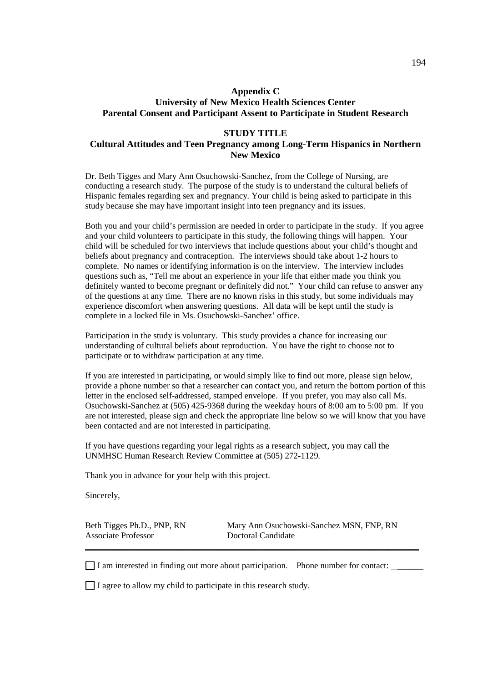## **Appendix C University of New Mexico Health Sciences Center Parental Consent and Participant Assent to Participate in Student Research**

### **STUDY TITLE**

# **Cultural Attitudes and Teen Pregnancy among Long-Term Hispanics in Northern New Mexico**

Dr. Beth Tigges and Mary Ann Osuchowski-Sanchez, from the College of Nursing, are conducting a research study. The purpose of the study is to understand the cultural beliefs of Hispanic females regarding sex and pregnancy. Your child is being asked to participate in this study because she may have important insight into teen pregnancy and its issues.

Both you and your child's permission are needed in order to participate in the study. If you agree and your child volunteers to participate in this study, the following things will happen. Your child will be scheduled for two interviews that include questions about your child's thought and beliefs about pregnancy and contraception. The interviews should take about 1-2 hours to complete. No names or identifying information is on the interview. The interview includes questions such as, "Tell me about an experience in your life that either made you think you definitely wanted to become pregnant or definitely did not." Your child can refuse to answer any of the questions at any time. There are no known risks in this study, but some individuals may experience discomfort when answering questions. All data will be kept until the study is complete in a locked file in Ms. Osuchowski-Sanchez' office.

Participation in the study is voluntary. This study provides a chance for increasing our understanding of cultural beliefs about reproduction. You have the right to choose not to participate or to withdraw participation at any time.

If you are interested in participating, or would simply like to find out more, please sign below, provide a phone number so that a researcher can contact you, and return the bottom portion of this letter in the enclosed self-addressed, stamped envelope. If you prefer, you may also call Ms. Osuchowski-Sanchez at (505) 425-9368 during the weekday hours of 8:00 am to 5:00 pm. If you are not interested, please sign and check the appropriate line below so we will know that you have been contacted and are not interested in participating.

If you have questions regarding your legal rights as a research subject, you may call the UNMHSC Human Research Review Committee at (505) 272-1129.

Thank you in advance for your help with this project.

Sincerely,

Associate Professor **Doctoral Candidate** 

Beth Tigges Ph.D., PNP, RN Mary Ann Osuchowski-Sanchez MSN, FNP, RN

 $\Box$  I am interested in finding out more about participation. Phone number for contact:  $\Box$ 

**\_\_\_\_\_\_\_\_\_\_\_\_\_\_\_\_\_\_\_\_\_\_\_\_\_\_\_\_\_\_\_\_\_\_\_\_\_\_\_\_\_\_\_\_\_\_\_\_\_\_\_\_\_\_\_\_\_\_\_\_\_\_\_\_\_\_\_\_\_\_\_\_\_\_\_\_\_**

 $\Box$  I agree to allow my child to participate in this research study.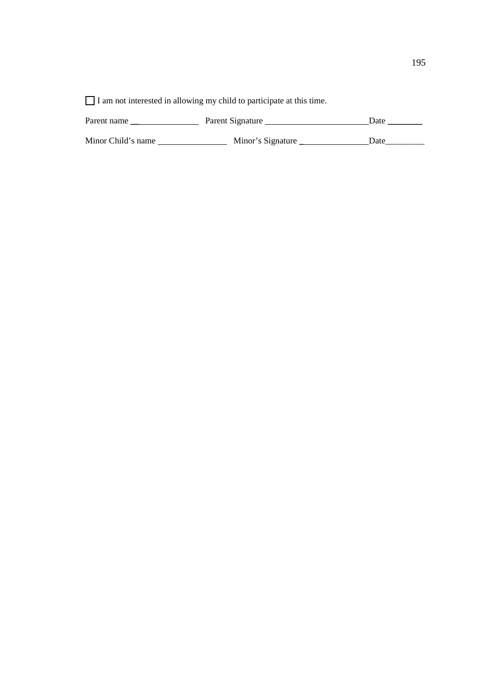$\hfill\Box$  I am not interested in allowing my child to participate at this time.

| Parent name        | Parent Signature  | Date |
|--------------------|-------------------|------|
| Minor Child's name | Minor's Signature | Date |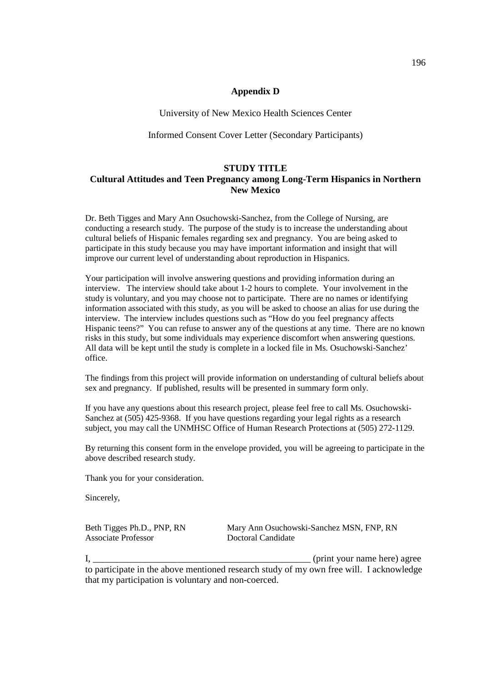## **Appendix D**

University of New Mexico Health Sciences Center

## Informed Consent Cover Letter (Secondary Participants)

## **STUDY TITLE**

# **Cultural Attitudes and Teen Pregnancy among Long-Term Hispanics in Northern New Mexico**

Dr. Beth Tigges and Mary Ann Osuchowski-Sanchez, from the College of Nursing, are conducting a research study. The purpose of the study is to increase the understanding about cultural beliefs of Hispanic females regarding sex and pregnancy. You are being asked to participate in this study because you may have important information and insight that will improve our current level of understanding about reproduction in Hispanics.

Your participation will involve answering questions and providing information during an interview. The interview should take about 1-2 hours to complete. Your involvement in the study is voluntary, and you may choose not to participate. There are no names or identifying information associated with this study, as you will be asked to choose an alias for use during the interview. The interview includes questions such as "How do you feel pregnancy affects Hispanic teens?" You can refuse to answer any of the questions at any time. There are no known risks in this study, but some individuals may experience discomfort when answering questions. All data will be kept until the study is complete in a locked file in Ms. Osuchowski-Sanchez' office.

The findings from this project will provide information on understanding of cultural beliefs about sex and pregnancy. If published, results will be presented in summary form only.

If you have any questions about this research project, please feel free to call Ms. Osuchowski-Sanchez at (505) 425-9368. If you have questions regarding your legal rights as a research subject, you may call the UNMHSC Office of Human Research Protections at (505) 272-1129.

By returning this consent form in the envelope provided, you will be agreeing to participate in the above described research study.

Thank you for your consideration.

Sincerely,

| Beth Tigges Ph.D., PNP, RN | Mary Ann Osuchowski-Sanchez MSN, FNP, RN |
|----------------------------|------------------------------------------|
| <b>Associate Professor</b> | Doctoral Candidate                       |

I, \_\_\_\_\_\_\_\_\_\_\_\_\_\_\_\_\_\_\_\_\_\_\_\_\_\_\_\_\_\_\_\_\_\_\_\_\_\_\_\_\_\_\_\_\_\_ (print your name here) agree to participate in the above mentioned research study of my own free will. I acknowledge that my participation is voluntary and non-coerced.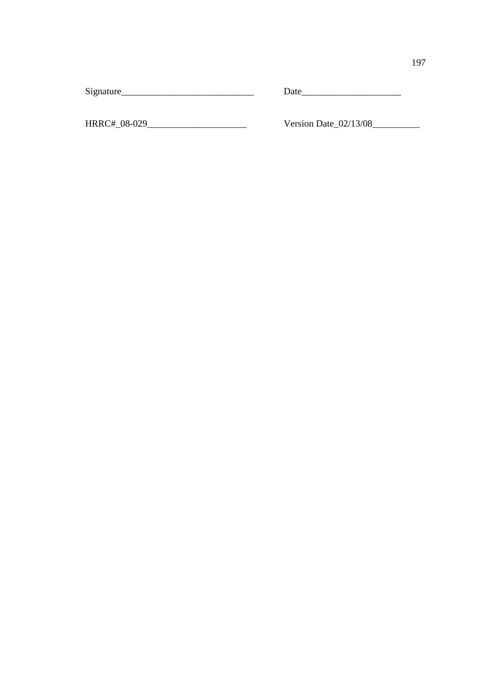Signature\_\_\_\_\_\_\_\_\_\_\_\_\_\_\_\_\_\_\_\_\_\_\_\_\_\_\_\_ Date\_\_\_\_\_\_\_\_\_\_\_\_\_\_\_\_\_\_\_\_\_

HRRC#\_08-029\_\_\_\_\_\_\_\_\_\_\_\_\_\_\_\_\_\_\_\_\_ Version Date\_02/13/08\_\_\_\_\_\_\_\_\_\_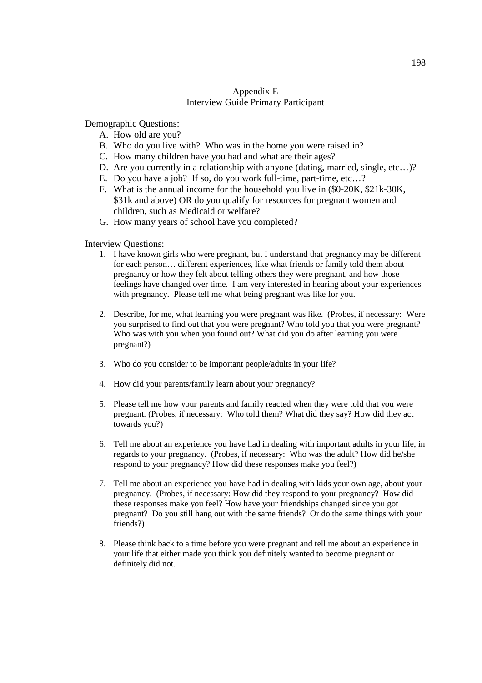## Appendix E Interview Guide Primary Participant

Demographic Questions:

- A. How old are you?
- B. Who do you live with? Who was in the home you were raised in?
- C. How many children have you had and what are their ages?
- D. Are you currently in a relationship with anyone (dating, married, single, etc…)?
- E. Do you have a job? If so, do you work full-time, part-time, etc…?
- F. What is the annual income for the household you live in (\$0-20K, \$21k-30K, \$31k and above) OR do you qualify for resources for pregnant women and children, such as Medicaid or welfare?
- G. How many years of school have you completed?

Interview Questions:

- 1. I have known girls who were pregnant, but I understand that pregnancy may be different for each person… different experiences, like what friends or family told them about pregnancy or how they felt about telling others they were pregnant, and how those feelings have changed over time. I am very interested in hearing about your experiences with pregnancy. Please tell me what being pregnant was like for you.
- 2. Describe, for me, what learning you were pregnant was like. (Probes, if necessary: Were you surprised to find out that you were pregnant? Who told you that you were pregnant? Who was with you when you found out? What did you do after learning you were pregnant?)
- 3. Who do you consider to be important people/adults in your life?
- 4. How did your parents/family learn about your pregnancy?
- 5. Please tell me how your parents and family reacted when they were told that you were pregnant. (Probes, if necessary: Who told them? What did they say? How did they act towards you?)
- 6. Tell me about an experience you have had in dealing with important adults in your life, in regards to your pregnancy. (Probes, if necessary: Who was the adult? How did he/she respond to your pregnancy? How did these responses make you feel?)
- 7. Tell me about an experience you have had in dealing with kids your own age, about your pregnancy. (Probes, if necessary: How did they respond to your pregnancy? How did these responses make you feel? How have your friendships changed since you got pregnant? Do you still hang out with the same friends? Or do the same things with your friends?)
- 8. Please think back to a time before you were pregnant and tell me about an experience in your life that either made you think you definitely wanted to become pregnant or definitely did not.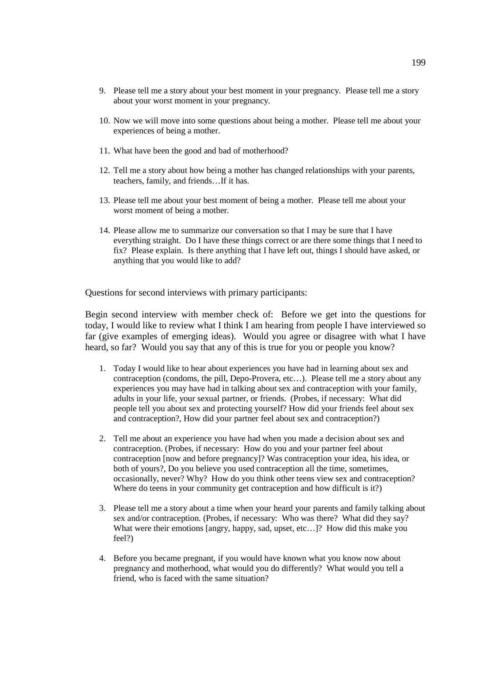- 9. Please tell me a story about your best moment in your pregnancy. Please tell me a story about your worst moment in your pregnancy.
- 10. Now we will move into some questions about being a mother. Please tell me about your experiences of being a mother.
- 11. What have been the good and bad of motherhood?
- 12. Tell me a story about how being a mother has changed relationships with your parents, teachers, family, and friends…If it has.
- 13. Please tell me about your best moment of being a mother. Please tell me about your worst moment of being a mother.
- 14. Please allow me to summarize our conversation so that I may be sure that I have everything straight. Do I have these things correct or are there some things that I need to fix? Please explain. Is there anything that I have left out, things I should have asked, or anything that you would like to add?

Questions for second interviews with primary participants:

Begin second interview with member check of: Before we get into the questions for today, I would like to review what I think I am hearing from people I have interviewed so far (give examples of emerging ideas). Would you agree or disagree with what I have heard, so far? Would you say that any of this is true for you or people you know?

- 1. Today I would like to hear about experiences you have had in learning about sex and contraception (condoms, the pill, Depo-Provera, etc…). Please tell me a story about any experiences you may have had in talking about sex and contraception with your family, adults in your life, your sexual partner, or friends. (Probes, if necessary: What did people tell you about sex and protecting yourself? How did your friends feel about sex and contraception?, How did your partner feel about sex and contraception?)
- 2. Tell me about an experience you have had when you made a decision about sex and contraception. (Probes, if necessary: How do you and your partner feel about contraception [now and before pregnancy]? Was contraception your idea, his idea, or both of yours?, Do you believe you used contraception all the time, sometimes, occasionally, never? Why? How do you think other teens view sex and contraception? Where do teens in your community get contraception and how difficult is it?)
- 3. Please tell me a story about a time when your heard your parents and family talking about sex and/or contraception. (Probes, if necessary: Who was there? What did they say? What were their emotions [angry, happy, sad, upset, etc...]? How did this make you feel?)
- 4. Before you became pregnant, if you would have known what you know now about pregnancy and motherhood, what would you do differently? What would you tell a friend, who is faced with the same situation?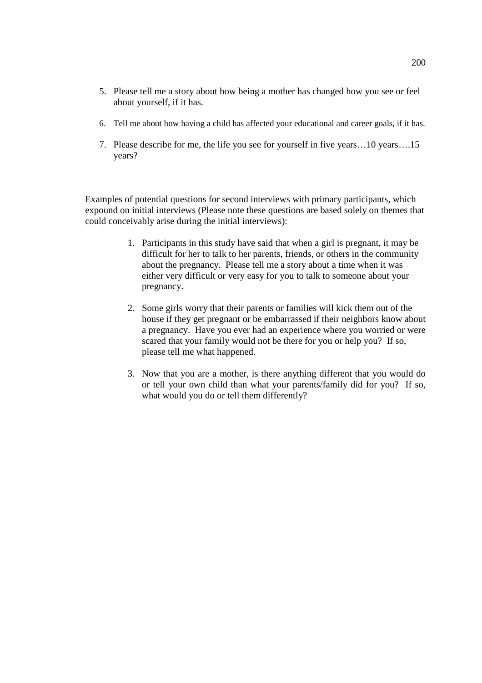- 5. Please tell me a story about how being a mother has changed how you see or feel about yourself, if it has.
- 6. Tell me about how having a child has affected your educational and career goals, if it has.
- 7. Please describe for me, the life you see for yourself in five years…10 years….15 years?

Examples of potential questions for second interviews with primary participants, which expound on initial interviews (Please note these questions are based solely on themes that could conceivably arise during the initial interviews):

- 1. Participants in this study have said that when a girl is pregnant, it may be difficult for her to talk to her parents, friends, or others in the community about the pregnancy. Please tell me a story about a time when it was either very difficult or very easy for you to talk to someone about your pregnancy.
- 2. Some girls worry that their parents or families will kick them out of the house if they get pregnant or be embarrassed if their neighbors know about a pregnancy. Have you ever had an experience where you worried or were scared that your family would not be there for you or help you? If so, please tell me what happened.
- 3. Now that you are a mother, is there anything different that you would do or tell your own child than what your parents/family did for you? If so, what would you do or tell them differently?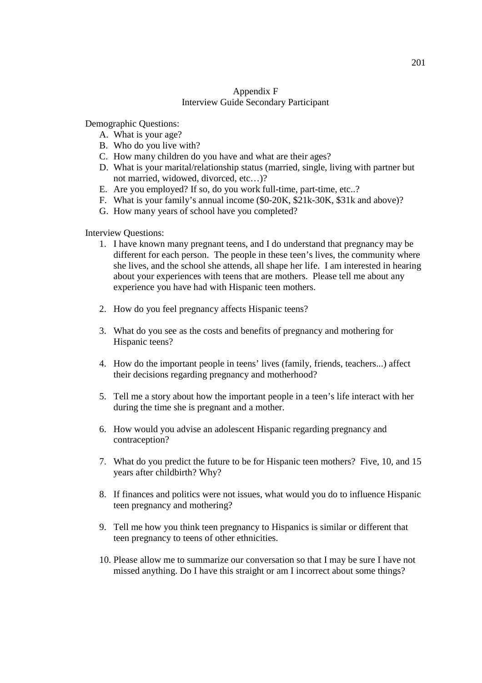## Appendix F Interview Guide Secondary Participant

Demographic Questions:

- A. What is your age?
- B. Who do you live with?
- C. How many children do you have and what are their ages?
- D. What is your marital/relationship status (married, single, living with partner but not married, widowed, divorced, etc…)?
- E. Are you employed? If so, do you work full-time, part-time, etc..?
- F. What is your family's annual income (\$0-20K, \$21k-30K, \$31k and above)?
- G. How many years of school have you completed?

## Interview Questions:

- 1. I have known many pregnant teens, and I do understand that pregnancy may be different for each person. The people in these teen's lives, the community where she lives, and the school she attends, all shape her life. I am interested in hearing about your experiences with teens that are mothers. Please tell me about any experience you have had with Hispanic teen mothers.
- 2. How do you feel pregnancy affects Hispanic teens?
- 3. What do you see as the costs and benefits of pregnancy and mothering for Hispanic teens?
- 4. How do the important people in teens' lives (family, friends, teachers...) affect their decisions regarding pregnancy and motherhood?
- 5. Tell me a story about how the important people in a teen's life interact with her during the time she is pregnant and a mother.
- 6. How would you advise an adolescent Hispanic regarding pregnancy and contraception?
- 7. What do you predict the future to be for Hispanic teen mothers? Five, 10, and 15 years after childbirth? Why?
- 8. If finances and politics were not issues, what would you do to influence Hispanic teen pregnancy and mothering?
- 9. Tell me how you think teen pregnancy to Hispanics is similar or different that teen pregnancy to teens of other ethnicities.
- 10. Please allow me to summarize our conversation so that I may be sure I have not missed anything. Do I have this straight or am I incorrect about some things?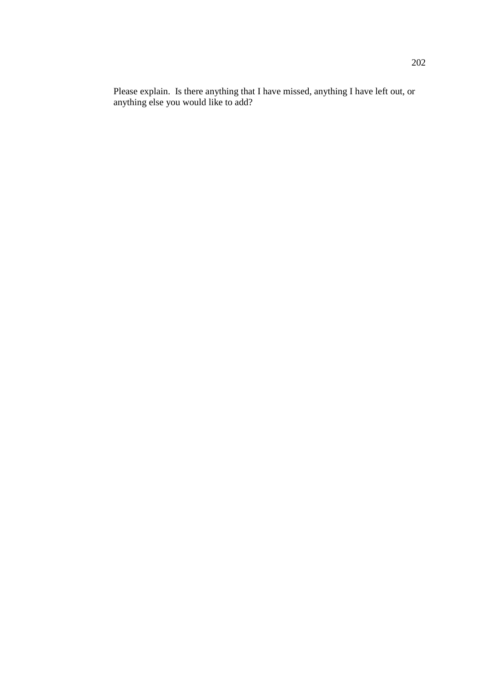Please explain. Is there anything that I have missed, anything I have left out, or anything else you would like to add?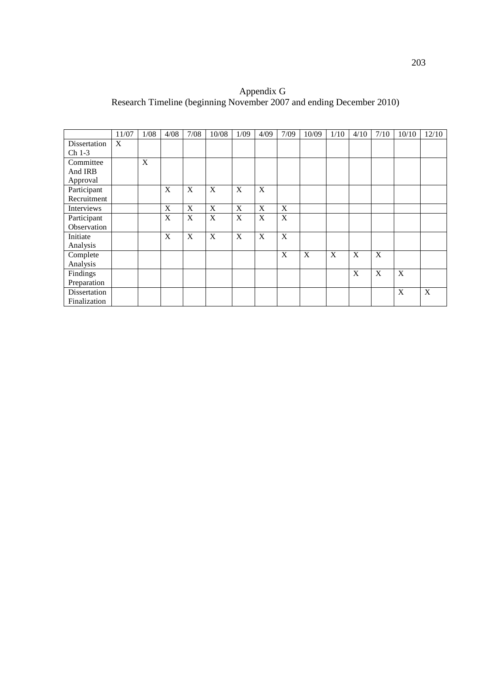Appendix G Research Timeline (beginning November 2007 and ending December 2010)

|              | 11/07 | $1/08$ | 4/08 | 7/08 | 10/08 | 1/09 | 4/09 | 7/09        | 10/09 | 1/10 | 4/10 | 7/10        | 10/10 | 12/10       |
|--------------|-------|--------|------|------|-------|------|------|-------------|-------|------|------|-------------|-------|-------------|
| Dissertation | X     |        |      |      |       |      |      |             |       |      |      |             |       |             |
| $Ch 1-3$     |       |        |      |      |       |      |      |             |       |      |      |             |       |             |
| Committee    |       | X      |      |      |       |      |      |             |       |      |      |             |       |             |
| And IRB      |       |        |      |      |       |      |      |             |       |      |      |             |       |             |
| Approval     |       |        |      |      |       |      |      |             |       |      |      |             |       |             |
| Participant  |       |        | X    | X    | X     | X    | X    |             |       |      |      |             |       |             |
| Recruitment  |       |        |      |      |       |      |      |             |       |      |      |             |       |             |
| Interviews   |       |        | X    | X    | X     | X    | X    | $\mathbf X$ |       |      |      |             |       |             |
| Participant  |       |        | X    | X    | X     | X    | X    | X           |       |      |      |             |       |             |
| Observation  |       |        |      |      |       |      |      |             |       |      |      |             |       |             |
| Initiate     |       |        | X    | X    | X     | X    | X    | X           |       |      |      |             |       |             |
| Analysis     |       |        |      |      |       |      |      |             |       |      |      |             |       |             |
| Complete     |       |        |      |      |       |      |      | X           | X     | X    | X    | $\mathbf X$ |       |             |
| Analysis     |       |        |      |      |       |      |      |             |       |      |      |             |       |             |
| Findings     |       |        |      |      |       |      |      |             |       |      | X    | X           | X     |             |
| Preparation  |       |        |      |      |       |      |      |             |       |      |      |             |       |             |
| Dissertation |       |        |      |      |       |      |      |             |       |      |      |             | X     | $\mathbf X$ |
| Finalization |       |        |      |      |       |      |      |             |       |      |      |             |       |             |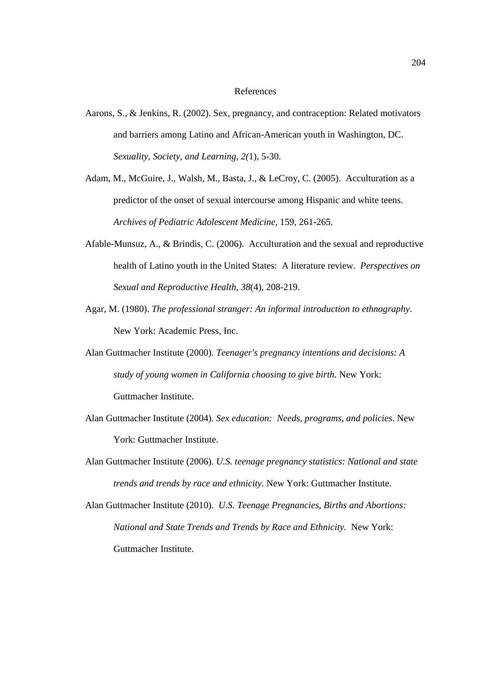## References

- Aarons, S., & Jenkins, R. (2002). Sex, pregnancy, and contraception: Related motivators and barriers among Latino and African-American youth in Washington, DC. *Sexuality, Society, and Learning, 2(*1), 5-30.
- Adam, M., McGuire, J., Walsh, M., Basta, J., & LeCroy, C. (2005). Acculturation as a predictor of the onset of sexual intercourse among Hispanic and white teens. *Archives of Pediatric Adolescent Medicine,* 159, 261-265.
- Afable-Munsuz, A., & Brindis, C. (2006). Acculturation and the sexual and reproductive health of Latino youth in the United States: A literature review. *Perspectives on Sexual and Reproductive Health*, *38*(4), 208-219.
- Agar, M. (1980). *The professional stranger: An informal introduction to ethnography*. New York: Academic Press, Inc.
- Alan Guttmacher Institute (2000). *Teenager's pregnancy intentions and decisions: A study of young women in California choosing to give birth*. New York: Guttmacher Institute.
- Alan Guttmacher Institute (2004). *Sex education: Needs, programs, and policies*. New York: Guttmacher Institute.
- Alan Guttmacher Institute (2006). *U.S. teenage pregnancy statistics: National and state trends and trends by race and ethnicity*. New York: Guttmacher Institute.
- Alan Guttmacher Institute (2010). *U.S. Teenage Pregnancies, Births and Abortions: National and State Trends and Trends by Race and Ethnicity.* New York: Guttmacher Institute.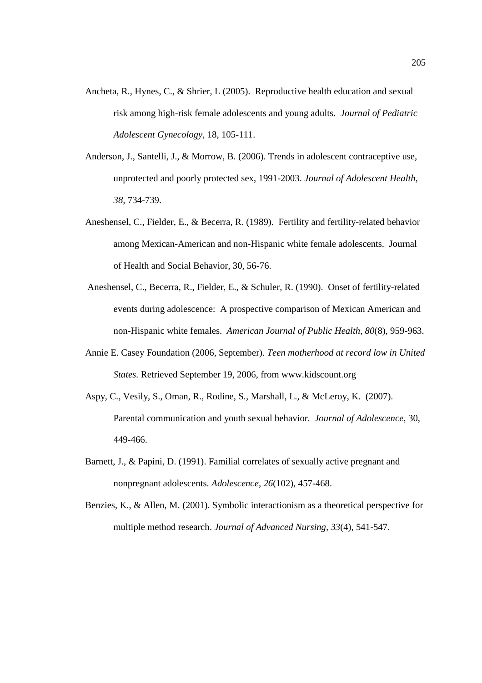- Ancheta, R., Hynes, C., & Shrier, L (2005). Reproductive health education and sexual risk among high-risk female adolescents and young adults. *Journal of Pediatric Adolescent Gynecology*, 18, 105-111.
- Anderson, J., Santelli, J., & Morrow, B. (2006). Trends in adolescent contraceptive use, unprotected and poorly protected sex, 1991-2003. *Journal of Adolescent Health, 38,* 734-739.
- Aneshensel, C., Fielder, E., & Becerra, R. (1989). Fertility and fertility-related behavior among Mexican-American and non-Hispanic white female adolescents. Journal of Health and Social Behavior, 30, 56-76.
- Aneshensel, C., Becerra, R., Fielder, E., & Schuler, R. (1990). Onset of fertility-related events during adolescence: A prospective comparison of Mexican American and non-Hispanic white females. *American Journal of Public Health*, *80*(8), 959-963.
- Annie E. Casey Foundation (2006, September). *Teen motherhood at record low in United States.* Retrieved September 19, 2006, from www.kidscount.org
- Aspy, C., Vesily, S., Oman, R., Rodine, S., Marshall, L., & McLeroy, K. (2007). Parental communication and youth sexual behavior. *Journal of Adolescence*, 30, 449-466.
- Barnett, J., & Papini, D. (1991). Familial correlates of sexually active pregnant and nonpregnant adolescents. *Adolescence, 26*(102), 457-468.
- Benzies, K., & Allen, M. (2001). Symbolic interactionism as a theoretical perspective for multiple method research. *Journal of Advanced Nursing, 33*(4), 541-547.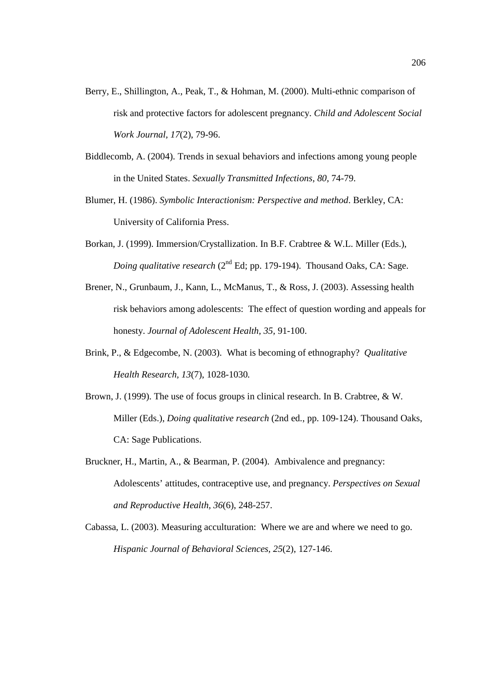- Berry, E., Shillington, A., Peak, T., & Hohman, M. (2000). Multi-ethnic comparison of risk and protective factors for adolescent pregnancy. *Child and Adolescent Social Work Journal, 17*(2), 79-96.
- Biddlecomb, A. (2004). Trends in sexual behaviors and infections among young people in the United States. *Sexually Transmitted Infections, 80,* 74-79.
- Blumer, H. (1986). *Symbolic Interactionism: Perspective and method*. Berkley, CA: University of California Press.
- Borkan, J. (1999). Immersion/Crystallization. In B.F. Crabtree & W.L. Miller (Eds.), *Doing qualitative research* (2<sup>nd</sup> Ed; pp. 179-194). Thousand Oaks, CA: Sage.
- Brener, N., Grunbaum, J., Kann, L., McManus, T., & Ross, J. (2003). Assessing health risk behaviors among adolescents: The effect of question wording and appeals for honesty. *Journal of Adolescent Health, 35,* 91-100.
- Brink, P., & Edgecombe, N. (2003). What is becoming of ethnography? *Qualitative Health Research, 13*(7), 1028-1030*.*
- Brown, J. (1999). The use of focus groups in clinical research. In B. Crabtree, & W. Miller (Eds.), *Doing qualitative research* (2nd ed., pp. 109-124). Thousand Oaks, CA: Sage Publications.
- Bruckner, H., Martin, A., & Bearman, P. (2004). Ambivalence and pregnancy: Adolescents' attitudes, contraceptive use, and pregnancy. *Perspectives on Sexual and Reproductive Health, 36*(6), 248-257.
- Cabassa, L. (2003). Measuring acculturation: Where we are and where we need to go. *Hispanic Journal of Behavioral Sciences, 25*(2), 127-146.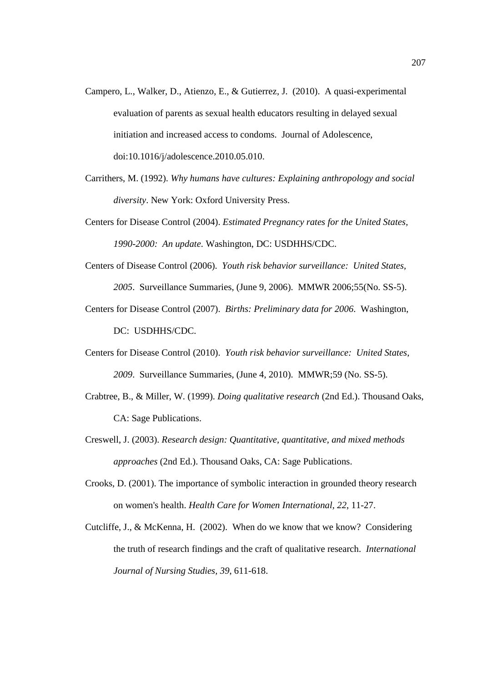- Campero, L., Walker, D., Atienzo, E., & Gutierrez, J. (2010). A quasi-experimental evaluation of parents as sexual health educators resulting in delayed sexual initiation and increased access to condoms. Journal of Adolescence, doi:10.1016/j/adolescence.2010.05.010.
- Carrithers, M. (1992). *Why humans have cultures: Explaining anthropology and social diversity*. New York: Oxford University Press.
- Centers for Disease Control (2004). *Estimated Pregnancy rates for the United States, 1990-2000: An update*. Washington, DC: USDHHS/CDC.
- Centers of Disease Control (2006). *Youth risk behavior surveillance: United States, 2005*. Surveillance Summaries, (June 9, 2006). MMWR 2006;55(No. SS-5).
- Centers for Disease Control (2007). *Births: Preliminary data for 2006*. Washington, DC: USDHHS/CDC.
- Centers for Disease Control (2010). *Youth risk behavior surveillance: United States, 2009*. Surveillance Summaries, (June 4, 2010). MMWR;59 (No. SS-5).
- Crabtree, B., & Miller, W. (1999). *Doing qualitative research* (2nd Ed.). Thousand Oaks, CA: Sage Publications.
- Creswell, J. (2003). *Research design: Quantitative, quantitative, and mixed methods approaches* (2nd Ed.). Thousand Oaks, CA: Sage Publications.
- Crooks, D. (2001). The importance of symbolic interaction in grounded theory research on women's health. *Health Care for Women International, 22*, 11-27.
- Cutcliffe, J., & McKenna, H. (2002). When do we know that we know? Considering the truth of research findings and the craft of qualitative research. *International Journal of Nursing Studies, 39*, 611-618.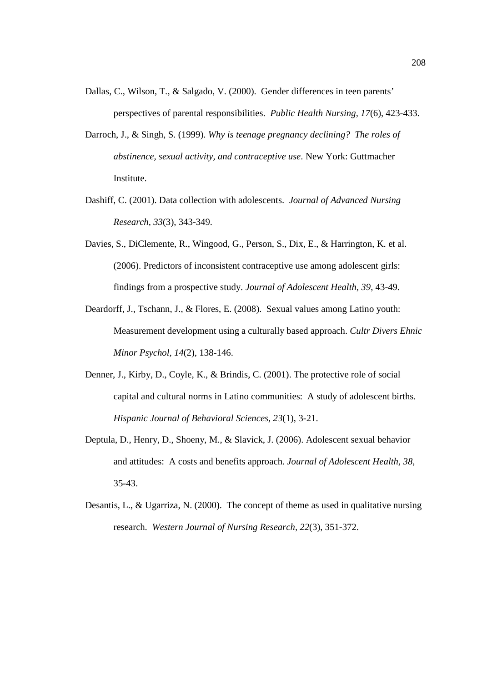- Dallas, C., Wilson, T., & Salgado, V. (2000). Gender differences in teen parents' perspectives of parental responsibilities. *Public Health Nursing, 17*(6), 423-433.
- Darroch, J., & Singh, S. (1999). *Why is teenage pregnancy declining? The roles of abstinence, sexual activity, and contraceptive use*. New York: Guttmacher Institute.
- Dashiff, C. (2001). Data collection with adolescents. *Journal of Advanced Nursing Research, 33*(3), 343-349*.*
- Davies, S., DiClemente, R., Wingood, G., Person, S., Dix, E., & Harrington, K. et al. (2006). Predictors of inconsistent contraceptive use among adolescent girls: findings from a prospective study. *Journal of Adolescent Health, 39*, 43-49.
- Deardorff, J., Tschann, J., & Flores, E. (2008). Sexual values among Latino youth: Measurement development using a culturally based approach. *Cultr Divers Ehnic Minor Psychol, 14*(2), 138-146.
- Denner, J., Kirby, D., Coyle, K., & Brindis, C. (2001). The protective role of social capital and cultural norms in Latino communities: A study of adolescent births. *Hispanic Journal of Behavioral Sciences, 23*(1), 3-21.
- Deptula, D., Henry, D., Shoeny, M., & Slavick, J. (2006). Adolescent sexual behavior and attitudes: A costs and benefits approach. *Journal of Adolescent Health, 38,*  35-43.
- Desantis, L., & Ugarriza, N. (2000). The concept of theme as used in qualitative nursing research. *Western Journal of Nursing Research, 22*(3), 351-372.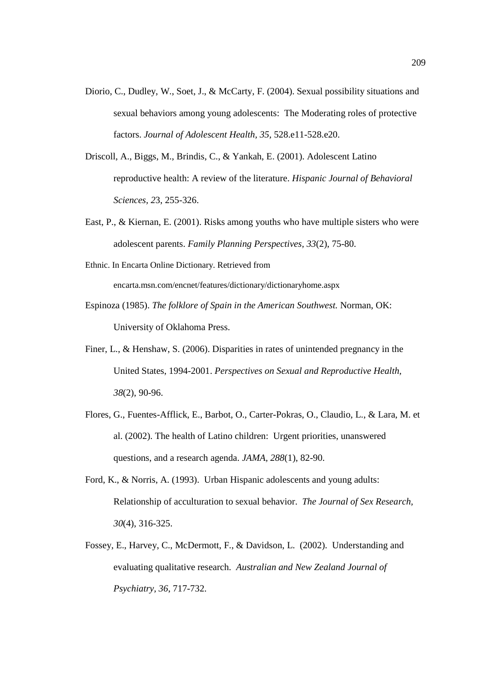- Diorio, C., Dudley, W., Soet, J., & McCarty, F. (2004). Sexual possibility situations and sexual behaviors among young adolescents: The Moderating roles of protective factors. *Journal of Adolescent Health, 35,* 528.e11-528.e20.
- Driscoll, A., Biggs, M., Brindis, C., & Yankah, E. (2001). Adolescent Latino reproductive health: A review of the literature. *Hispanic Journal of Behavioral Sciences, 2*3, 255-326.
- East, P., & Kiernan, E. (2001). Risks among youths who have multiple sisters who were adolescent parents. *Family Planning Perspectives, 33*(2), 75-80.
- Ethnic. In Encarta Online Dictionary. Retrieved from encarta.msn.com/encnet/features/dictionary/dictionaryhome.aspx
- Espinoza (1985). *The folklore of Spain in the American Southwest.* Norman, OK: University of Oklahoma Press.
- Finer, L., & Henshaw, S. (2006). Disparities in rates of unintended pregnancy in the United States, 1994-2001. *Perspectives on Sexual and Reproductive Health, 38*(2), 90-96.
- Flores, G., Fuentes-Afflick, E., Barbot, O., Carter-Pokras, O., Claudio, L., & Lara, M. et al. (2002). The health of Latino children: Urgent priorities, unanswered questions, and a research agenda. *JAMA, 288*(1), 82-90.
- Ford, K., & Norris, A. (1993). Urban Hispanic adolescents and young adults: Relationship of acculturation to sexual behavior. *The Journal of Sex Research, 30*(4), 316-325.
- Fossey, E., Harvey, C., McDermott, F., & Davidson, L. (2002). Understanding and evaluating qualitative research. *Australian and New Zealand Journal of Psychiatry, 36*, 717-732.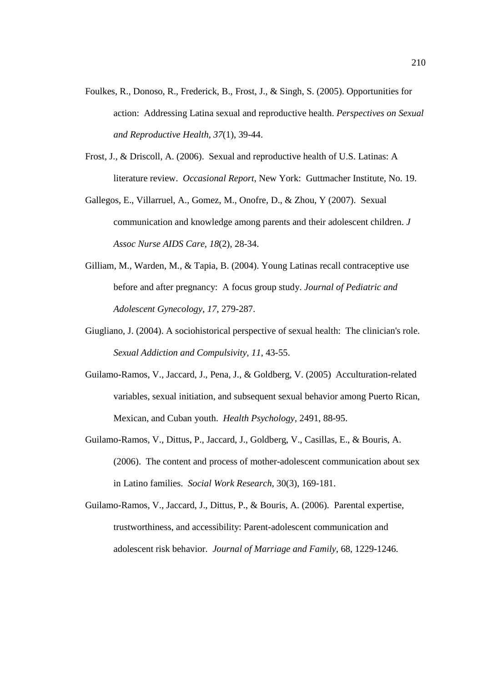- Foulkes, R., Donoso, R., Frederick, B., Frost, J., & Singh, S. (2005). Opportunities for action: Addressing Latina sexual and reproductive health. *Perspectives on Sexual and Reproductive Health, 37*(1), 39-44.
- Frost, J., & Driscoll, A. (2006). Sexual and reproductive health of U.S. Latinas: A literature review. *Occasional Report*, New York: Guttmacher Institute, No. 19.
- Gallegos, E., Villarruel, A., Gomez, M., Onofre, D., & Zhou, Y (2007). Sexual communication and knowledge among parents and their adolescent children. *J Assoc Nurse AIDS Care, 18*(2), 28-34.
- Gilliam, M., Warden, M., & Tapia, B. (2004). Young Latinas recall contraceptive use before and after pregnancy: A focus group study. *Journal of Pediatric and Adolescent Gynecology, 17,* 279-287.
- Giugliano, J. (2004). A sociohistorical perspective of sexual health: The clinician's role. *Sexual Addiction and Compulsivity, 11,* 43-55.
- Guilamo-Ramos, V., Jaccard, J., Pena, J., & Goldberg, V. (2005) Acculturation-related variables, sexual initiation, and subsequent sexual behavior among Puerto Rican, Mexican, and Cuban youth. *Health Psychology*, 2491, 88-95.
- Guilamo-Ramos, V., Dittus, P., Jaccard, J., Goldberg, V., Casillas, E., & Bouris, A. (2006). The content and process of mother-adolescent communication about sex in Latino families. *Social Work Research*, 30(3), 169-181.
- Guilamo-Ramos, V., Jaccard, J., Dittus, P., & Bouris, A. (2006). Parental expertise, trustworthiness, and accessibility: Parent-adolescent communication and adolescent risk behavior. *Journal of Marriage and Family*, 68, 1229-1246.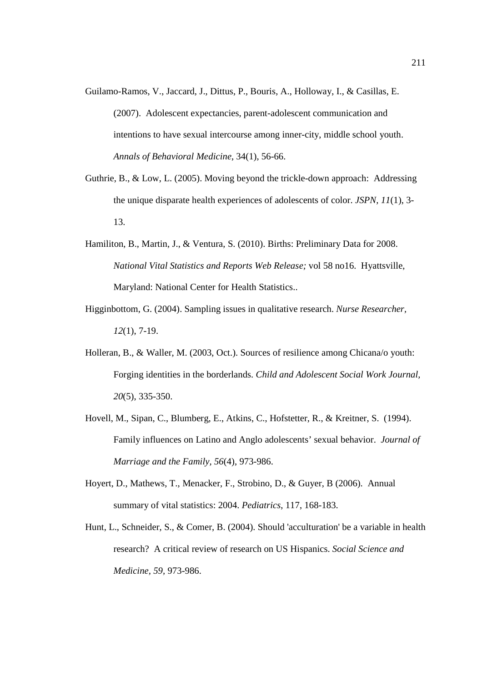- Guilamo-Ramos, V., Jaccard, J., Dittus, P., Bouris, A., Holloway, I., & Casillas, E. (2007). Adolescent expectancies, parent-adolescent communication and intentions to have sexual intercourse among inner-city, middle school youth. *Annals of Behavioral Medicine*, 34(1), 56-66.
- Guthrie, B., & Low, L. (2005). Moving beyond the trickle-down approach: Addressing the unique disparate health experiences of adolescents of color. *JSPN, 11*(1), 3- 13.
- Hamiliton, B., Martin, J., & Ventura, S. (2010). Births: Preliminary Data for 2008. *National Vital Statistics and Reports Web Release;* vol 58 no16. Hyattsville, Maryland: National Center for Health Statistics..
- Higginbottom, G. (2004). Sampling issues in qualitative research. *Nurse Researcher, 12*(1), 7-19.
- Holleran, B., & Waller, M. (2003, Oct.). Sources of resilience among Chicana/o youth: Forging identities in the borderlands. *Child and Adolescent Social Work Journal, 20*(5), 335-350.
- Hovell, M., Sipan, C., Blumberg, E., Atkins, C., Hofstetter, R., & Kreitner, S. (1994). Family influences on Latino and Anglo adolescents' sexual behavior. *Journal of Marriage and the Family, 56*(4), 973-986.
- Hoyert, D., Mathews, T., Menacker, F., Strobino, D., & Guyer, B (2006). Annual summary of vital statistics: 2004. *Pediatrics*, 117, 168-183.
- Hunt, L., Schneider, S., & Comer, B. (2004). Should 'acculturation' be a variable in health research? A critical review of research on US Hispanics. *Social Science and Medicine, 59,* 973-986.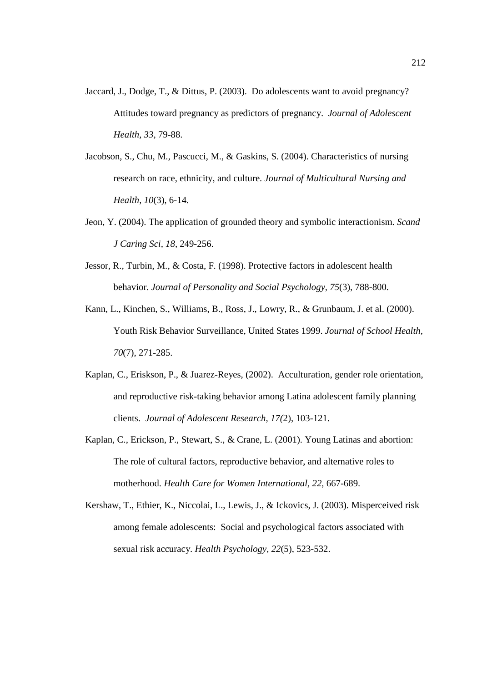- Jaccard, J., Dodge, T., & Dittus, P. (2003). Do adolescents want to avoid pregnancy? Attitudes toward pregnancy as predictors of pregnancy. *Journal of Adolescent Health, 33,* 79-88.
- Jacobson, S., Chu, M., Pascucci, M., & Gaskins, S. (2004). Characteristics of nursing research on race, ethnicity, and culture. *Journal of Multicultural Nursing and Health, 10*(3), 6-14.
- Jeon, Y. (2004). The application of grounded theory and symbolic interactionism. *Scand J Caring Sci, 18,* 249-256.
- Jessor, R., Turbin, M., & Costa, F. (1998). Protective factors in adolescent health behavior. *Journal of Personality and Social Psychology, 75*(3), 788-800.
- Kann, L., Kinchen, S., Williams, B., Ross, J., Lowry, R., & Grunbaum, J. et al. (2000). Youth Risk Behavior Surveillance, United States 1999. *Journal of School Health, 70*(7), 271-285.
- Kaplan, C., Eriskson, P., & Juarez-Reyes, (2002). Acculturation, gender role orientation, and reproductive risk-taking behavior among Latina adolescent family planning clients. *Journal of Adolescent Research, 17(*2), 103-121.
- Kaplan, C., Erickson, P., Stewart, S., & Crane, L. (2001). Young Latinas and abortion: The role of cultural factors, reproductive behavior, and alternative roles to motherhood. *Health Care for Women International, 22,* 667-689.
- Kershaw, T., Ethier, K., Niccolai, L., Lewis, J., & Ickovics, J. (2003). Misperceived risk among female adolescents: Social and psychological factors associated with sexual risk accuracy. *Health Psychology, 22*(5), 523-532.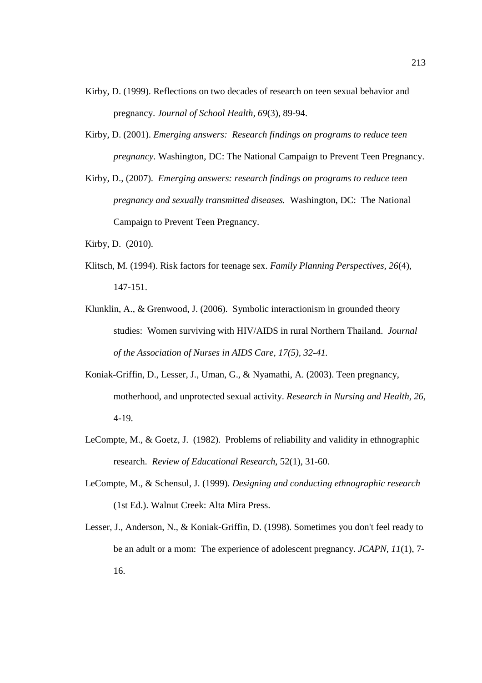- Kirby, D. (1999). Reflections on two decades of research on teen sexual behavior and pregnancy. *Journal of School Health, 69*(3), 89-94.
- Kirby, D. (2001). *Emerging answers: Research findings on programs to reduce teen pregnancy*. Washington, DC: The National Campaign to Prevent Teen Pregnancy.
- Kirby, D., (2007). *Emerging answers: research findings on programs to reduce teen pregnancy and sexually transmitted diseases.* Washington, DC: The National Campaign to Prevent Teen Pregnancy.
- Kirby, D. (2010).
- Klitsch, M. (1994). Risk factors for teenage sex. *Family Planning Perspectives, 26*(4), 147-151.
- Klunklin, A., & Grenwood, J. (2006). Symbolic interactionism in grounded theory studies: Women surviving with HIV/AIDS in rural Northern Thailand. *Journal of the Association of Nurses in AIDS Care, 17(5), 32-41.*
- Koniak-Griffin, D., Lesser, J., Uman, G., & Nyamathi, A. (2003). Teen pregnancy, motherhood, and unprotected sexual activity. *Research in Nursing and Health, 26,*  4-19.
- LeCompte, M., & Goetz, J. (1982). Problems of reliability and validity in ethnographic research. *Review of Educational Research*, 52(1), 31-60.
- LeCompte, M., & Schensul, J. (1999). *Designing and conducting ethnographic research*  (1st Ed.). Walnut Creek: Alta Mira Press.
- Lesser, J., Anderson, N., & Koniak-Griffin, D. (1998). Sometimes you don't feel ready to be an adult or a mom: The experience of adolescent pregnancy. *JCAPN, 11*(1), 7- 16.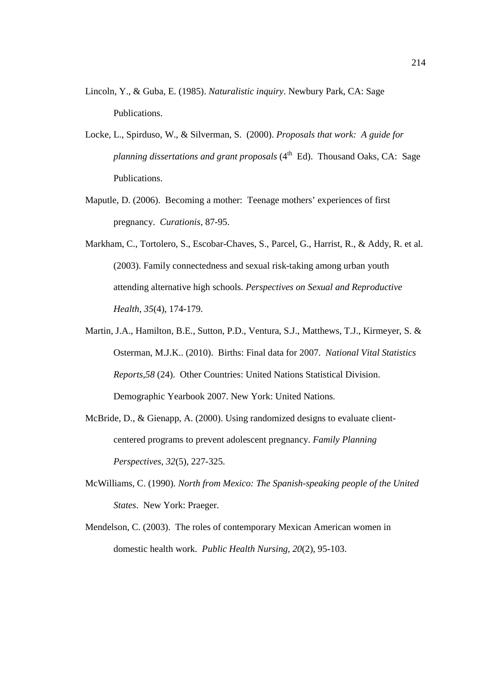- Lincoln, Y., & Guba, E. (1985). *Naturalistic inquiry*. Newbury Park, CA: Sage Publications.
- Locke, L., Spirduso, W., & Silverman, S. (2000). *Proposals that work: A guide for planning dissertations and grant proposals* (4<sup>th</sup> Ed). Thousand Oaks, CA: Sage Publications.
- Maputle, D. (2006). Becoming a mother: Teenage mothers' experiences of first pregnancy. *Curationis*, 87-95.
- Markham, C., Tortolero, S., Escobar-Chaves, S., Parcel, G., Harrist, R., & Addy, R. et al. (2003). Family connectedness and sexual risk-taking among urban youth attending alternative high schools. *Perspectives on Sexual and Reproductive Health, 35*(4), 174-179.
- Martin, J.A., Hamilton, B.E., Sutton, P.D., Ventura, S.J., Matthews, T.J., Kirmeyer, S. & Osterman, M.J.K.. (2010). Births: Final data for 2007. *National Vital Statistics Reports,58* (24). Other Countries: United Nations Statistical Division. Demographic Yearbook 2007. New York: United Nations.
- McBride, D., & Gienapp, A. (2000). Using randomized designs to evaluate clientcentered programs to prevent adolescent pregnancy. *Family Planning Perspectives, 32*(5), 227-325.
- McWilliams, C. (1990). *North from Mexico: The Spanish-speaking people of the United States*. New York: Praeger.
- Mendelson, C. (2003). The roles of contemporary Mexican American women in domestic health work. *Public Health Nursing, 20*(2), 95-103.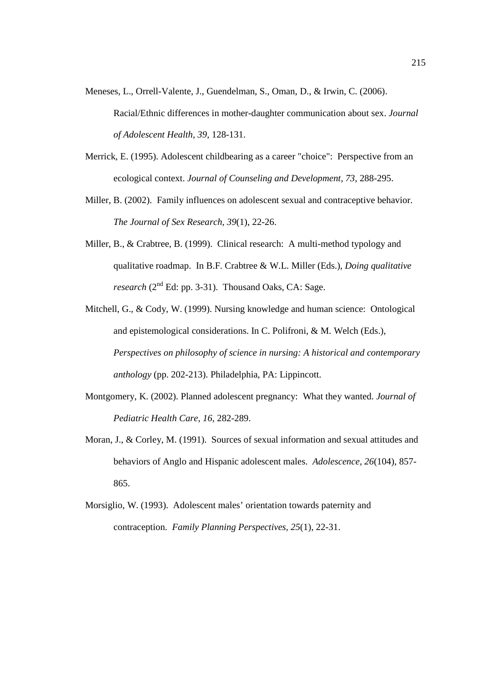- Meneses, L., Orrell-Valente, J., Guendelman, S., Oman, D., & Irwin, C. (2006). Racial/Ethnic differences in mother-daughter communication about sex. *Journal of Adolescent Health, 39,* 128-131.
- Merrick, E. (1995). Adolescent childbearing as a career "choice": Perspective from an ecological context. *Journal of Counseling and Development, 73,* 288-295.
- Miller, B. (2002). Family influences on adolescent sexual and contraceptive behavior. *The Journal of Sex Research, 39*(1), 22-26.
- Miller, B., & Crabtree, B. (1999). Clinical research: A multi-method typology and qualitative roadmap. In B.F. Crabtree & W.L. Miller (Eds.), *Doing qualitative research* ( $2<sup>nd</sup> Ed$ : pp. 3-31). Thousand Oaks, CA: Sage.
- Mitchell, G., & Cody, W. (1999). Nursing knowledge and human science: Ontological and epistemological considerations. In C. Polifroni, & M. Welch (Eds.), *Perspectives on philosophy of science in nursing: A historical and contemporary anthology* (pp. 202-213). Philadelphia, PA: Lippincott.
- Montgomery, K. (2002). Planned adolescent pregnancy: What they wanted. *Journal of Pediatric Health Care, 16,* 282-289.
- Moran, J., & Corley, M. (1991). Sources of sexual information and sexual attitudes and behaviors of Anglo and Hispanic adolescent males. *Adolescence, 26*(104), 857- 865.
- Morsiglio, W. (1993). Adolescent males' orientation towards paternity and contraception. *Family Planning Perspectives, 25*(1), 22-31.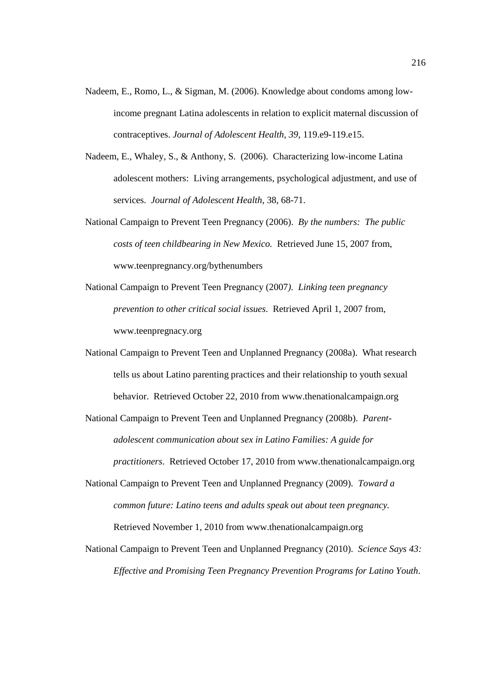- Nadeem, E., Romo, L., & Sigman, M. (2006). Knowledge about condoms among lowincome pregnant Latina adolescents in relation to explicit maternal discussion of contraceptives. *Journal of Adolescent Health, 39,* 119.e9-119.e15.
- Nadeem, E., Whaley, S., & Anthony, S. (2006). Characterizing low-income Latina adolescent mothers: Living arrangements, psychological adjustment, and use of services. *Journal of Adolescent Health*, 38, 68-71.
- National Campaign to Prevent Teen Pregnancy (2006). *By the numbers: The public costs of teen childbearing in New Mexico.* Retrieved June 15, 2007 from, www.teenpregnancy.org/bythenumbers
- National Campaign to Prevent Teen Pregnancy (2007*). Linking teen pregnancy prevention to other critical social issues*. Retrieved April 1, 2007 from, www.teenpregnacy.org
- National Campaign to Prevent Teen and Unplanned Pregnancy (2008a). What research tells us about Latino parenting practices and their relationship to youth sexual behavior. Retrieved October 22, 2010 from www.thenationalcampaign.org

National Campaign to Prevent Teen and Unplanned Pregnancy (2008b). *Parentadolescent communication about sex in Latino Families: A guide for practitioners*. Retrieved October 17, 2010 from www.thenationalcampaign.org

- National Campaign to Prevent Teen and Unplanned Pregnancy (2009). *Toward a common future: Latino teens and adults speak out about teen pregnancy.* Retrieved November 1, 2010 from www.thenationalcampaign.org
- National Campaign to Prevent Teen and Unplanned Pregnancy (2010). *Science Says 43: Effective and Promising Teen Pregnancy Prevention Programs for Latino Youth*.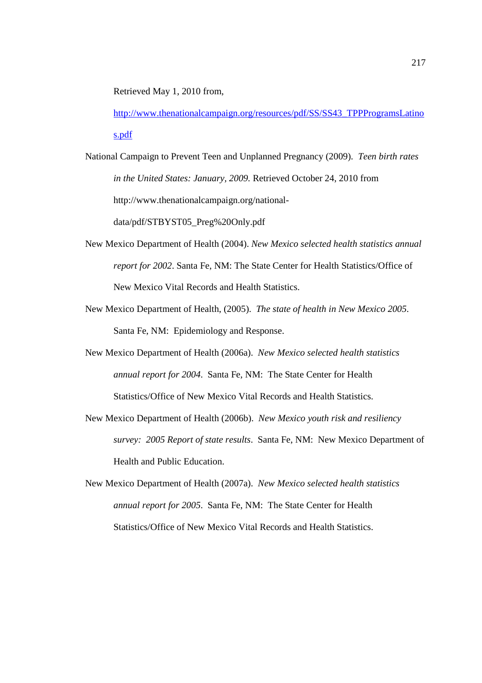Retrieved May 1, 2010 from,

http://www.thenationalcampaign.org/resources/pdf/SS/SS43\_TPPProgramsLatino s.pdf

- National Campaign to Prevent Teen and Unplanned Pregnancy (2009). *Teen birth rates in the United States: January, 2009.* Retrieved October 24, 2010 from http://www.thenationalcampaign.org/nationaldata/pdf/STBYST05\_Preg%20Only.pdf
- New Mexico Department of Health (2004). *New Mexico selected health statistics annual report for 2002*. Santa Fe, NM: The State Center for Health Statistics/Office of New Mexico Vital Records and Health Statistics.
- New Mexico Department of Health, (2005). *The state of health in New Mexico 2005*. Santa Fe, NM: Epidemiology and Response.
- New Mexico Department of Health (2006a). *New Mexico selected health statistics annual report for 2004*. Santa Fe, NM: The State Center for Health Statistics/Office of New Mexico Vital Records and Health Statistics.
- New Mexico Department of Health (2006b). *New Mexico youth risk and resiliency survey: 2005 Report of state results*. Santa Fe, NM: New Mexico Department of Health and Public Education.
- New Mexico Department of Health (2007a). *New Mexico selected health statistics annual report for 2005*. Santa Fe, NM: The State Center for Health Statistics/Office of New Mexico Vital Records and Health Statistics.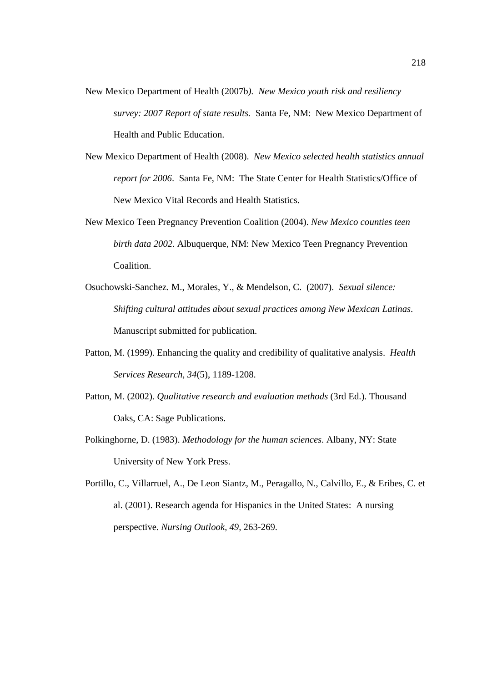- New Mexico Department of Health (2007b*). New Mexico youth risk and resiliency survey: 2007 Report of state results.* Santa Fe, NM: New Mexico Department of Health and Public Education.
- New Mexico Department of Health (2008). *New Mexico selected health statistics annual report for 2006*. Santa Fe, NM: The State Center for Health Statistics/Office of New Mexico Vital Records and Health Statistics.
- New Mexico Teen Pregnancy Prevention Coalition (2004). *New Mexico counties teen birth data 2002*. Albuquerque, NM: New Mexico Teen Pregnancy Prevention Coalition.
- Osuchowski-Sanchez. M., Morales, Y., & Mendelson, C. (2007). *Sexual silence: Shifting cultural attitudes about sexual practices among New Mexican Latinas*. Manuscript submitted for publication.
- Patton, M. (1999). Enhancing the quality and credibility of qualitative analysis. *Health Services Research, 34*(5), 1189-1208.
- Patton, M. (2002). *Qualitative research and evaluation methods* (3rd Ed.). Thousand Oaks, CA: Sage Publications.
- Polkinghorne, D. (1983). *Methodology for the human sciences*. Albany, NY: State University of New York Press.
- Portillo, C., Villarruel, A., De Leon Siantz, M., Peragallo, N., Calvillo, E., & Eribes, C. et al. (2001). Research agenda for Hispanics in the United States: A nursing perspective. *Nursing Outlook, 49,* 263-269.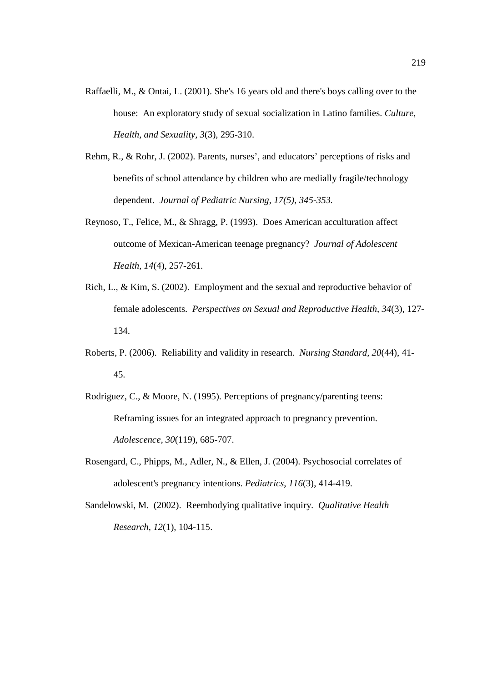- Raffaelli, M., & Ontai, L. (2001). She's 16 years old and there's boys calling over to the house: An exploratory study of sexual socialization in Latino families. *Culture, Health, and Sexuality, 3*(3), 295-310.
- Rehm, R., & Rohr, J. (2002). Parents, nurses', and educators' perceptions of risks and benefits of school attendance by children who are medially fragile/technology dependent. *Journal of Pediatric Nursing, 17(5), 345-353.*
- Reynoso, T., Felice, M., & Shragg, P. (1993). Does American acculturation affect outcome of Mexican-American teenage pregnancy? *Journal of Adolescent Health, 14*(4), 257-261.
- Rich, L., & Kim, S. (2002). Employment and the sexual and reproductive behavior of female adolescents. *Perspectives on Sexual and Reproductive Health, 34*(3), 127- 134.
- Roberts, P. (2006). Reliability and validity in research. *Nursing Standard, 20*(44), 41- 45.
- Rodriguez, C., & Moore, N. (1995). Perceptions of pregnancy/parenting teens: Reframing issues for an integrated approach to pregnancy prevention. *Adolescence, 30*(119), 685-707.
- Rosengard, C., Phipps, M., Adler, N., & Ellen, J. (2004). Psychosocial correlates of adolescent's pregnancy intentions. *Pediatrics, 116*(3), 414-419.
- Sandelowski, M. (2002). Reembodying qualitative inquiry. *Qualitative Health Research, 12*(1), 104-115.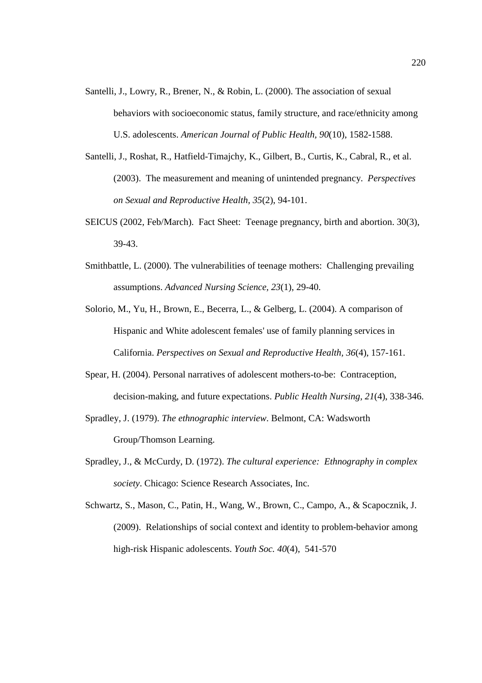- Santelli, J., Lowry, R., Brener, N., & Robin, L. (2000). The association of sexual behaviors with socioeconomic status, family structure, and race/ethnicity among U.S. adolescents. *American Journal of Public Health, 90*(10), 1582-1588.
- Santelli, J., Roshat, R., Hatfield-Timajchy, K., Gilbert, B., Curtis, K., Cabral, R., et al. (2003). The measurement and meaning of unintended pregnancy. *Perspectives on Sexual and Reproductive Health, 35*(2), 94-101.
- SEICUS (2002, Feb/March). Fact Sheet: Teenage pregnancy, birth and abortion. 30(3), 39-43.
- Smithbattle, L. (2000). The vulnerabilities of teenage mothers: Challenging prevailing assumptions. *Advanced Nursing Science, 23*(1), 29-40.
- Solorio, M., Yu, H., Brown, E., Becerra, L., & Gelberg, L. (2004). A comparison of Hispanic and White adolescent females' use of family planning services in California. *Perspectives on Sexual and Reproductive Health, 36*(4), 157-161.
- Spear, H. (2004). Personal narratives of adolescent mothers-to-be: Contraception, decision-making, and future expectations. *Public Health Nursing, 21*(4), 338-346.
- Spradley, J. (1979). *The ethnographic interview*. Belmont, CA: Wadsworth Group/Thomson Learning.
- Spradley, J., & McCurdy, D. (1972). *The cultural experience: Ethnography in complex society*. Chicago: Science Research Associates, Inc.
- Schwartz, S., Mason, C., Patin, H., Wang, W., Brown, C., Campo, A., & Scapocznik, J. (2009). Relationships of social context and identity to problem-behavior among high-risk Hispanic adolescents. *Youth Soc. 40*(4), 541-570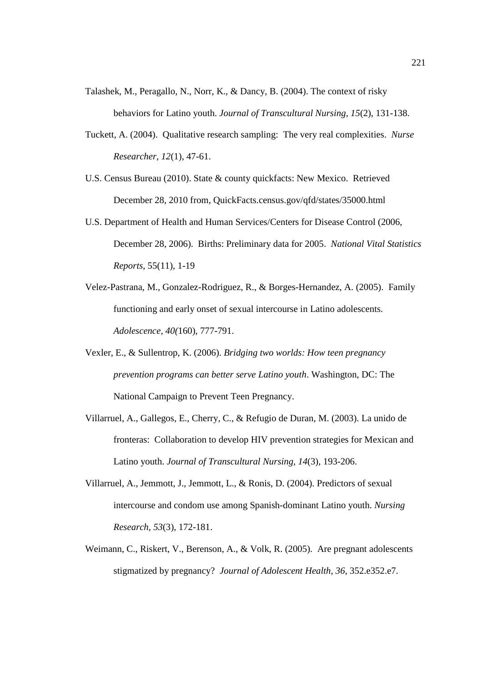- Talashek, M., Peragallo, N., Norr, K., & Dancy, B. (2004). The context of risky behaviors for Latino youth. *Journal of Transcultural Nursing, 15*(2), 131-138.
- Tuckett, A. (2004). Qualitative research sampling: The very real complexities. *Nurse Researcher, 12*(1), 47-61.
- U.S. Census Bureau (2010). State & county quickfacts: New Mexico. Retrieved December 28, 2010 from, QuickFacts.census.gov/qfd/states/35000.html
- U.S. Department of Health and Human Services/Centers for Disease Control (2006, December 28, 2006). Births: Preliminary data for 2005. *National Vital Statistics Reports*, 55(11), 1-19
- Velez-Pastrana, M., Gonzalez-Rodriguez, R., & Borges-Hernandez, A. (2005). Family functioning and early onset of sexual intercourse in Latino adolescents. *Adolescence, 40(*160), 777-791.
- Vexler, E., & Sullentrop, K. (2006). *Bridging two worlds: How teen pregnancy prevention programs can better serve Latino youth*. Washington, DC: The National Campaign to Prevent Teen Pregnancy.
- Villarruel, A., Gallegos, E., Cherry, C., & Refugio de Duran, M. (2003). La unido de fronteras: Collaboration to develop HIV prevention strategies for Mexican and Latino youth. *Journal of Transcultural Nursing, 14*(3), 193-206.
- Villarruel, A., Jemmott, J., Jemmott, L., & Ronis, D. (2004). Predictors of sexual intercourse and condom use among Spanish-dominant Latino youth. *Nursing Research, 53*(3), 172-181.
- Weimann, C., Riskert, V., Berenson, A., & Volk, R. (2005). Are pregnant adolescents stigmatized by pregnancy? *Journal of Adolescent Health, 36*, 352.e352.e7.